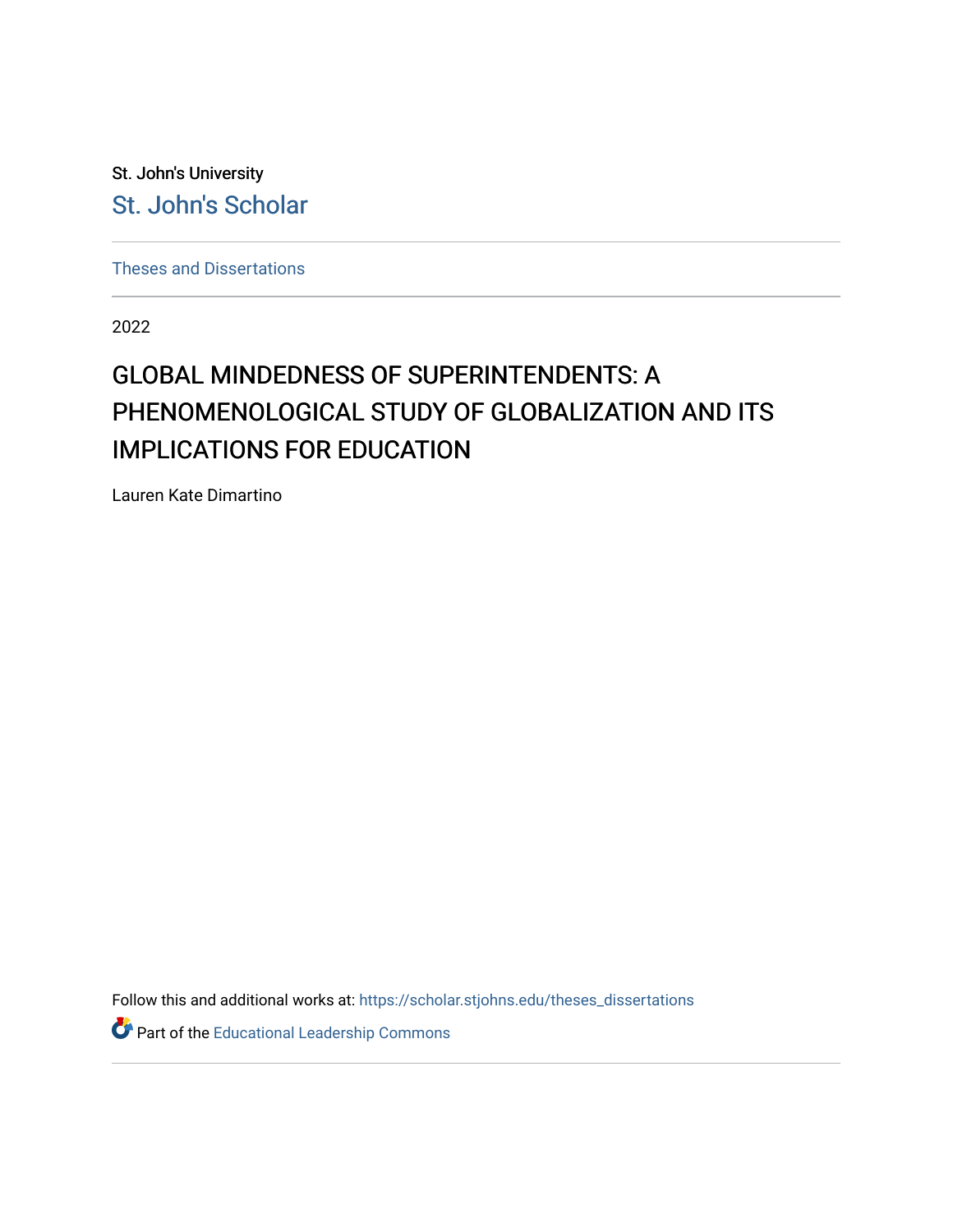St. John's University [St. John's Scholar](https://scholar.stjohns.edu/) 

[Theses and Dissertations](https://scholar.stjohns.edu/theses_dissertations)

2022

# GLOBAL MINDEDNESS OF SUPERINTENDENTS: A PHENOMENOLOGICAL STUDY OF GLOBALIZATION AND ITS IMPLICATIONS FOR EDUCATION

Lauren Kate Dimartino

Follow this and additional works at: [https://scholar.stjohns.edu/theses\\_dissertations](https://scholar.stjohns.edu/theses_dissertations?utm_source=scholar.stjohns.edu%2Ftheses_dissertations%2F398&utm_medium=PDF&utm_campaign=PDFCoverPages)

Part of the [Educational Leadership Commons](https://network.bepress.com/hgg/discipline/1230?utm_source=scholar.stjohns.edu%2Ftheses_dissertations%2F398&utm_medium=PDF&utm_campaign=PDFCoverPages)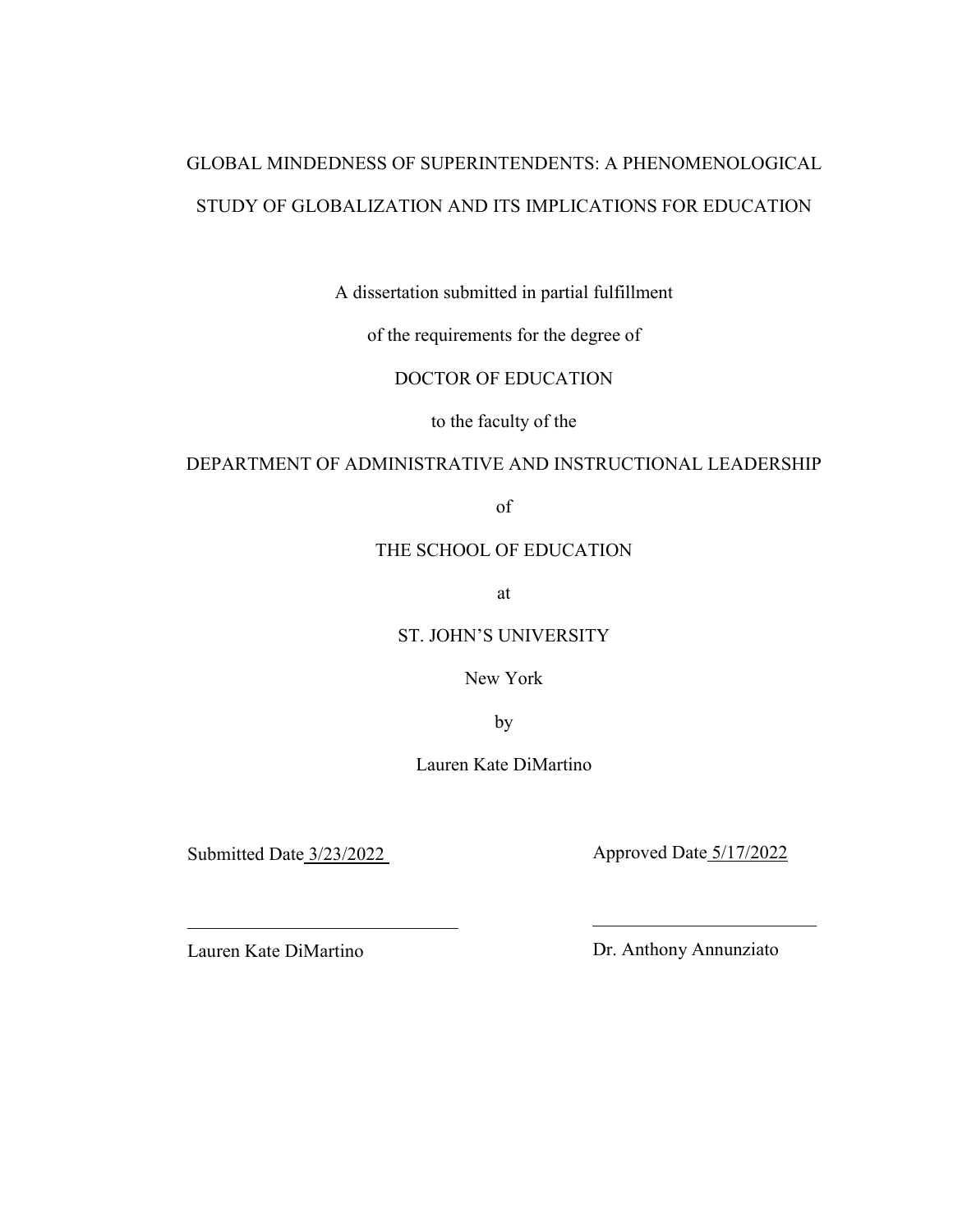# GLOBAL MINDEDNESS OF SUPERINTENDENTS: A PHENOMENOLOGICAL STUDY OF GLOBALIZATION AND ITS IMPLICATIONS FOR EDUCATION

A dissertation submitted in partial fulfillment

of the requirements for the degree of

DOCTOR OF EDUCATION

to the faculty of the

### DEPARTMENT OF ADMINISTRATIVE AND INSTRUCTIONAL LEADERSHIP

of

## THE SCHOOL OF EDUCATION

at

ST. JOHN'S UNIVERSITY

New York

by

Lauren Kate DiMartino

 $\frac{1}{2}$  ,  $\frac{1}{2}$  ,  $\frac{1}{2}$  ,  $\frac{1}{2}$  ,  $\frac{1}{2}$  ,  $\frac{1}{2}$  ,  $\frac{1}{2}$  ,  $\frac{1}{2}$  ,  $\frac{1}{2}$  ,  $\frac{1}{2}$  ,  $\frac{1}{2}$  ,  $\frac{1}{2}$  ,  $\frac{1}{2}$  ,  $\frac{1}{2}$  ,  $\frac{1}{2}$  ,  $\frac{1}{2}$  ,  $\frac{1}{2}$  ,  $\frac{1}{2}$  ,  $\frac{1$ 

Submitted Date 3/23/2022 Approved Date 5/17/2022

Lauren Kate DiMartino Dr. Anthony Annunziato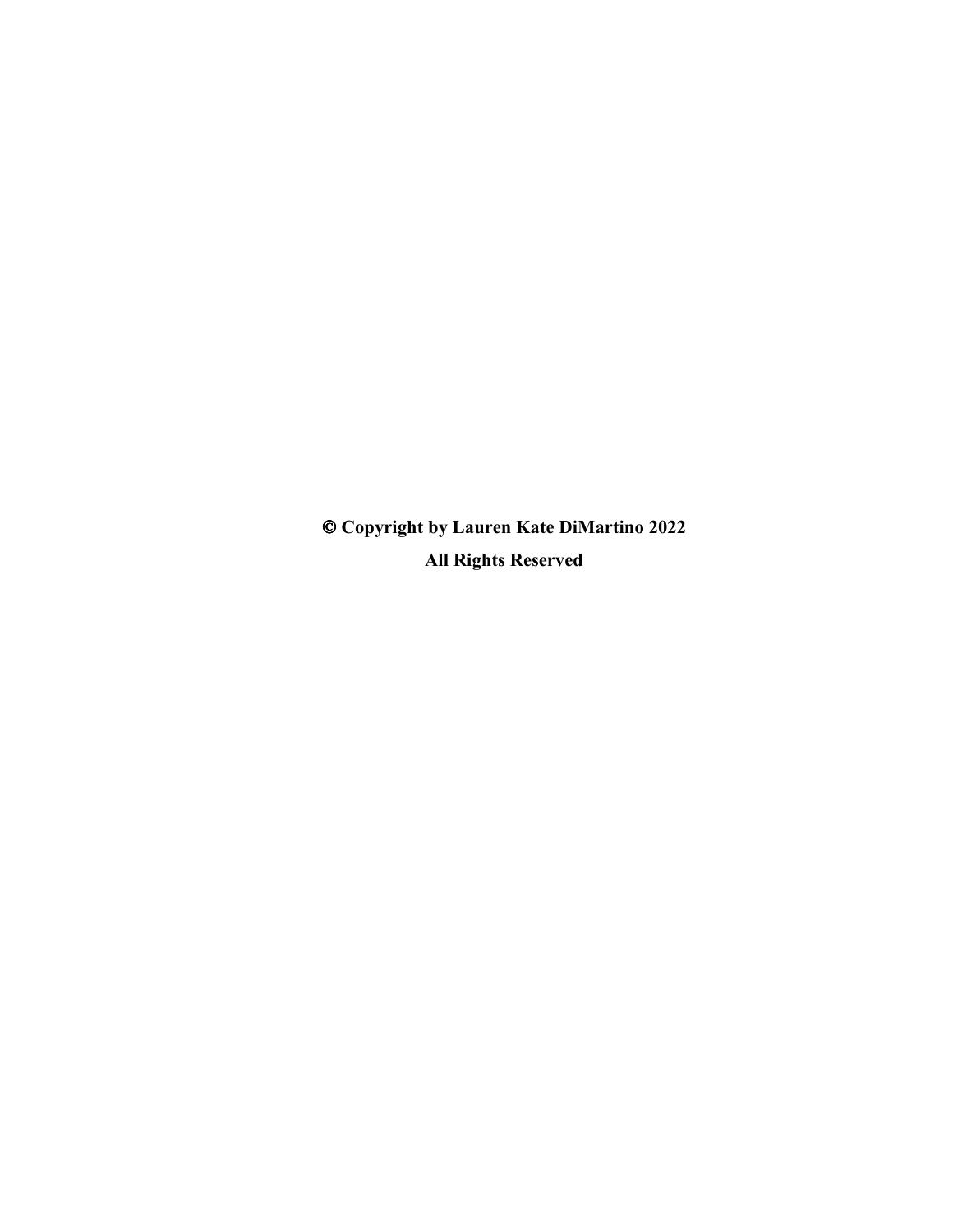**Copyright by Lauren Kate DiMartino 2022 All Rights Reserved**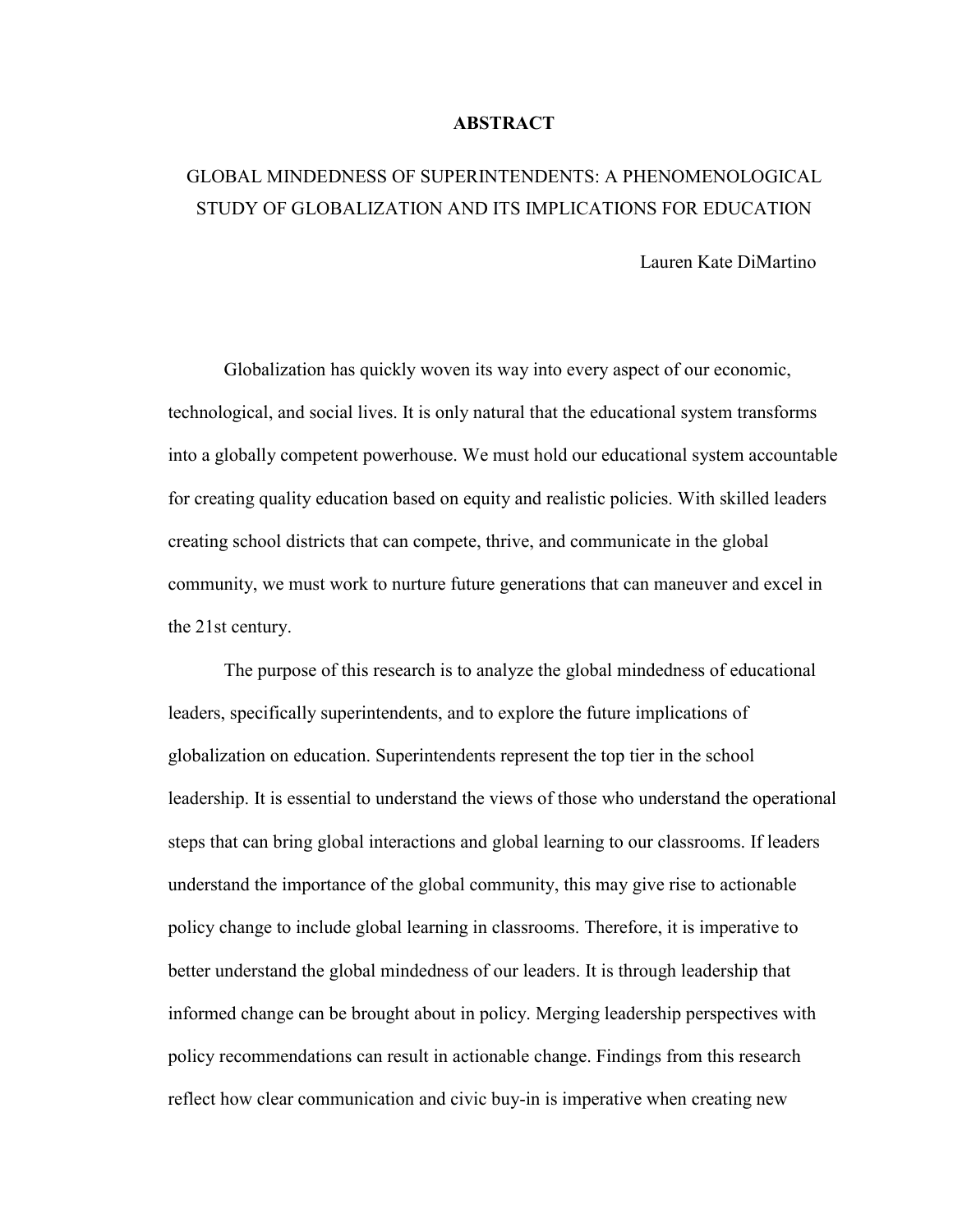#### **ABSTRACT**

# GLOBAL MINDEDNESS OF SUPERINTENDENTS: A PHENOMENOLOGICAL STUDY OF GLOBALIZATION AND ITS IMPLICATIONS FOR EDUCATION

Lauren Kate DiMartino

Globalization has quickly woven its way into every aspect of our economic, technological, and social lives. It is only natural that the educational system transforms into a globally competent powerhouse. We must hold our educational system accountable for creating quality education based on equity and realistic policies. With skilled leaders creating school districts that can compete, thrive, and communicate in the global community, we must work to nurture future generations that can maneuver and excel in the 21st century.

The purpose of this research is to analyze the global mindedness of educational leaders, specifically superintendents, and to explore the future implications of globalization on education. Superintendents represent the top tier in the school leadership. It is essential to understand the views of those who understand the operational steps that can bring global interactions and global learning to our classrooms. If leaders understand the importance of the global community, this may give rise to actionable policy change to include global learning in classrooms. Therefore, it is imperative to better understand the global mindedness of our leaders. It is through leadership that informed change can be brought about in policy. Merging leadership perspectives with policy recommendations can result in actionable change. Findings from this research reflect how clear communication and civic buy-in is imperative when creating new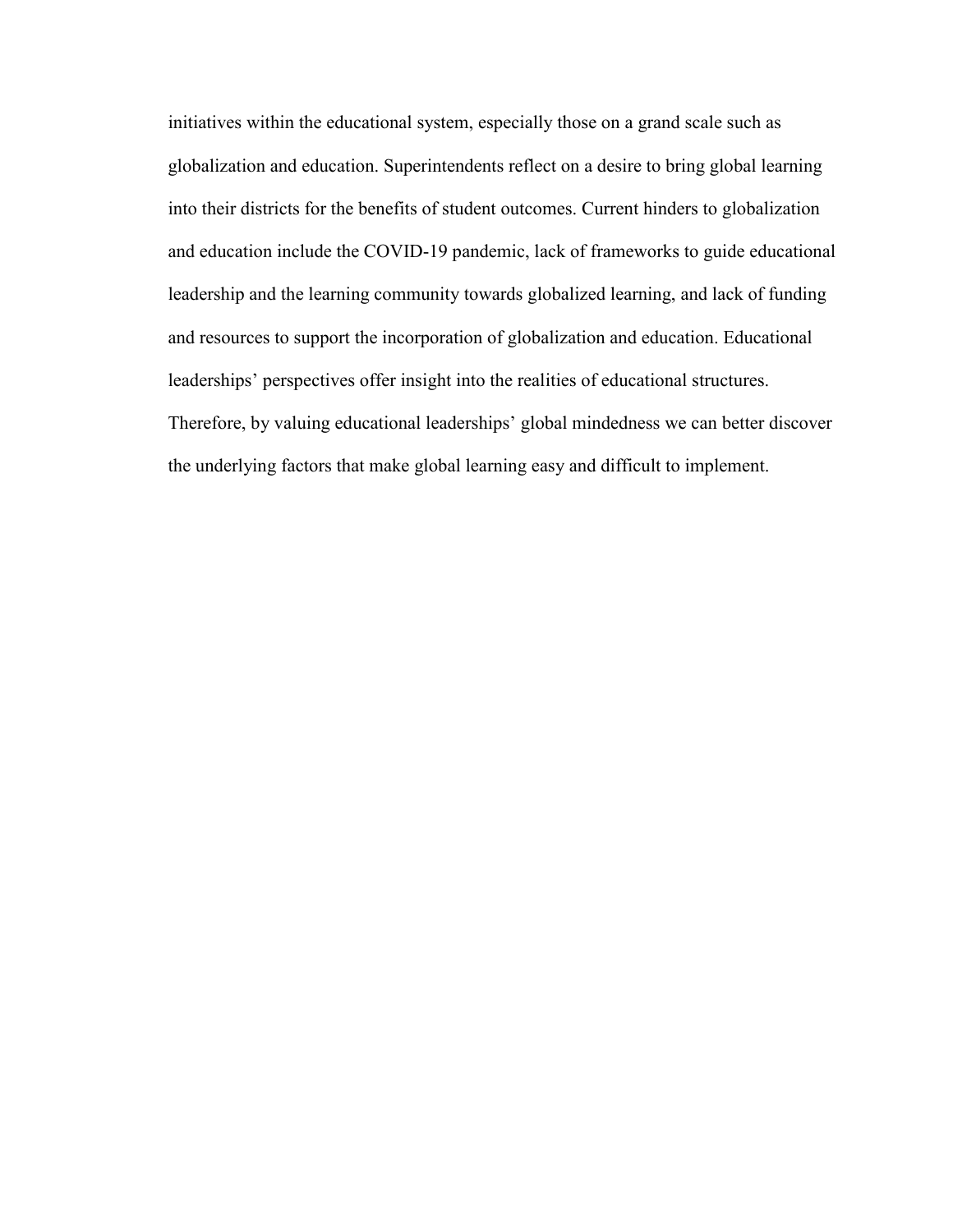initiatives within the educational system, especially those on a grand scale such as globalization and education. Superintendents reflect on a desire to bring global learning into their districts for the benefits of student outcomes. Current hinders to globalization and education include the COVID-19 pandemic, lack of frameworks to guide educational leadership and the learning community towards globalized learning, and lack of funding and resources to support the incorporation of globalization and education. Educational leaderships' perspectives offer insight into the realities of educational structures. Therefore, by valuing educational leaderships' global mindedness we can better discover the underlying factors that make global learning easy and difficult to implement.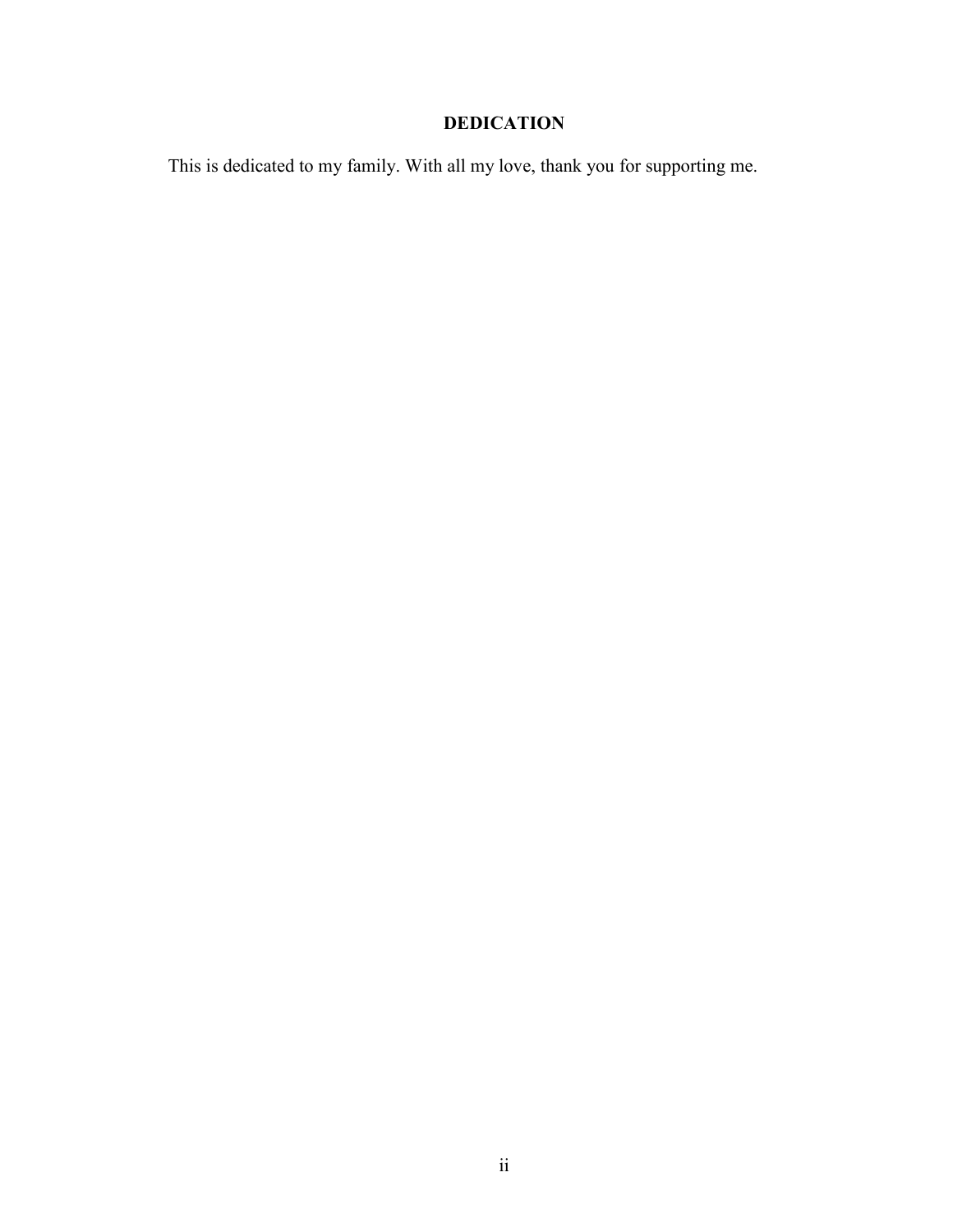# **DEDICATION**

This is dedicated to my family. With all my love, thank you for supporting me.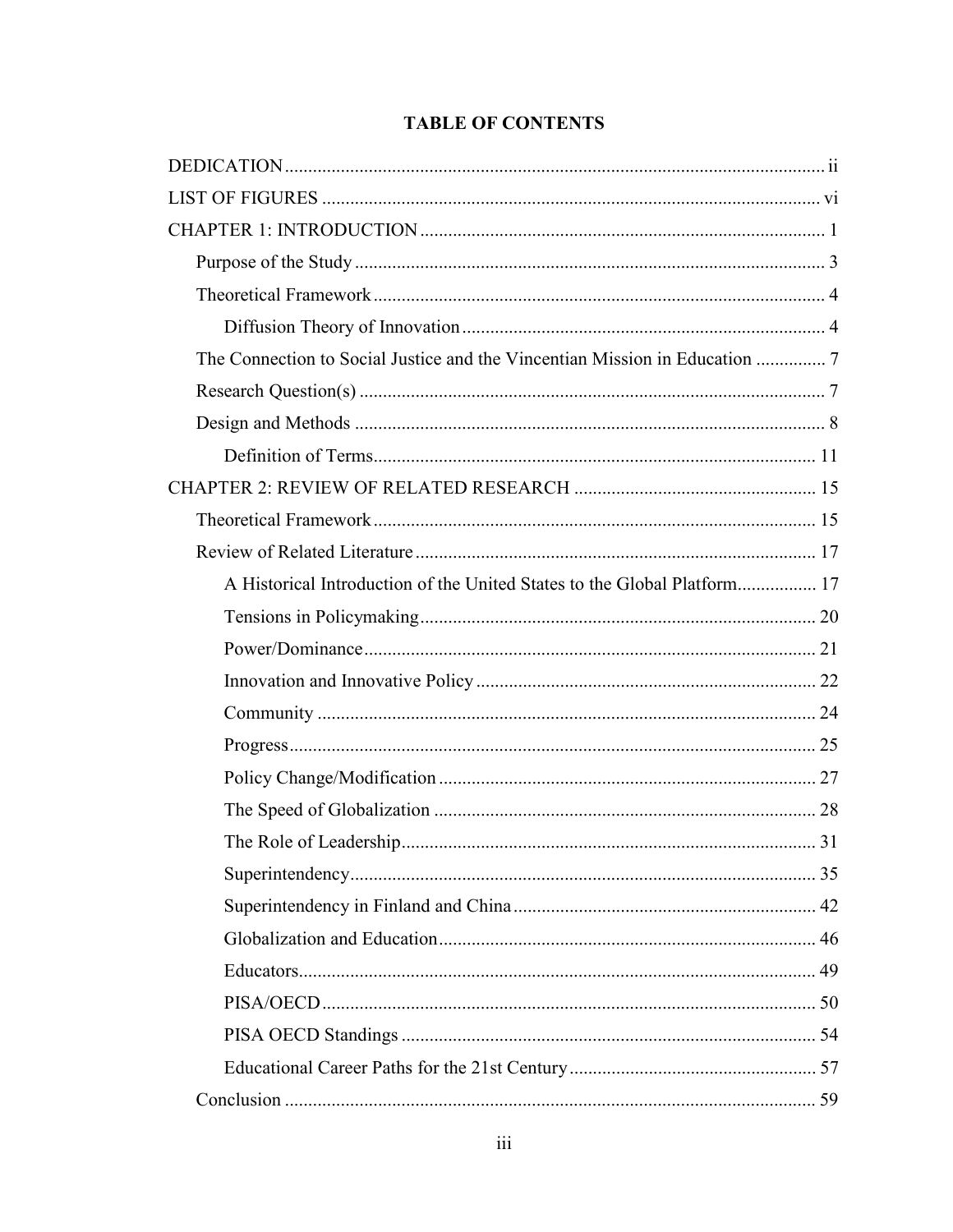## **TABLE OF CONTENTS**

| A Historical Introduction of the United States to the Global Platform 17 |
|--------------------------------------------------------------------------|
|                                                                          |
|                                                                          |
|                                                                          |
|                                                                          |
|                                                                          |
|                                                                          |
|                                                                          |
|                                                                          |
|                                                                          |
|                                                                          |
|                                                                          |
|                                                                          |
|                                                                          |
|                                                                          |
|                                                                          |
|                                                                          |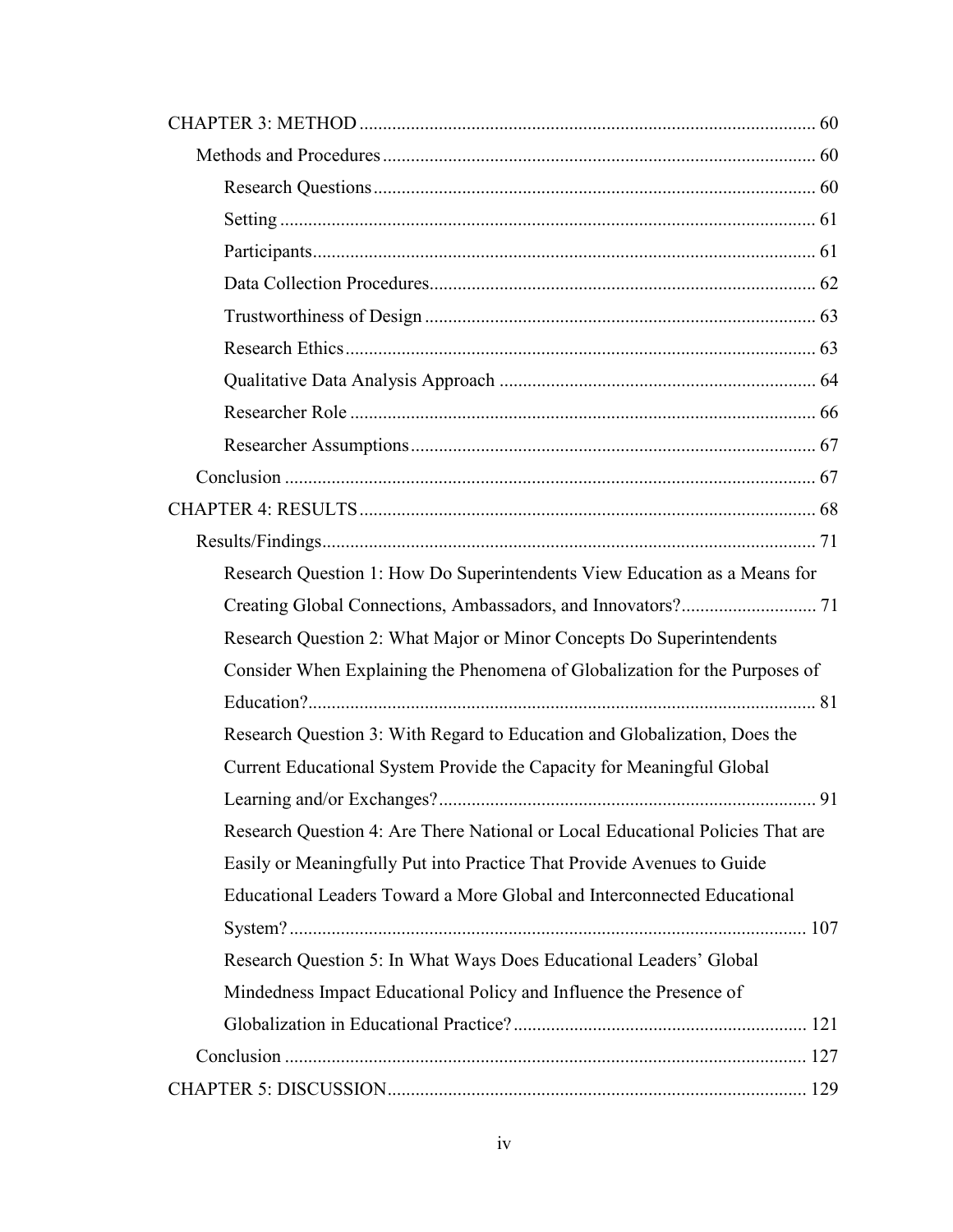| Research Question 1: How Do Superintendents View Education as a Means for      |
|--------------------------------------------------------------------------------|
|                                                                                |
| Research Question 2: What Major or Minor Concepts Do Superintendents           |
| Consider When Explaining the Phenomena of Globalization for the Purposes of    |
|                                                                                |
| Research Question 3: With Regard to Education and Globalization, Does the      |
| Current Educational System Provide the Capacity for Meaningful Global          |
|                                                                                |
| Research Question 4: Are There National or Local Educational Policies That are |
| Easily or Meaningfully Put into Practice That Provide Avenues to Guide         |
| Educational Leaders Toward a More Global and Interconnected Educational        |
|                                                                                |
| Research Question 5: In What Ways Does Educational Leaders' Global             |
| Mindedness Impact Educational Policy and Influence the Presence of             |
|                                                                                |
|                                                                                |
|                                                                                |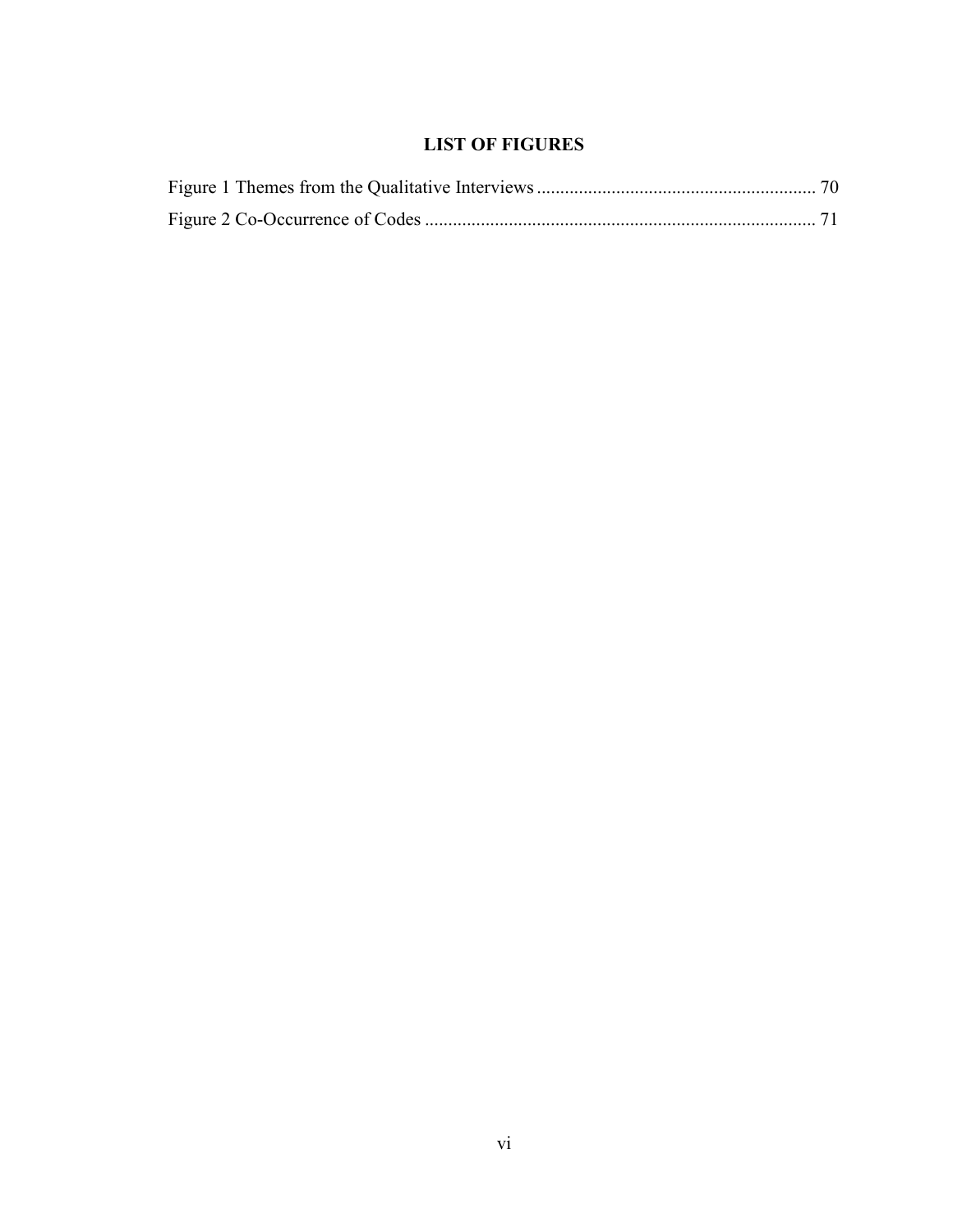## **LIST OF FIGURES**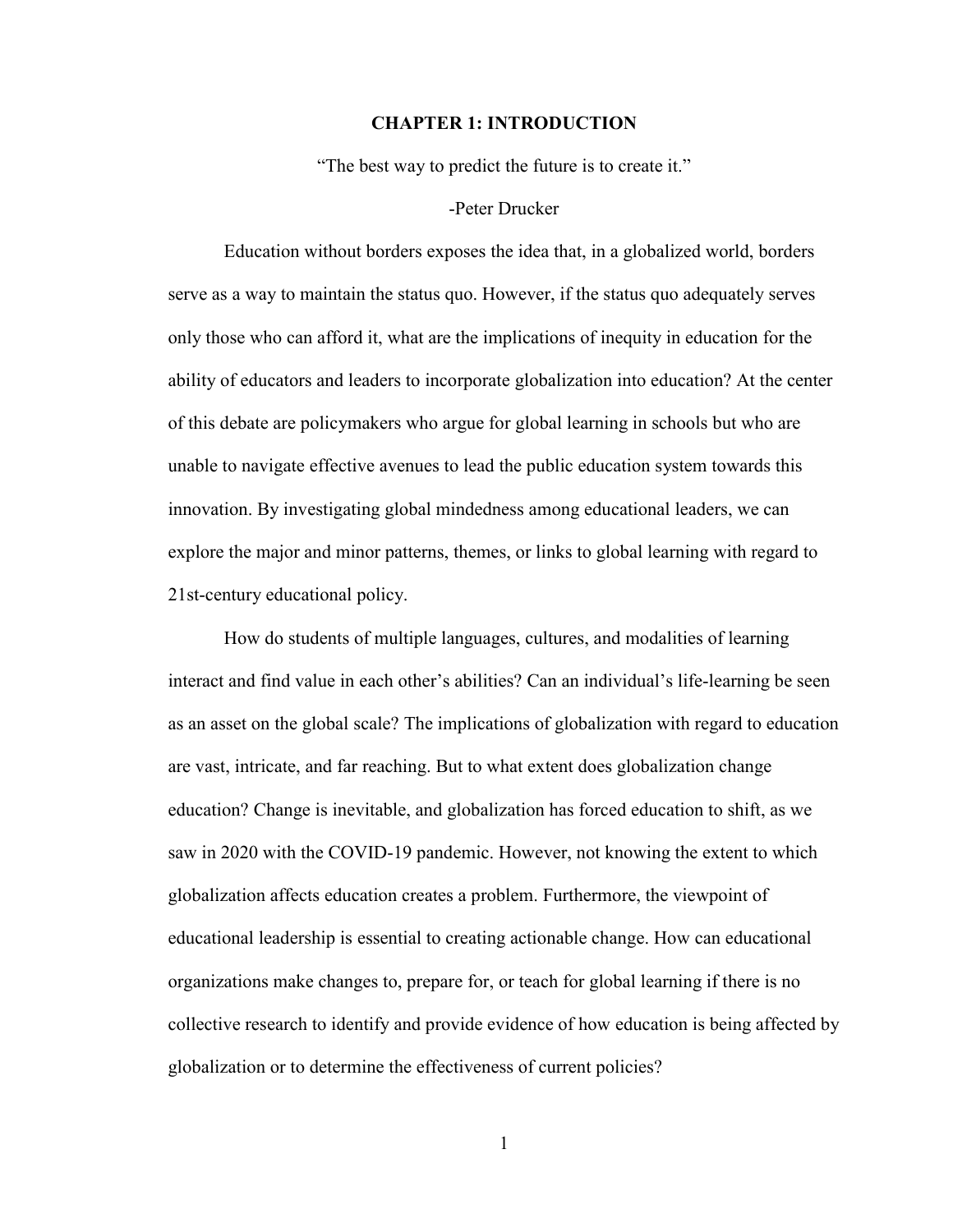#### **CHAPTER 1: INTRODUCTION**

"The best way to predict the future is to create it."

#### -Peter Drucker

Education without borders exposes the idea that, in a globalized world, borders serve as a way to maintain the status quo. However, if the status quo adequately serves only those who can afford it, what are the implications of inequity in education for the ability of educators and leaders to incorporate globalization into education? At the center of this debate are policymakers who argue for global learning in schools but who are unable to navigate effective avenues to lead the public education system towards this innovation. By investigating global mindedness among educational leaders, we can explore the major and minor patterns, themes, or links to global learning with regard to 21st-century educational policy.

How do students of multiple languages, cultures, and modalities of learning interact and find value in each other's abilities? Can an individual's life-learning be seen as an asset on the global scale? The implications of globalization with regard to education are vast, intricate, and far reaching. But to what extent does globalization change education? Change is inevitable, and globalization has forced education to shift, as we saw in 2020 with the COVID-19 pandemic. However, not knowing the extent to which globalization affects education creates a problem. Furthermore, the viewpoint of educational leadership is essential to creating actionable change. How can educational organizations make changes to, prepare for, or teach for global learning if there is no collective research to identify and provide evidence of how education is being affected by globalization or to determine the effectiveness of current policies?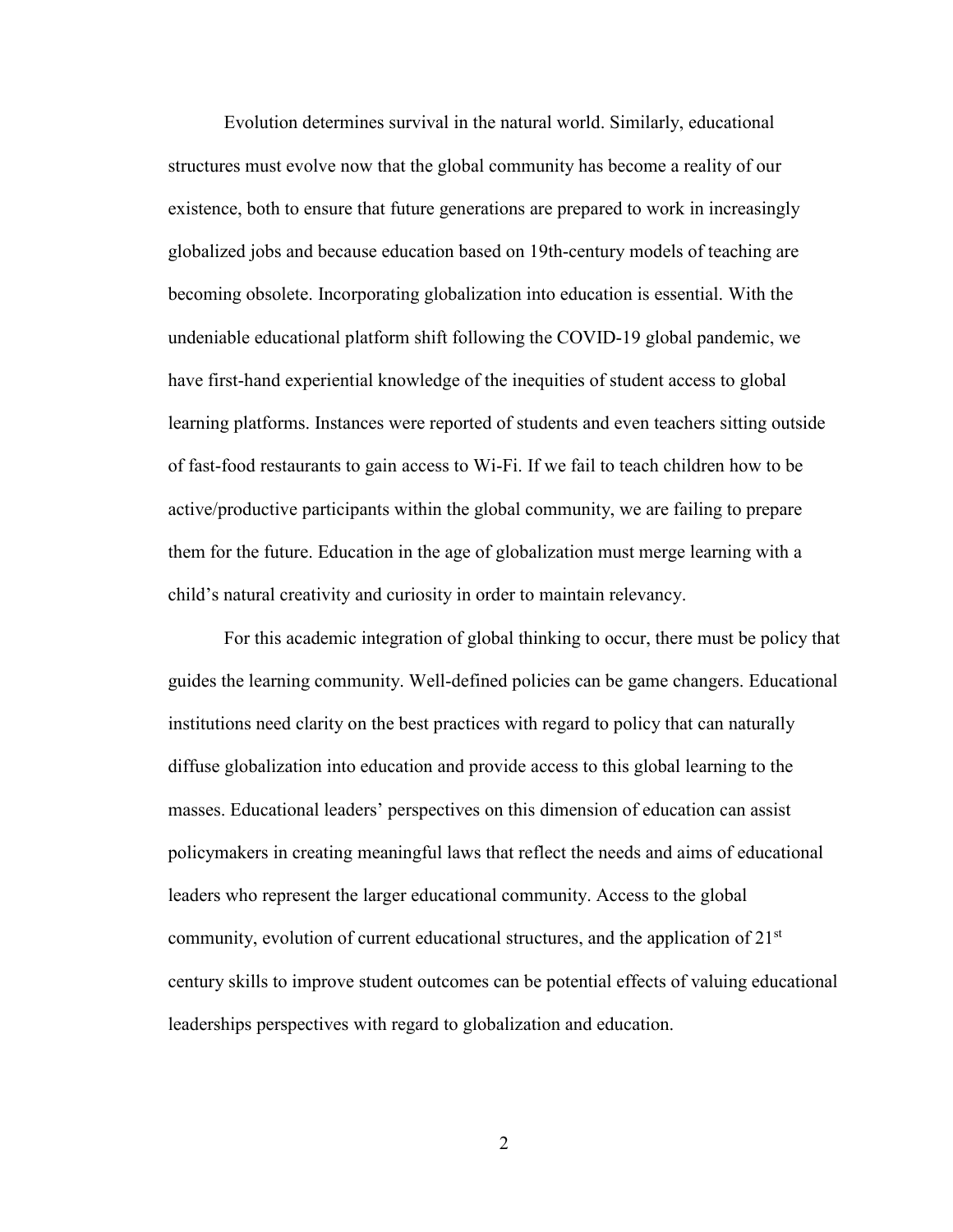Evolution determines survival in the natural world. Similarly, educational structures must evolve now that the global community has become a reality of our existence, both to ensure that future generations are prepared to work in increasingly globalized jobs and because education based on 19th-century models of teaching are becoming obsolete. Incorporating globalization into education is essential. With the undeniable educational platform shift following the COVID-19 global pandemic, we have first-hand experiential knowledge of the inequities of student access to global learning platforms. Instances were reported of students and even teachers sitting outside of fast-food restaurants to gain access to Wi-Fi. If we fail to teach children how to be active/productive participants within the global community, we are failing to prepare them for the future. Education in the age of globalization must merge learning with a child's natural creativity and curiosity in order to maintain relevancy.

For this academic integration of global thinking to occur, there must be policy that guides the learning community. Well-defined policies can be game changers. Educational institutions need clarity on the best practices with regard to policy that can naturally diffuse globalization into education and provide access to this global learning to the masses. Educational leaders' perspectives on this dimension of education can assist policymakers in creating meaningful laws that reflect the needs and aims of educational leaders who represent the larger educational community. Access to the global community, evolution of current educational structures, and the application of  $21<sup>st</sup>$ century skills to improve student outcomes can be potential effects of valuing educational leaderships perspectives with regard to globalization and education.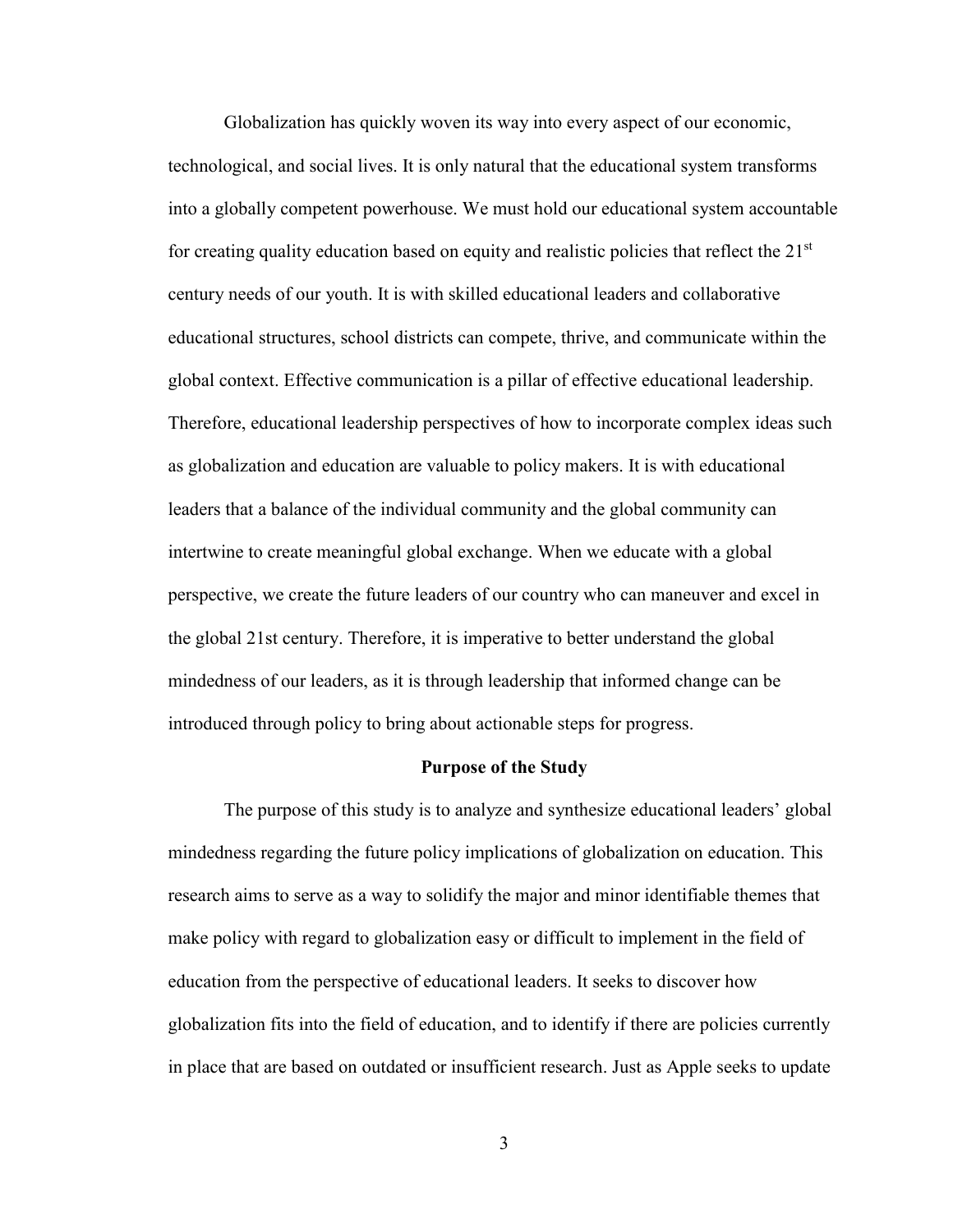Globalization has quickly woven its way into every aspect of our economic, technological, and social lives. It is only natural that the educational system transforms into a globally competent powerhouse. We must hold our educational system accountable for creating quality education based on equity and realistic policies that reflect the  $21<sup>st</sup>$ century needs of our youth. It is with skilled educational leaders and collaborative educational structures, school districts can compete, thrive, and communicate within the global context. Effective communication is a pillar of effective educational leadership. Therefore, educational leadership perspectives of how to incorporate complex ideas such as globalization and education are valuable to policy makers. It is with educational leaders that a balance of the individual community and the global community can intertwine to create meaningful global exchange. When we educate with a global perspective, we create the future leaders of our country who can maneuver and excel in the global 21st century. Therefore, it is imperative to better understand the global mindedness of our leaders, as it is through leadership that informed change can be introduced through policy to bring about actionable steps for progress.

#### **Purpose of the Study**

The purpose of this study is to analyze and synthesize educational leaders' global mindedness regarding the future policy implications of globalization on education. This research aims to serve as a way to solidify the major and minor identifiable themes that make policy with regard to globalization easy or difficult to implement in the field of education from the perspective of educational leaders. It seeks to discover how globalization fits into the field of education, and to identify if there are policies currently in place that are based on outdated or insufficient research. Just as Apple seeks to update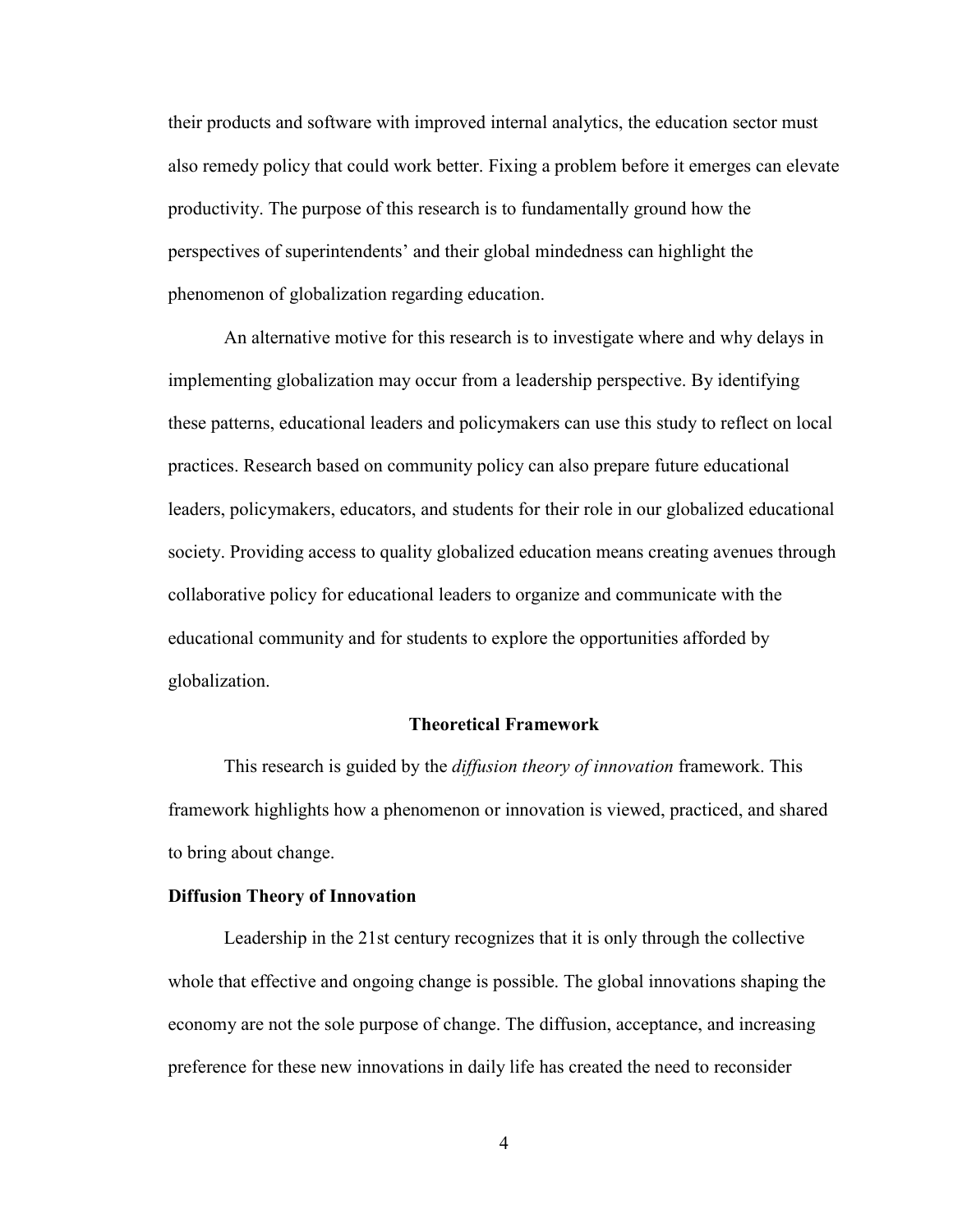their products and software with improved internal analytics, the education sector must also remedy policy that could work better. Fixing a problem before it emerges can elevate productivity. The purpose of this research is to fundamentally ground how the perspectives of superintendents' and their global mindedness can highlight the phenomenon of globalization regarding education.

An alternative motive for this research is to investigate where and why delays in implementing globalization may occur from a leadership perspective. By identifying these patterns, educational leaders and policymakers can use this study to reflect on local practices. Research based on community policy can also prepare future educational leaders, policymakers, educators, and students for their role in our globalized educational society. Providing access to quality globalized education means creating avenues through collaborative policy for educational leaders to organize and communicate with the educational community and for students to explore the opportunities afforded by globalization.

#### **Theoretical Framework**

This research is guided by the *diffusion theory of innovation* framework. This framework highlights how a phenomenon or innovation is viewed, practiced, and shared to bring about change.

#### **Diffusion Theory of Innovation**

Leadership in the 21st century recognizes that it is only through the collective whole that effective and ongoing change is possible. The global innovations shaping the economy are not the sole purpose of change. The diffusion, acceptance, and increasing preference for these new innovations in daily life has created the need to reconsider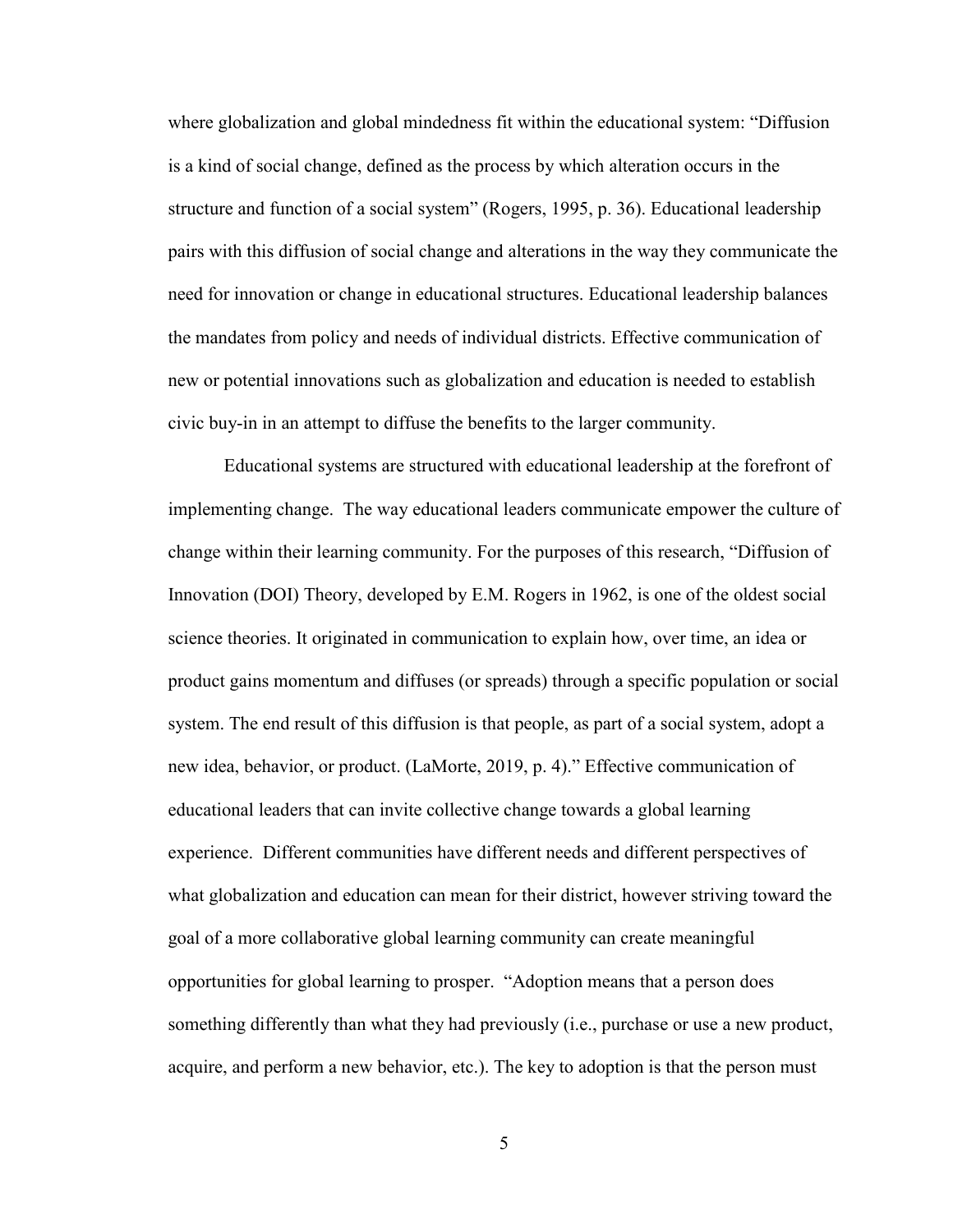where globalization and global mindedness fit within the educational system: "Diffusion is a kind of social change, defined as the process by which alteration occurs in the structure and function of a social system" (Rogers, 1995, p. 36). Educational leadership pairs with this diffusion of social change and alterations in the way they communicate the need for innovation or change in educational structures. Educational leadership balances the mandates from policy and needs of individual districts. Effective communication of new or potential innovations such as globalization and education is needed to establish civic buy-in in an attempt to diffuse the benefits to the larger community.

Educational systems are structured with educational leadership at the forefront of implementing change. The way educational leaders communicate empower the culture of change within their learning community. For the purposes of this research, "Diffusion of Innovation (DOI) Theory, developed by E.M. Rogers in 1962, is one of the oldest social science theories. It originated in communication to explain how, over time, an idea or product gains momentum and diffuses (or spreads) through a specific population or social system. The end result of this diffusion is that people, as part of a social system, adopt a new idea, behavior, or product. (LaMorte, 2019, p. 4)." Effective communication of educational leaders that can invite collective change towards a global learning experience. Different communities have different needs and different perspectives of what globalization and education can mean for their district, however striving toward the goal of a more collaborative global learning community can create meaningful opportunities for global learning to prosper. "Adoption means that a person does something differently than what they had previously (i.e., purchase or use a new product, acquire, and perform a new behavior, etc.). The key to adoption is that the person must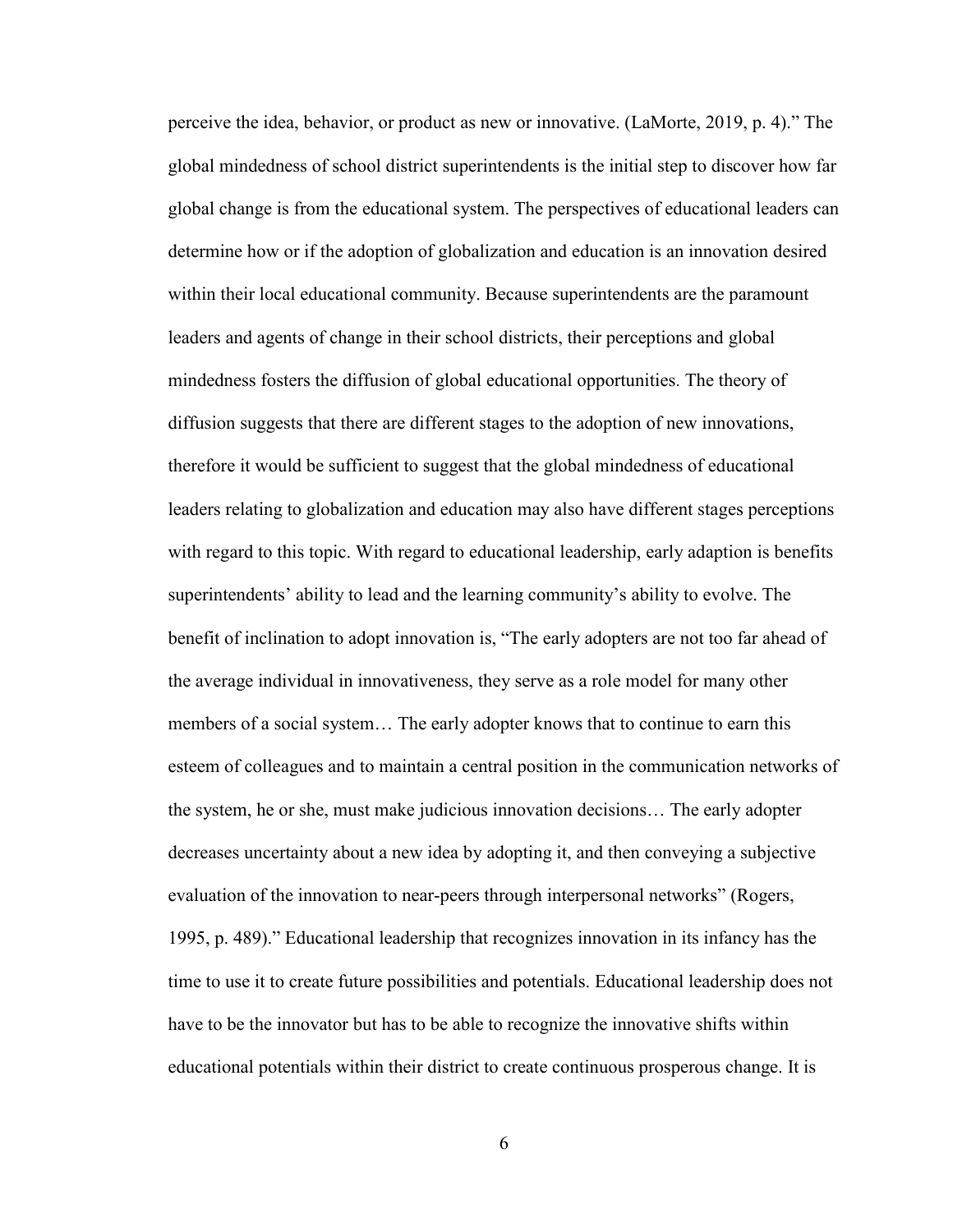perceive the idea, behavior, or product as new or innovative. (LaMorte, 2019, p. 4)." The global mindedness of school district superintendents is the initial step to discover how far global change is from the educational system. The perspectives of educational leaders can determine how or if the adoption of globalization and education is an innovation desired within their local educational community. Because superintendents are the paramount leaders and agents of change in their school districts, their perceptions and global mindedness fosters the diffusion of global educational opportunities. The theory of diffusion suggests that there are different stages to the adoption of new innovations, therefore it would be sufficient to suggest that the global mindedness of educational leaders relating to globalization and education may also have different stages perceptions with regard to this topic. With regard to educational leadership, early adaption is benefits superintendents' ability to lead and the learning community's ability to evolve. The benefit of inclination to adopt innovation is, "The early adopters are not too far ahead of the average individual in innovativeness, they serve as a role model for many other members of a social system… The early adopter knows that to continue to earn this esteem of colleagues and to maintain a central position in the communication networks of the system, he or she, must make judicious innovation decisions… The early adopter decreases uncertainty about a new idea by adopting it, and then conveying a subjective evaluation of the innovation to near-peers through interpersonal networks" (Rogers, 1995, p. 489)." Educational leadership that recognizes innovation in its infancy has the time to use it to create future possibilities and potentials. Educational leadership does not have to be the innovator but has to be able to recognize the innovative shifts within educational potentials within their district to create continuous prosperous change. It is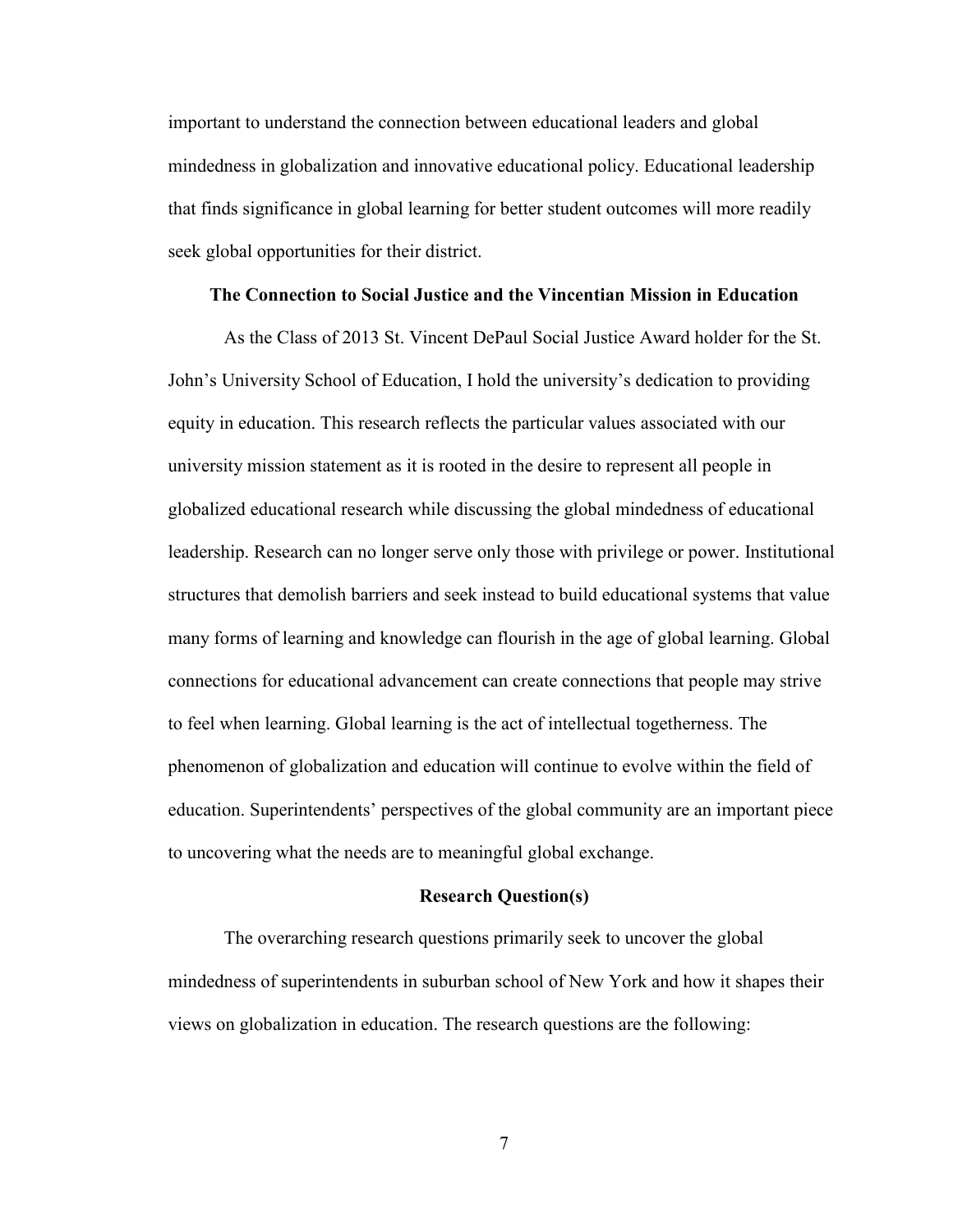important to understand the connection between educational leaders and global mindedness in globalization and innovative educational policy. Educational leadership that finds significance in global learning for better student outcomes will more readily seek global opportunities for their district.

#### **The Connection to Social Justice and the Vincentian Mission in Education**

As the Class of 2013 St. Vincent DePaul Social Justice Award holder for the St. John's University School of Education, I hold the university's dedication to providing equity in education. This research reflects the particular values associated with our university mission statement as it is rooted in the desire to represent all people in globalized educational research while discussing the global mindedness of educational leadership. Research can no longer serve only those with privilege or power. Institutional structures that demolish barriers and seek instead to build educational systems that value many forms of learning and knowledge can flourish in the age of global learning. Global connections for educational advancement can create connections that people may strive to feel when learning. Global learning is the act of intellectual togetherness. The phenomenon of globalization and education will continue to evolve within the field of education. Superintendents' perspectives of the global community are an important piece to uncovering what the needs are to meaningful global exchange.

#### **Research Question(s)**

The overarching research questions primarily seek to uncover the global mindedness of superintendents in suburban school of New York and how it shapes their views on globalization in education. The research questions are the following: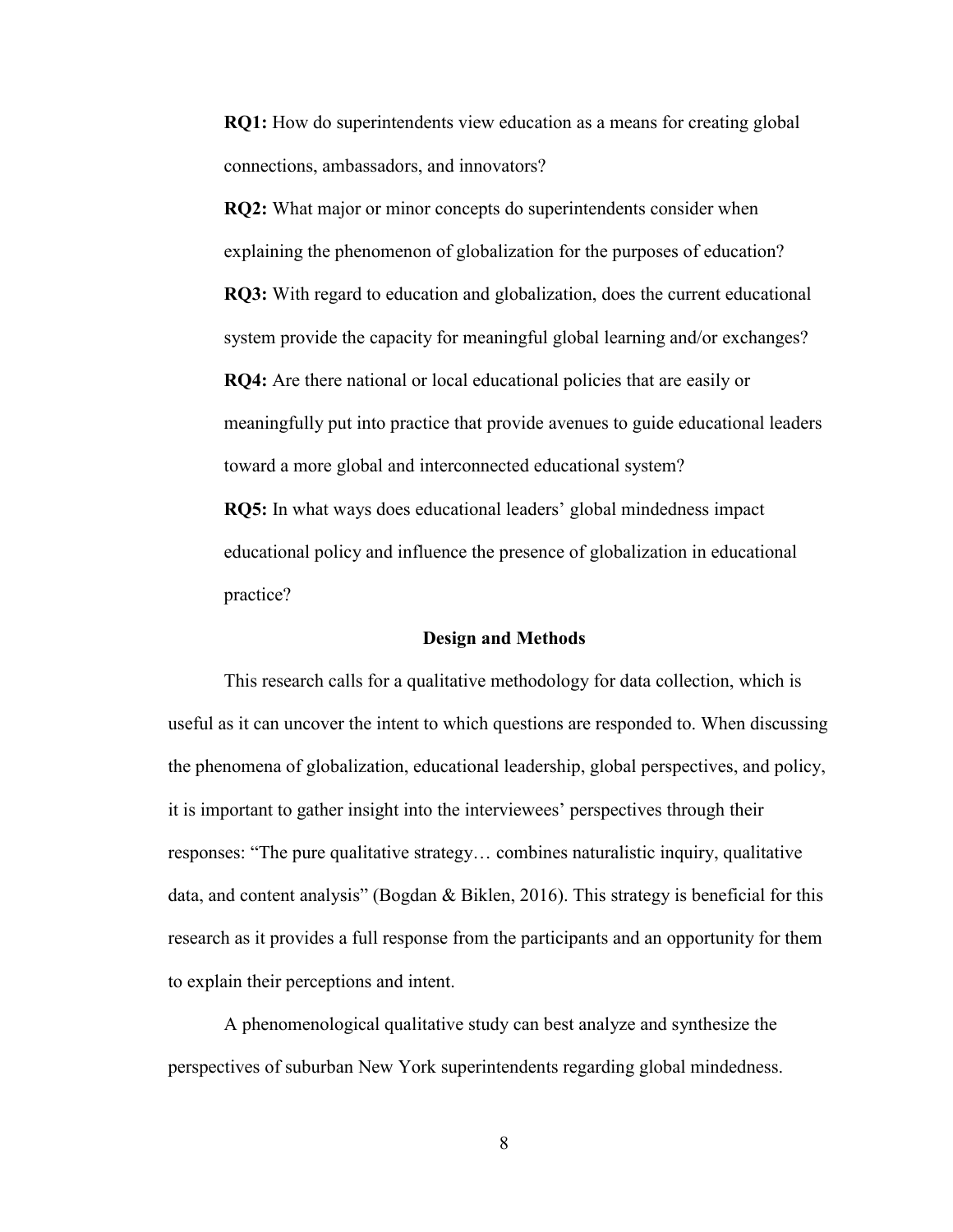**RQ1:** How do superintendents view education as a means for creating global connections, ambassadors, and innovators?

**RQ2:** What major or minor concepts do superintendents consider when explaining the phenomenon of globalization for the purposes of education? **RQ3:** With regard to education and globalization, does the current educational system provide the capacity for meaningful global learning and/or exchanges? **RQ4:** Are there national or local educational policies that are easily or meaningfully put into practice that provide avenues to guide educational leaders toward a more global and interconnected educational system? **RQ5:** In what ways does educational leaders' global mindedness impact

educational policy and influence the presence of globalization in educational practice?

#### **Design and Methods**

This research calls for a qualitative methodology for data collection, which is useful as it can uncover the intent to which questions are responded to. When discussing the phenomena of globalization, educational leadership, global perspectives, and policy, it is important to gather insight into the interviewees' perspectives through their responses: "The pure qualitative strategy… combines naturalistic inquiry, qualitative data, and content analysis" (Bogdan & Biklen, 2016). This strategy is beneficial for this research as it provides a full response from the participants and an opportunity for them to explain their perceptions and intent.

A phenomenological qualitative study can best analyze and synthesize the perspectives of suburban New York superintendents regarding global mindedness.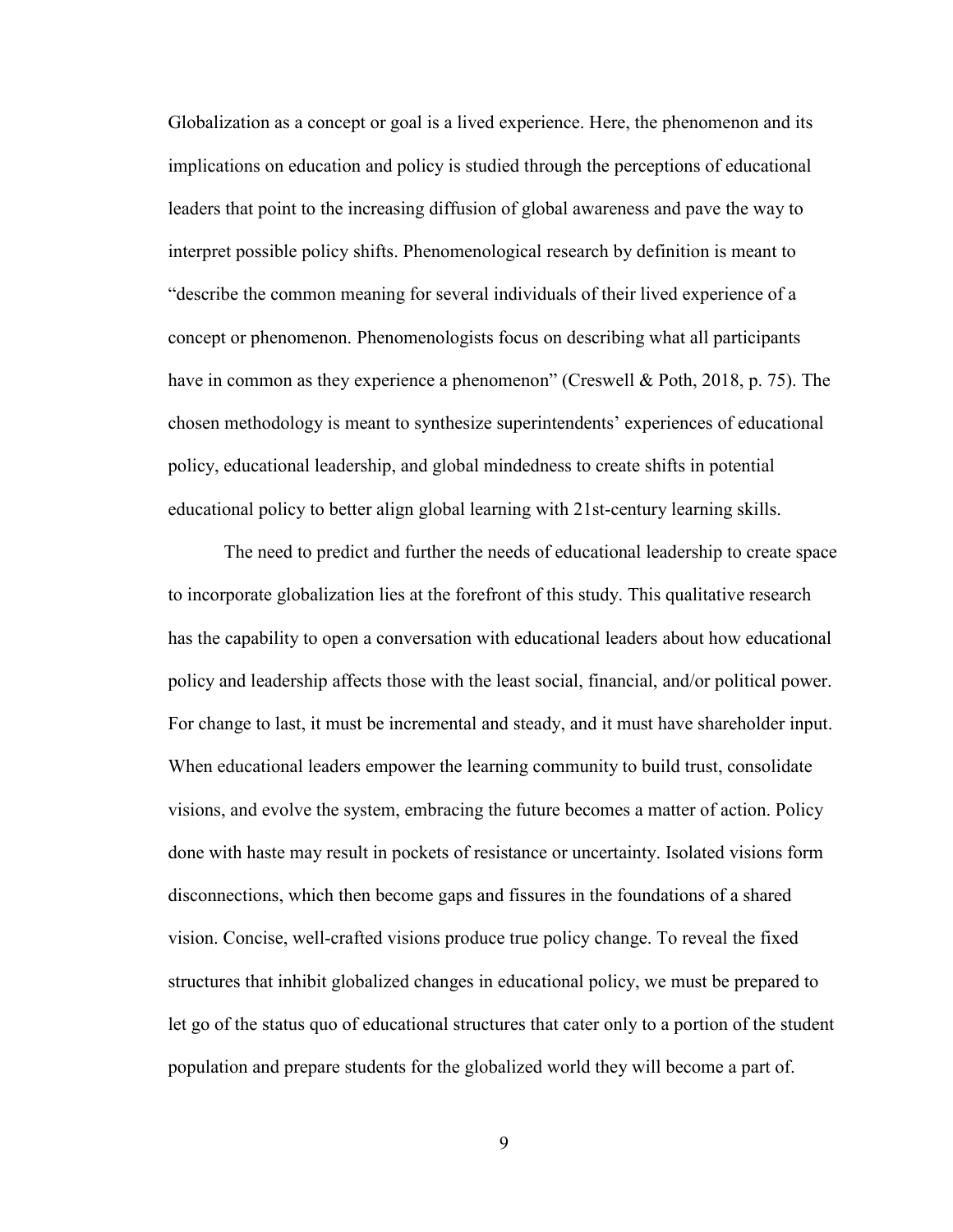Globalization as a concept or goal is a lived experience. Here, the phenomenon and its implications on education and policy is studied through the perceptions of educational leaders that point to the increasing diffusion of global awareness and pave the way to interpret possible policy shifts. Phenomenological research by definition is meant to "describe the common meaning for several individuals of their lived experience of a concept or phenomenon. Phenomenologists focus on describing what all participants have in common as they experience a phenomenon" (Creswell & Poth, 2018, p. 75). The chosen methodology is meant to synthesize superintendents' experiences of educational policy, educational leadership, and global mindedness to create shifts in potential educational policy to better align global learning with 21st-century learning skills.

The need to predict and further the needs of educational leadership to create space to incorporate globalization lies at the forefront of this study. This qualitative research has the capability to open a conversation with educational leaders about how educational policy and leadership affects those with the least social, financial, and/or political power. For change to last, it must be incremental and steady, and it must have shareholder input. When educational leaders empower the learning community to build trust, consolidate visions, and evolve the system, embracing the future becomes a matter of action. Policy done with haste may result in pockets of resistance or uncertainty. Isolated visions form disconnections, which then become gaps and fissures in the foundations of a shared vision. Concise, well-crafted visions produce true policy change. To reveal the fixed structures that inhibit globalized changes in educational policy, we must be prepared to let go of the status quo of educational structures that cater only to a portion of the student population and prepare students for the globalized world they will become a part of.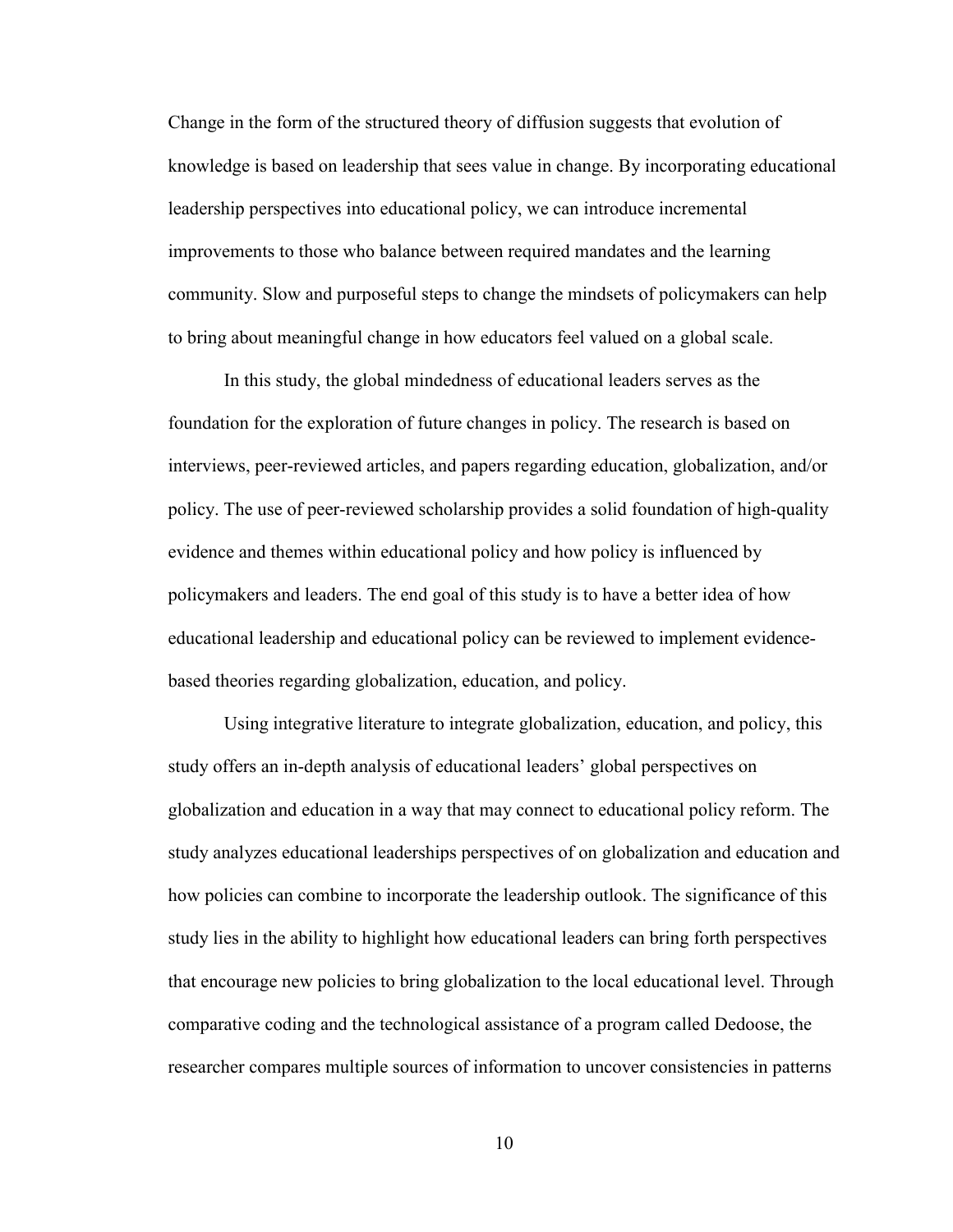Change in the form of the structured theory of diffusion suggests that evolution of knowledge is based on leadership that sees value in change. By incorporating educational leadership perspectives into educational policy, we can introduce incremental improvements to those who balance between required mandates and the learning community. Slow and purposeful steps to change the mindsets of policymakers can help to bring about meaningful change in how educators feel valued on a global scale.

In this study, the global mindedness of educational leaders serves as the foundation for the exploration of future changes in policy. The research is based on interviews, peer-reviewed articles, and papers regarding education, globalization, and/or policy. The use of peer-reviewed scholarship provides a solid foundation of high-quality evidence and themes within educational policy and how policy is influenced by policymakers and leaders. The end goal of this study is to have a better idea of how educational leadership and educational policy can be reviewed to implement evidencebased theories regarding globalization, education, and policy.

Using integrative literature to integrate globalization, education, and policy, this study offers an in-depth analysis of educational leaders' global perspectives on globalization and education in a way that may connect to educational policy reform. The study analyzes educational leaderships perspectives of on globalization and education and how policies can combine to incorporate the leadership outlook. The significance of this study lies in the ability to highlight how educational leaders can bring forth perspectives that encourage new policies to bring globalization to the local educational level. Through comparative coding and the technological assistance of a program called Dedoose, the researcher compares multiple sources of information to uncover consistencies in patterns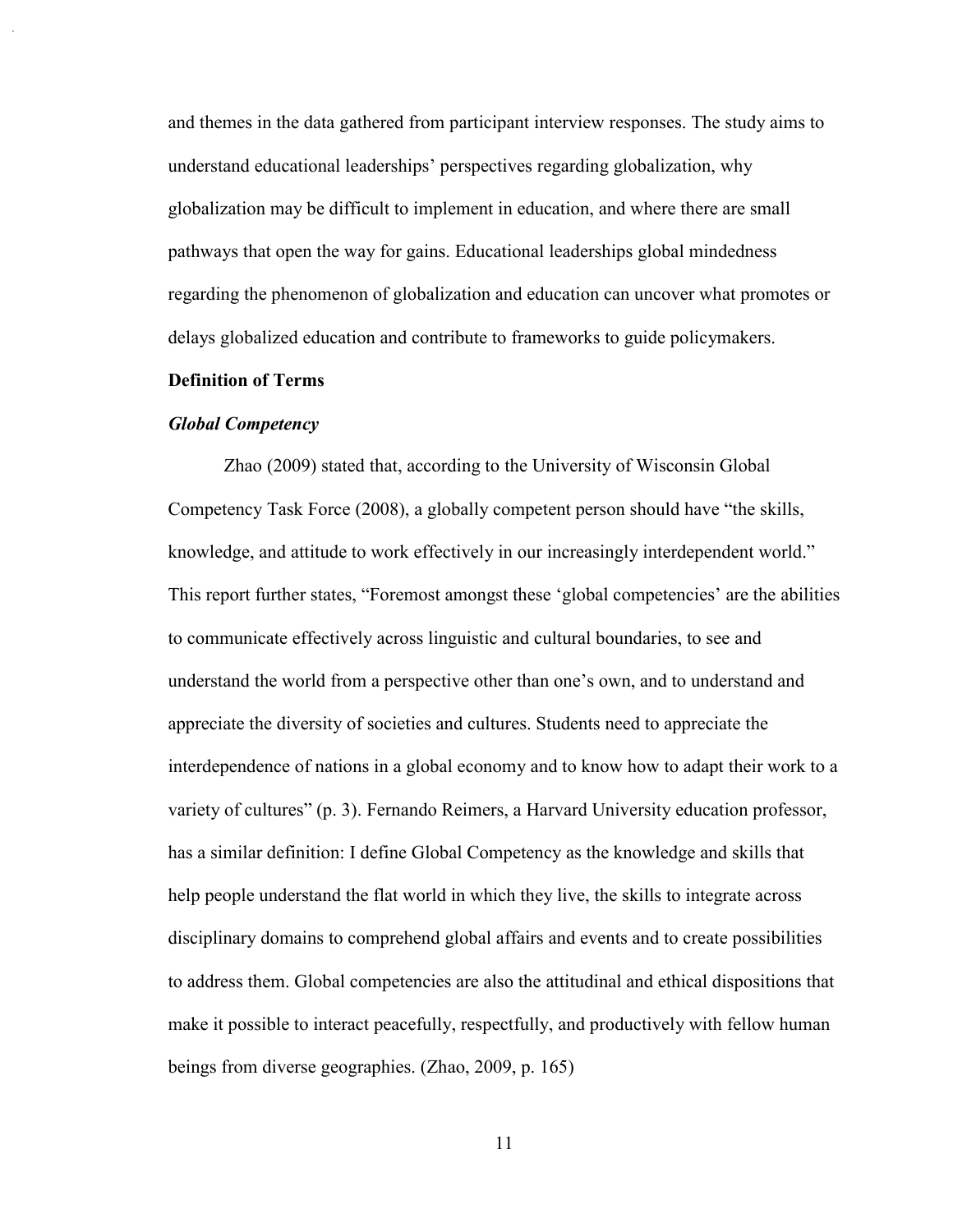and themes in the data gathered from participant interview responses. The study aims to understand educational leaderships' perspectives regarding globalization, why globalization may be difficult to implement in education, and where there are small pathways that open the way for gains. Educational leaderships global mindedness regarding the phenomenon of globalization and education can uncover what promotes or delays globalized education and contribute to frameworks to guide policymakers.

#### **Definition of Terms**

#### *Global Competency*

Zhao (2009) stated that, according to the University of Wisconsin Global Competency Task Force (2008), a globally competent person should have "the skills, knowledge, and attitude to work effectively in our increasingly interdependent world." This report further states, "Foremost amongst these 'global competencies' are the abilities to communicate effectively across linguistic and cultural boundaries, to see and understand the world from a perspective other than one's own, and to understand and appreciate the diversity of societies and cultures. Students need to appreciate the interdependence of nations in a global economy and to know how to adapt their work to a variety of cultures" (p. 3). Fernando Reimers, a Harvard University education professor, has a similar definition: I define Global Competency as the knowledge and skills that help people understand the flat world in which they live, the skills to integrate across disciplinary domains to comprehend global affairs and events and to create possibilities to address them. Global competencies are also the attitudinal and ethical dispositions that make it possible to interact peacefully, respectfully, and productively with fellow human beings from diverse geographies. (Zhao, 2009, p. 165)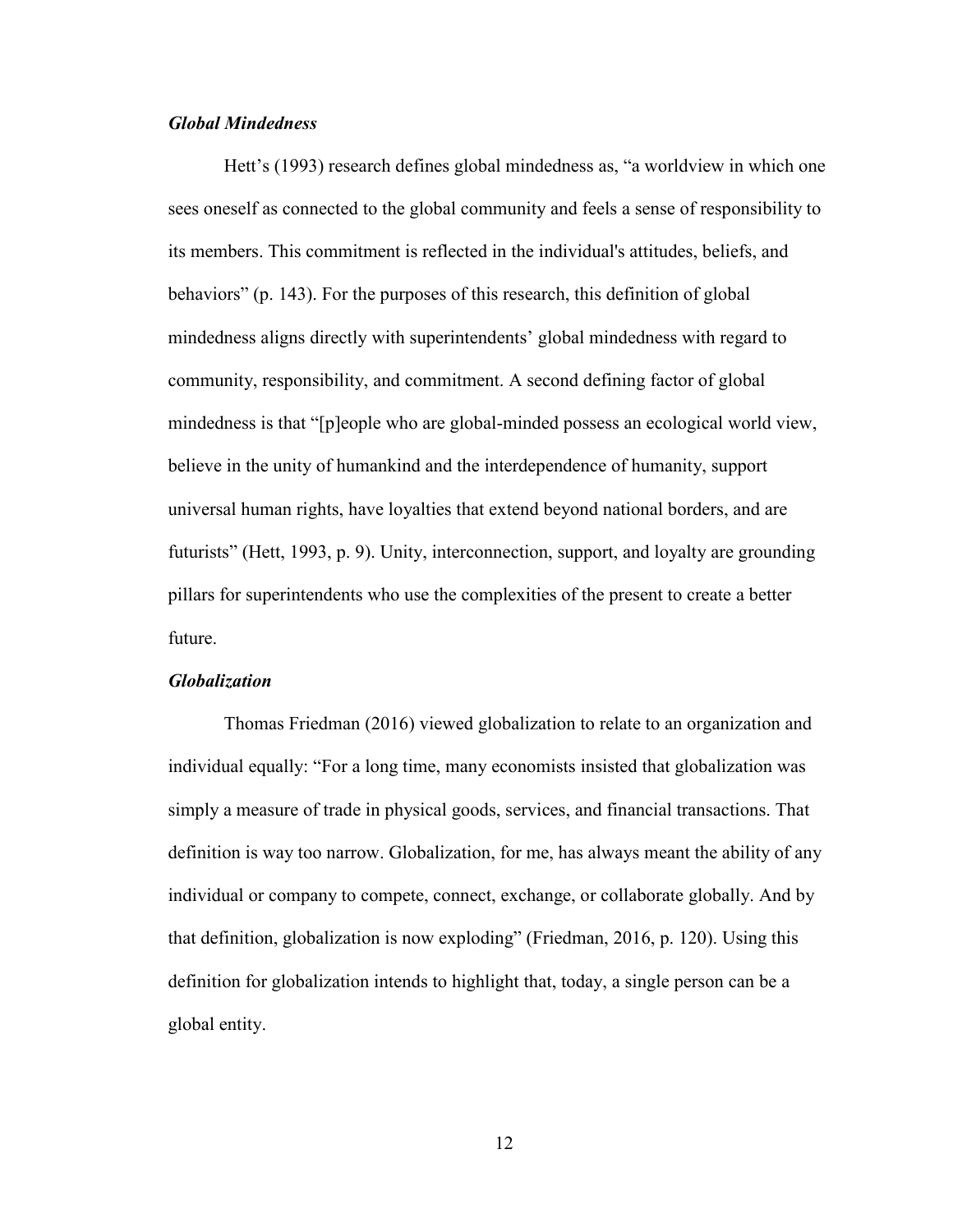#### *Global Mindedness*

Hett's (1993) research defines global mindedness as, "a worldview in which one sees oneself as connected to the global community and feels a sense of responsibility to its members. This commitment is reflected in the individual's attitudes, beliefs, and behaviors" (p. 143). For the purposes of this research, this definition of global mindedness aligns directly with superintendents' global mindedness with regard to community, responsibility, and commitment. A second defining factor of global mindedness is that "[p]eople who are global-minded possess an ecological world view, believe in the unity of humankind and the interdependence of humanity, support universal human rights, have loyalties that extend beyond national borders, and are futurists" (Hett, 1993, p. 9). Unity, interconnection, support, and loyalty are grounding pillars for superintendents who use the complexities of the present to create a better future.

#### *Globalization*

Thomas Friedman (2016) viewed globalization to relate to an organization and individual equally: "For a long time, many economists insisted that globalization was simply a measure of trade in physical goods, services, and financial transactions. That definition is way too narrow. Globalization, for me, has always meant the ability of any individual or company to compete, connect, exchange, or collaborate globally. And by that definition, globalization is now exploding" (Friedman, 2016, p. 120). Using this definition for globalization intends to highlight that, today, a single person can be a global entity.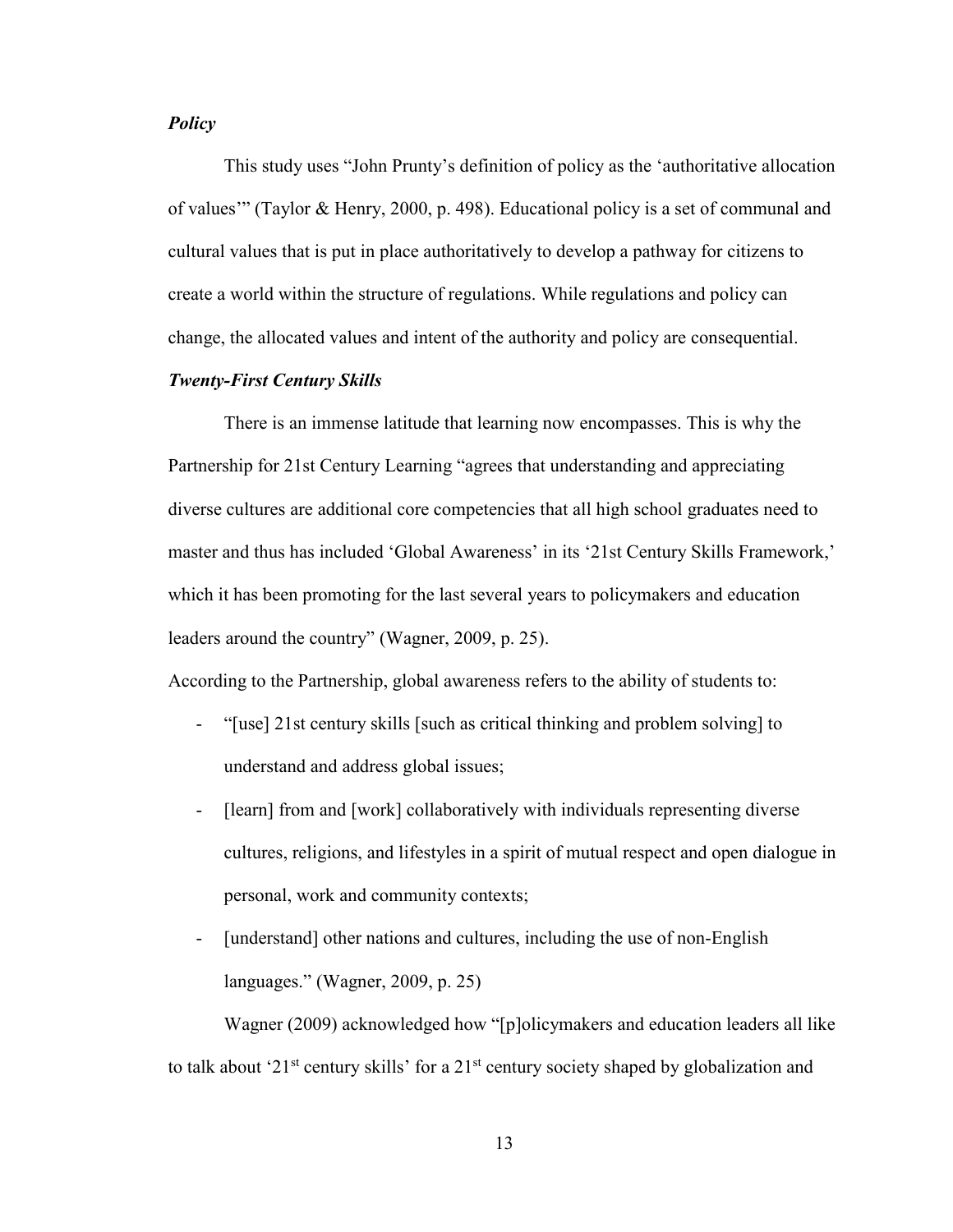#### *Policy*

This study uses "John Prunty's definition of policy as the 'authoritative allocation of values'" (Taylor & Henry, 2000, p. 498). Educational policy is a set of communal and cultural values that is put in place authoritatively to develop a pathway for citizens to create a world within the structure of regulations. While regulations and policy can change, the allocated values and intent of the authority and policy are consequential.

#### *Twenty-First Century Skills*

There is an immense latitude that learning now encompasses. This is why the Partnership for 21st Century Learning "agrees that understanding and appreciating diverse cultures are additional core competencies that all high school graduates need to master and thus has included 'Global Awareness' in its '21st Century Skills Framework,' which it has been promoting for the last several years to policymakers and education leaders around the country" (Wagner, 2009, p. 25).

According to the Partnership, global awareness refers to the ability of students to:

- "[use] 21st century skills [such as critical thinking and problem solving] to understand and address global issues;
- [learn] from and [work] collaboratively with individuals representing diverse cultures, religions, and lifestyles in a spirit of mutual respect and open dialogue in personal, work and community contexts;
- [understand] other nations and cultures, including the use of non-English languages." (Wagner, 2009, p. 25)

Wagner (2009) acknowledged how "[p]olicymakers and education leaders all like to talk about '21 $^{\text{st}}$  century skills' for a 21 $^{\text{st}}$  century society shaped by globalization and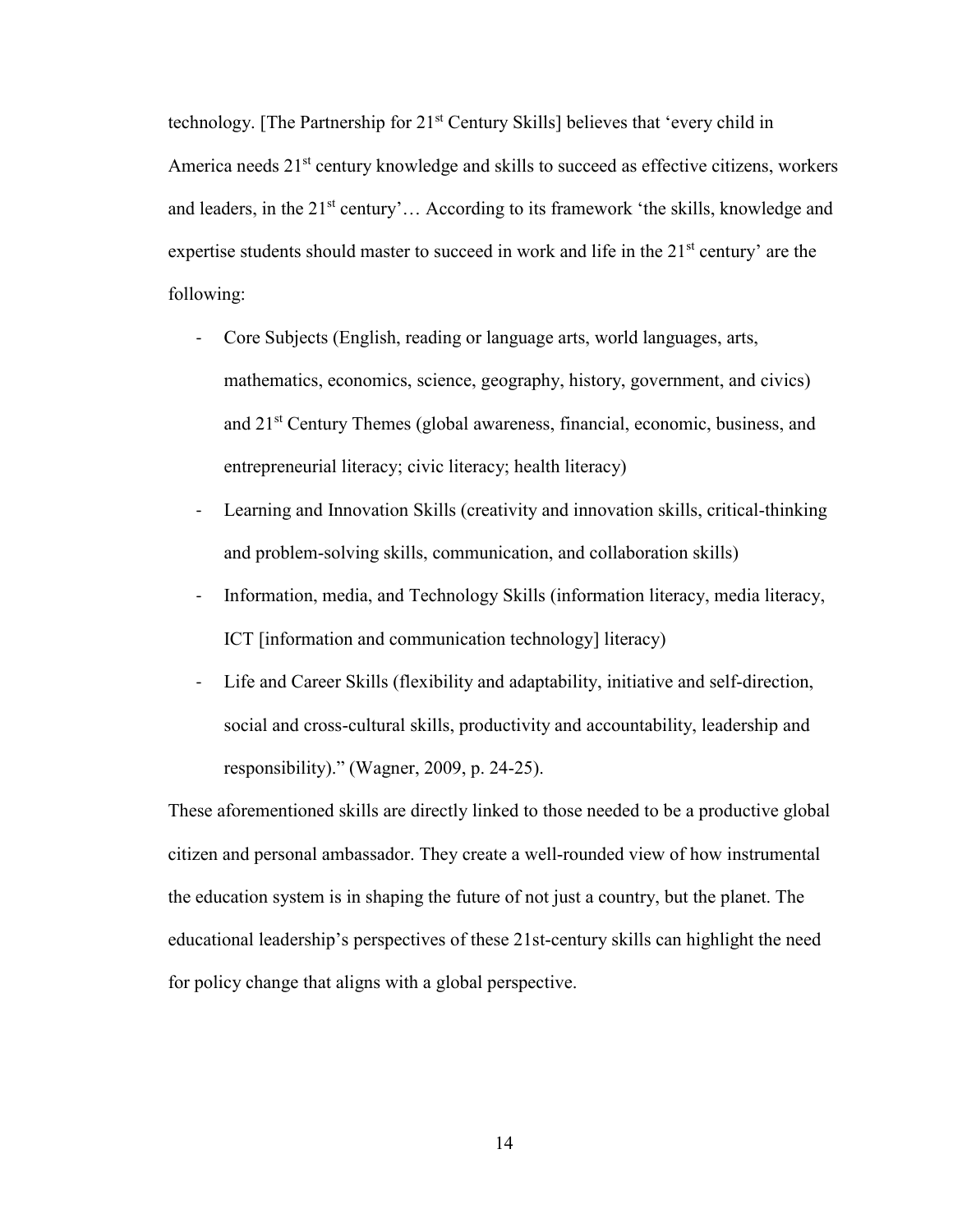technology. [The Partnership for 21<sup>st</sup> Century Skills] believes that 'every child in America needs  $21<sup>st</sup>$  century knowledge and skills to succeed as effective citizens, workers and leaders, in the  $21<sup>st</sup>$  century'... According to its framework 'the skills, knowledge and expertise students should master to succeed in work and life in the  $21<sup>st</sup>$  century' are the following:

- Core Subjects (English, reading or language arts, world languages, arts, mathematics, economics, science, geography, history, government, and civics) and 21st Century Themes (global awareness, financial, economic, business, and entrepreneurial literacy; civic literacy; health literacy)
- Learning and Innovation Skills (creativity and innovation skills, critical-thinking and problem-solving skills, communication, and collaboration skills)
- Information, media, and Technology Skills (information literacy, media literacy, ICT [information and communication technology] literacy)
- Life and Career Skills (flexibility and adaptability, initiative and self-direction, social and cross-cultural skills, productivity and accountability, leadership and responsibility)." (Wagner, 2009, p. 24-25).

These aforementioned skills are directly linked to those needed to be a productive global citizen and personal ambassador. They create a well-rounded view of how instrumental the education system is in shaping the future of not just a country, but the planet. The educational leadership's perspectives of these 21st-century skills can highlight the need for policy change that aligns with a global perspective.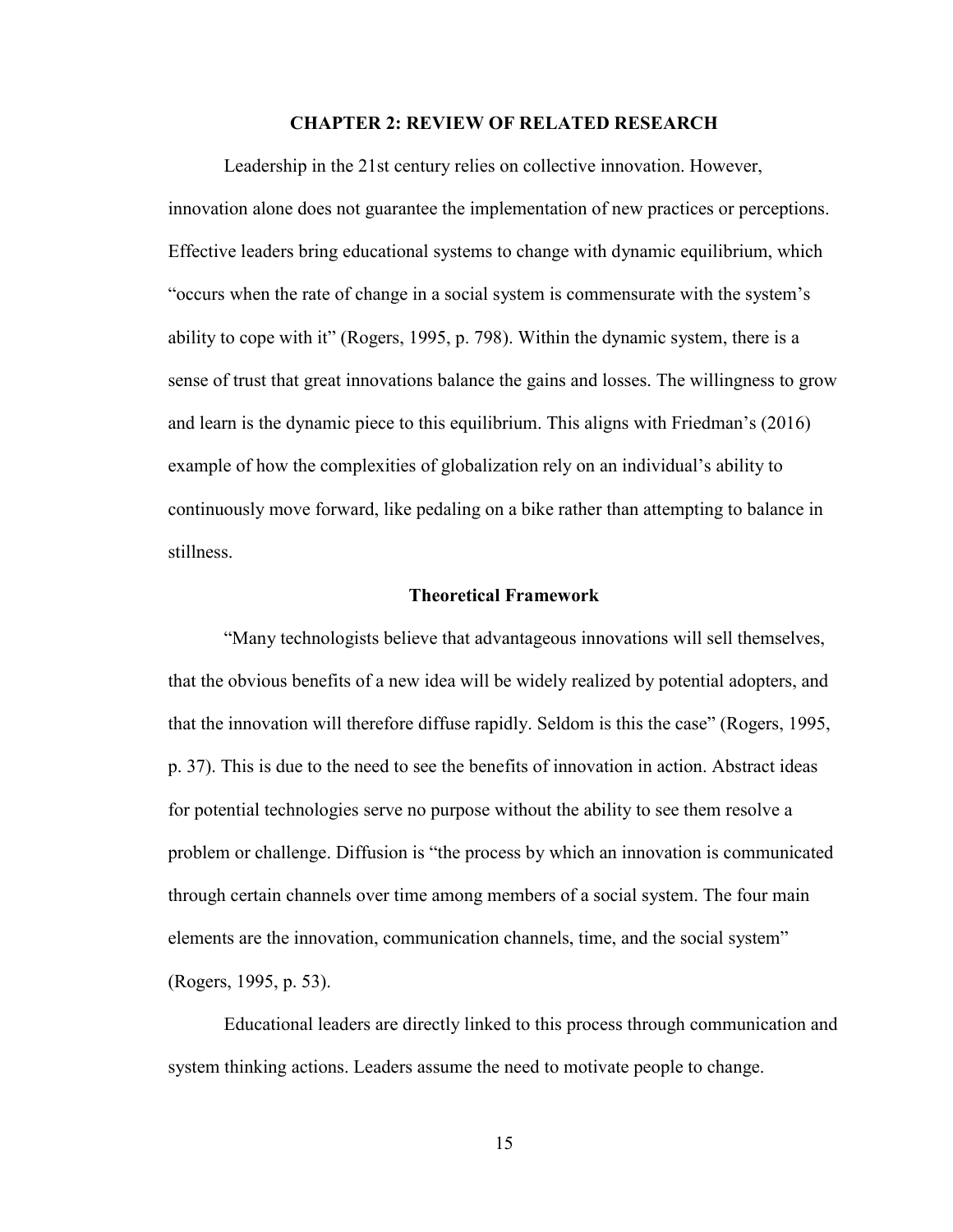#### **CHAPTER 2: REVIEW OF RELATED RESEARCH**

Leadership in the 21st century relies on collective innovation. However, innovation alone does not guarantee the implementation of new practices or perceptions. Effective leaders bring educational systems to change with dynamic equilibrium, which "occurs when the rate of change in a social system is commensurate with the system's ability to cope with it" (Rogers, 1995, p. 798). Within the dynamic system, there is a sense of trust that great innovations balance the gains and losses. The willingness to grow and learn is the dynamic piece to this equilibrium. This aligns with Friedman's (2016) example of how the complexities of globalization rely on an individual's ability to continuously move forward, like pedaling on a bike rather than attempting to balance in stillness.

#### **Theoretical Framework**

"Many technologists believe that advantageous innovations will sell themselves, that the obvious benefits of a new idea will be widely realized by potential adopters, and that the innovation will therefore diffuse rapidly. Seldom is this the case" (Rogers, 1995, p. 37). This is due to the need to see the benefits of innovation in action. Abstract ideas for potential technologies serve no purpose without the ability to see them resolve a problem or challenge. Diffusion is "the process by which an innovation is communicated through certain channels over time among members of a social system. The four main elements are the innovation, communication channels, time, and the social system" (Rogers, 1995, p. 53).

Educational leaders are directly linked to this process through communication and system thinking actions. Leaders assume the need to motivate people to change.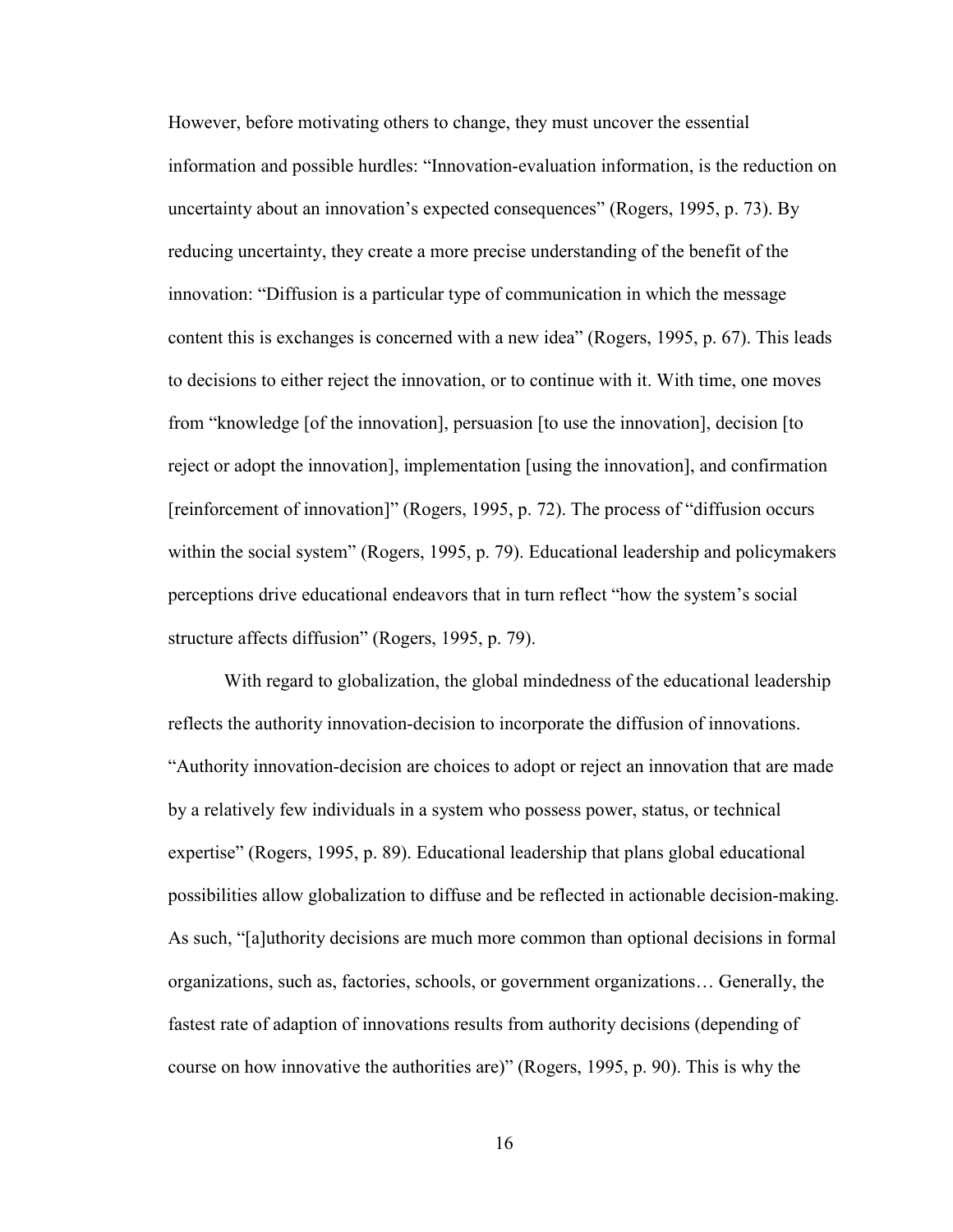However, before motivating others to change, they must uncover the essential information and possible hurdles: "Innovation-evaluation information, is the reduction on uncertainty about an innovation's expected consequences" (Rogers, 1995, p. 73). By reducing uncertainty, they create a more precise understanding of the benefit of the innovation: "Diffusion is a particular type of communication in which the message content this is exchanges is concerned with a new idea" (Rogers, 1995, p. 67). This leads to decisions to either reject the innovation, or to continue with it. With time, one moves from "knowledge [of the innovation], persuasion [to use the innovation], decision [to reject or adopt the innovation], implementation [using the innovation], and confirmation [reinforcement of innovation]" (Rogers, 1995, p. 72). The process of "diffusion occurs within the social system" (Rogers, 1995, p. 79). Educational leadership and policymakers perceptions drive educational endeavors that in turn reflect "how the system's social structure affects diffusion" (Rogers, 1995, p. 79).

With regard to globalization, the global mindedness of the educational leadership reflects the authority innovation-decision to incorporate the diffusion of innovations. "Authority innovation-decision are choices to adopt or reject an innovation that are made by a relatively few individuals in a system who possess power, status, or technical expertise" (Rogers, 1995, p. 89). Educational leadership that plans global educational possibilities allow globalization to diffuse and be reflected in actionable decision-making. As such, "[a]uthority decisions are much more common than optional decisions in formal organizations, such as, factories, schools, or government organizations… Generally, the fastest rate of adaption of innovations results from authority decisions (depending of course on how innovative the authorities are)" (Rogers, 1995, p. 90). This is why the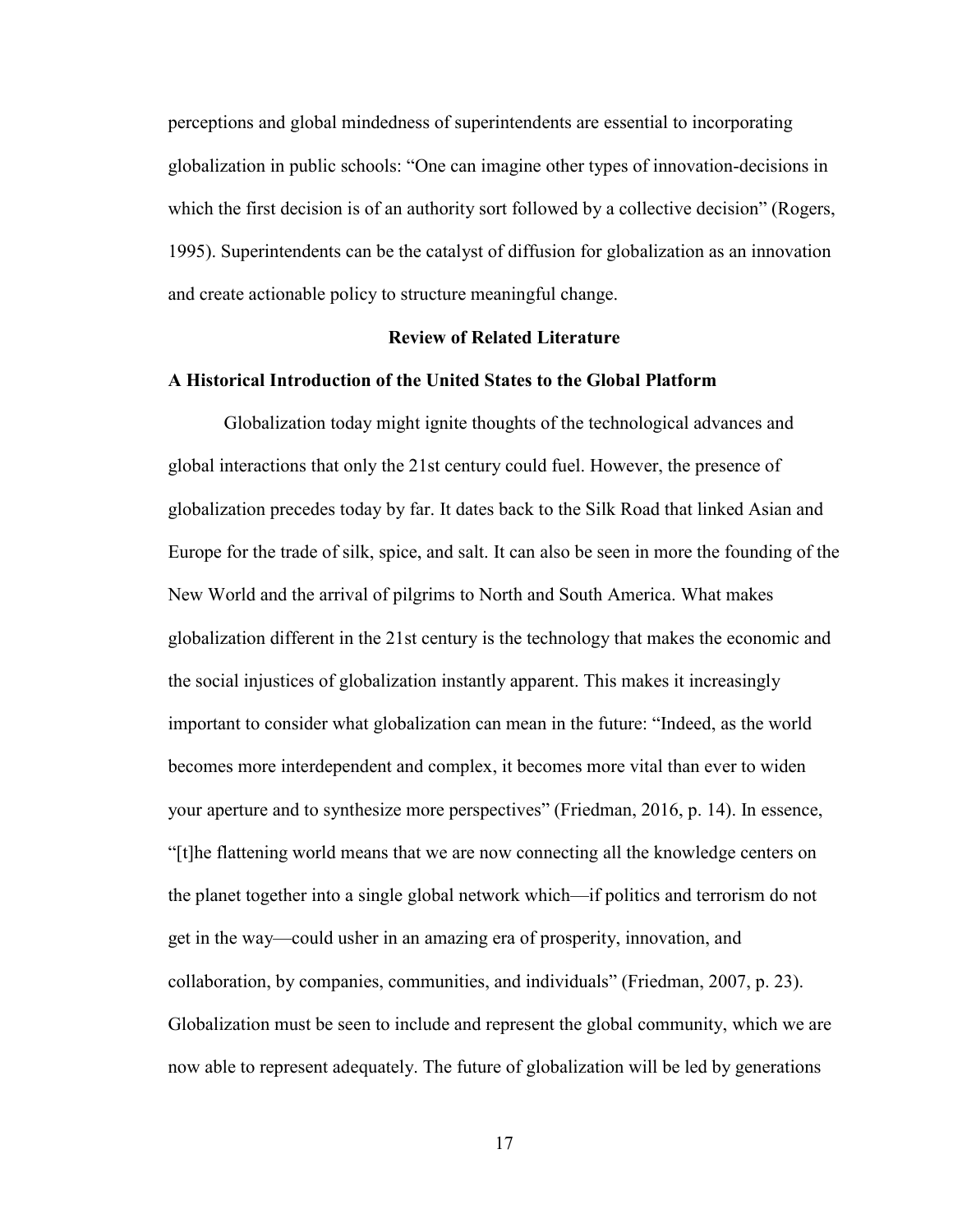perceptions and global mindedness of superintendents are essential to incorporating globalization in public schools: "One can imagine other types of innovation-decisions in which the first decision is of an authority sort followed by a collective decision" (Rogers, 1995). Superintendents can be the catalyst of diffusion for globalization as an innovation and create actionable policy to structure meaningful change.

#### **Review of Related Literature**

#### **A Historical Introduction of the United States to the Global Platform**

Globalization today might ignite thoughts of the technological advances and global interactions that only the 21st century could fuel. However, the presence of globalization precedes today by far. It dates back to the Silk Road that linked Asian and Europe for the trade of silk, spice, and salt. It can also be seen in more the founding of the New World and the arrival of pilgrims to North and South America. What makes globalization different in the 21st century is the technology that makes the economic and the social injustices of globalization instantly apparent. This makes it increasingly important to consider what globalization can mean in the future: "Indeed, as the world becomes more interdependent and complex, it becomes more vital than ever to widen your aperture and to synthesize more perspectives" (Friedman, 2016, p. 14). In essence, "[t]he flattening world means that we are now connecting all the knowledge centers on the planet together into a single global network which—if politics and terrorism do not get in the way—could usher in an amazing era of prosperity, innovation, and collaboration, by companies, communities, and individuals" (Friedman, 2007, p. 23). Globalization must be seen to include and represent the global community, which we are now able to represent adequately. The future of globalization will be led by generations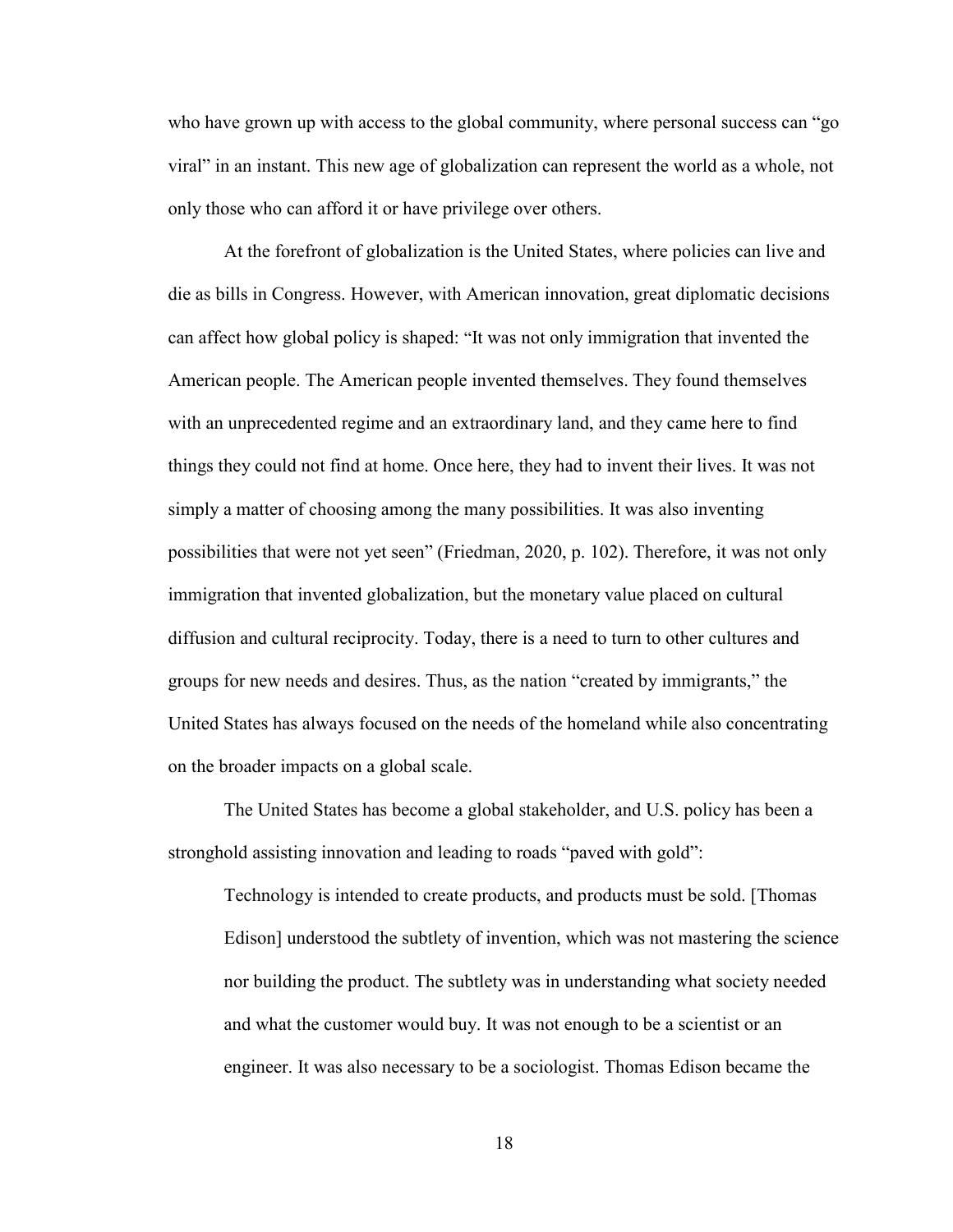who have grown up with access to the global community, where personal success can "go viral" in an instant. This new age of globalization can represent the world as a whole, not only those who can afford it or have privilege over others.

At the forefront of globalization is the United States, where policies can live and die as bills in Congress. However, with American innovation, great diplomatic decisions can affect how global policy is shaped: "It was not only immigration that invented the American people. The American people invented themselves. They found themselves with an unprecedented regime and an extraordinary land, and they came here to find things they could not find at home. Once here, they had to invent their lives. It was not simply a matter of choosing among the many possibilities. It was also inventing possibilities that were not yet seen" (Friedman, 2020, p. 102). Therefore, it was not only immigration that invented globalization, but the monetary value placed on cultural diffusion and cultural reciprocity. Today, there is a need to turn to other cultures and groups for new needs and desires. Thus, as the nation "created by immigrants," the United States has always focused on the needs of the homeland while also concentrating on the broader impacts on a global scale.

The United States has become a global stakeholder, and U.S. policy has been a stronghold assisting innovation and leading to roads "paved with gold":

Technology is intended to create products, and products must be sold. [Thomas Edison] understood the subtlety of invention, which was not mastering the science nor building the product. The subtlety was in understanding what society needed and what the customer would buy. It was not enough to be a scientist or an engineer. It was also necessary to be a sociologist. Thomas Edison became the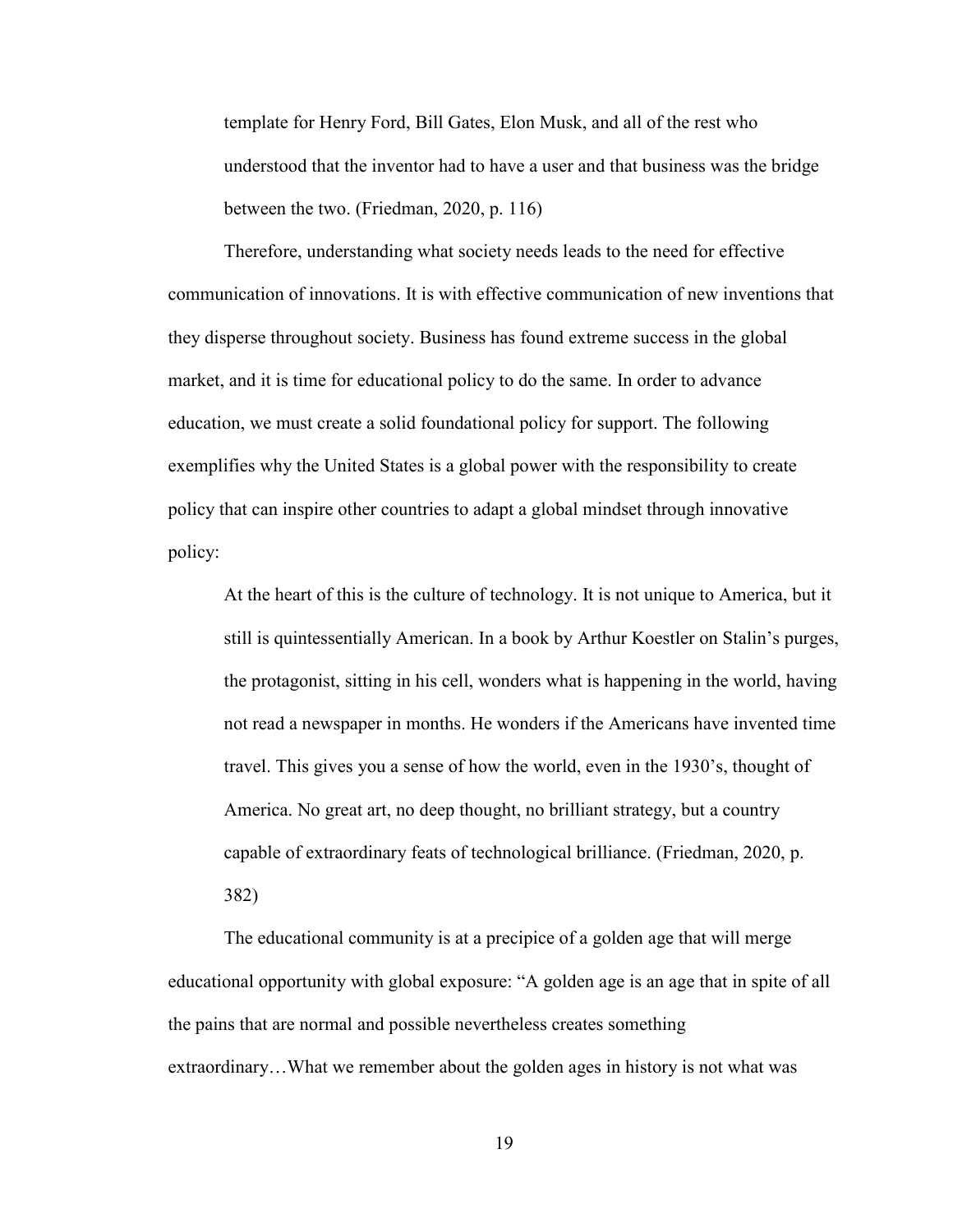template for Henry Ford, Bill Gates, Elon Musk, and all of the rest who understood that the inventor had to have a user and that business was the bridge between the two. (Friedman, 2020, p. 116)

Therefore, understanding what society needs leads to the need for effective communication of innovations. It is with effective communication of new inventions that they disperse throughout society. Business has found extreme success in the global market, and it is time for educational policy to do the same. In order to advance education, we must create a solid foundational policy for support. The following exemplifies why the United States is a global power with the responsibility to create policy that can inspire other countries to adapt a global mindset through innovative policy:

At the heart of this is the culture of technology. It is not unique to America, but it still is quintessentially American. In a book by Arthur Koestler on Stalin's purges, the protagonist, sitting in his cell, wonders what is happening in the world, having not read a newspaper in months. He wonders if the Americans have invented time travel. This gives you a sense of how the world, even in the 1930's, thought of America. No great art, no deep thought, no brilliant strategy, but a country capable of extraordinary feats of technological brilliance. (Friedman, 2020, p. 382)

The educational community is at a precipice of a golden age that will merge educational opportunity with global exposure: "A golden age is an age that in spite of all the pains that are normal and possible nevertheless creates something extraordinary…What we remember about the golden ages in history is not what was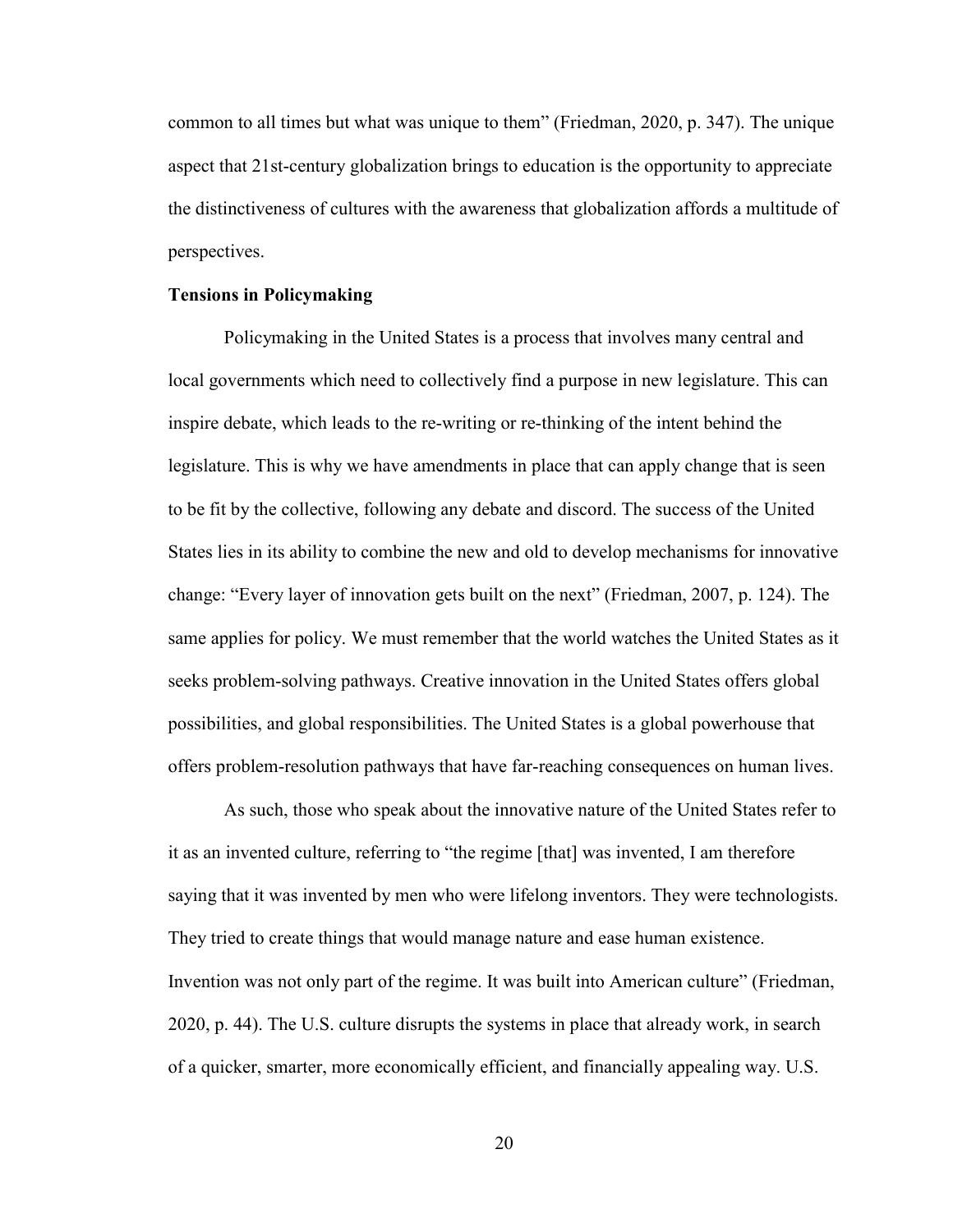common to all times but what was unique to them" (Friedman, 2020, p. 347). The unique aspect that 21st-century globalization brings to education is the opportunity to appreciate the distinctiveness of cultures with the awareness that globalization affords a multitude of perspectives.

#### **Tensions in Policymaking**

Policymaking in the United States is a process that involves many central and local governments which need to collectively find a purpose in new legislature. This can inspire debate, which leads to the re-writing or re-thinking of the intent behind the legislature. This is why we have amendments in place that can apply change that is seen to be fit by the collective, following any debate and discord. The success of the United States lies in its ability to combine the new and old to develop mechanisms for innovative change: "Every layer of innovation gets built on the next" (Friedman, 2007, p. 124). The same applies for policy. We must remember that the world watches the United States as it seeks problem-solving pathways. Creative innovation in the United States offers global possibilities, and global responsibilities. The United States is a global powerhouse that offers problem-resolution pathways that have far-reaching consequences on human lives.

As such, those who speak about the innovative nature of the United States refer to it as an invented culture, referring to "the regime [that] was invented, I am therefore saying that it was invented by men who were lifelong inventors. They were technologists. They tried to create things that would manage nature and ease human existence. Invention was not only part of the regime. It was built into American culture" (Friedman, 2020, p. 44). The U.S. culture disrupts the systems in place that already work, in search of a quicker, smarter, more economically efficient, and financially appealing way. U.S.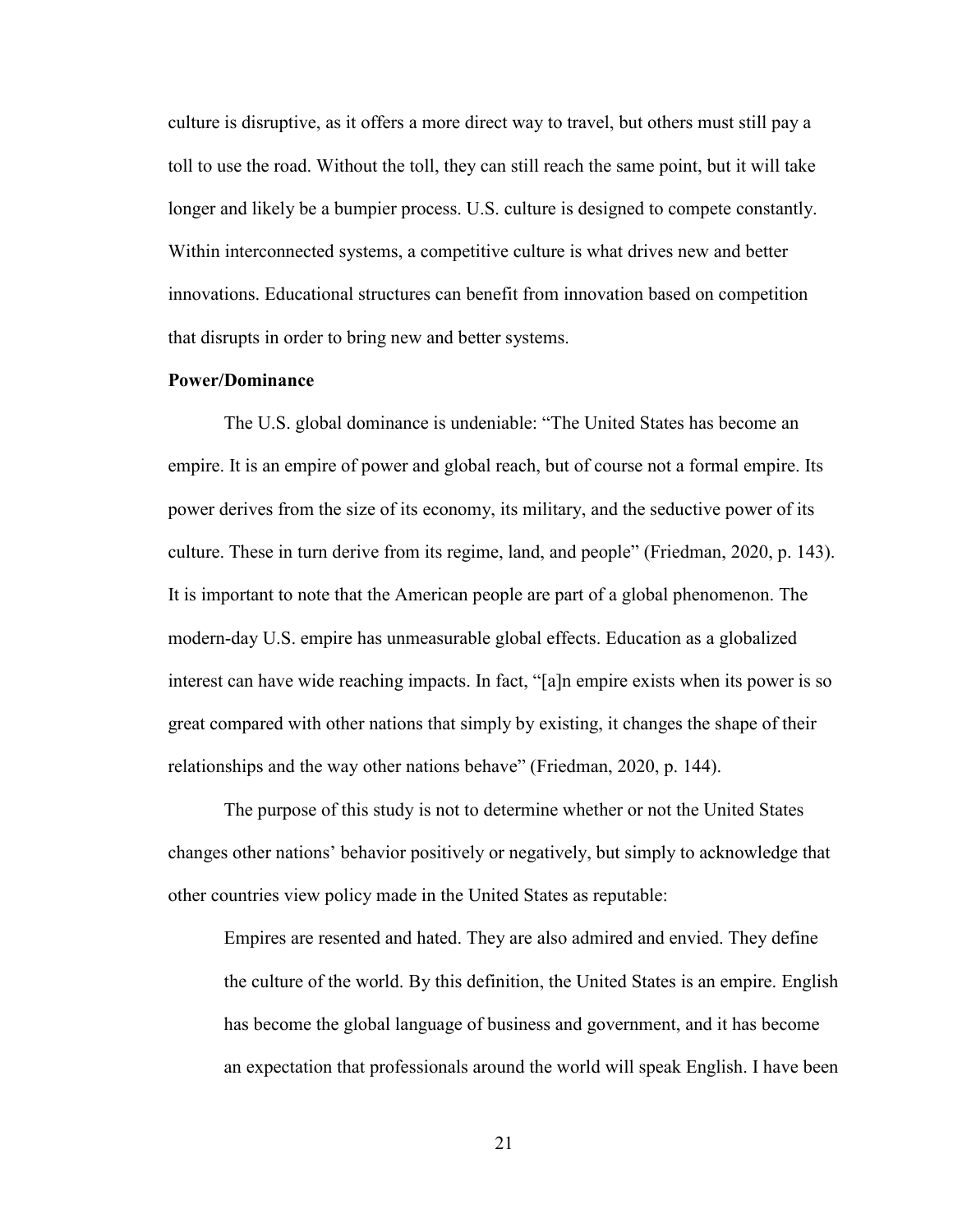culture is disruptive, as it offers a more direct way to travel, but others must still pay a toll to use the road. Without the toll, they can still reach the same point, but it will take longer and likely be a bumpier process. U.S. culture is designed to compete constantly. Within interconnected systems, a competitive culture is what drives new and better innovations. Educational structures can benefit from innovation based on competition that disrupts in order to bring new and better systems.

#### **Power/Dominance**

The U.S. global dominance is undeniable: "The United States has become an empire. It is an empire of power and global reach, but of course not a formal empire. Its power derives from the size of its economy, its military, and the seductive power of its culture. These in turn derive from its regime, land, and people" (Friedman, 2020, p. 143). It is important to note that the American people are part of a global phenomenon. The modern-day U.S. empire has unmeasurable global effects. Education as a globalized interest can have wide reaching impacts. In fact, "[a]n empire exists when its power is so great compared with other nations that simply by existing, it changes the shape of their relationships and the way other nations behave" (Friedman, 2020, p. 144).

The purpose of this study is not to determine whether or not the United States changes other nations' behavior positively or negatively, but simply to acknowledge that other countries view policy made in the United States as reputable:

Empires are resented and hated. They are also admired and envied. They define the culture of the world. By this definition, the United States is an empire. English has become the global language of business and government, and it has become an expectation that professionals around the world will speak English. I have been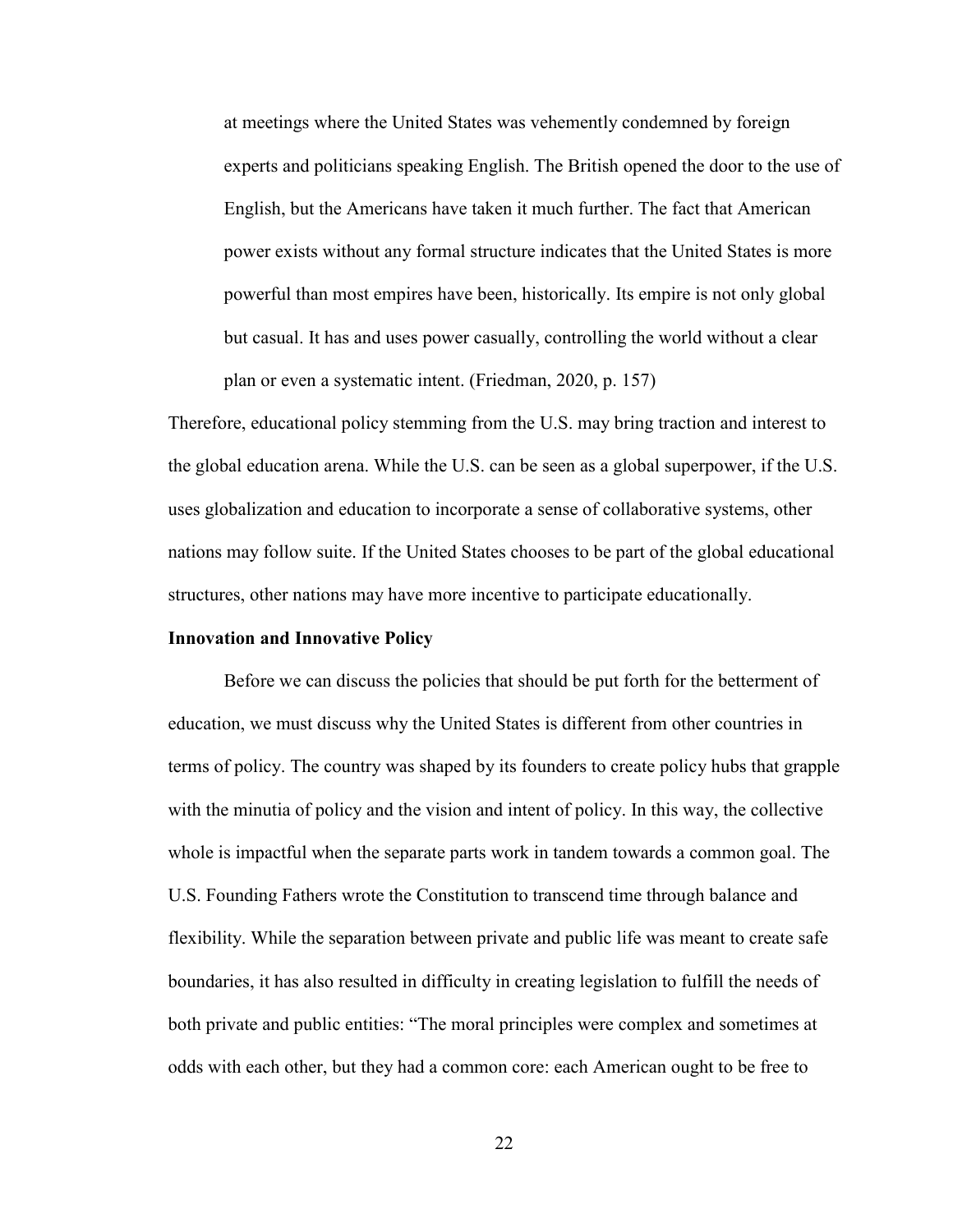at meetings where the United States was vehemently condemned by foreign experts and politicians speaking English. The British opened the door to the use of English, but the Americans have taken it much further. The fact that American power exists without any formal structure indicates that the United States is more powerful than most empires have been, historically. Its empire is not only global but casual. It has and uses power casually, controlling the world without a clear plan or even a systematic intent. (Friedman, 2020, p. 157)

Therefore, educational policy stemming from the U.S. may bring traction and interest to the global education arena. While the U.S. can be seen as a global superpower, if the U.S. uses globalization and education to incorporate a sense of collaborative systems, other nations may follow suite. If the United States chooses to be part of the global educational structures, other nations may have more incentive to participate educationally.

#### **Innovation and Innovative Policy**

Before we can discuss the policies that should be put forth for the betterment of education, we must discuss why the United States is different from other countries in terms of policy. The country was shaped by its founders to create policy hubs that grapple with the minutia of policy and the vision and intent of policy. In this way, the collective whole is impactful when the separate parts work in tandem towards a common goal. The U.S. Founding Fathers wrote the Constitution to transcend time through balance and flexibility. While the separation between private and public life was meant to create safe boundaries, it has also resulted in difficulty in creating legislation to fulfill the needs of both private and public entities: "The moral principles were complex and sometimes at odds with each other, but they had a common core: each American ought to be free to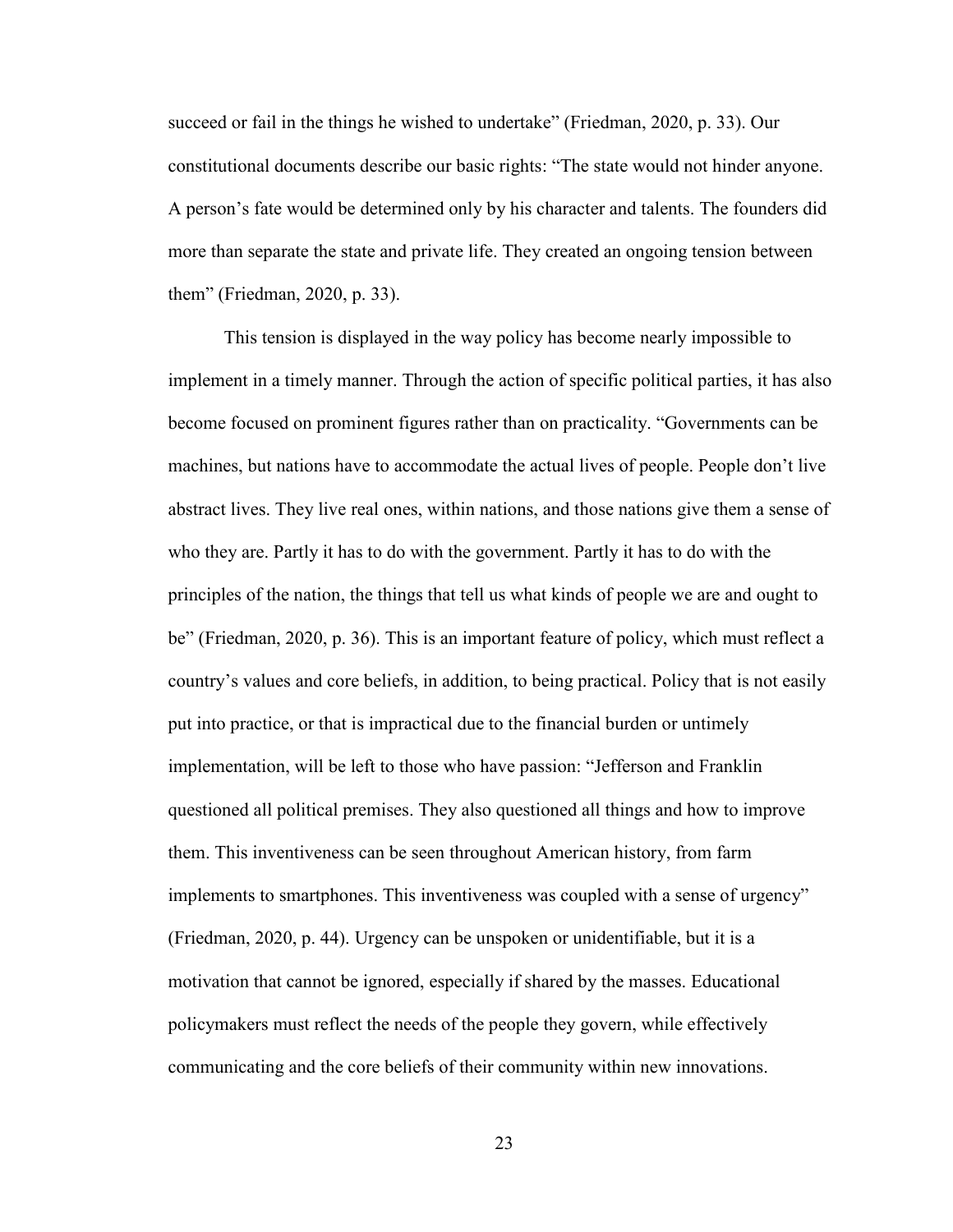succeed or fail in the things he wished to undertake" (Friedman, 2020, p. 33). Our constitutional documents describe our basic rights: "The state would not hinder anyone. A person's fate would be determined only by his character and talents. The founders did more than separate the state and private life. They created an ongoing tension between them" (Friedman, 2020, p. 33).

This tension is displayed in the way policy has become nearly impossible to implement in a timely manner. Through the action of specific political parties, it has also become focused on prominent figures rather than on practicality. "Governments can be machines, but nations have to accommodate the actual lives of people. People don't live abstract lives. They live real ones, within nations, and those nations give them a sense of who they are. Partly it has to do with the government. Partly it has to do with the principles of the nation, the things that tell us what kinds of people we are and ought to be" (Friedman, 2020, p. 36). This is an important feature of policy, which must reflect a country's values and core beliefs, in addition, to being practical. Policy that is not easily put into practice, or that is impractical due to the financial burden or untimely implementation, will be left to those who have passion: "Jefferson and Franklin questioned all political premises. They also questioned all things and how to improve them. This inventiveness can be seen throughout American history, from farm implements to smartphones. This inventiveness was coupled with a sense of urgency" (Friedman, 2020, p. 44). Urgency can be unspoken or unidentifiable, but it is a motivation that cannot be ignored, especially if shared by the masses. Educational policymakers must reflect the needs of the people they govern, while effectively communicating and the core beliefs of their community within new innovations.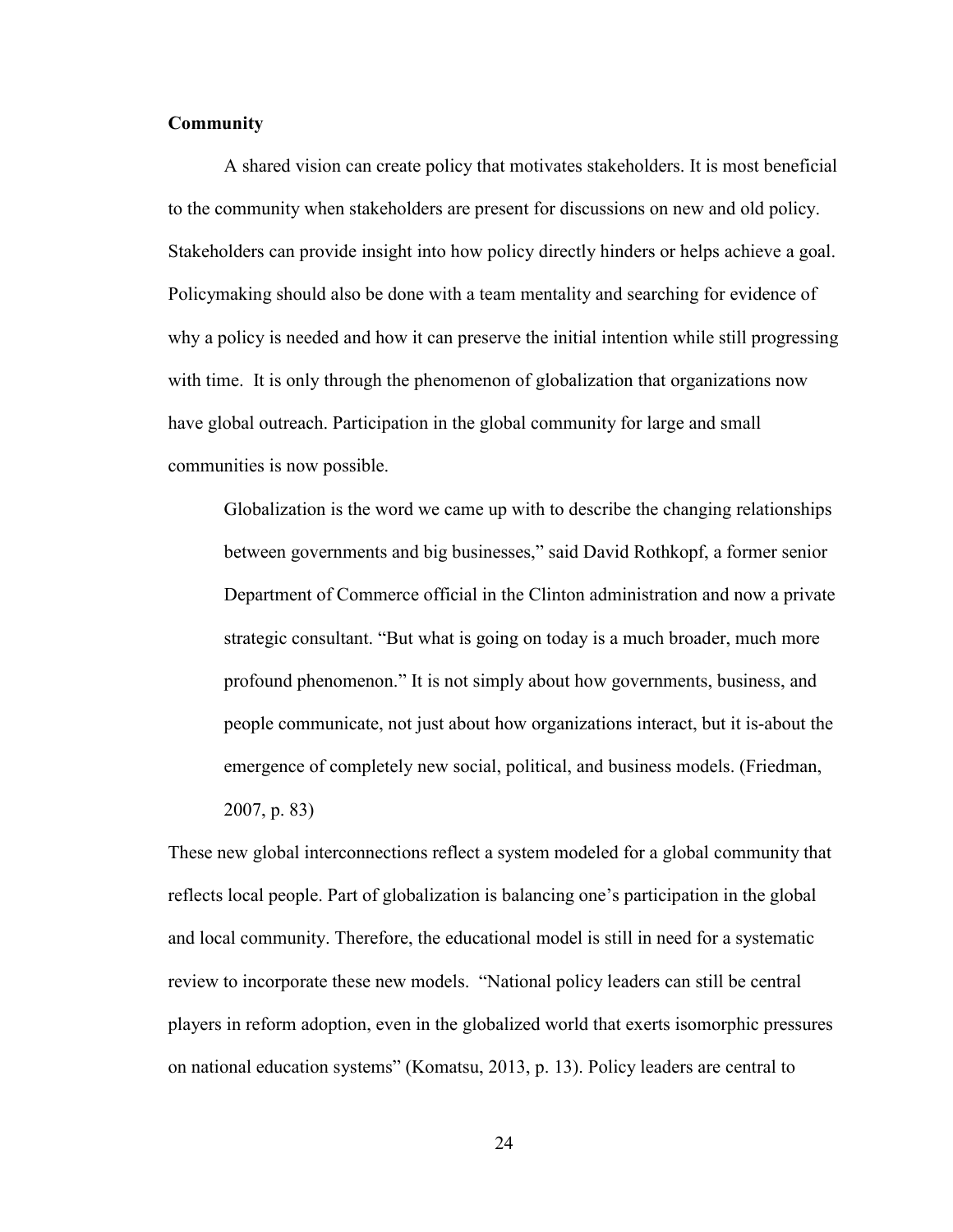#### **Community**

A shared vision can create policy that motivates stakeholders. It is most beneficial to the community when stakeholders are present for discussions on new and old policy. Stakeholders can provide insight into how policy directly hinders or helps achieve a goal. Policymaking should also be done with a team mentality and searching for evidence of why a policy is needed and how it can preserve the initial intention while still progressing with time. It is only through the phenomenon of globalization that organizations now have global outreach. Participation in the global community for large and small communities is now possible.

Globalization is the word we came up with to describe the changing relationships between governments and big businesses," said David Rothkopf, a former senior Department of Commerce official in the Clinton administration and now a private strategic consultant. "But what is going on today is a much broader, much more profound phenomenon." It is not simply about how governments, business, and people communicate, not just about how organizations interact, but it is-about the emergence of completely new social, political, and business models. (Friedman, 2007, p. 83)

These new global interconnections reflect a system modeled for a global community that reflects local people. Part of globalization is balancing one's participation in the global and local community. Therefore, the educational model is still in need for a systematic review to incorporate these new models. "National policy leaders can still be central players in reform adoption, even in the globalized world that exerts isomorphic pressures on national education systems" (Komatsu, 2013, p. 13). Policy leaders are central to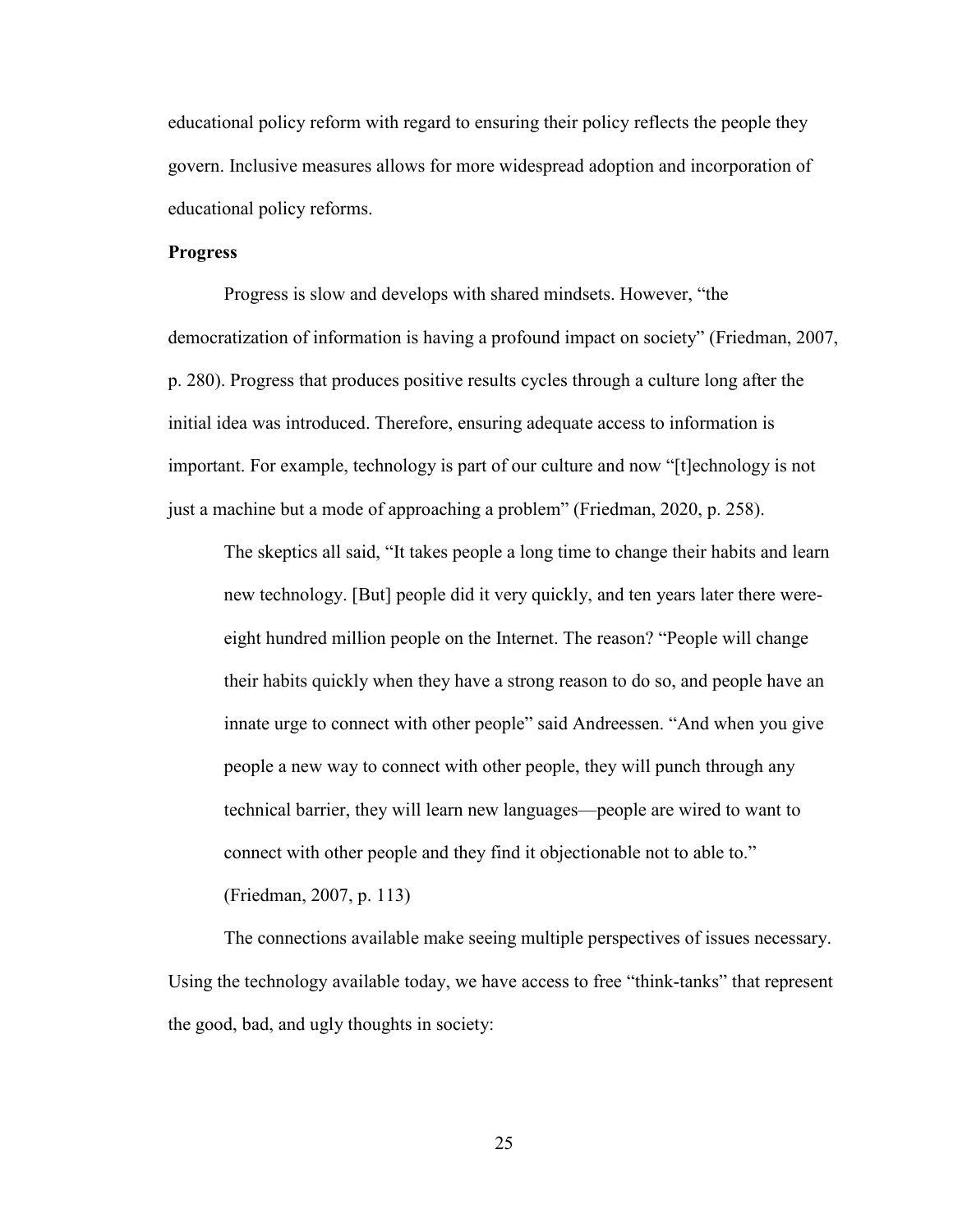educational policy reform with regard to ensuring their policy reflects the people they govern. Inclusive measures allows for more widespread adoption and incorporation of educational policy reforms.

#### **Progress**

Progress is slow and develops with shared mindsets. However, "the democratization of information is having a profound impact on society" (Friedman, 2007, p. 280). Progress that produces positive results cycles through a culture long after the initial idea was introduced. Therefore, ensuring adequate access to information is important. For example, technology is part of our culture and now "[t]echnology is not just a machine but a mode of approaching a problem" (Friedman, 2020, p. 258).

The skeptics all said, "It takes people a long time to change their habits and learn new technology. [But] people did it very quickly, and ten years later there wereeight hundred million people on the Internet. The reason? "People will change their habits quickly when they have a strong reason to do so, and people have an innate urge to connect with other people" said Andreessen. "And when you give people a new way to connect with other people, they will punch through any technical barrier, they will learn new languages—people are wired to want to connect with other people and they find it objectionable not to able to."

(Friedman, 2007, p. 113)

The connections available make seeing multiple perspectives of issues necessary. Using the technology available today, we have access to free "think-tanks" that represent the good, bad, and ugly thoughts in society: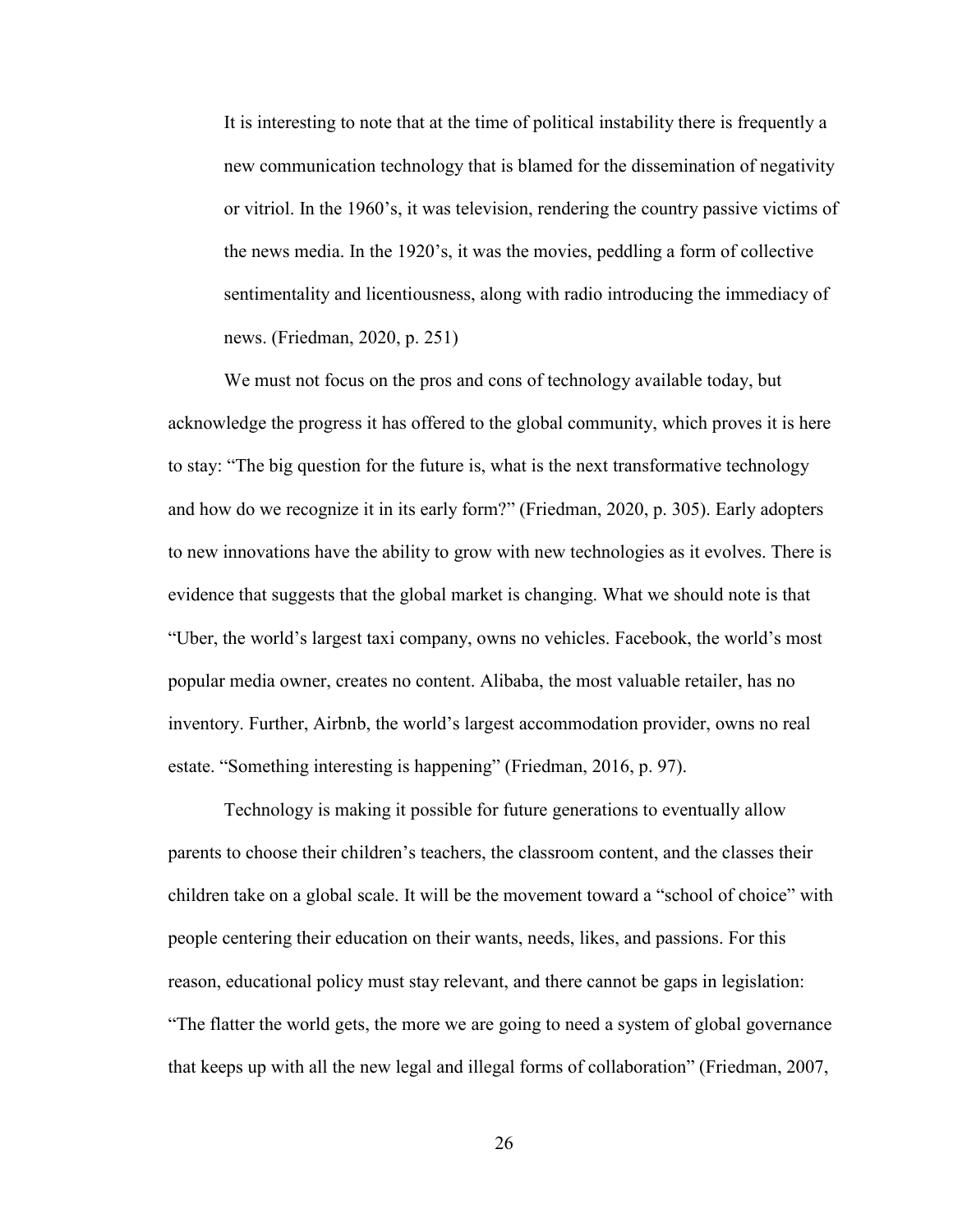It is interesting to note that at the time of political instability there is frequently a new communication technology that is blamed for the dissemination of negativity or vitriol. In the 1960's, it was television, rendering the country passive victims of the news media. In the 1920's, it was the movies, peddling a form of collective sentimentality and licentiousness, along with radio introducing the immediacy of news. (Friedman, 2020, p. 251)

We must not focus on the pros and cons of technology available today, but acknowledge the progress it has offered to the global community, which proves it is here to stay: "The big question for the future is, what is the next transformative technology and how do we recognize it in its early form?" (Friedman, 2020, p. 305). Early adopters to new innovations have the ability to grow with new technologies as it evolves. There is evidence that suggests that the global market is changing. What we should note is that "Uber, the world's largest taxi company, owns no vehicles. Facebook, the world's most popular media owner, creates no content. Alibaba, the most valuable retailer, has no inventory. Further, Airbnb, the world's largest accommodation provider, owns no real estate. "Something interesting is happening" (Friedman, 2016, p. 97).

Technology is making it possible for future generations to eventually allow parents to choose their children's teachers, the classroom content, and the classes their children take on a global scale. It will be the movement toward a "school of choice" with people centering their education on their wants, needs, likes, and passions. For this reason, educational policy must stay relevant, and there cannot be gaps in legislation: "The flatter the world gets, the more we are going to need a system of global governance that keeps up with all the new legal and illegal forms of collaboration" (Friedman, 2007,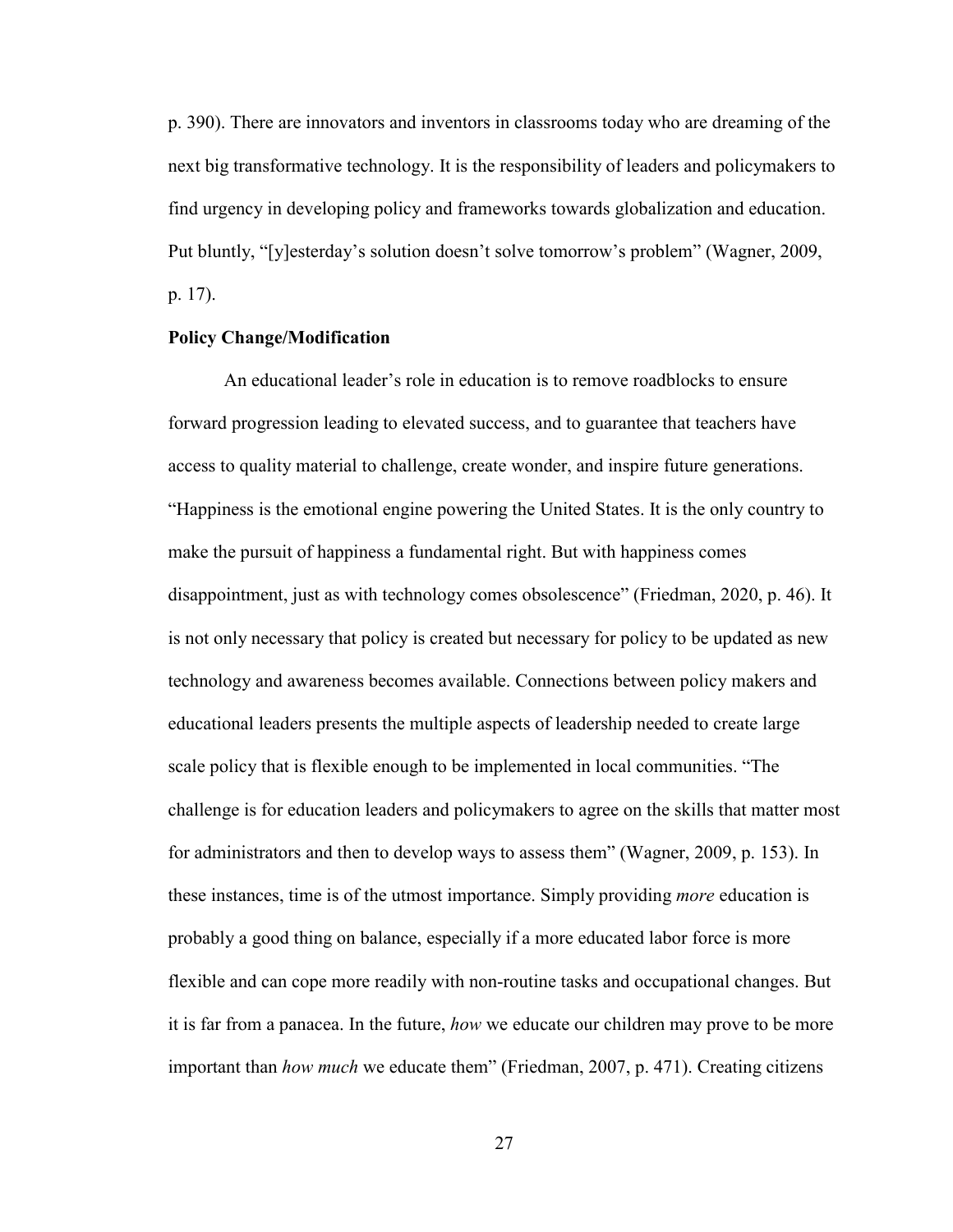p. 390). There are innovators and inventors in classrooms today who are dreaming of the next big transformative technology. It is the responsibility of leaders and policymakers to find urgency in developing policy and frameworks towards globalization and education. Put bluntly, "[y]esterday's solution doesn't solve tomorrow's problem" (Wagner, 2009, p. 17).

## **Policy Change/Modification**

An educational leader's role in education is to remove roadblocks to ensure forward progression leading to elevated success, and to guarantee that teachers have access to quality material to challenge, create wonder, and inspire future generations. "Happiness is the emotional engine powering the United States. It is the only country to make the pursuit of happiness a fundamental right. But with happiness comes disappointment, just as with technology comes obsolescence" (Friedman, 2020, p. 46). It is not only necessary that policy is created but necessary for policy to be updated as new technology and awareness becomes available. Connections between policy makers and educational leaders presents the multiple aspects of leadership needed to create large scale policy that is flexible enough to be implemented in local communities. "The challenge is for education leaders and policymakers to agree on the skills that matter most for administrators and then to develop ways to assess them" (Wagner, 2009, p. 153). In these instances, time is of the utmost importance. Simply providing *more* education is probably a good thing on balance, especially if a more educated labor force is more flexible and can cope more readily with non-routine tasks and occupational changes. But it is far from a panacea. In the future, *how* we educate our children may prove to be more important than *how much* we educate them" (Friedman, 2007, p. 471). Creating citizens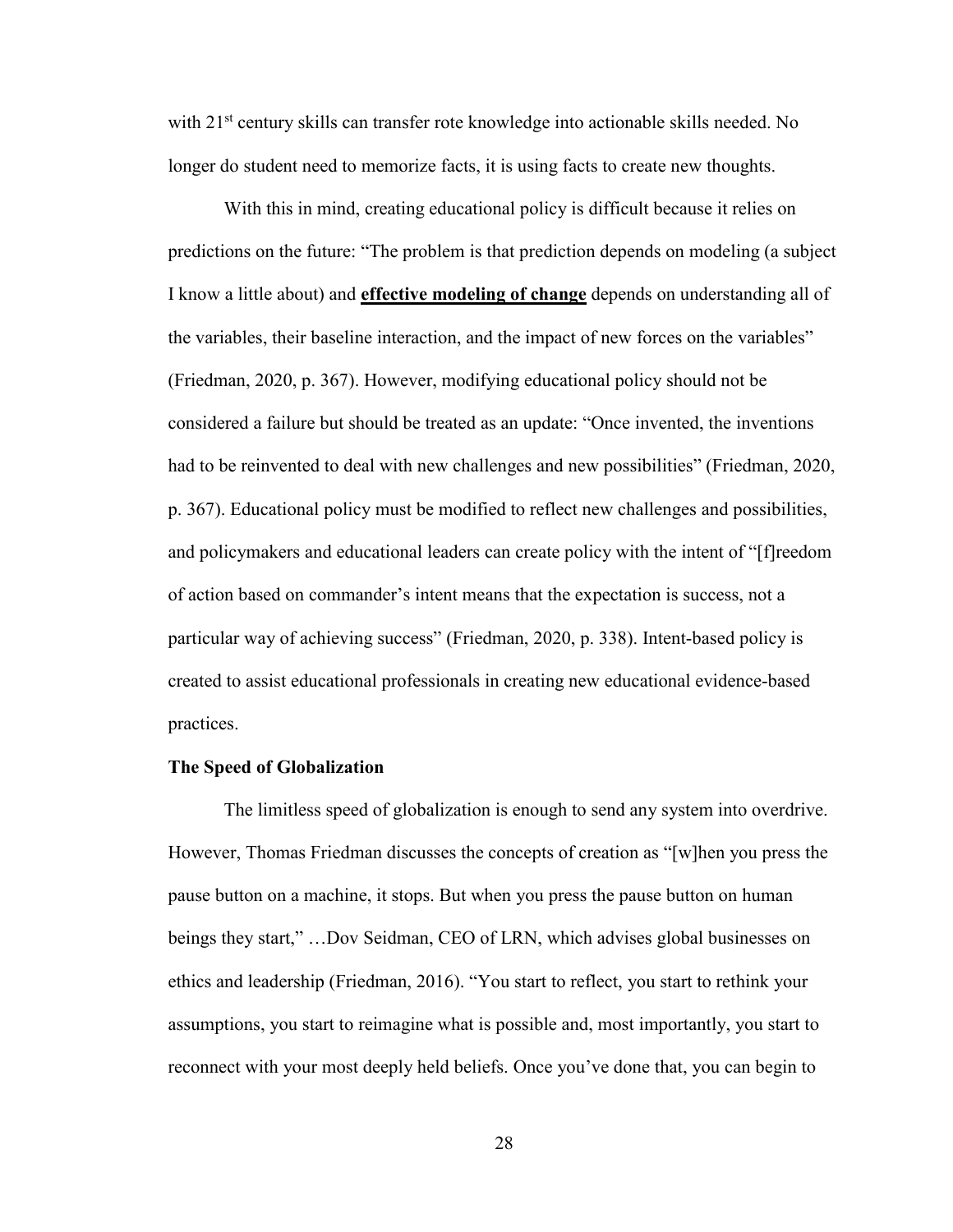with  $21<sup>st</sup>$  century skills can transfer rote knowledge into actionable skills needed. No longer do student need to memorize facts, it is using facts to create new thoughts.

With this in mind, creating educational policy is difficult because it relies on predictions on the future: "The problem is that prediction depends on modeling (a subject I know a little about) and **effective modeling of change** depends on understanding all of the variables, their baseline interaction, and the impact of new forces on the variables" (Friedman, 2020, p. 367). However, modifying educational policy should not be considered a failure but should be treated as an update: "Once invented, the inventions had to be reinvented to deal with new challenges and new possibilities" (Friedman, 2020, p. 367). Educational policy must be modified to reflect new challenges and possibilities, and policymakers and educational leaders can create policy with the intent of "[f]reedom of action based on commander's intent means that the expectation is success, not a particular way of achieving success" (Friedman, 2020, p. 338). Intent-based policy is created to assist educational professionals in creating new educational evidence-based practices.

### **The Speed of Globalization**

The limitless speed of globalization is enough to send any system into overdrive. However, Thomas Friedman discusses the concepts of creation as "[w]hen you press the pause button on a machine, it stops. But when you press the pause button on human beings they start," …Dov Seidman, CEO of LRN, which advises global businesses on ethics and leadership (Friedman, 2016). "You start to reflect, you start to rethink your assumptions, you start to reimagine what is possible and, most importantly, you start to reconnect with your most deeply held beliefs. Once you've done that, you can begin to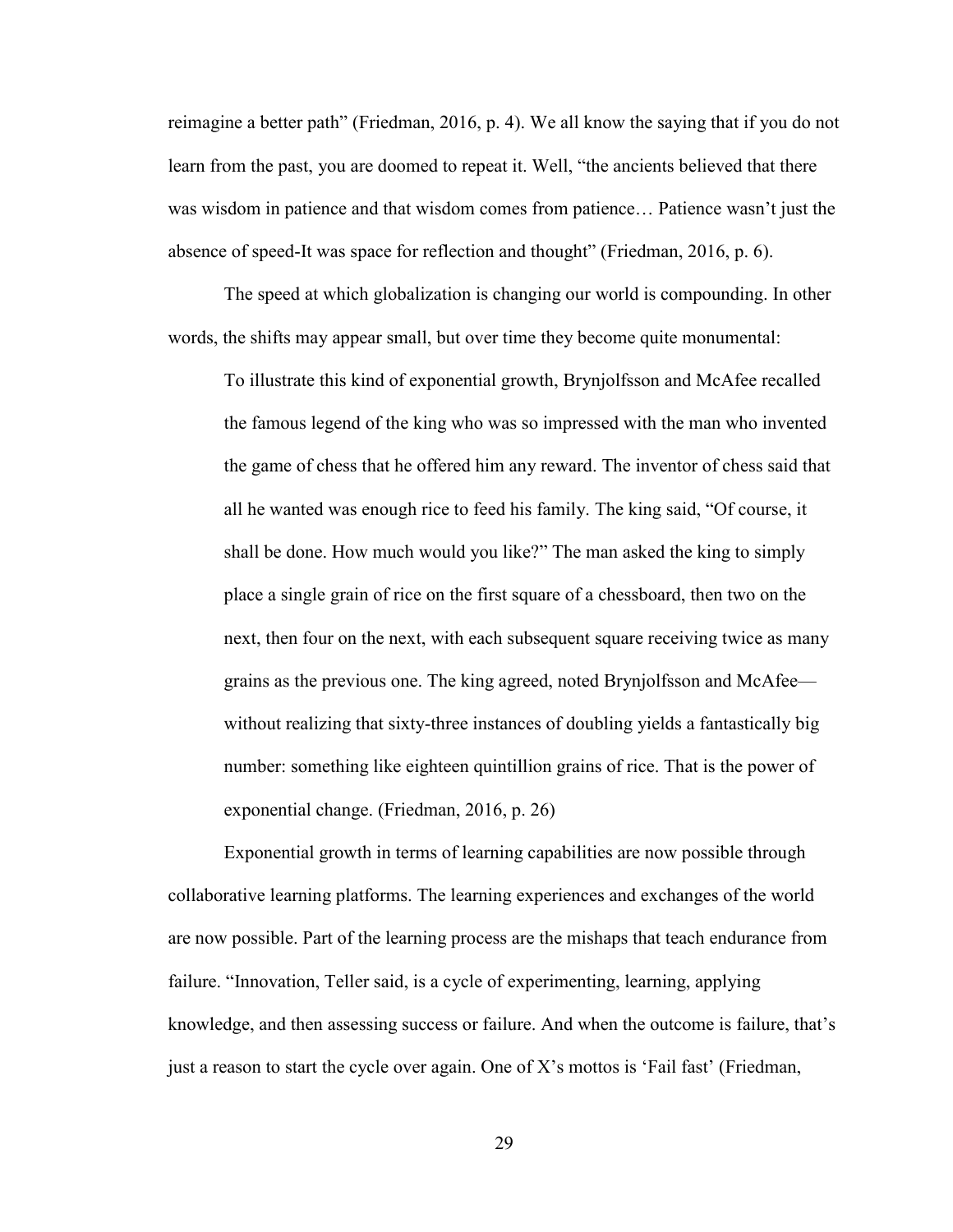reimagine a better path" (Friedman, 2016, p. 4). We all know the saying that if you do not learn from the past, you are doomed to repeat it. Well, "the ancients believed that there was wisdom in patience and that wisdom comes from patience… Patience wasn't just the absence of speed-It was space for reflection and thought" (Friedman, 2016, p. 6).

The speed at which globalization is changing our world is compounding. In other words, the shifts may appear small, but over time they become quite monumental:

To illustrate this kind of exponential growth, Brynjolfsson and McAfee recalled the famous legend of the king who was so impressed with the man who invented the game of chess that he offered him any reward. The inventor of chess said that all he wanted was enough rice to feed his family. The king said, "Of course, it shall be done. How much would you like?" The man asked the king to simply place a single grain of rice on the first square of a chessboard, then two on the next, then four on the next, with each subsequent square receiving twice as many grains as the previous one. The king agreed, noted Brynjolfsson and McAfee without realizing that sixty-three instances of doubling yields a fantastically big number: something like eighteen quintillion grains of rice. That is the power of exponential change. (Friedman, 2016, p. 26)

Exponential growth in terms of learning capabilities are now possible through collaborative learning platforms. The learning experiences and exchanges of the world are now possible. Part of the learning process are the mishaps that teach endurance from failure. "Innovation, Teller said, is a cycle of experimenting, learning, applying knowledge, and then assessing success or failure. And when the outcome is failure, that's just a reason to start the cycle over again. One of X's mottos is 'Fail fast' (Friedman,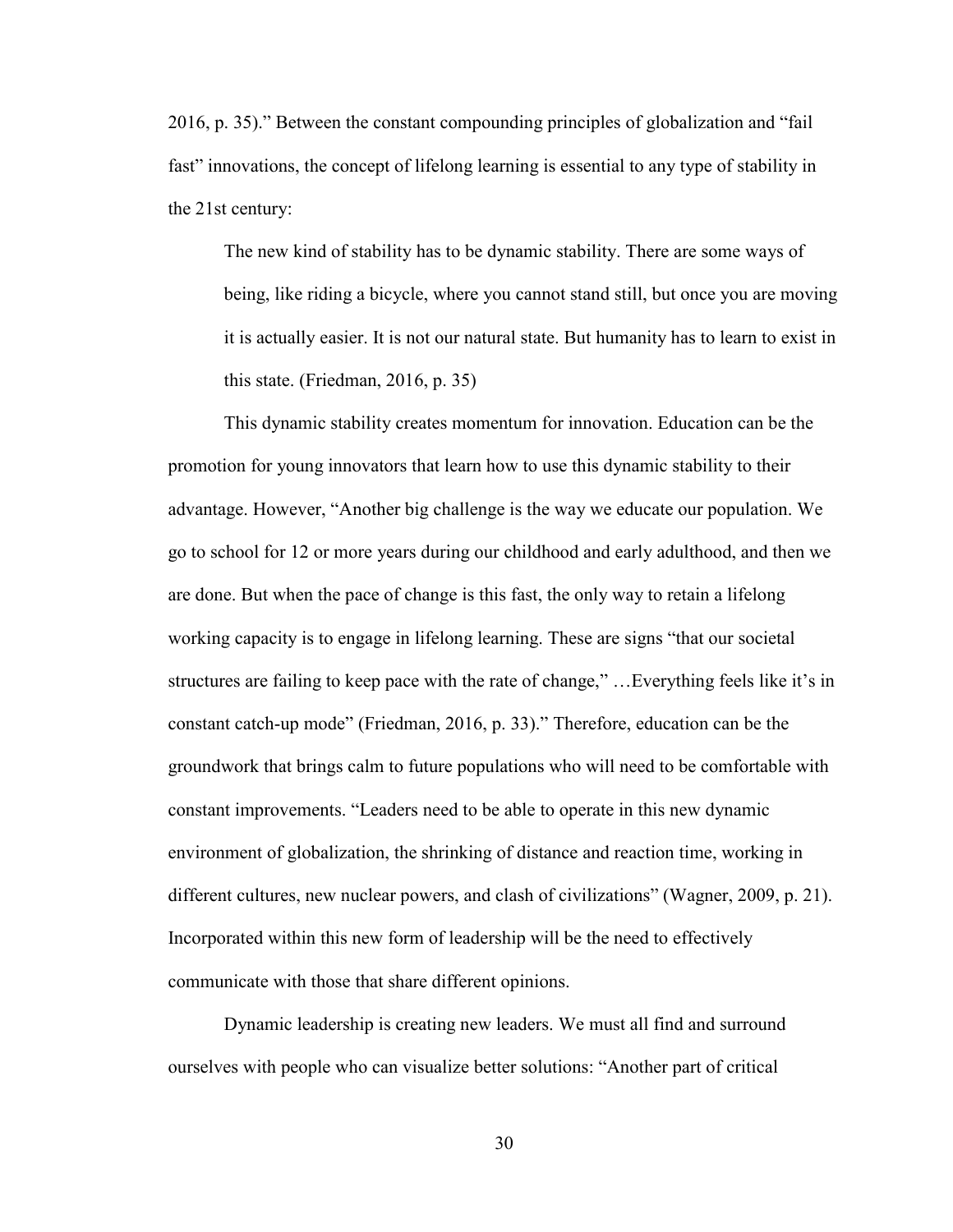2016, p. 35)." Between the constant compounding principles of globalization and "fail fast" innovations, the concept of lifelong learning is essential to any type of stability in the 21st century:

The new kind of stability has to be dynamic stability. There are some ways of being, like riding a bicycle, where you cannot stand still, but once you are moving it is actually easier. It is not our natural state. But humanity has to learn to exist in this state. (Friedman, 2016, p. 35)

This dynamic stability creates momentum for innovation. Education can be the promotion for young innovators that learn how to use this dynamic stability to their advantage. However, "Another big challenge is the way we educate our population. We go to school for 12 or more years during our childhood and early adulthood, and then we are done. But when the pace of change is this fast, the only way to retain a lifelong working capacity is to engage in lifelong learning. These are signs "that our societal structures are failing to keep pace with the rate of change," …Everything feels like it's in constant catch-up mode" (Friedman, 2016, p. 33)." Therefore, education can be the groundwork that brings calm to future populations who will need to be comfortable with constant improvements. "Leaders need to be able to operate in this new dynamic environment of globalization, the shrinking of distance and reaction time, working in different cultures, new nuclear powers, and clash of civilizations" (Wagner, 2009, p. 21). Incorporated within this new form of leadership will be the need to effectively communicate with those that share different opinions.

Dynamic leadership is creating new leaders. We must all find and surround ourselves with people who can visualize better solutions: "Another part of critical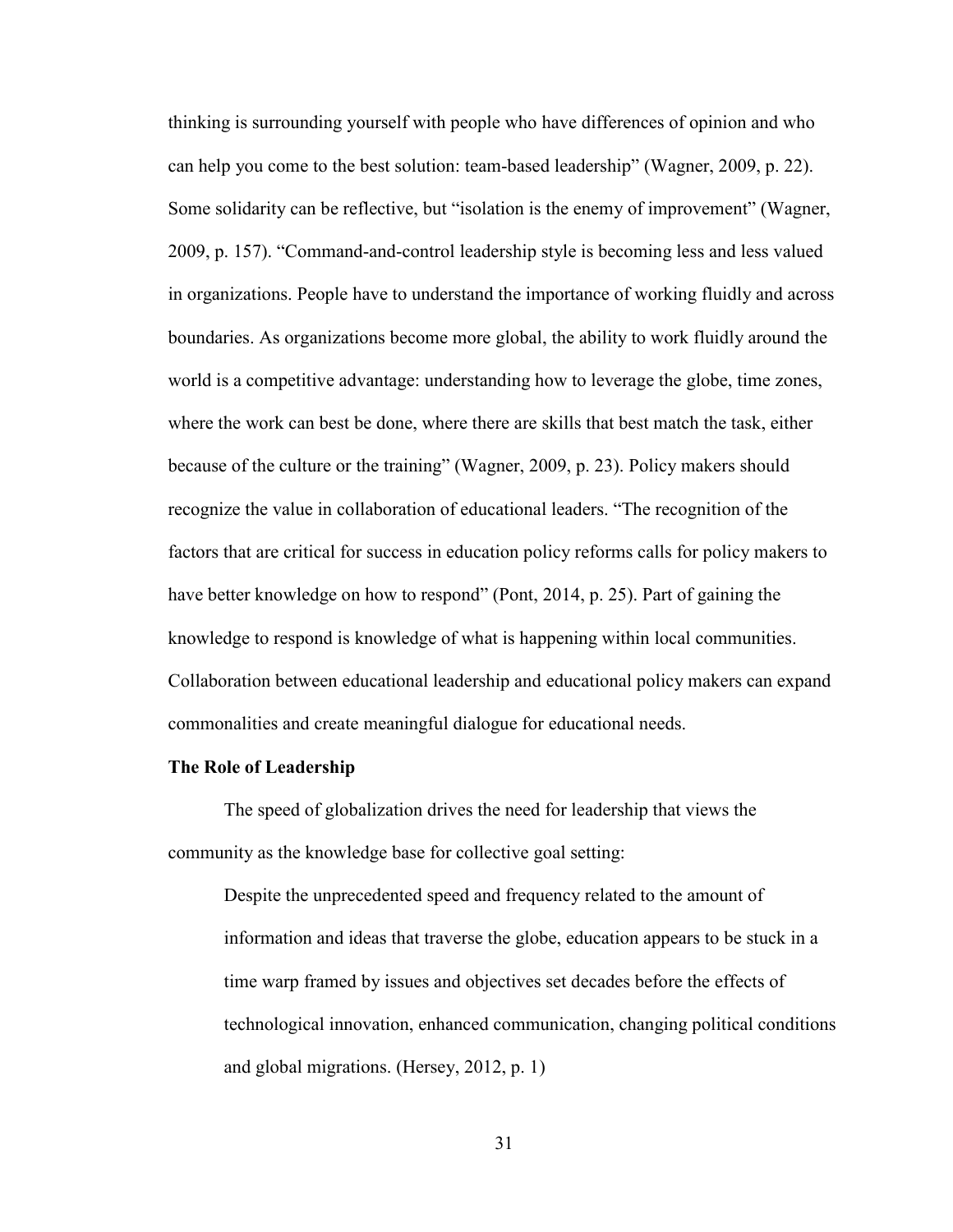thinking is surrounding yourself with people who have differences of opinion and who can help you come to the best solution: team-based leadership" (Wagner, 2009, p. 22). Some solidarity can be reflective, but "isolation is the enemy of improvement" (Wagner, 2009, p. 157). "Command-and-control leadership style is becoming less and less valued in organizations. People have to understand the importance of working fluidly and across boundaries. As organizations become more global, the ability to work fluidly around the world is a competitive advantage: understanding how to leverage the globe, time zones, where the work can best be done, where there are skills that best match the task, either because of the culture or the training" (Wagner, 2009, p. 23). Policy makers should recognize the value in collaboration of educational leaders. "The recognition of the factors that are critical for success in education policy reforms calls for policy makers to have better knowledge on how to respond" (Pont, 2014, p. 25). Part of gaining the knowledge to respond is knowledge of what is happening within local communities. Collaboration between educational leadership and educational policy makers can expand commonalities and create meaningful dialogue for educational needs.

#### **The Role of Leadership**

The speed of globalization drives the need for leadership that views the community as the knowledge base for collective goal setting:

Despite the unprecedented speed and frequency related to the amount of information and ideas that traverse the globe, education appears to be stuck in a time warp framed by issues and objectives set decades before the effects of technological innovation, enhanced communication, changing political conditions and global migrations. (Hersey, 2012, p. 1)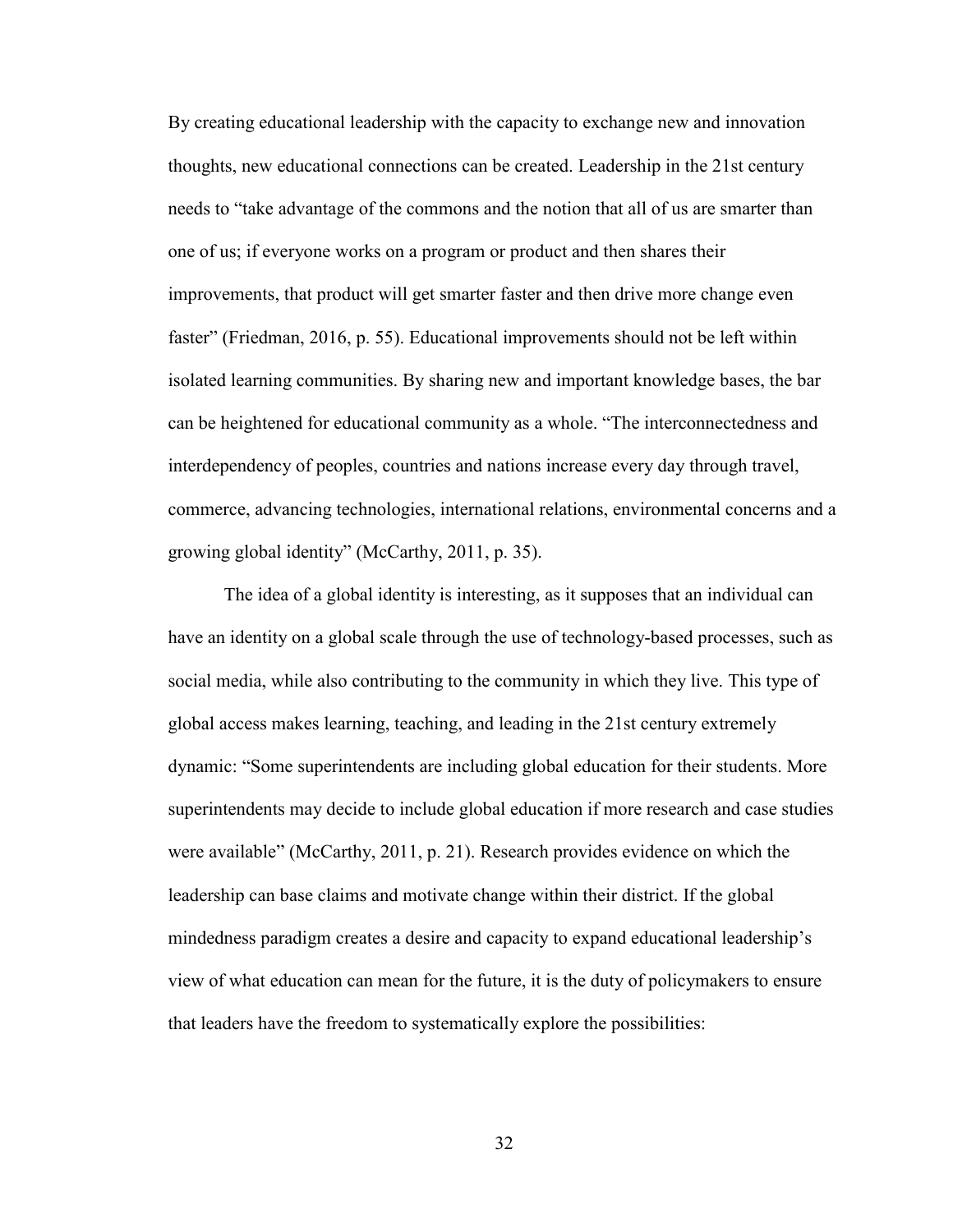By creating educational leadership with the capacity to exchange new and innovation thoughts, new educational connections can be created. Leadership in the 21st century needs to "take advantage of the commons and the notion that all of us are smarter than one of us; if everyone works on a program or product and then shares their improvements, that product will get smarter faster and then drive more change even faster" (Friedman, 2016, p. 55). Educational improvements should not be left within isolated learning communities. By sharing new and important knowledge bases, the bar can be heightened for educational community as a whole. "The interconnectedness and interdependency of peoples, countries and nations increase every day through travel, commerce, advancing technologies, international relations, environmental concerns and a growing global identity" (McCarthy, 2011, p. 35).

The idea of a global identity is interesting, as it supposes that an individual can have an identity on a global scale through the use of technology-based processes, such as social media, while also contributing to the community in which they live. This type of global access makes learning, teaching, and leading in the 21st century extremely dynamic: "Some superintendents are including global education for their students. More superintendents may decide to include global education if more research and case studies were available" (McCarthy, 2011, p. 21). Research provides evidence on which the leadership can base claims and motivate change within their district. If the global mindedness paradigm creates a desire and capacity to expand educational leadership's view of what education can mean for the future, it is the duty of policymakers to ensure that leaders have the freedom to systematically explore the possibilities: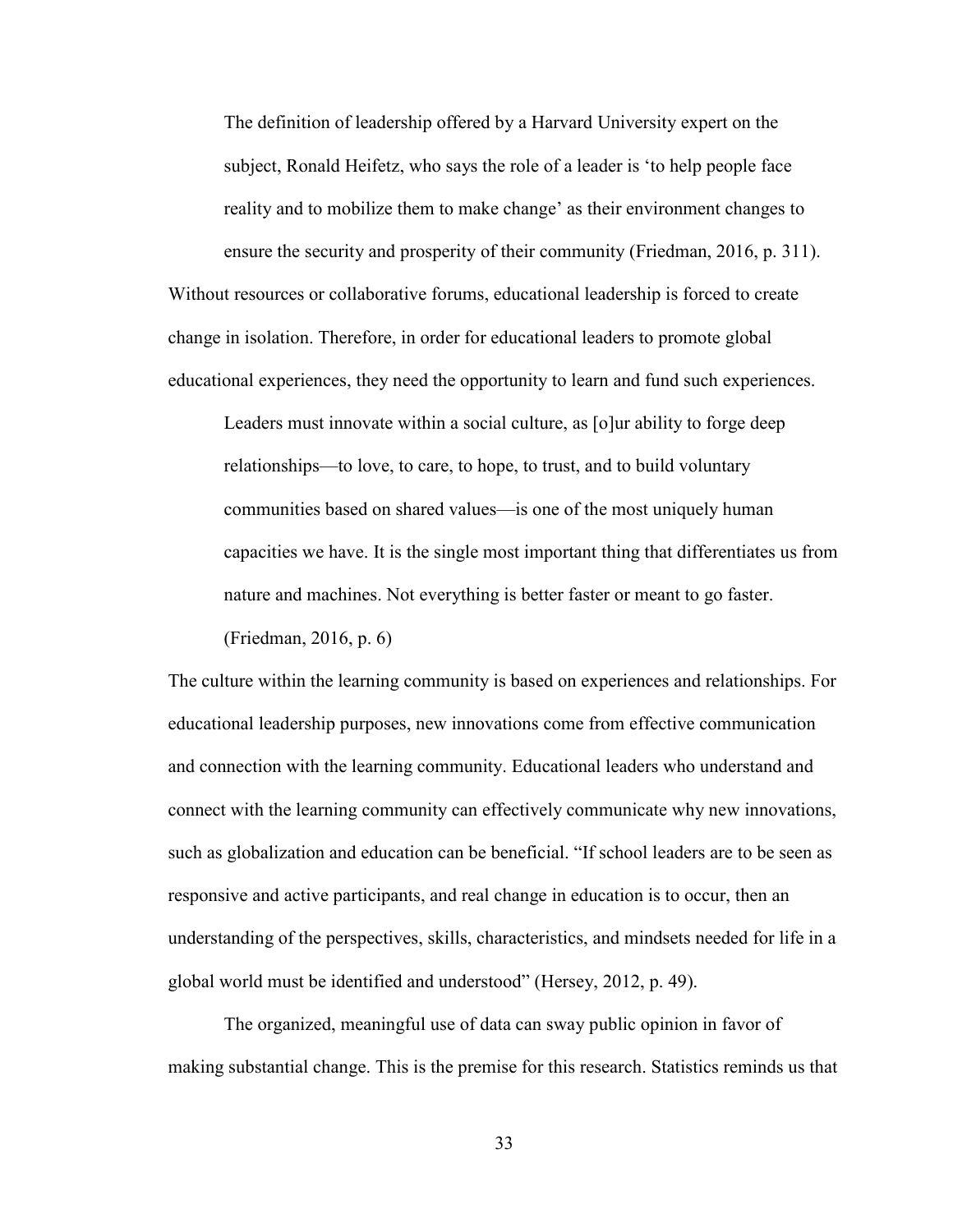The definition of leadership offered by a Harvard University expert on the subject, Ronald Heifetz, who says the role of a leader is 'to help people face reality and to mobilize them to make change' as their environment changes to ensure the security and prosperity of their community (Friedman, 2016, p. 311). Without resources or collaborative forums, educational leadership is forced to create change in isolation. Therefore, in order for educational leaders to promote global educational experiences, they need the opportunity to learn and fund such experiences.

Leaders must innovate within a social culture, as [o]ur ability to forge deep relationships—to love, to care, to hope, to trust, and to build voluntary communities based on shared values—is one of the most uniquely human capacities we have. It is the single most important thing that differentiates us from nature and machines. Not everything is better faster or meant to go faster.

(Friedman, 2016, p. 6)

The culture within the learning community is based on experiences and relationships. For educational leadership purposes, new innovations come from effective communication and connection with the learning community. Educational leaders who understand and connect with the learning community can effectively communicate why new innovations, such as globalization and education can be beneficial. "If school leaders are to be seen as responsive and active participants, and real change in education is to occur, then an understanding of the perspectives, skills, characteristics, and mindsets needed for life in a global world must be identified and understood" (Hersey, 2012, p. 49).

The organized, meaningful use of data can sway public opinion in favor of making substantial change. This is the premise for this research. Statistics reminds us that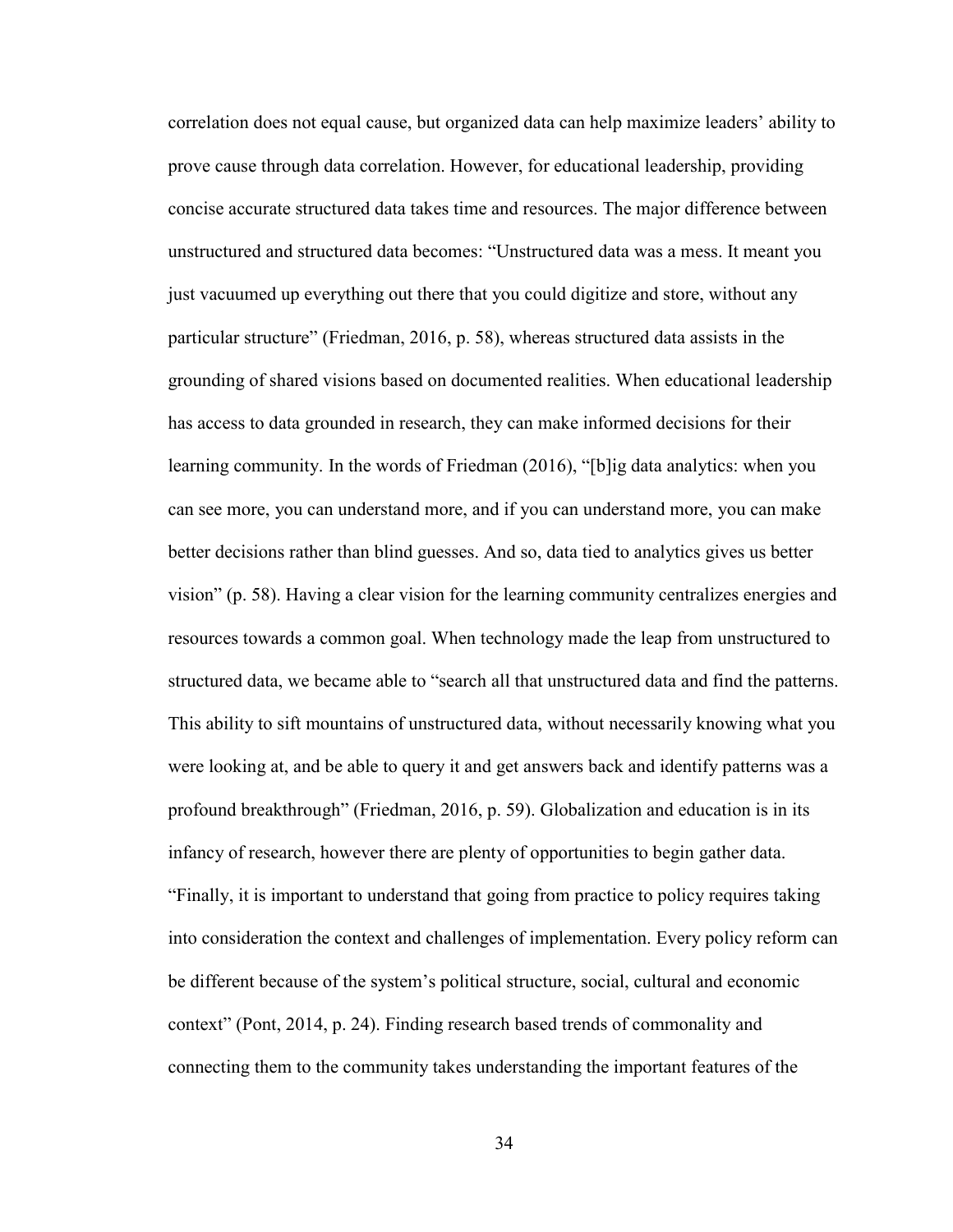correlation does not equal cause, but organized data can help maximize leaders' ability to prove cause through data correlation. However, for educational leadership, providing concise accurate structured data takes time and resources. The major difference between unstructured and structured data becomes: "Unstructured data was a mess. It meant you just vacuumed up everything out there that you could digitize and store, without any particular structure" (Friedman, 2016, p. 58), whereas structured data assists in the grounding of shared visions based on documented realities. When educational leadership has access to data grounded in research, they can make informed decisions for their learning community. In the words of Friedman (2016), "[b]ig data analytics: when you can see more, you can understand more, and if you can understand more, you can make better decisions rather than blind guesses. And so, data tied to analytics gives us better vision" (p. 58). Having a clear vision for the learning community centralizes energies and resources towards a common goal. When technology made the leap from unstructured to structured data, we became able to "search all that unstructured data and find the patterns. This ability to sift mountains of unstructured data, without necessarily knowing what you were looking at, and be able to query it and get answers back and identify patterns was a profound breakthrough" (Friedman, 2016, p. 59). Globalization and education is in its infancy of research, however there are plenty of opportunities to begin gather data. "Finally, it is important to understand that going from practice to policy requires taking into consideration the context and challenges of implementation. Every policy reform can be different because of the system's political structure, social, cultural and economic context" (Pont, 2014, p. 24). Finding research based trends of commonality and connecting them to the community takes understanding the important features of the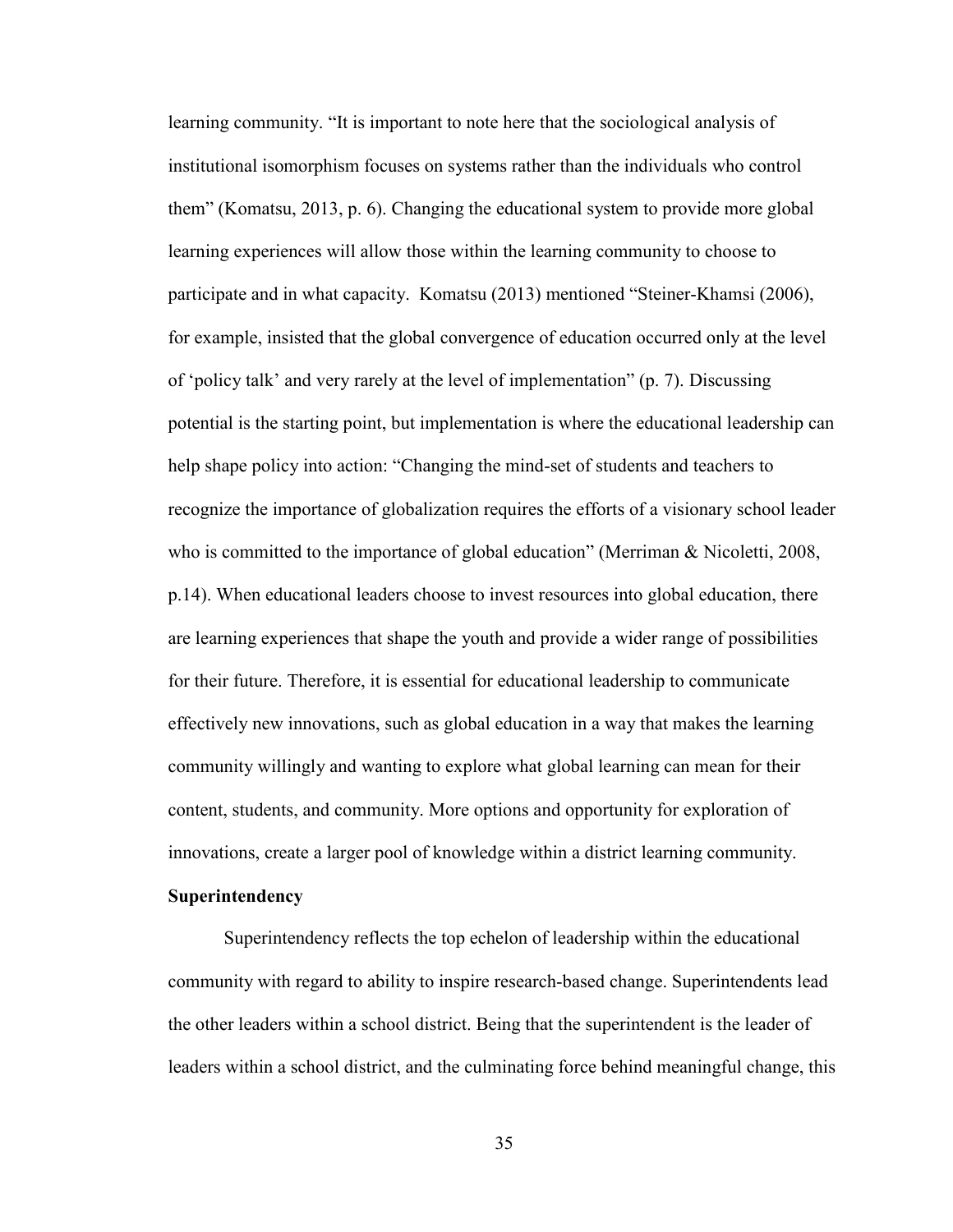learning community. "It is important to note here that the sociological analysis of institutional isomorphism focuses on systems rather than the individuals who control them" (Komatsu, 2013, p. 6). Changing the educational system to provide more global learning experiences will allow those within the learning community to choose to participate and in what capacity. Komatsu (2013) mentioned "Steiner-Khamsi (2006), for example, insisted that the global convergence of education occurred only at the level of 'policy talk' and very rarely at the level of implementation" (p. 7). Discussing potential is the starting point, but implementation is where the educational leadership can help shape policy into action: "Changing the mind-set of students and teachers to recognize the importance of globalization requires the efforts of a visionary school leader who is committed to the importance of global education" (Merriman & Nicoletti, 2008, p.14). When educational leaders choose to invest resources into global education, there are learning experiences that shape the youth and provide a wider range of possibilities for their future. Therefore, it is essential for educational leadership to communicate effectively new innovations, such as global education in a way that makes the learning community willingly and wanting to explore what global learning can mean for their content, students, and community. More options and opportunity for exploration of innovations, create a larger pool of knowledge within a district learning community.

# **Superintendency**

Superintendency reflects the top echelon of leadership within the educational community with regard to ability to inspire research-based change. Superintendents lead the other leaders within a school district. Being that the superintendent is the leader of leaders within a school district, and the culminating force behind meaningful change, this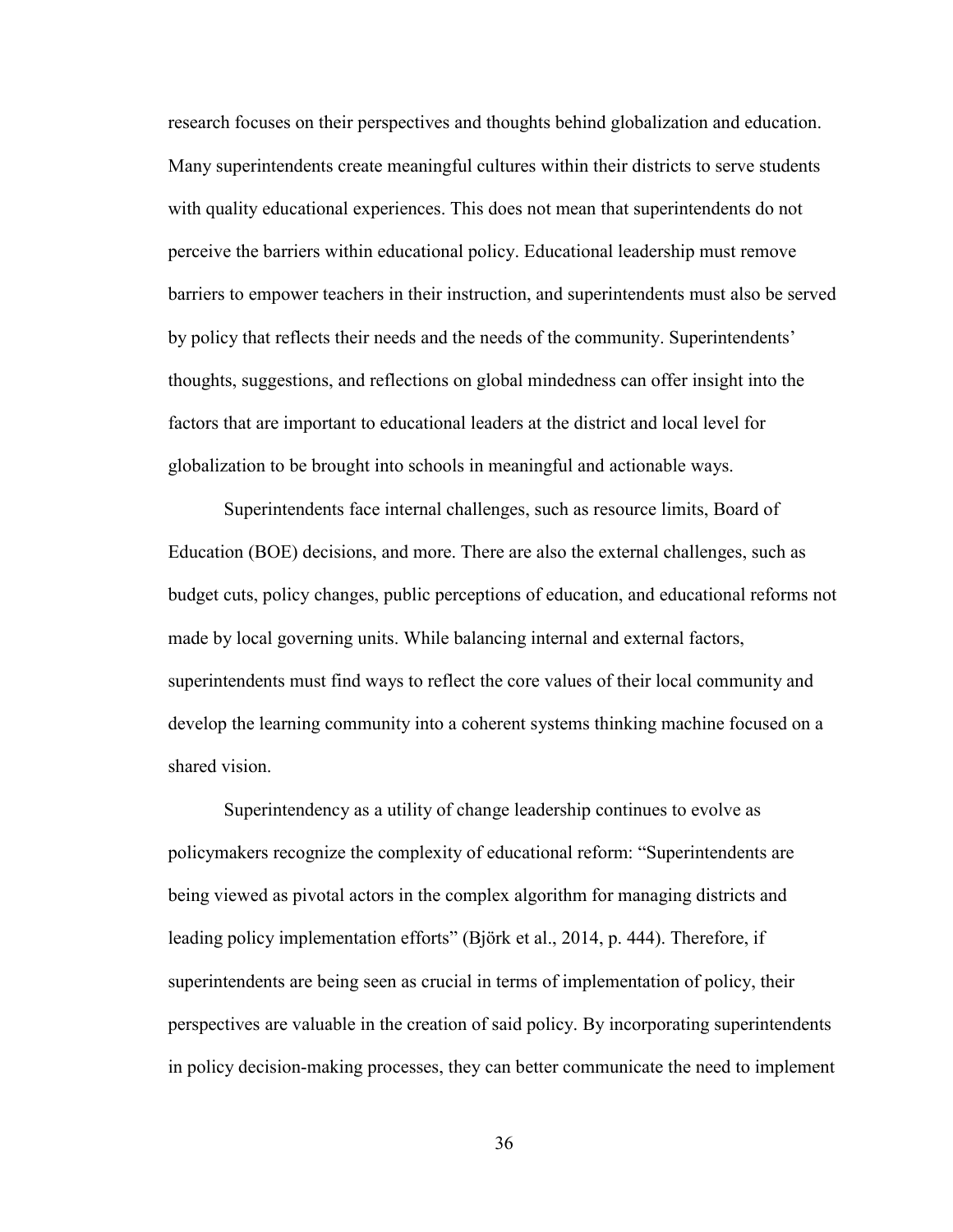research focuses on their perspectives and thoughts behind globalization and education. Many superintendents create meaningful cultures within their districts to serve students with quality educational experiences. This does not mean that superintendents do not perceive the barriers within educational policy. Educational leadership must remove barriers to empower teachers in their instruction, and superintendents must also be served by policy that reflects their needs and the needs of the community. Superintendents' thoughts, suggestions, and reflections on global mindedness can offer insight into the factors that are important to educational leaders at the district and local level for globalization to be brought into schools in meaningful and actionable ways.

Superintendents face internal challenges, such as resource limits, Board of Education (BOE) decisions, and more. There are also the external challenges, such as budget cuts, policy changes, public perceptions of education, and educational reforms not made by local governing units. While balancing internal and external factors, superintendents must find ways to reflect the core values of their local community and develop the learning community into a coherent systems thinking machine focused on a shared vision.

Superintendency as a utility of change leadership continues to evolve as policymakers recognize the complexity of educational reform: "Superintendents are being viewed as pivotal actors in the complex algorithm for managing districts and leading policy implementation efforts" (Björk et al., 2014, p. 444). Therefore, if superintendents are being seen as crucial in terms of implementation of policy, their perspectives are valuable in the creation of said policy. By incorporating superintendents in policy decision-making processes, they can better communicate the need to implement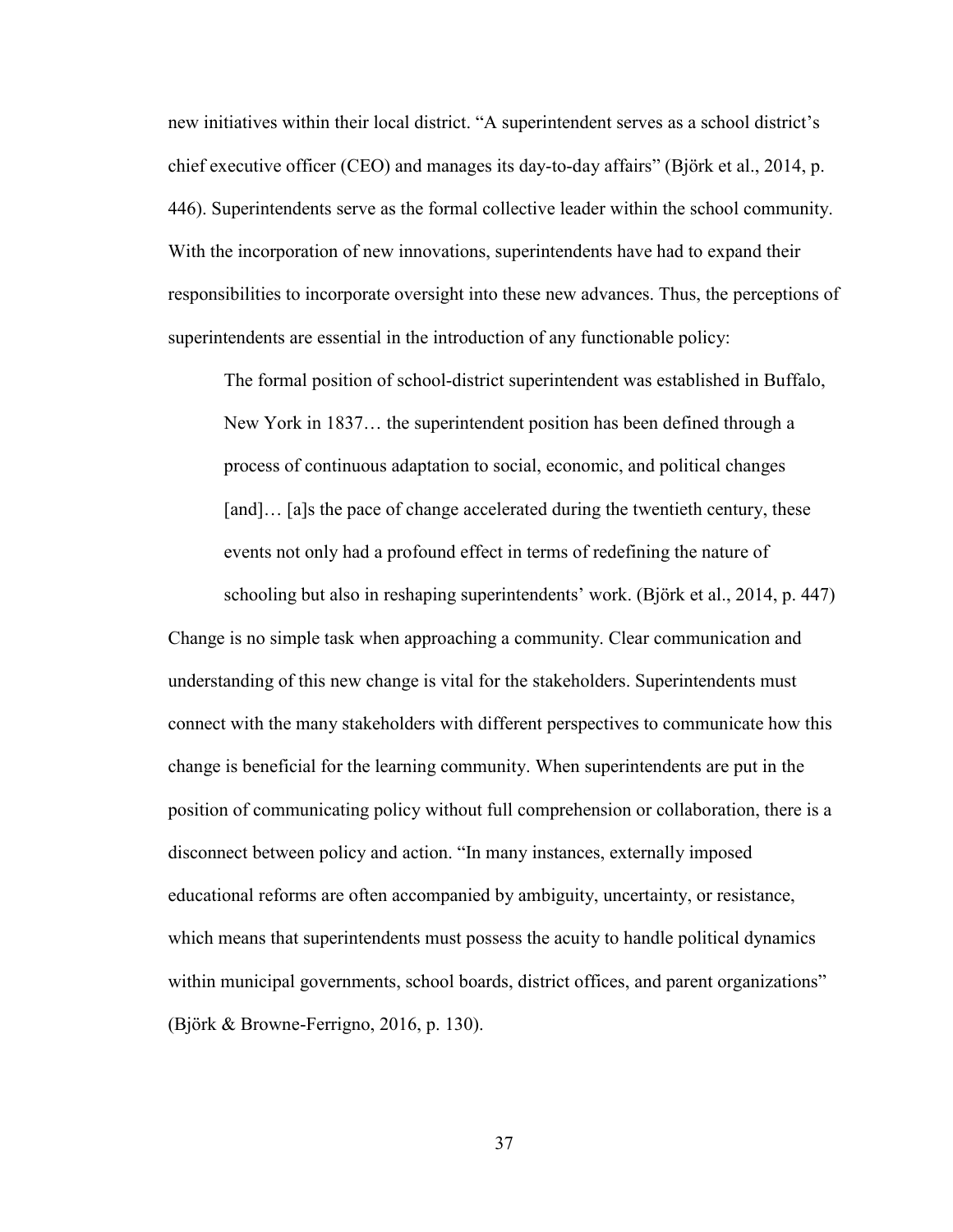new initiatives within their local district. "A superintendent serves as a school district's chief executive officer (CEO) and manages its day-to-day affairs" (Björk et al., 2014, p. 446). Superintendents serve as the formal collective leader within the school community. With the incorporation of new innovations, superintendents have had to expand their responsibilities to incorporate oversight into these new advances. Thus, the perceptions of superintendents are essential in the introduction of any functionable policy:

The formal position of school-district superintendent was established in Buffalo, New York in 1837… the superintendent position has been defined through a process of continuous adaptation to social, economic, and political changes [and]... [a]s the pace of change accelerated during the twentieth century, these events not only had a profound effect in terms of redefining the nature of

schooling but also in reshaping superintendents' work. (Björk et al., 2014, p. 447)

Change is no simple task when approaching a community. Clear communication and understanding of this new change is vital for the stakeholders. Superintendents must connect with the many stakeholders with different perspectives to communicate how this change is beneficial for the learning community. When superintendents are put in the position of communicating policy without full comprehension or collaboration, there is a disconnect between policy and action. "In many instances, externally imposed educational reforms are often accompanied by ambiguity, uncertainty, or resistance, which means that superintendents must possess the acuity to handle political dynamics within municipal governments, school boards, district offices, and parent organizations" (Björk & Browne-Ferrigno, 2016, p. 130).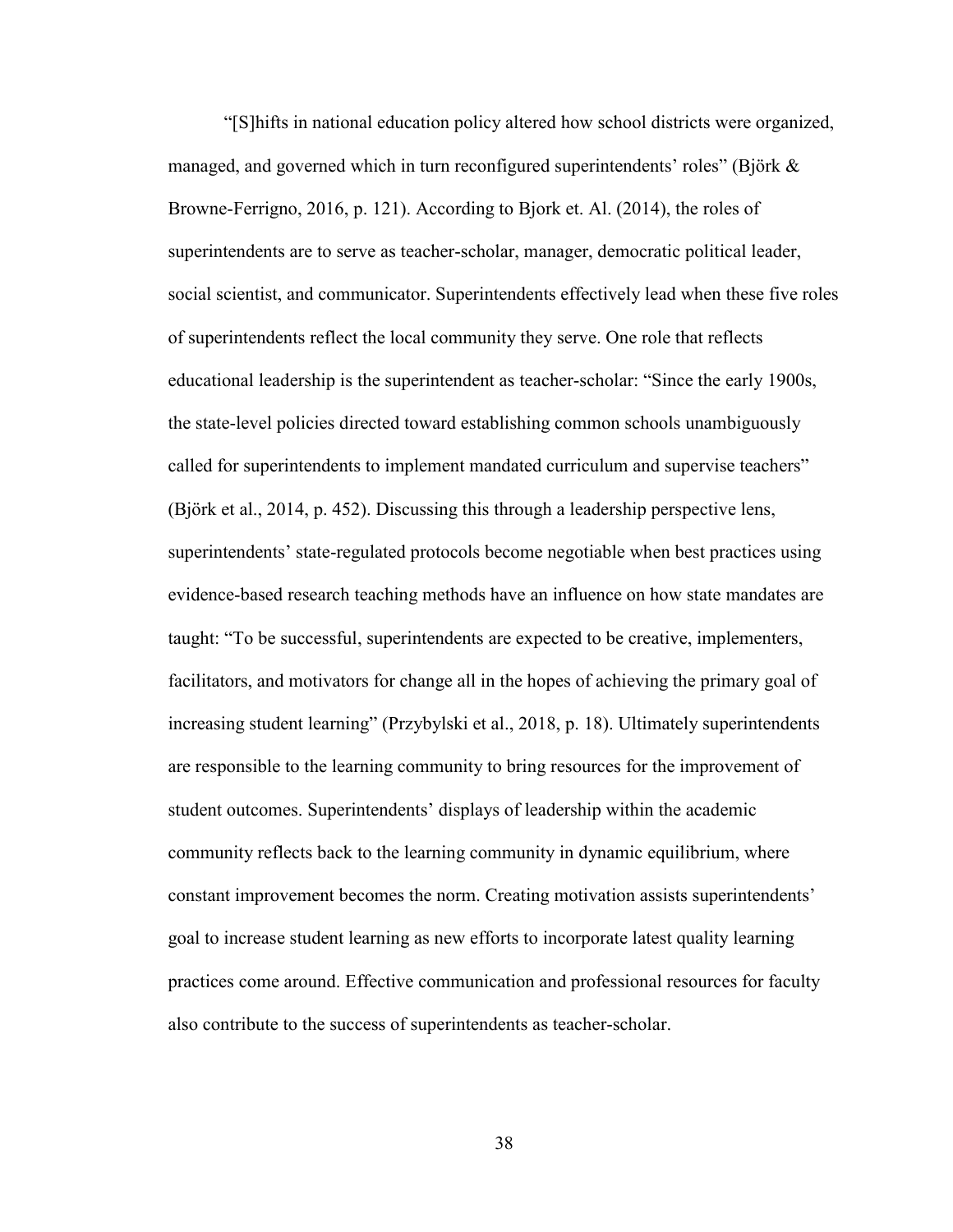"[S]hifts in national education policy altered how school districts were organized, managed, and governed which in turn reconfigured superintendents' roles" (Björk & Browne-Ferrigno, 2016, p. 121). According to Bjork et. Al. (2014), the roles of superintendents are to serve as teacher-scholar, manager, democratic political leader, social scientist, and communicator. Superintendents effectively lead when these five roles of superintendents reflect the local community they serve. One role that reflects educational leadership is the superintendent as teacher-scholar: "Since the early 1900s, the state-level policies directed toward establishing common schools unambiguously called for superintendents to implement mandated curriculum and supervise teachers" (Björk et al., 2014, p. 452). Discussing this through a leadership perspective lens, superintendents' state-regulated protocols become negotiable when best practices using evidence-based research teaching methods have an influence on how state mandates are taught: "To be successful, superintendents are expected to be creative, implementers, facilitators, and motivators for change all in the hopes of achieving the primary goal of increasing student learning" (Przybylski et al., 2018, p. 18). Ultimately superintendents are responsible to the learning community to bring resources for the improvement of student outcomes. Superintendents' displays of leadership within the academic community reflects back to the learning community in dynamic equilibrium, where constant improvement becomes the norm. Creating motivation assists superintendents' goal to increase student learning as new efforts to incorporate latest quality learning practices come around. Effective communication and professional resources for faculty also contribute to the success of superintendents as teacher-scholar.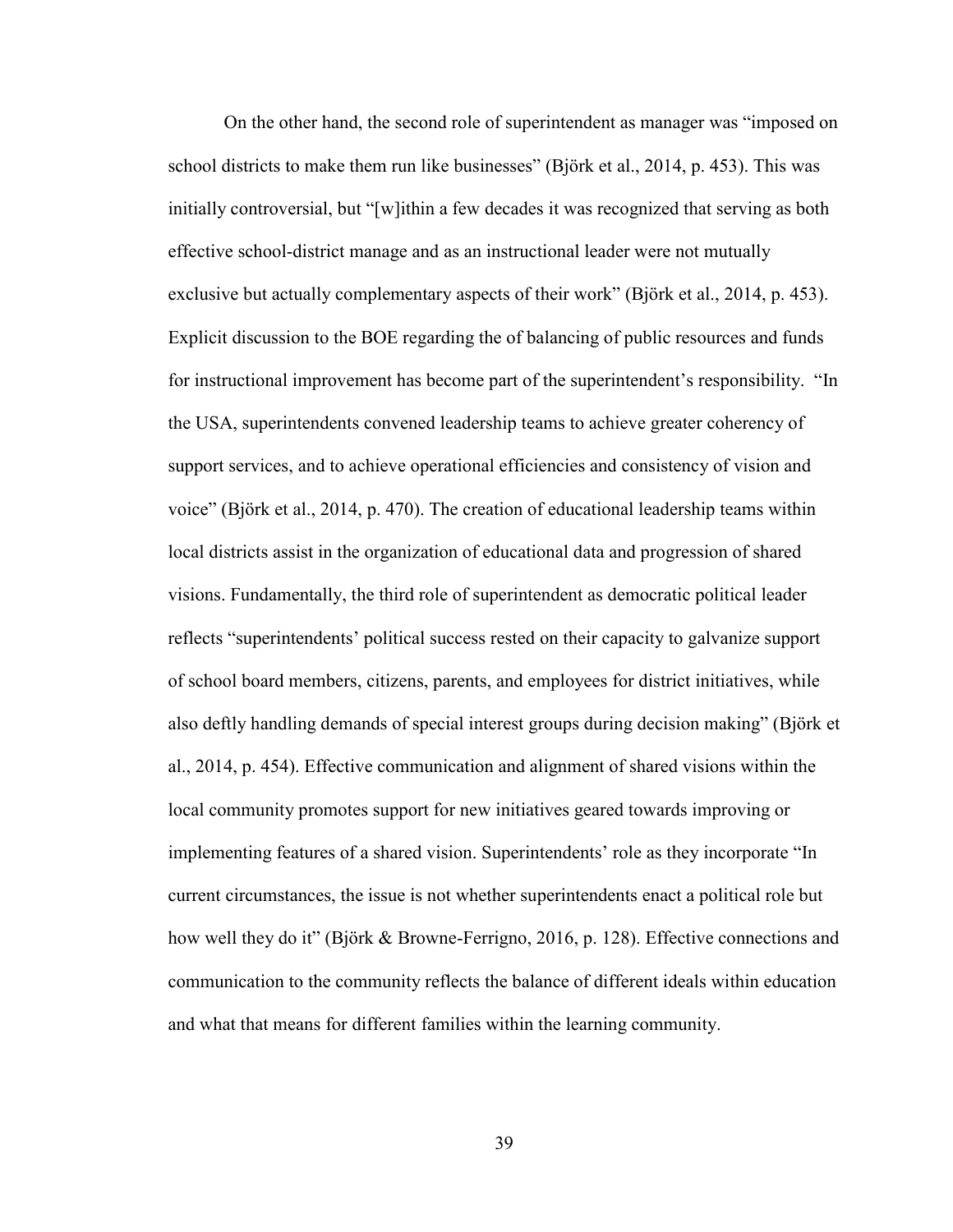On the other hand, the second role of superintendent as manager was "imposed on school districts to make them run like businesses" (Björk et al., 2014, p. 453). This was initially controversial, but "[w]ithin a few decades it was recognized that serving as both effective school-district manage and as an instructional leader were not mutually exclusive but actually complementary aspects of their work" (Björk et al., 2014, p. 453). Explicit discussion to the BOE regarding the of balancing of public resources and funds for instructional improvement has become part of the superintendent's responsibility. "In the USA, superintendents convened leadership teams to achieve greater coherency of support services, and to achieve operational efficiencies and consistency of vision and voice" (Björk et al., 2014, p. 470). The creation of educational leadership teams within local districts assist in the organization of educational data and progression of shared visions. Fundamentally, the third role of superintendent as democratic political leader reflects "superintendents' political success rested on their capacity to galvanize support of school board members, citizens, parents, and employees for district initiatives, while also deftly handling demands of special interest groups during decision making" (Björk et al., 2014, p. 454). Effective communication and alignment of shared visions within the local community promotes support for new initiatives geared towards improving or implementing features of a shared vision. Superintendents' role as they incorporate "In current circumstances, the issue is not whether superintendents enact a political role but how well they do it" (Björk & Browne-Ferrigno, 2016, p. 128). Effective connections and communication to the community reflects the balance of different ideals within education and what that means for different families within the learning community.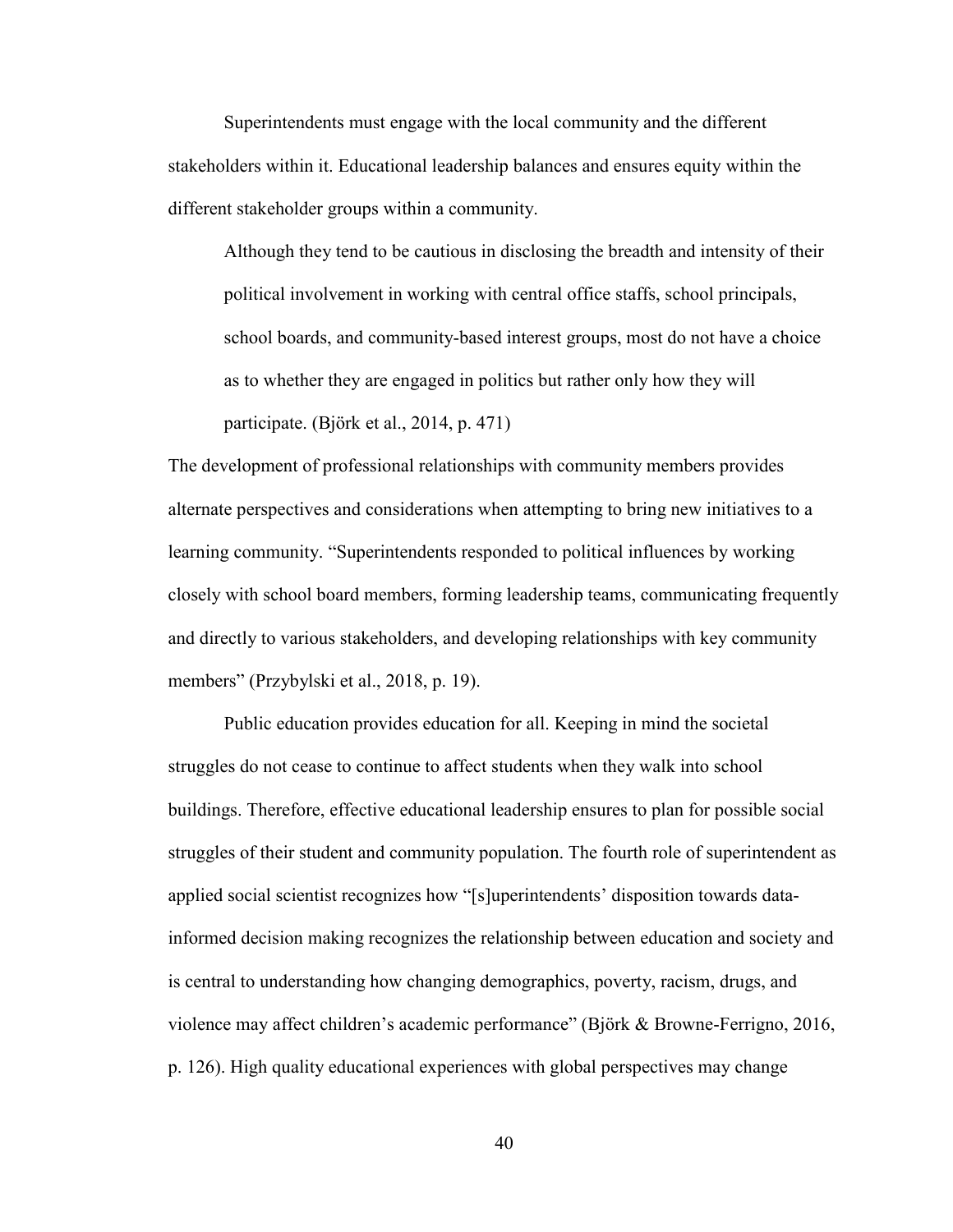Superintendents must engage with the local community and the different stakeholders within it. Educational leadership balances and ensures equity within the different stakeholder groups within a community.

Although they tend to be cautious in disclosing the breadth and intensity of their political involvement in working with central office staffs, school principals, school boards, and community-based interest groups, most do not have a choice as to whether they are engaged in politics but rather only how they will participate. (Björk et al., 2014, p. 471)

The development of professional relationships with community members provides alternate perspectives and considerations when attempting to bring new initiatives to a learning community. "Superintendents responded to political influences by working closely with school board members, forming leadership teams, communicating frequently and directly to various stakeholders, and developing relationships with key community members" (Przybylski et al., 2018, p. 19).

Public education provides education for all. Keeping in mind the societal struggles do not cease to continue to affect students when they walk into school buildings. Therefore, effective educational leadership ensures to plan for possible social struggles of their student and community population. The fourth role of superintendent as applied social scientist recognizes how "[s]uperintendents' disposition towards datainformed decision making recognizes the relationship between education and society and is central to understanding how changing demographics, poverty, racism, drugs, and violence may affect children's academic performance" (Björk & Browne-Ferrigno, 2016, p. 126). High quality educational experiences with global perspectives may change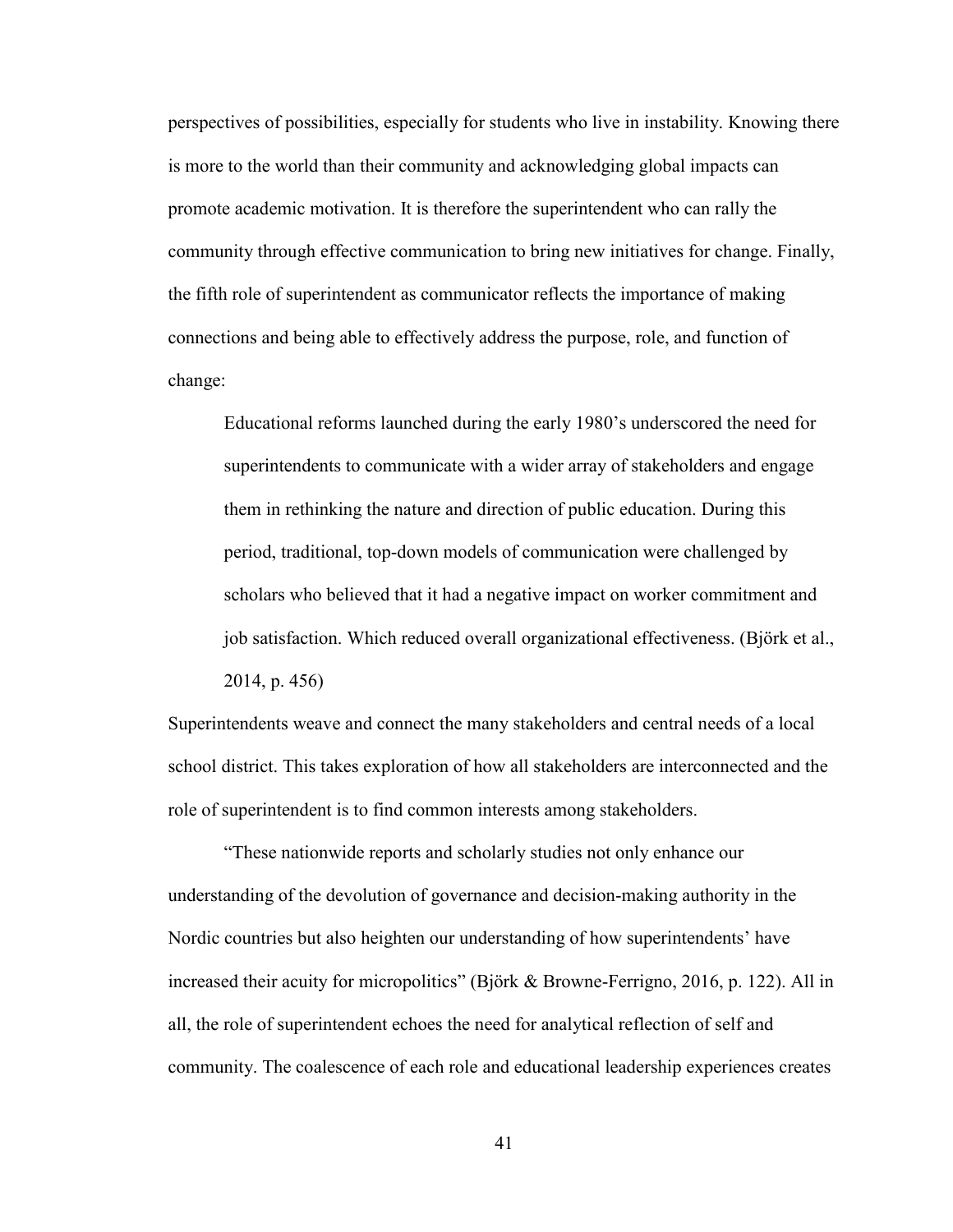perspectives of possibilities, especially for students who live in instability. Knowing there is more to the world than their community and acknowledging global impacts can promote academic motivation. It is therefore the superintendent who can rally the community through effective communication to bring new initiatives for change. Finally, the fifth role of superintendent as communicator reflects the importance of making connections and being able to effectively address the purpose, role, and function of change:

Educational reforms launched during the early 1980's underscored the need for superintendents to communicate with a wider array of stakeholders and engage them in rethinking the nature and direction of public education. During this period, traditional, top-down models of communication were challenged by scholars who believed that it had a negative impact on worker commitment and job satisfaction. Which reduced overall organizational effectiveness. (Björk et al., 2014, p. 456)

Superintendents weave and connect the many stakeholders and central needs of a local school district. This takes exploration of how all stakeholders are interconnected and the role of superintendent is to find common interests among stakeholders.

"These nationwide reports and scholarly studies not only enhance our understanding of the devolution of governance and decision-making authority in the Nordic countries but also heighten our understanding of how superintendents' have increased their acuity for micropolitics" (Björk & Browne-Ferrigno, 2016, p. 122). All in all, the role of superintendent echoes the need for analytical reflection of self and community. The coalescence of each role and educational leadership experiences creates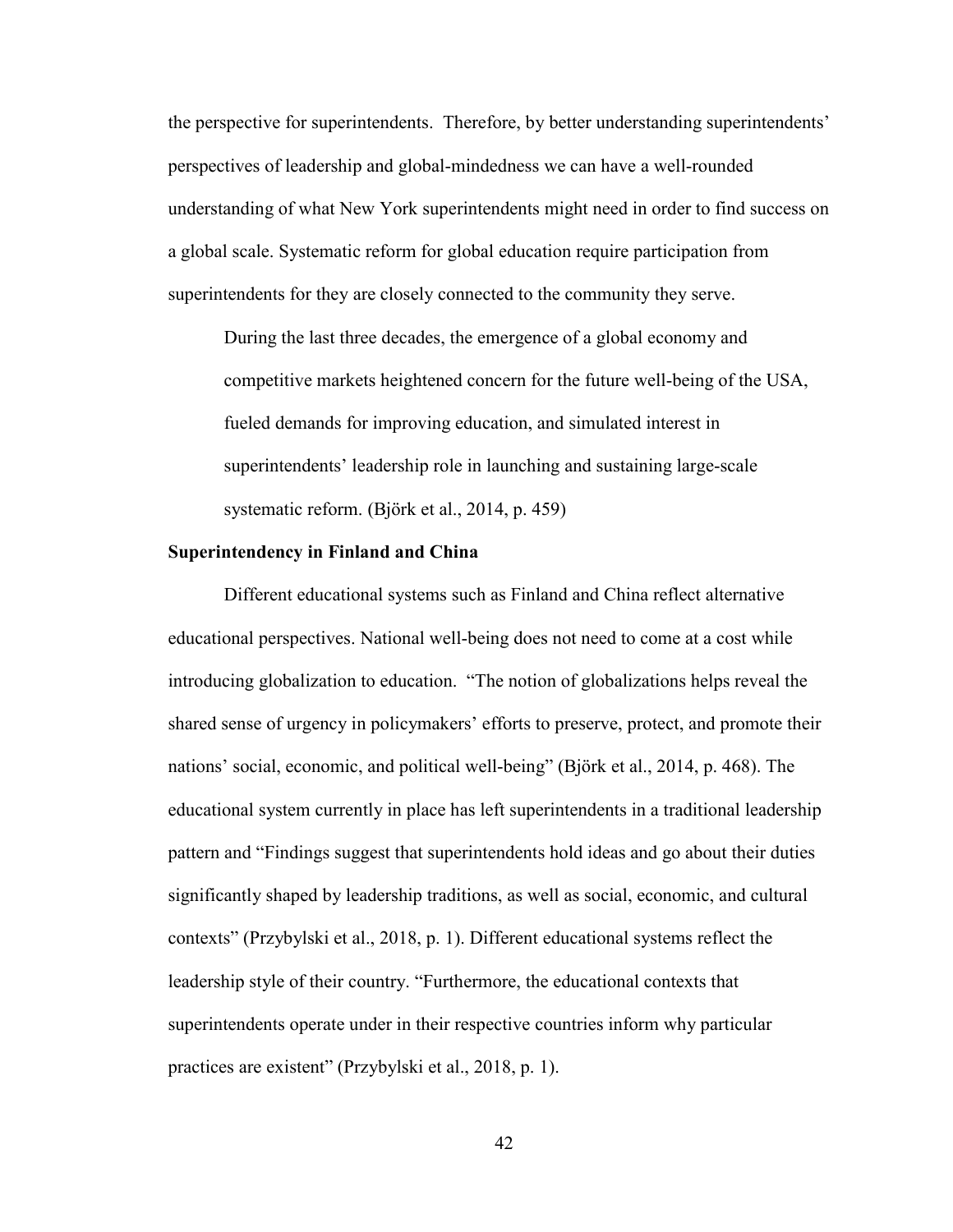the perspective for superintendents. Therefore, by better understanding superintendents' perspectives of leadership and global-mindedness we can have a well-rounded understanding of what New York superintendents might need in order to find success on a global scale. Systematic reform for global education require participation from superintendents for they are closely connected to the community they serve.

During the last three decades, the emergence of a global economy and competitive markets heightened concern for the future well-being of the USA, fueled demands for improving education, and simulated interest in superintendents' leadership role in launching and sustaining large-scale systematic reform. (Björk et al., 2014, p. 459)

#### **Superintendency in Finland and China**

Different educational systems such as Finland and China reflect alternative educational perspectives. National well-being does not need to come at a cost while introducing globalization to education. "The notion of globalizations helps reveal the shared sense of urgency in policymakers' efforts to preserve, protect, and promote their nations' social, economic, and political well-being" (Björk et al., 2014, p. 468). The educational system currently in place has left superintendents in a traditional leadership pattern and "Findings suggest that superintendents hold ideas and go about their duties significantly shaped by leadership traditions, as well as social, economic, and cultural contexts" (Przybylski et al., 2018, p. 1). Different educational systems reflect the leadership style of their country. "Furthermore, the educational contexts that superintendents operate under in their respective countries inform why particular practices are existent" (Przybylski et al., 2018, p. 1).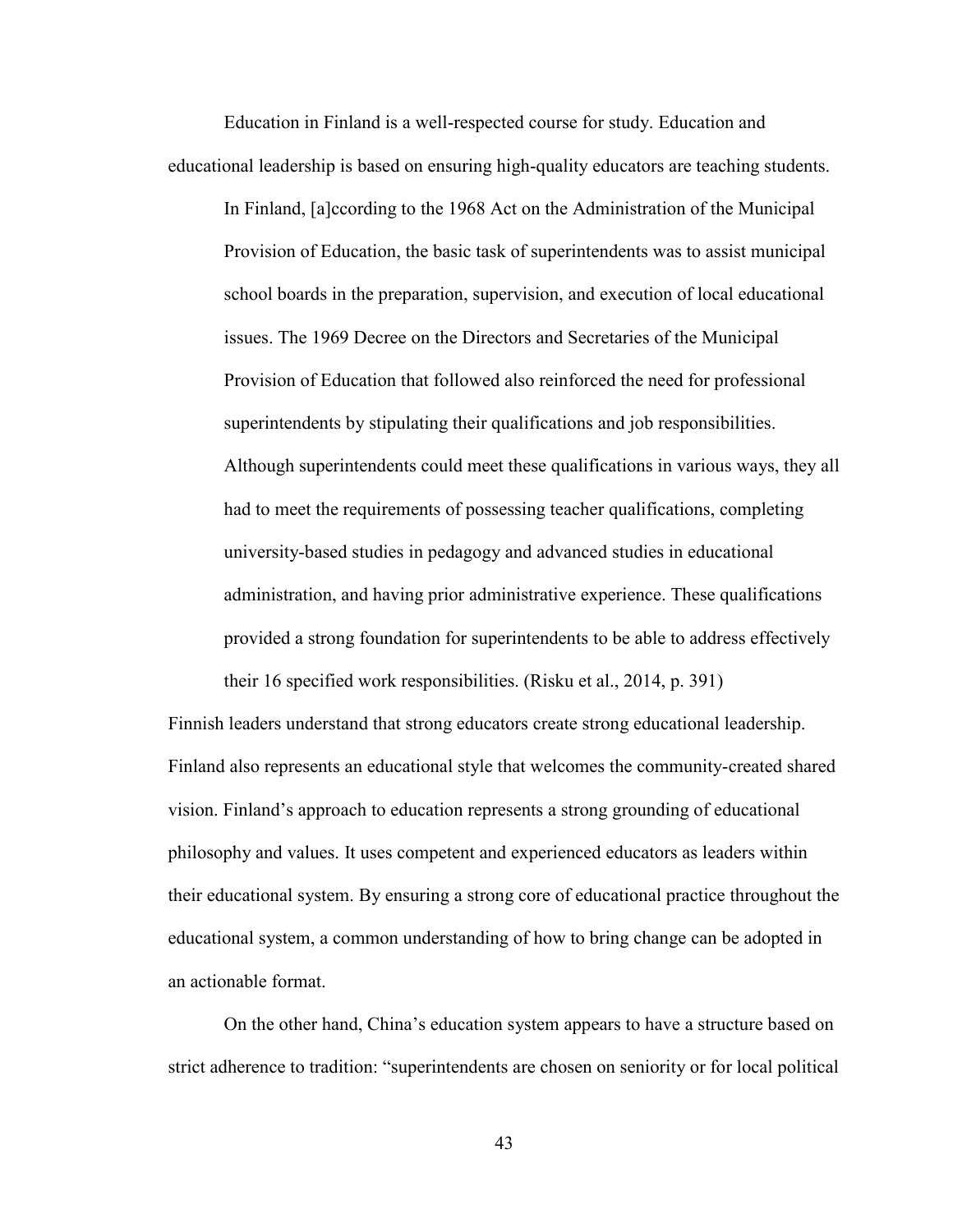Education in Finland is a well-respected course for study. Education and educational leadership is based on ensuring high-quality educators are teaching students.

In Finland, [a]ccording to the 1968 Act on the Administration of the Municipal Provision of Education, the basic task of superintendents was to assist municipal school boards in the preparation, supervision, and execution of local educational issues. The 1969 Decree on the Directors and Secretaries of the Municipal Provision of Education that followed also reinforced the need for professional superintendents by stipulating their qualifications and job responsibilities. Although superintendents could meet these qualifications in various ways, they all had to meet the requirements of possessing teacher qualifications, completing university-based studies in pedagogy and advanced studies in educational administration, and having prior administrative experience. These qualifications provided a strong foundation for superintendents to be able to address effectively their 16 specified work responsibilities. (Risku et al., 2014, p. 391)

Finnish leaders understand that strong educators create strong educational leadership. Finland also represents an educational style that welcomes the community-created shared vision. Finland's approach to education represents a strong grounding of educational philosophy and values. It uses competent and experienced educators as leaders within their educational system. By ensuring a strong core of educational practice throughout the educational system, a common understanding of how to bring change can be adopted in an actionable format.

On the other hand, China's education system appears to have a structure based on strict adherence to tradition: "superintendents are chosen on seniority or for local political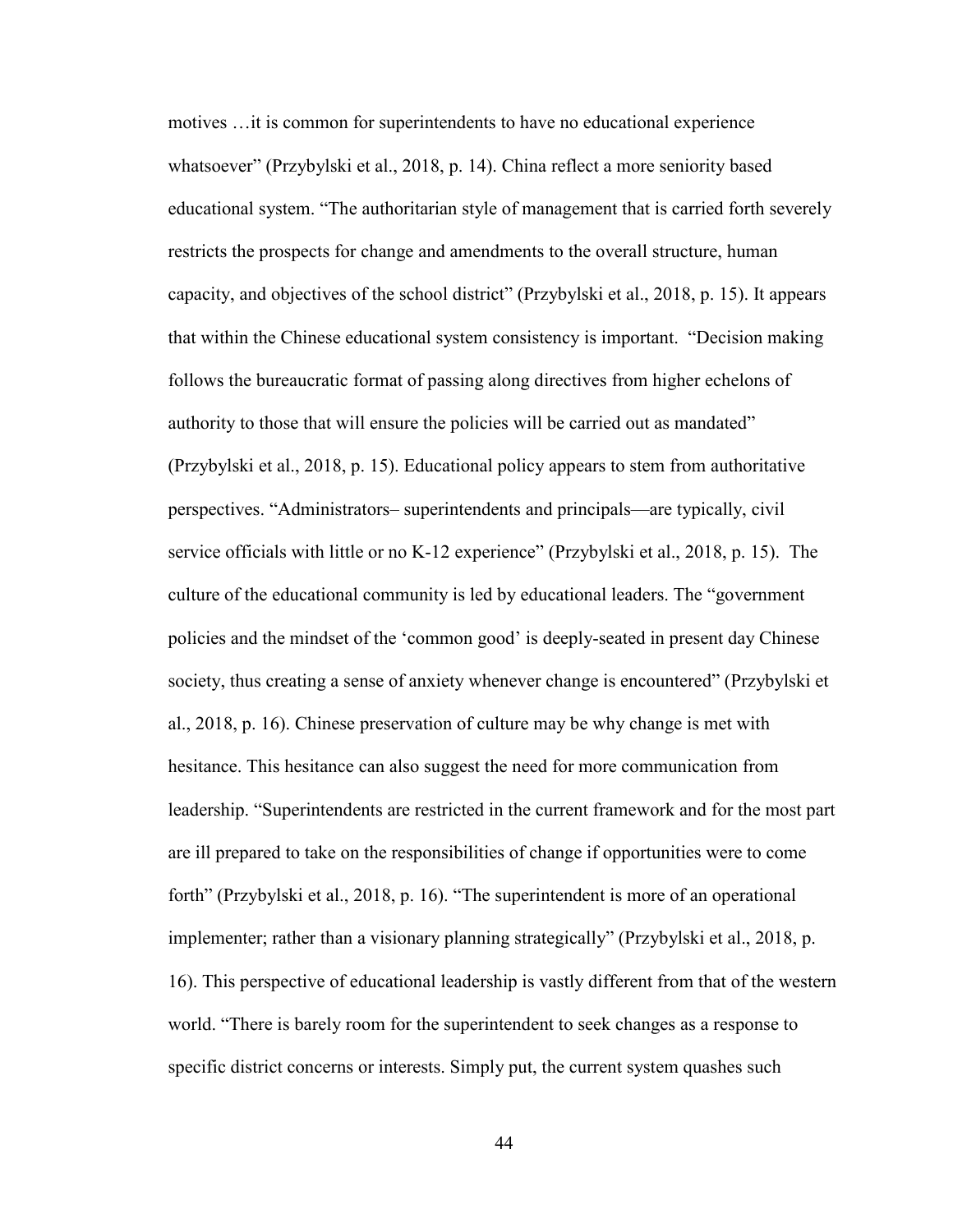motives …it is common for superintendents to have no educational experience whatsoever" (Przybylski et al., 2018, p. 14). China reflect a more seniority based educational system. "The authoritarian style of management that is carried forth severely restricts the prospects for change and amendments to the overall structure, human capacity, and objectives of the school district" (Przybylski et al., 2018, p. 15). It appears that within the Chinese educational system consistency is important. "Decision making follows the bureaucratic format of passing along directives from higher echelons of authority to those that will ensure the policies will be carried out as mandated" (Przybylski et al., 2018, p. 15). Educational policy appears to stem from authoritative perspectives. "Administrators– superintendents and principals––are typically, civil service officials with little or no K-12 experience" (Przybylski et al., 2018, p. 15). The culture of the educational community is led by educational leaders. The "government policies and the mindset of the 'common good' is deeply-seated in present day Chinese society, thus creating a sense of anxiety whenever change is encountered" (Przybylski et al., 2018, p. 16). Chinese preservation of culture may be why change is met with hesitance. This hesitance can also suggest the need for more communication from leadership. "Superintendents are restricted in the current framework and for the most part are ill prepared to take on the responsibilities of change if opportunities were to come forth" (Przybylski et al., 2018, p. 16). "The superintendent is more of an operational implementer; rather than a visionary planning strategically" (Przybylski et al., 2018, p. 16). This perspective of educational leadership is vastly different from that of the western world. "There is barely room for the superintendent to seek changes as a response to specific district concerns or interests. Simply put, the current system quashes such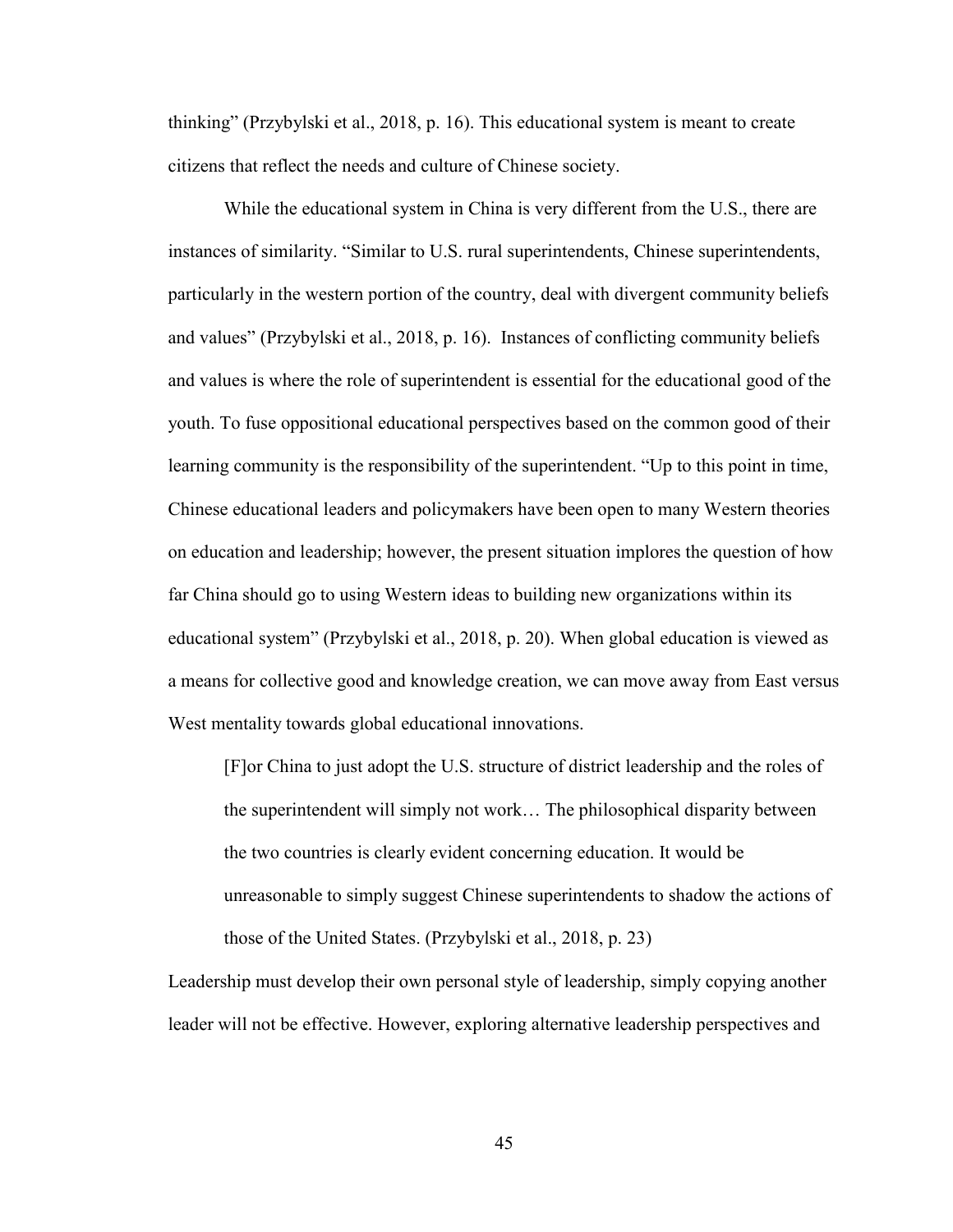thinking" (Przybylski et al., 2018, p. 16). This educational system is meant to create citizens that reflect the needs and culture of Chinese society.

While the educational system in China is very different from the U.S., there are instances of similarity. "Similar to U.S. rural superintendents, Chinese superintendents, particularly in the western portion of the country, deal with divergent community beliefs and values" (Przybylski et al., 2018, p. 16). Instances of conflicting community beliefs and values is where the role of superintendent is essential for the educational good of the youth. To fuse oppositional educational perspectives based on the common good of their learning community is the responsibility of the superintendent. "Up to this point in time, Chinese educational leaders and policymakers have been open to many Western theories on education and leadership; however, the present situation implores the question of how far China should go to using Western ideas to building new organizations within its educational system" (Przybylski et al., 2018, p. 20). When global education is viewed as a means for collective good and knowledge creation, we can move away from East versus West mentality towards global educational innovations.

[F]or China to just adopt the U.S. structure of district leadership and the roles of the superintendent will simply not work… The philosophical disparity between the two countries is clearly evident concerning education. It would be unreasonable to simply suggest Chinese superintendents to shadow the actions of those of the United States. (Przybylski et al., 2018, p. 23)

Leadership must develop their own personal style of leadership, simply copying another leader will not be effective. However, exploring alternative leadership perspectives and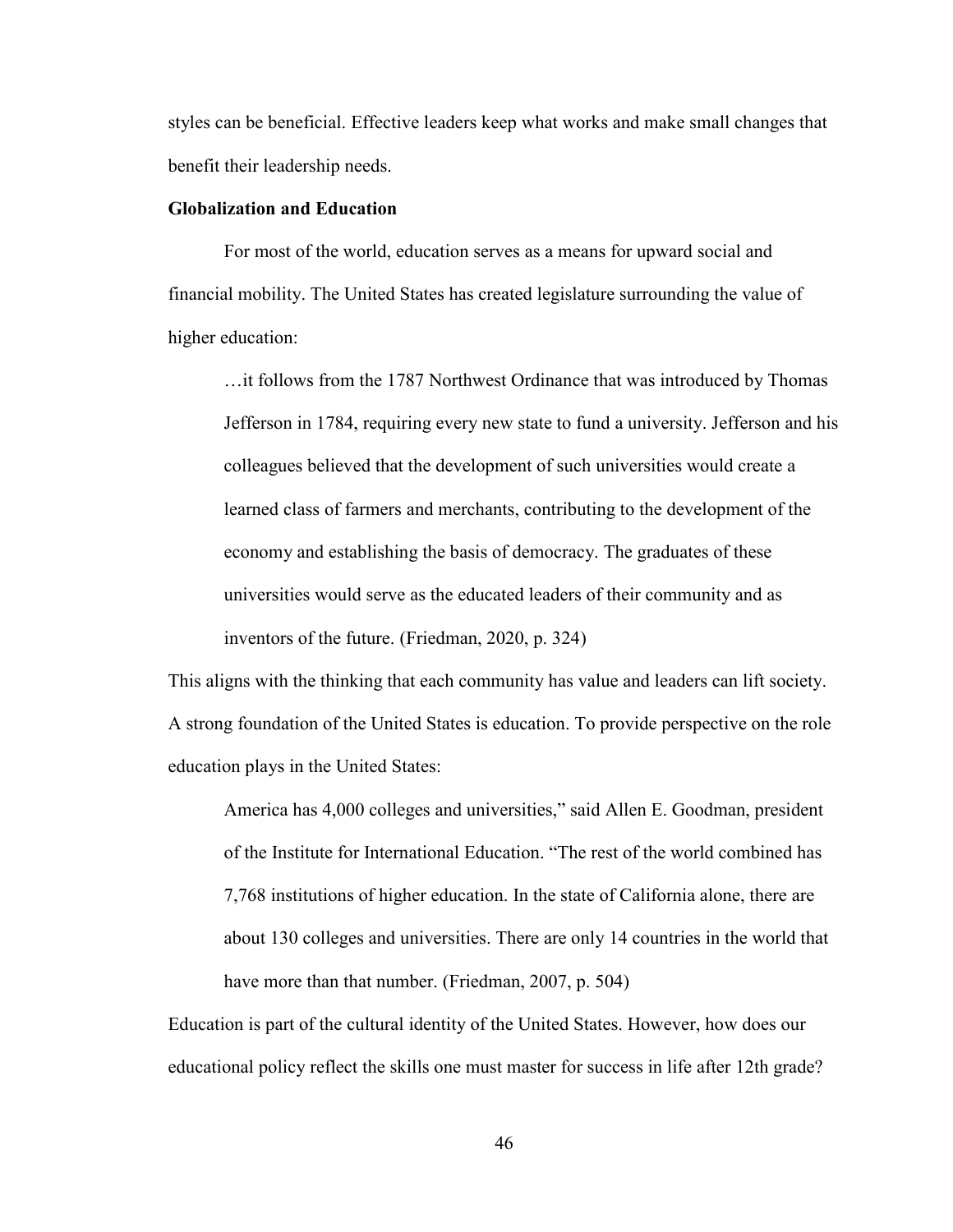styles can be beneficial. Effective leaders keep what works and make small changes that benefit their leadership needs.

# **Globalization and Education**

For most of the world, education serves as a means for upward social and financial mobility. The United States has created legislature surrounding the value of higher education:

…it follows from the 1787 Northwest Ordinance that was introduced by Thomas Jefferson in 1784, requiring every new state to fund a university. Jefferson and his colleagues believed that the development of such universities would create a learned class of farmers and merchants, contributing to the development of the economy and establishing the basis of democracy. The graduates of these universities would serve as the educated leaders of their community and as inventors of the future. (Friedman, 2020, p. 324)

This aligns with the thinking that each community has value and leaders can lift society. A strong foundation of the United States is education. To provide perspective on the role education plays in the United States:

America has 4,000 colleges and universities," said Allen E. Goodman, president of the Institute for International Education. "The rest of the world combined has 7,768 institutions of higher education. In the state of California alone, there are about 130 colleges and universities. There are only 14 countries in the world that have more than that number. (Friedman, 2007, p. 504)

Education is part of the cultural identity of the United States. However, how does our educational policy reflect the skills one must master for success in life after 12th grade?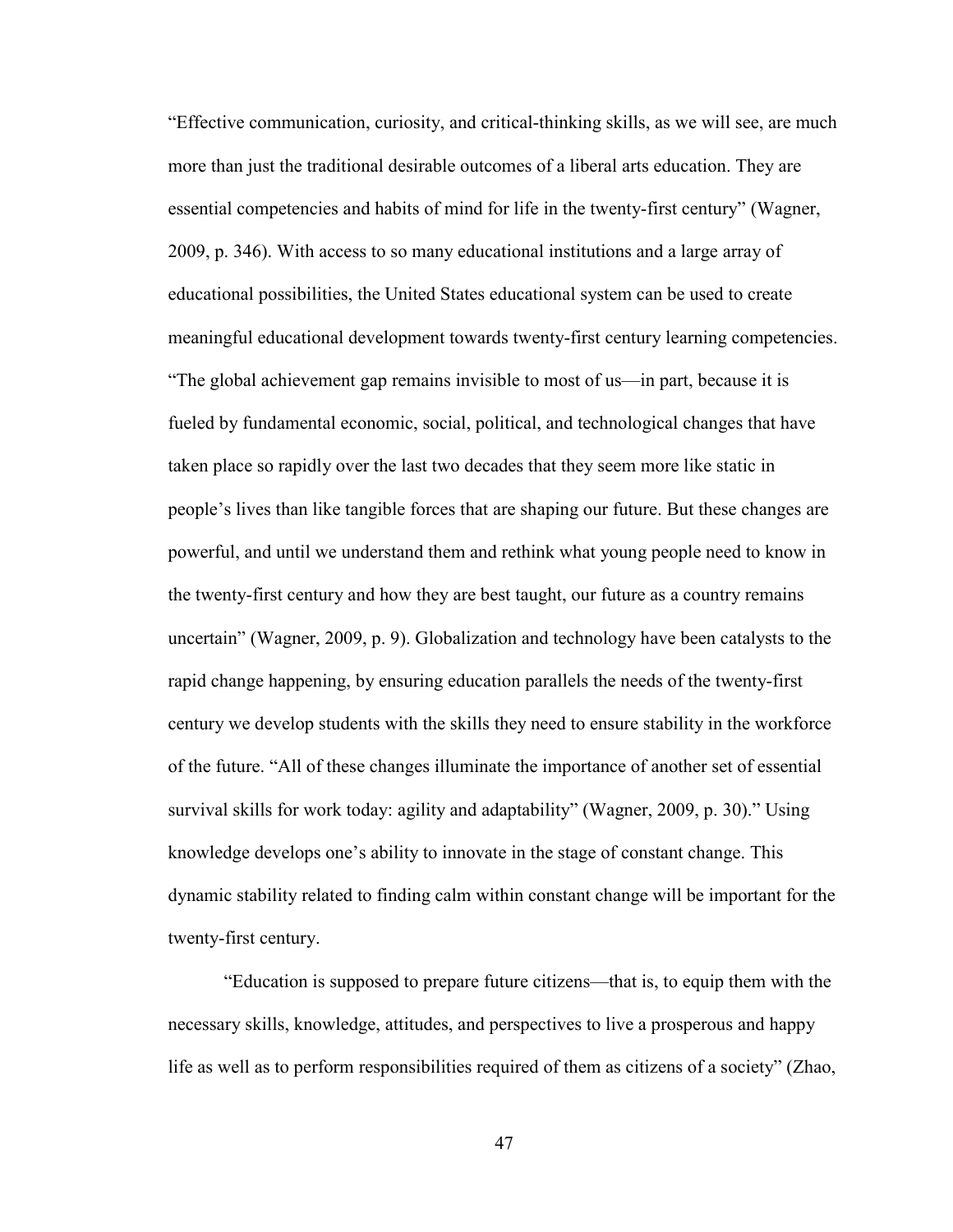"Effective communication, curiosity, and critical-thinking skills, as we will see, are much more than just the traditional desirable outcomes of a liberal arts education. They are essential competencies and habits of mind for life in the twenty-first century" (Wagner, 2009, p. 346). With access to so many educational institutions and a large array of educational possibilities, the United States educational system can be used to create meaningful educational development towards twenty-first century learning competencies. "The global achievement gap remains invisible to most of us—in part, because it is fueled by fundamental economic, social, political, and technological changes that have taken place so rapidly over the last two decades that they seem more like static in people's lives than like tangible forces that are shaping our future. But these changes are powerful, and until we understand them and rethink what young people need to know in the twenty-first century and how they are best taught, our future as a country remains uncertain" (Wagner, 2009, p. 9). Globalization and technology have been catalysts to the rapid change happening, by ensuring education parallels the needs of the twenty-first century we develop students with the skills they need to ensure stability in the workforce of the future. "All of these changes illuminate the importance of another set of essential survival skills for work today: agility and adaptability" (Wagner, 2009, p. 30)." Using knowledge develops one's ability to innovate in the stage of constant change. This dynamic stability related to finding calm within constant change will be important for the twenty-first century.

"Education is supposed to prepare future citizens—that is, to equip them with the necessary skills, knowledge, attitudes, and perspectives to live a prosperous and happy life as well as to perform responsibilities required of them as citizens of a society" (Zhao,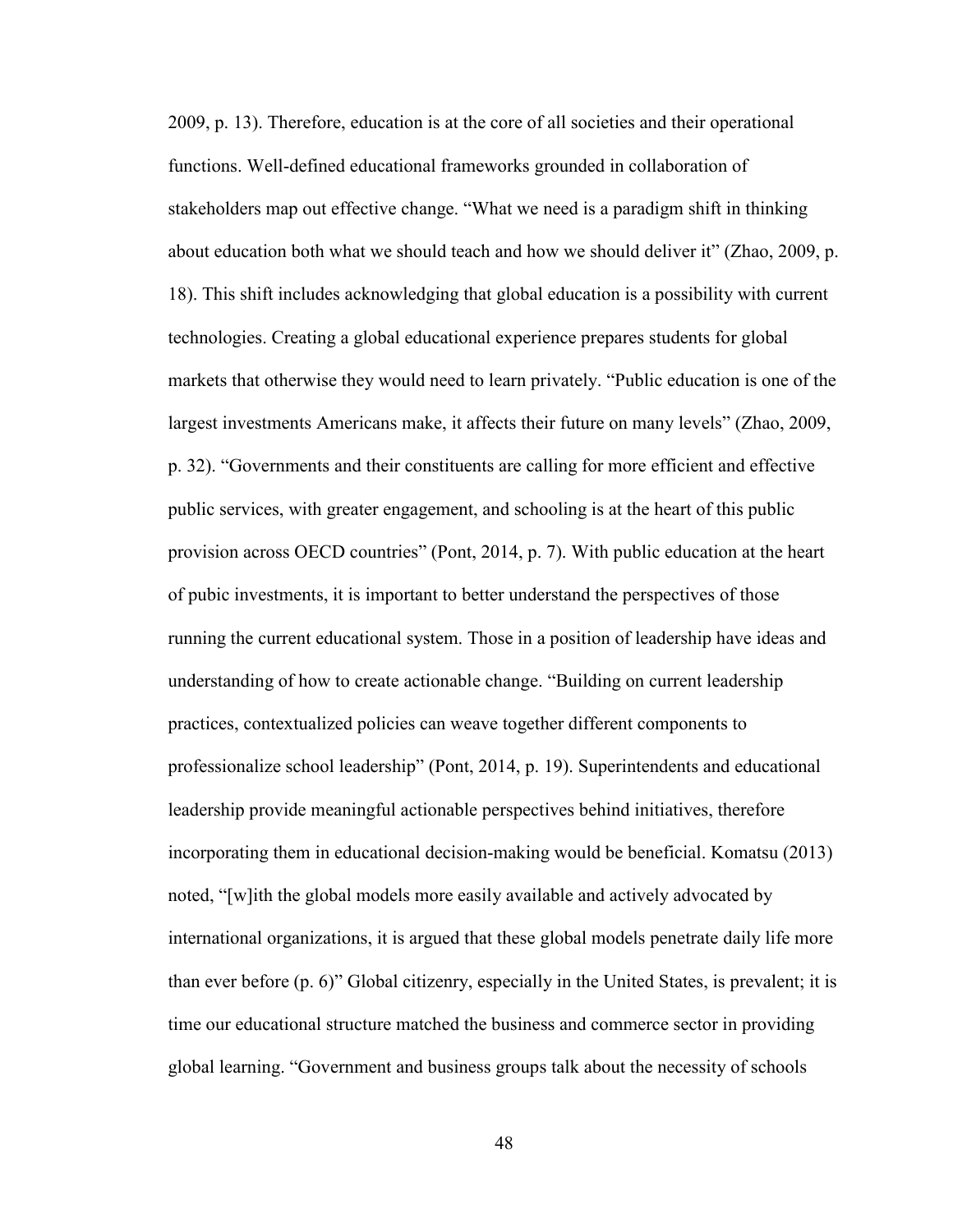2009, p. 13). Therefore, education is at the core of all societies and their operational functions. Well-defined educational frameworks grounded in collaboration of stakeholders map out effective change. "What we need is a paradigm shift in thinking about education both what we should teach and how we should deliver it" (Zhao, 2009, p. 18). This shift includes acknowledging that global education is a possibility with current technologies. Creating a global educational experience prepares students for global markets that otherwise they would need to learn privately. "Public education is one of the largest investments Americans make, it affects their future on many levels" (Zhao, 2009, p. 32). "Governments and their constituents are calling for more efficient and effective public services, with greater engagement, and schooling is at the heart of this public provision across OECD countries" (Pont, 2014, p. 7). With public education at the heart of pubic investments, it is important to better understand the perspectives of those running the current educational system. Those in a position of leadership have ideas and understanding of how to create actionable change. "Building on current leadership practices, contextualized policies can weave together different components to professionalize school leadership" (Pont, 2014, p. 19). Superintendents and educational leadership provide meaningful actionable perspectives behind initiatives, therefore incorporating them in educational decision-making would be beneficial. Komatsu (2013) noted, "[w]ith the global models more easily available and actively advocated by international organizations, it is argued that these global models penetrate daily life more than ever before (p. 6)" Global citizenry, especially in the United States, is prevalent; it is time our educational structure matched the business and commerce sector in providing global learning. "Government and business groups talk about the necessity of schools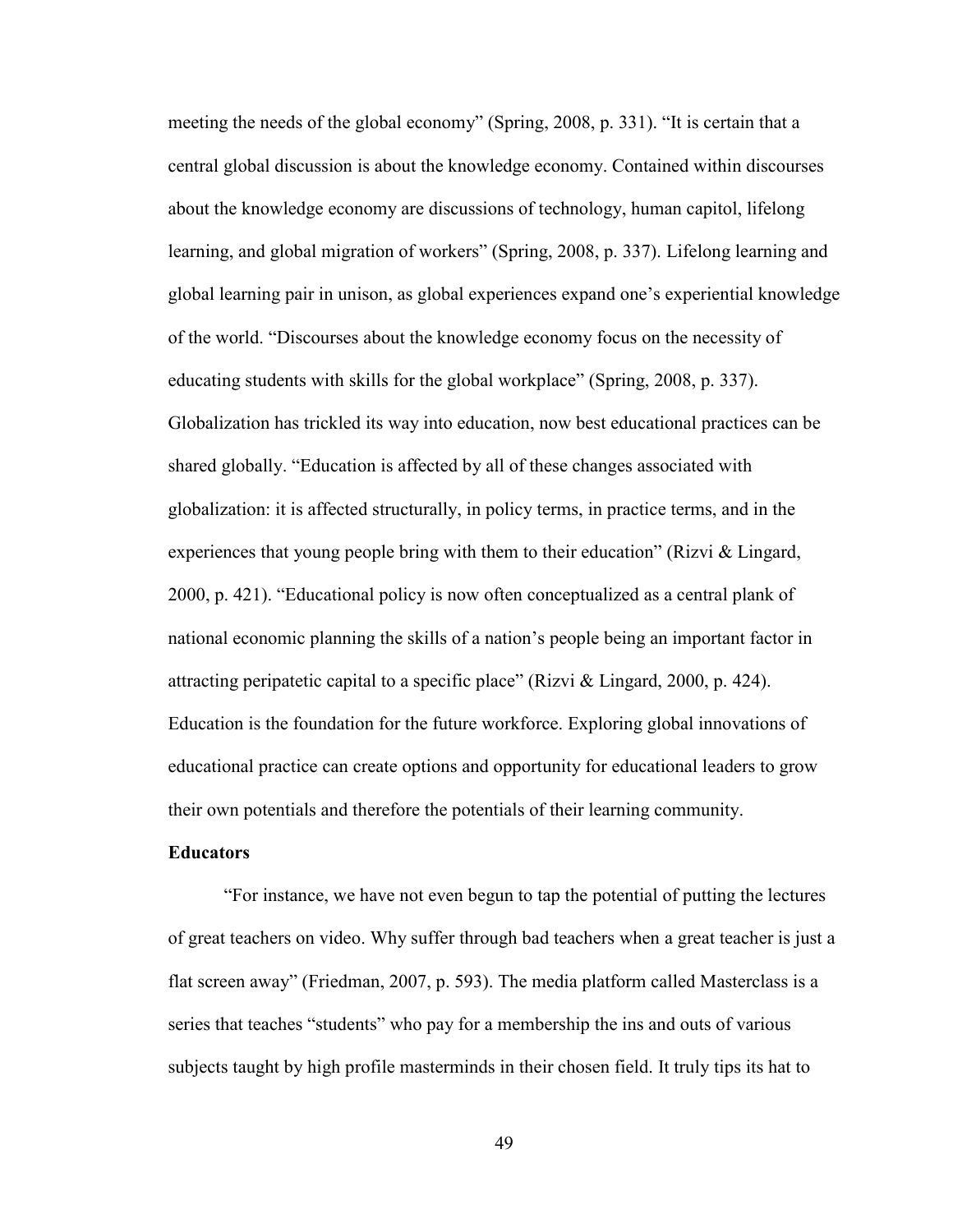meeting the needs of the global economy" (Spring, 2008, p. 331). "It is certain that a central global discussion is about the knowledge economy. Contained within discourses about the knowledge economy are discussions of technology, human capitol, lifelong learning, and global migration of workers" (Spring, 2008, p. 337). Lifelong learning and global learning pair in unison, as global experiences expand one's experiential knowledge of the world. "Discourses about the knowledge economy focus on the necessity of educating students with skills for the global workplace" (Spring, 2008, p. 337). Globalization has trickled its way into education, now best educational practices can be shared globally. "Education is affected by all of these changes associated with globalization: it is affected structurally, in policy terms, in practice terms, and in the experiences that young people bring with them to their education" (Rizvi & Lingard, 2000, p. 421). "Educational policy is now often conceptualized as a central plank of national economic planning the skills of a nation's people being an important factor in attracting peripatetic capital to a specific place" (Rizvi & Lingard, 2000, p. 424). Education is the foundation for the future workforce. Exploring global innovations of educational practice can create options and opportunity for educational leaders to grow their own potentials and therefore the potentials of their learning community.

## **Educators**

"For instance, we have not even begun to tap the potential of putting the lectures of great teachers on video. Why suffer through bad teachers when a great teacher is just a flat screen away" (Friedman, 2007, p. 593). The media platform called Masterclass is a series that teaches "students" who pay for a membership the ins and outs of various subjects taught by high profile masterminds in their chosen field. It truly tips its hat to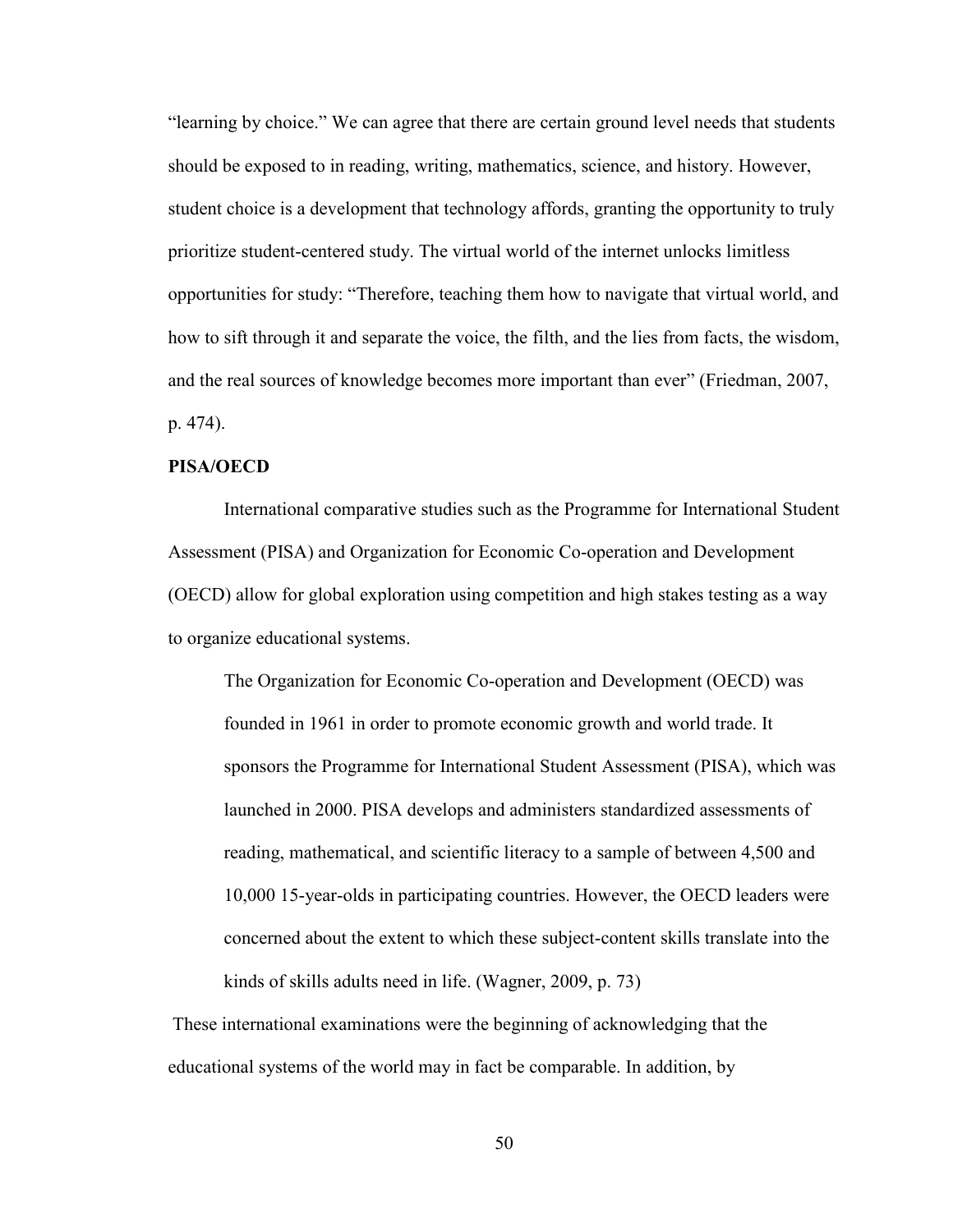"learning by choice." We can agree that there are certain ground level needs that students should be exposed to in reading, writing, mathematics, science, and history. However, student choice is a development that technology affords, granting the opportunity to truly prioritize student-centered study. The virtual world of the internet unlocks limitless opportunities for study: "Therefore, teaching them how to navigate that virtual world, and how to sift through it and separate the voice, the filth, and the lies from facts, the wisdom, and the real sources of knowledge becomes more important than ever" (Friedman, 2007, p. 474).

## **PISA/OECD**

International comparative studies such as the Programme for International Student Assessment (PISA) and Organization for Economic Co-operation and Development (OECD) allow for global exploration using competition and high stakes testing as a way to organize educational systems.

The Organization for Economic Co-operation and Development (OECD) was founded in 1961 in order to promote economic growth and world trade. It sponsors the Programme for International Student Assessment (PISA), which was launched in 2000. PISA develops and administers standardized assessments of reading, mathematical, and scientific literacy to a sample of between 4,500 and 10,000 15-year-olds in participating countries. However, the OECD leaders were concerned about the extent to which these subject-content skills translate into the kinds of skills adults need in life. (Wagner, 2009, p. 73)

 These international examinations were the beginning of acknowledging that the educational systems of the world may in fact be comparable. In addition, by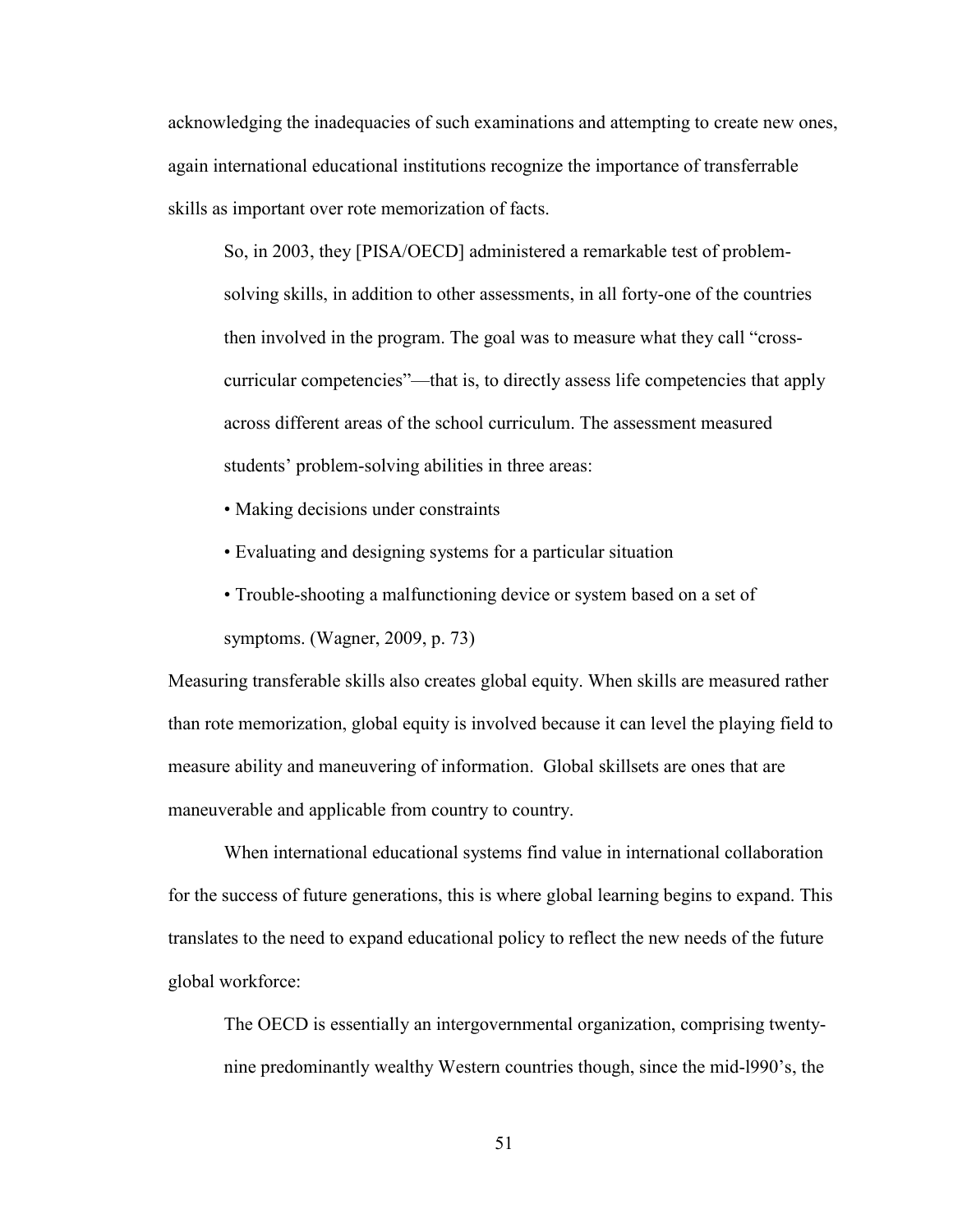acknowledging the inadequacies of such examinations and attempting to create new ones, again international educational institutions recognize the importance of transferrable skills as important over rote memorization of facts.

So, in 2003, they [PISA/OECD] administered a remarkable test of problemsolving skills, in addition to other assessments, in all forty-one of the countries then involved in the program. The goal was to measure what they call "crosscurricular competencies"—that is, to directly assess life competencies that apply across different areas of the school curriculum. The assessment measured students' problem-solving abilities in three areas:

- Making decisions under constraints
- Evaluating and designing systems for a particular situation
- Trouble-shooting a malfunctioning device or system based on a set of symptoms. (Wagner, 2009, p. 73)

Measuring transferable skills also creates global equity. When skills are measured rather than rote memorization, global equity is involved because it can level the playing field to measure ability and maneuvering of information. Global skillsets are ones that are maneuverable and applicable from country to country.

When international educational systems find value in international collaboration for the success of future generations, this is where global learning begins to expand. This translates to the need to expand educational policy to reflect the new needs of the future global workforce:

The OECD is essentially an intergovernmental organization, comprising twentynine predominantly wealthy Western countries though, since the mid-l990's, the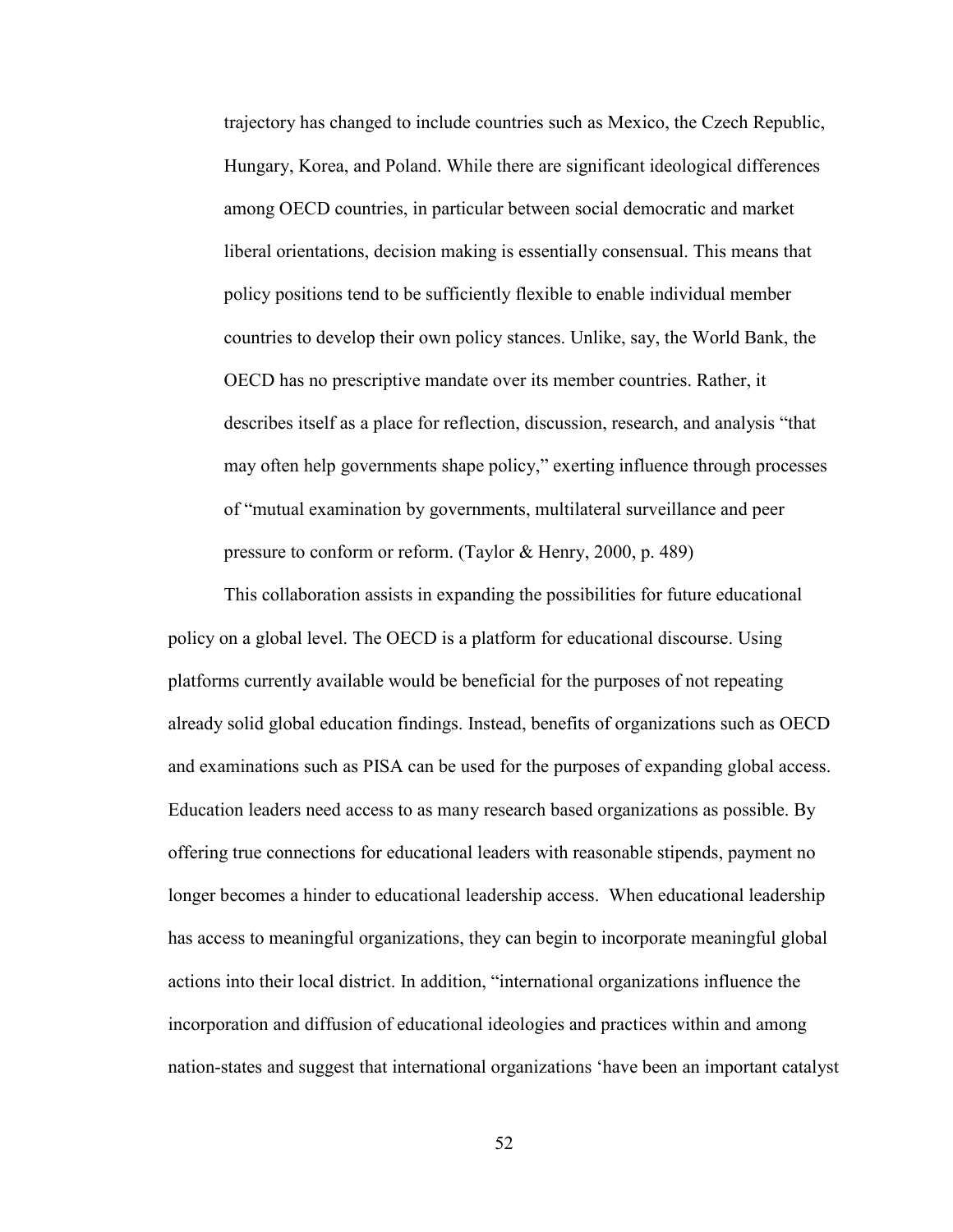trajectory has changed to include countries such as Mexico, the Czech Republic, Hungary, Korea, and Poland. While there are significant ideological differences among OECD countries, in particular between social democratic and market liberal orientations, decision making is essentially consensual. This means that policy positions tend to be sufficiently flexible to enable individual member countries to develop their own policy stances. Unlike, say, the World Bank, the OECD has no prescriptive mandate over its member countries. Rather, it describes itself as a place for reflection, discussion, research, and analysis "that may often help governments shape policy," exerting influence through processes of "mutual examination by governments, multilateral surveillance and peer pressure to conform or reform. (Taylor & Henry, 2000, p. 489)

This collaboration assists in expanding the possibilities for future educational policy on a global level. The OECD is a platform for educational discourse. Using platforms currently available would be beneficial for the purposes of not repeating already solid global education findings. Instead, benefits of organizations such as OECD and examinations such as PISA can be used for the purposes of expanding global access. Education leaders need access to as many research based organizations as possible. By offering true connections for educational leaders with reasonable stipends, payment no longer becomes a hinder to educational leadership access. When educational leadership has access to meaningful organizations, they can begin to incorporate meaningful global actions into their local district. In addition, "international organizations influence the incorporation and diffusion of educational ideologies and practices within and among nation-states and suggest that international organizations 'have been an important catalyst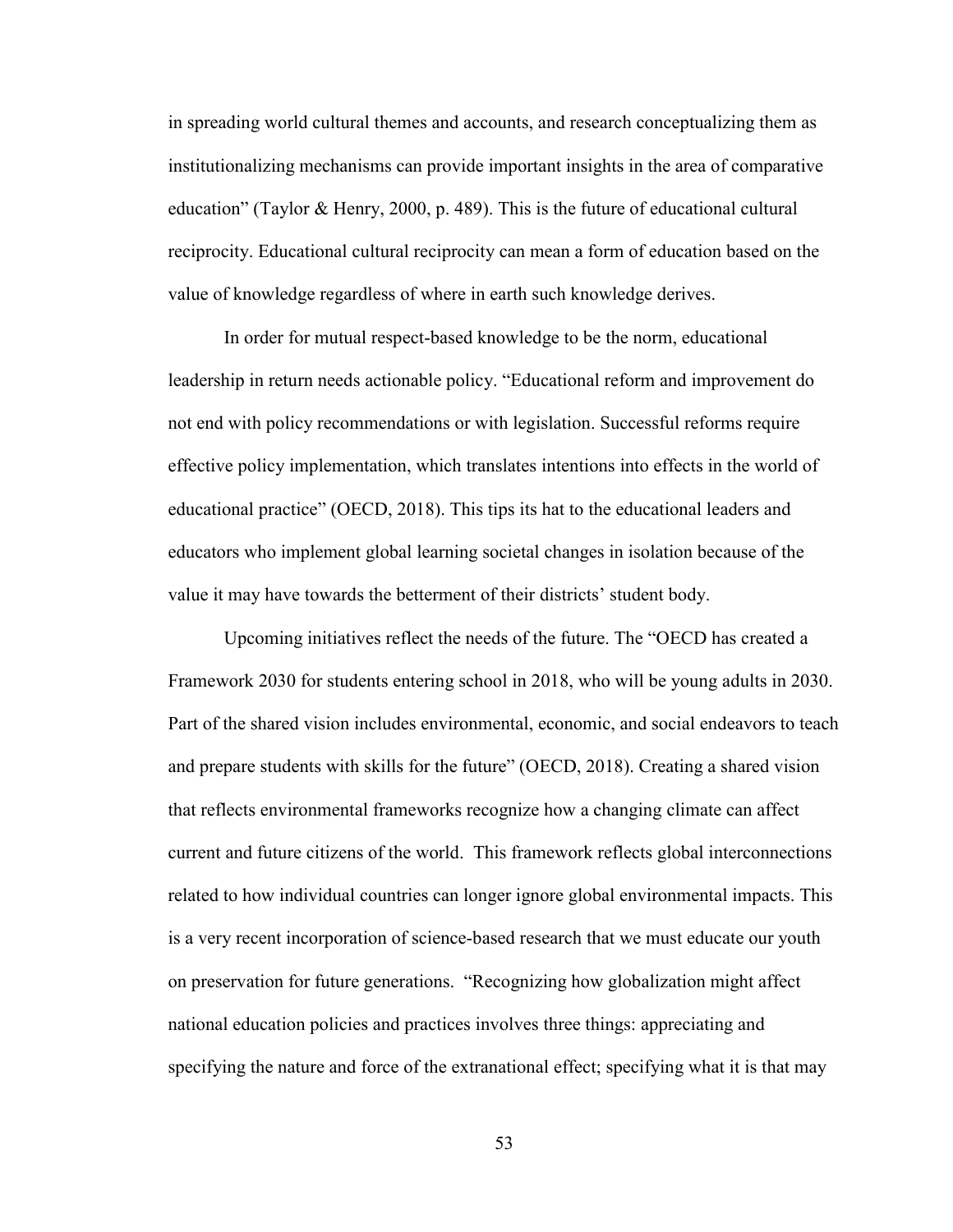in spreading world cultural themes and accounts, and research conceptualizing them as institutionalizing mechanisms can provide important insights in the area of comparative education" (Taylor & Henry, 2000, p. 489). This is the future of educational cultural reciprocity. Educational cultural reciprocity can mean a form of education based on the value of knowledge regardless of where in earth such knowledge derives.

In order for mutual respect-based knowledge to be the norm, educational leadership in return needs actionable policy. "Educational reform and improvement do not end with policy recommendations or with legislation. Successful reforms require effective policy implementation, which translates intentions into effects in the world of educational practice" (OECD, 2018). This tips its hat to the educational leaders and educators who implement global learning societal changes in isolation because of the value it may have towards the betterment of their districts' student body.

Upcoming initiatives reflect the needs of the future. The "OECD has created a Framework 2030 for students entering school in 2018, who will be young adults in 2030. Part of the shared vision includes environmental, economic, and social endeavors to teach and prepare students with skills for the future" (OECD, 2018). Creating a shared vision that reflects environmental frameworks recognize how a changing climate can affect current and future citizens of the world. This framework reflects global interconnections related to how individual countries can longer ignore global environmental impacts. This is a very recent incorporation of science-based research that we must educate our youth on preservation for future generations. "Recognizing how globalization might affect national education policies and practices involves three things: appreciating and specifying the nature and force of the extranational effect; specifying what it is that may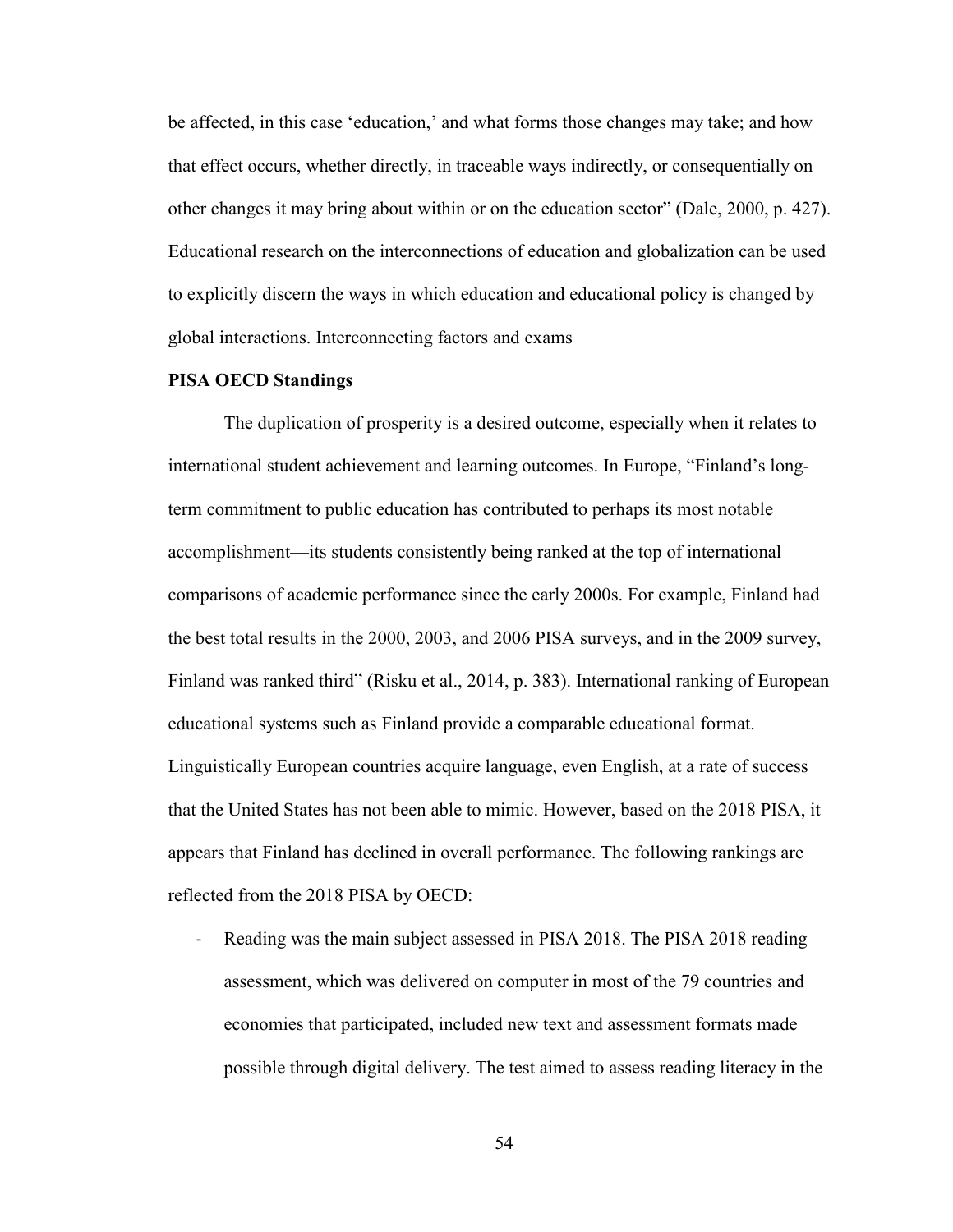be affected, in this case 'education,' and what forms those changes may take; and how that effect occurs, whether directly, in traceable ways indirectly, or consequentially on other changes it may bring about within or on the education sector" (Dale, 2000, p. 427). Educational research on the interconnections of education and globalization can be used to explicitly discern the ways in which education and educational policy is changed by global interactions. Interconnecting factors and exams

### **PISA OECD Standings**

The duplication of prosperity is a desired outcome, especially when it relates to international student achievement and learning outcomes. In Europe, "Finland's longterm commitment to public education has contributed to perhaps its most notable accomplishment—its students consistently being ranked at the top of international comparisons of academic performance since the early 2000s. For example, Finland had the best total results in the 2000, 2003, and 2006 PISA surveys, and in the 2009 survey, Finland was ranked third" (Risku et al., 2014, p. 383). International ranking of European educational systems such as Finland provide a comparable educational format. Linguistically European countries acquire language, even English, at a rate of success that the United States has not been able to mimic. However, based on the 2018 PISA, it appears that Finland has declined in overall performance. The following rankings are reflected from the 2018 PISA by OECD:

- Reading was the main subject assessed in PISA 2018. The PISA 2018 reading assessment, which was delivered on computer in most of the 79 countries and economies that participated, included new text and assessment formats made possible through digital delivery. The test aimed to assess reading literacy in the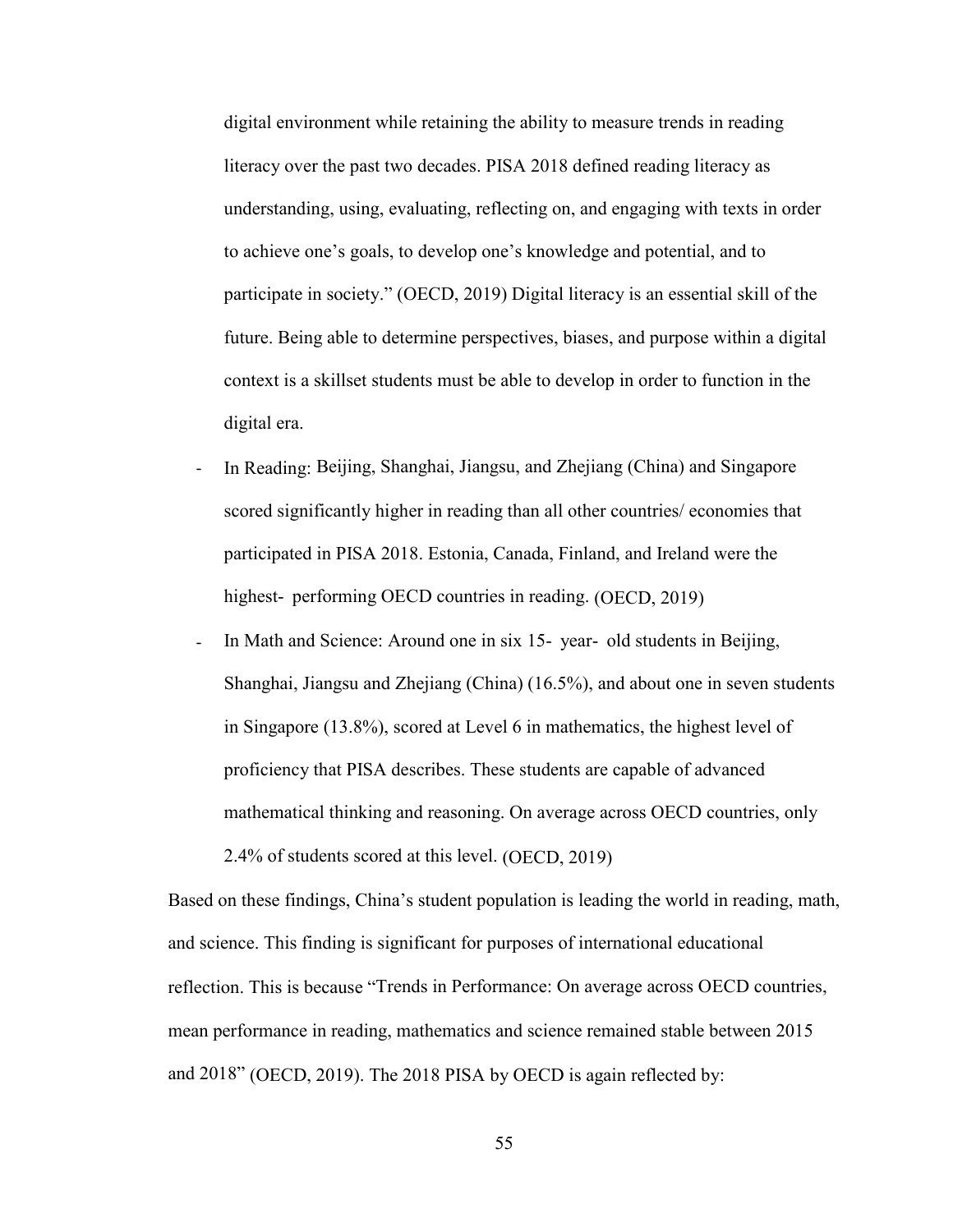digital environment while retaining the ability to measure trends in reading literacy over the past two decades. PISA 2018 defined reading literacy as understanding, using, evaluating, reflecting on, and engaging with texts in order to achieve one's goals, to develop one's knowledge and potential, and to participate in society." (OECD, 2019) Digital literacy is an essential skill of the future. Being able to determine perspectives, biases, and purpose within a digital context is a skillset students must be able to develop in order to function in the digital era.

- In Reading: Beijing, Shanghai, Jiangsu, and Zhejiang (China) and Singapore scored significantly higher in reading than all other countries/ economies that participated in PISA 2018. Estonia, Canada, Finland, and Ireland were the highest- performing OECD countries in reading. (OECD, 2019)
- In Math and Science: Around one in six 15- year- old students in Beijing, Shanghai, Jiangsu and Zhejiang (China) (16.5%), and about one in seven students in Singapore (13.8%), scored at Level 6 in mathematics, the highest level of proficiency that PISA describes. These students are capable of advanced mathematical thinking and reasoning. On average across OECD countries, only 2.4% of students scored at this level. (OECD, 2019)

Based on these findings, China's student population is leading the world in reading, math, and science. This finding is significant for purposes of international educational reflection. This is because "Trends in Performance: On average across OECD countries, mean performance in reading, mathematics and science remained stable between 2015 and 2018" (OECD, 2019). The 2018 PISA by OECD is again reflected by: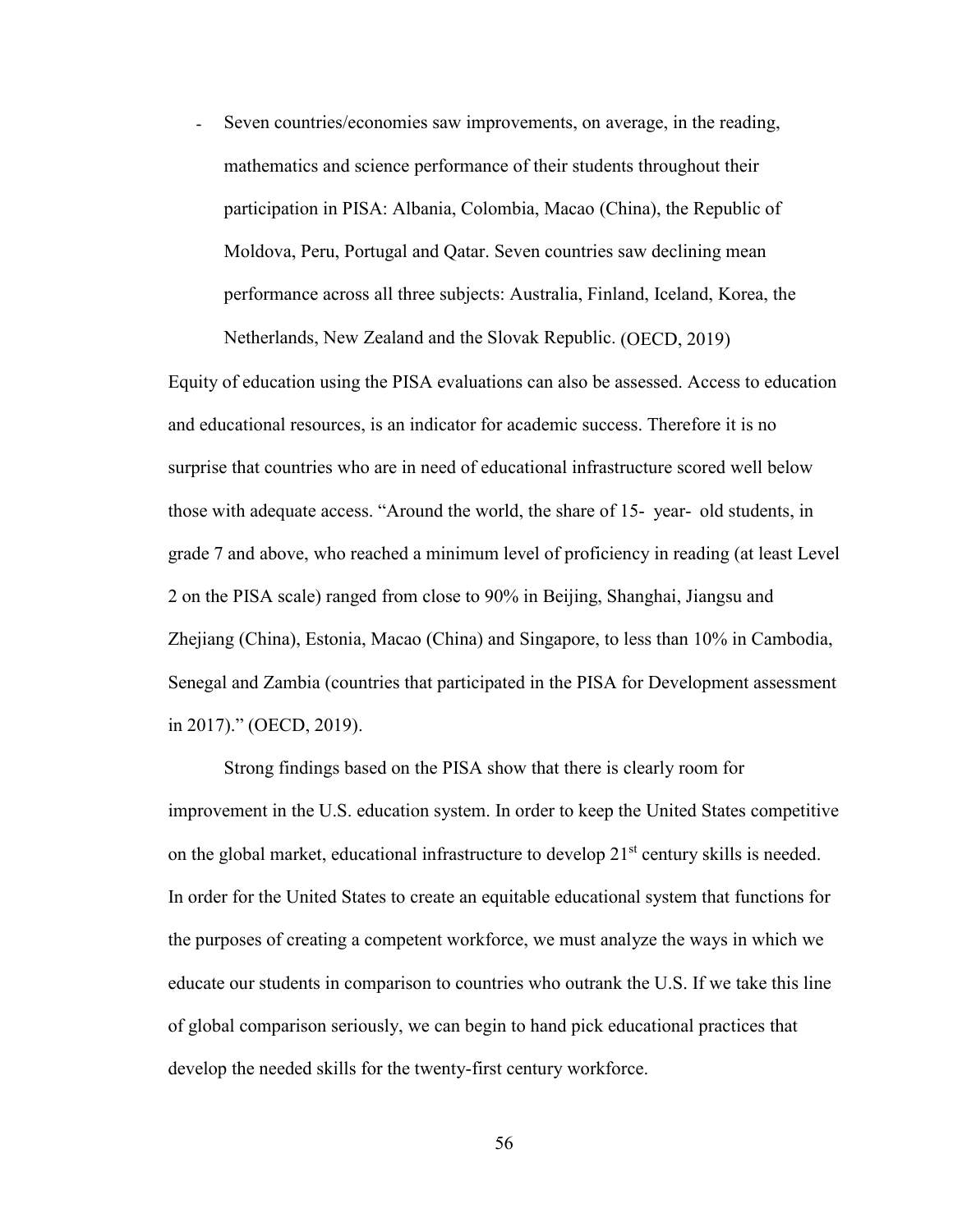- Seven countries/economies saw improvements, on average, in the reading, mathematics and science performance of their students throughout their participation in PISA: Albania, Colombia, Macao (China), the Republic of Moldova, Peru, Portugal and Qatar. Seven countries saw declining mean performance across all three subjects: Australia, Finland, Iceland, Korea, the Netherlands, New Zealand and the Slovak Republic. (OECD, 2019)

Equity of education using the PISA evaluations can also be assessed. Access to education and educational resources, is an indicator for academic success. Therefore it is no surprise that countries who are in need of educational infrastructure scored well below those with adequate access. "Around the world, the share of 15- year- old students, in grade 7 and above, who reached a minimum level of proficiency in reading (at least Level 2 on the PISA scale) ranged from close to 90% in Beijing, Shanghai, Jiangsu and Zhejiang (China), Estonia, Macao (China) and Singapore, to less than 10% in Cambodia, Senegal and Zambia (countries that participated in the PISA for Development assessment in 2017)." (OECD, 2019).

Strong findings based on the PISA show that there is clearly room for improvement in the U.S. education system. In order to keep the United States competitive on the global market, educational infrastructure to develop  $21<sup>st</sup>$  century skills is needed. In order for the United States to create an equitable educational system that functions for the purposes of creating a competent workforce, we must analyze the ways in which we educate our students in comparison to countries who outrank the U.S. If we take this line of global comparison seriously, we can begin to hand pick educational practices that develop the needed skills for the twenty-first century workforce.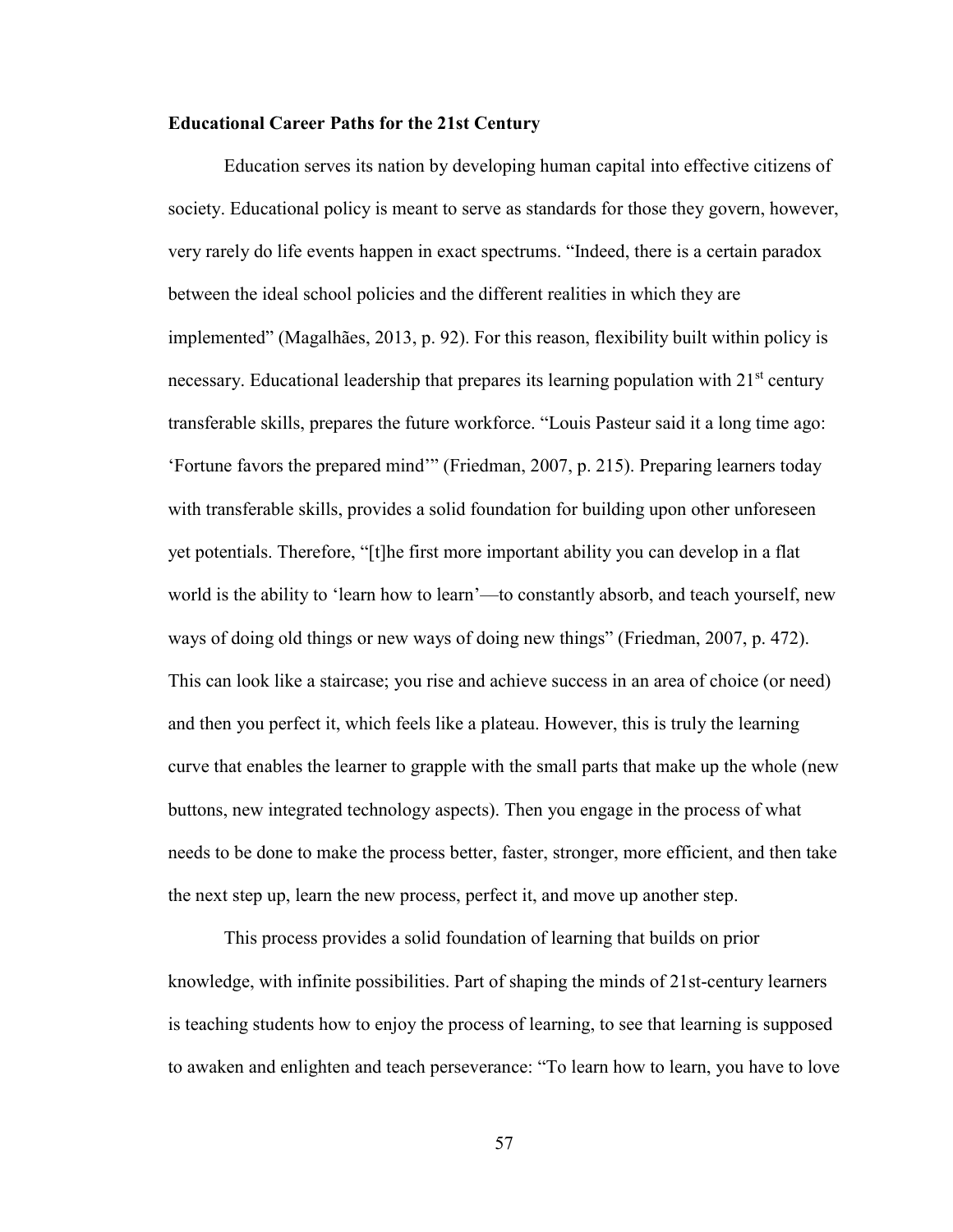## **Educational Career Paths for the 21st Century**

Education serves its nation by developing human capital into effective citizens of society. Educational policy is meant to serve as standards for those they govern, however, very rarely do life events happen in exact spectrums. "Indeed, there is a certain paradox between the ideal school policies and the different realities in which they are implemented" (Magalhães, 2013, p. 92). For this reason, flexibility built within policy is necessary. Educational leadership that prepares its learning population with  $21<sup>st</sup>$  century transferable skills, prepares the future workforce. "Louis Pasteur said it a long time ago: 'Fortune favors the prepared mind'" (Friedman, 2007, p. 215). Preparing learners today with transferable skills, provides a solid foundation for building upon other unforeseen yet potentials. Therefore, "[t]he first more important ability you can develop in a flat world is the ability to 'learn how to learn'––to constantly absorb, and teach yourself, new ways of doing old things or new ways of doing new things" (Friedman, 2007, p. 472). This can look like a staircase; you rise and achieve success in an area of choice (or need) and then you perfect it, which feels like a plateau. However, this is truly the learning curve that enables the learner to grapple with the small parts that make up the whole (new buttons, new integrated technology aspects). Then you engage in the process of what needs to be done to make the process better, faster, stronger, more efficient, and then take the next step up, learn the new process, perfect it, and move up another step.

This process provides a solid foundation of learning that builds on prior knowledge, with infinite possibilities. Part of shaping the minds of 21st-century learners is teaching students how to enjoy the process of learning, to see that learning is supposed to awaken and enlighten and teach perseverance: "To learn how to learn, you have to love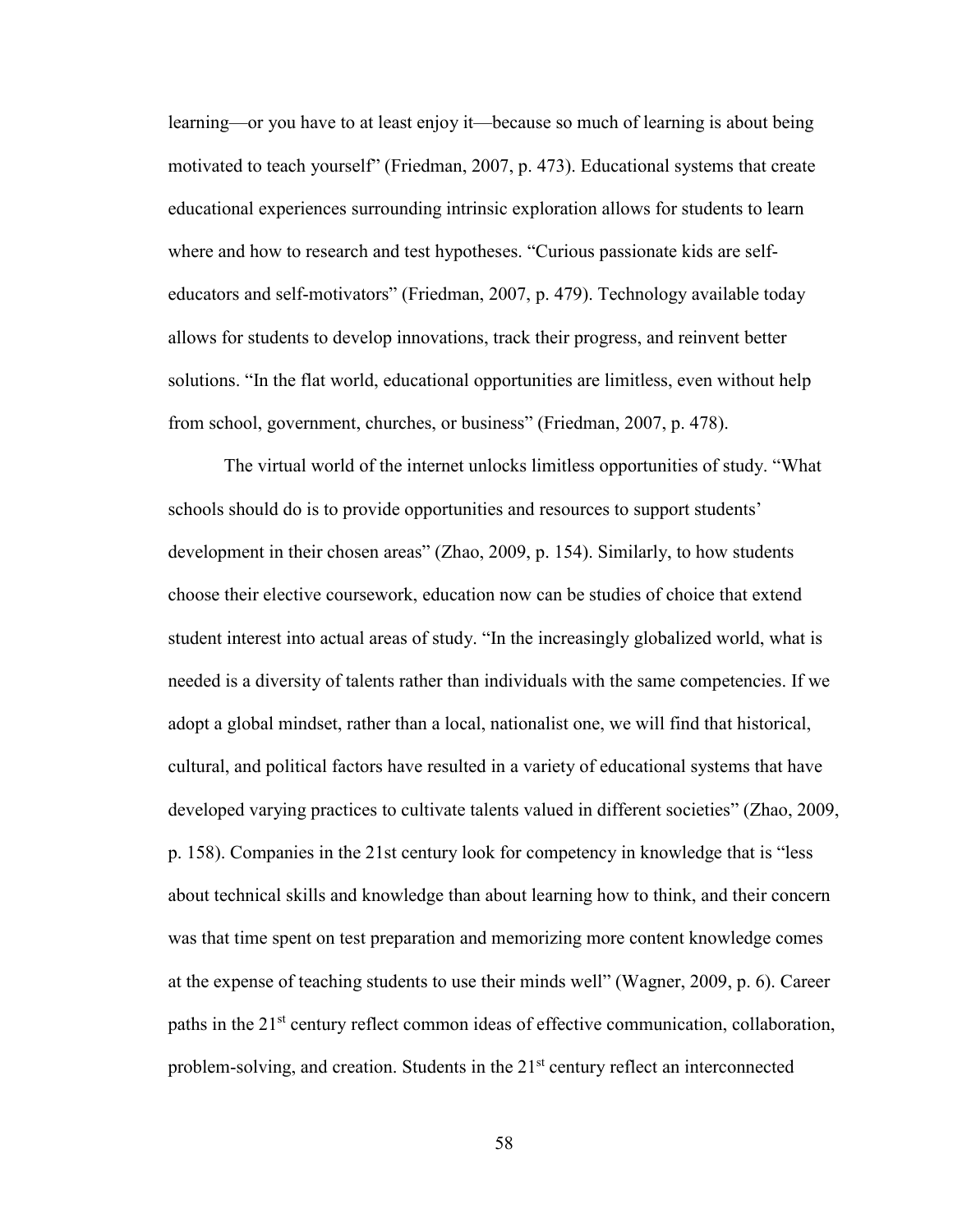learning—or you have to at least enjoy it—because so much of learning is about being motivated to teach yourself" (Friedman, 2007, p. 473). Educational systems that create educational experiences surrounding intrinsic exploration allows for students to learn where and how to research and test hypotheses. "Curious passionate kids are selfeducators and self-motivators" (Friedman, 2007, p. 479). Technology available today allows for students to develop innovations, track their progress, and reinvent better solutions. "In the flat world, educational opportunities are limitless, even without help from school, government, churches, or business" (Friedman, 2007, p. 478).

The virtual world of the internet unlocks limitless opportunities of study. "What schools should do is to provide opportunities and resources to support students' development in their chosen areas" (Zhao, 2009, p. 154). Similarly, to how students choose their elective coursework, education now can be studies of choice that extend student interest into actual areas of study. "In the increasingly globalized world, what is needed is a diversity of talents rather than individuals with the same competencies. If we adopt a global mindset, rather than a local, nationalist one, we will find that historical, cultural, and political factors have resulted in a variety of educational systems that have developed varying practices to cultivate talents valued in different societies" (Zhao, 2009, p. 158). Companies in the 21st century look for competency in knowledge that is "less about technical skills and knowledge than about learning how to think, and their concern was that time spent on test preparation and memorizing more content knowledge comes at the expense of teaching students to use their minds well" (Wagner, 2009, p. 6). Career paths in the 21<sup>st</sup> century reflect common ideas of effective communication, collaboration, problem-solving, and creation. Students in the  $21<sup>st</sup>$  century reflect an interconnected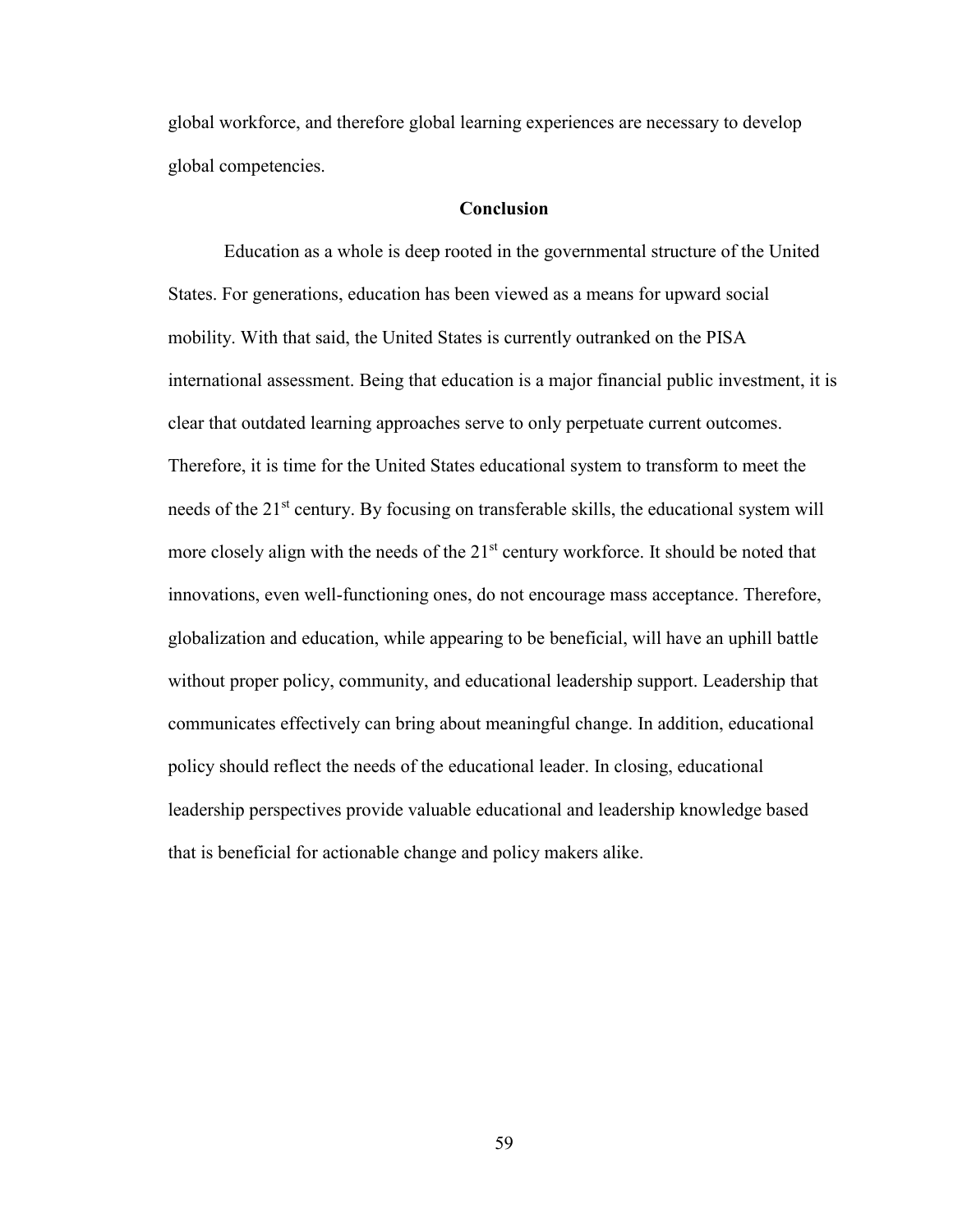global workforce, and therefore global learning experiences are necessary to develop global competencies.

# **Conclusion**

Education as a whole is deep rooted in the governmental structure of the United States. For generations, education has been viewed as a means for upward social mobility. With that said, the United States is currently outranked on the PISA international assessment. Being that education is a major financial public investment, it is clear that outdated learning approaches serve to only perpetuate current outcomes. Therefore, it is time for the United States educational system to transform to meet the needs of the 21<sup>st</sup> century. By focusing on transferable skills, the educational system will more closely align with the needs of the  $21<sup>st</sup>$  century workforce. It should be noted that innovations, even well-functioning ones, do not encourage mass acceptance. Therefore, globalization and education, while appearing to be beneficial, will have an uphill battle without proper policy, community, and educational leadership support. Leadership that communicates effectively can bring about meaningful change. In addition, educational policy should reflect the needs of the educational leader. In closing, educational leadership perspectives provide valuable educational and leadership knowledge based that is beneficial for actionable change and policy makers alike.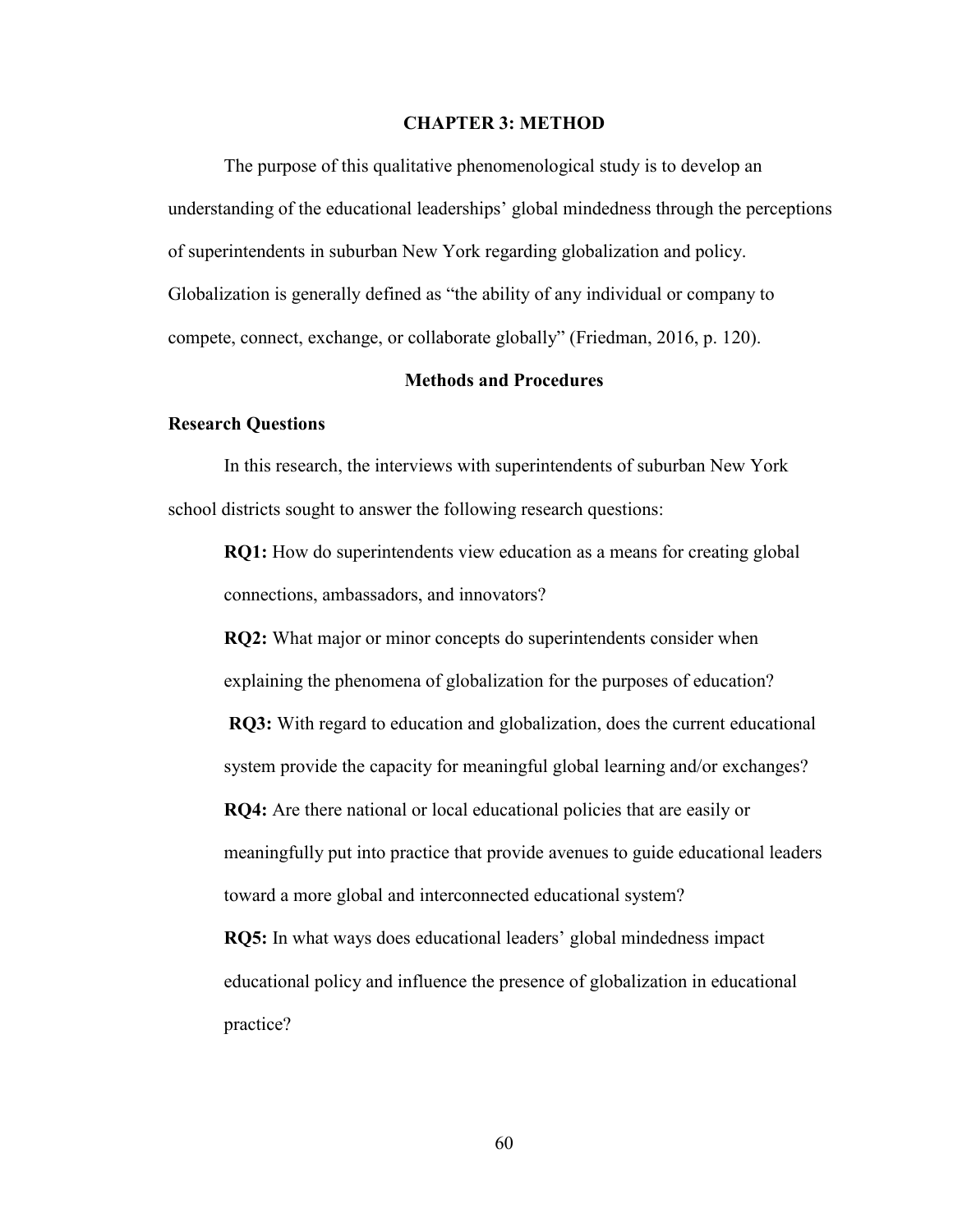#### **CHAPTER 3: METHOD**

The purpose of this qualitative phenomenological study is to develop an understanding of the educational leaderships' global mindedness through the perceptions of superintendents in suburban New York regarding globalization and policy. Globalization is generally defined as "the ability of any individual or company to compete, connect, exchange, or collaborate globally" (Friedman, 2016, p. 120).

#### **Methods and Procedures**

#### **Research Questions**

In this research, the interviews with superintendents of suburban New York school districts sought to answer the following research questions:

**RQ1:** How do superintendents view education as a means for creating global connections, ambassadors, and innovators?

**RQ2:** What major or minor concepts do superintendents consider when explaining the phenomena of globalization for the purposes of education? **RQ3:** With regard to education and globalization, does the current educational system provide the capacity for meaningful global learning and/or exchanges? **RQ4:** Are there national or local educational policies that are easily or meaningfully put into practice that provide avenues to guide educational leaders toward a more global and interconnected educational system? **RQ5:** In what ways does educational leaders' global mindedness impact

educational policy and influence the presence of globalization in educational practice?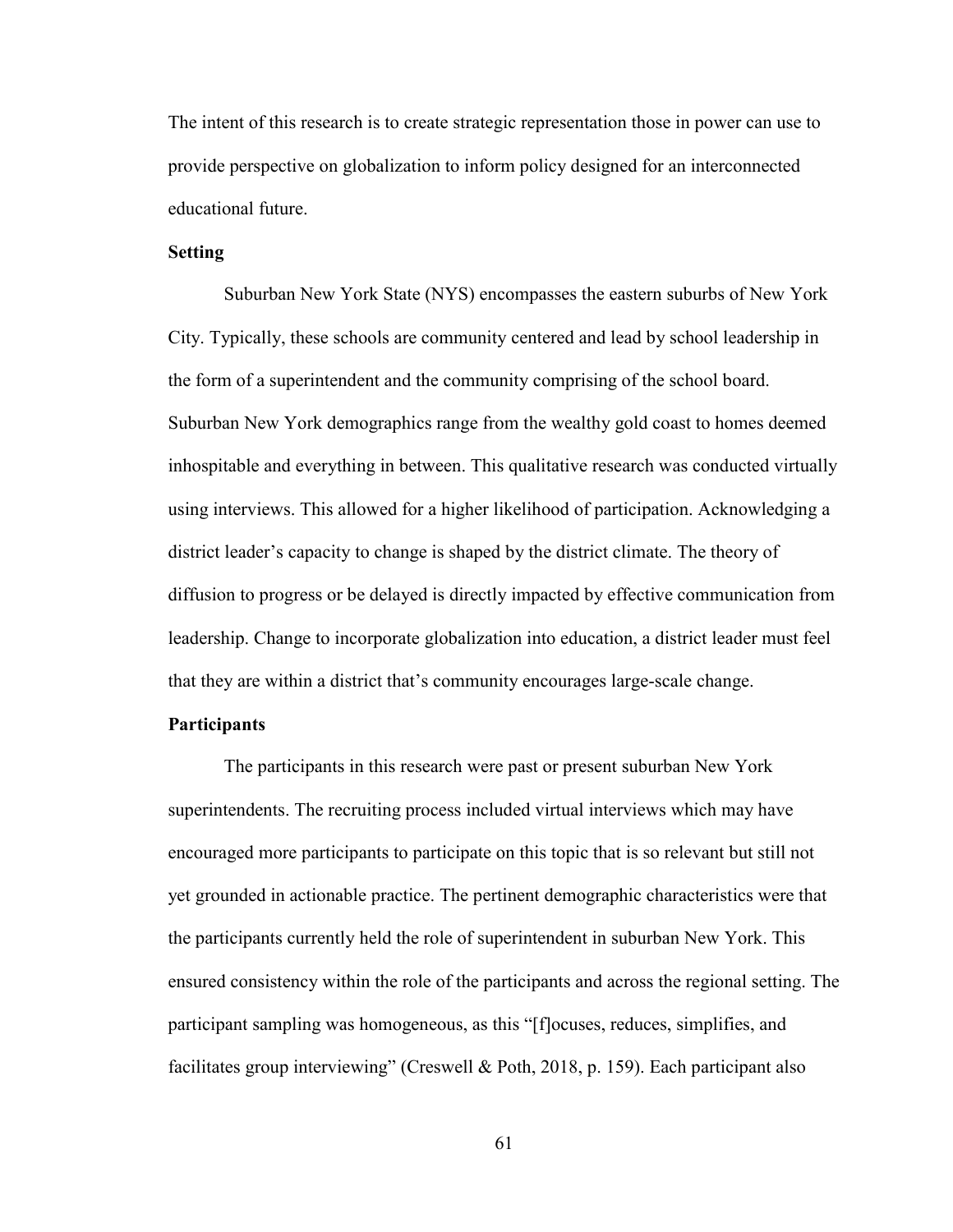The intent of this research is to create strategic representation those in power can use to provide perspective on globalization to inform policy designed for an interconnected educational future.

# **Setting**

Suburban New York State (NYS) encompasses the eastern suburbs of New York City. Typically, these schools are community centered and lead by school leadership in the form of a superintendent and the community comprising of the school board. Suburban New York demographics range from the wealthy gold coast to homes deemed inhospitable and everything in between. This qualitative research was conducted virtually using interviews. This allowed for a higher likelihood of participation. Acknowledging a district leader's capacity to change is shaped by the district climate. The theory of diffusion to progress or be delayed is directly impacted by effective communication from leadership. Change to incorporate globalization into education, a district leader must feel that they are within a district that's community encourages large-scale change.

# **Participants**

The participants in this research were past or present suburban New York superintendents. The recruiting process included virtual interviews which may have encouraged more participants to participate on this topic that is so relevant but still not yet grounded in actionable practice. The pertinent demographic characteristics were that the participants currently held the role of superintendent in suburban New York. This ensured consistency within the role of the participants and across the regional setting. The participant sampling was homogeneous, as this "[f]ocuses, reduces, simplifies, and facilitates group interviewing" (Creswell & Poth, 2018, p. 159). Each participant also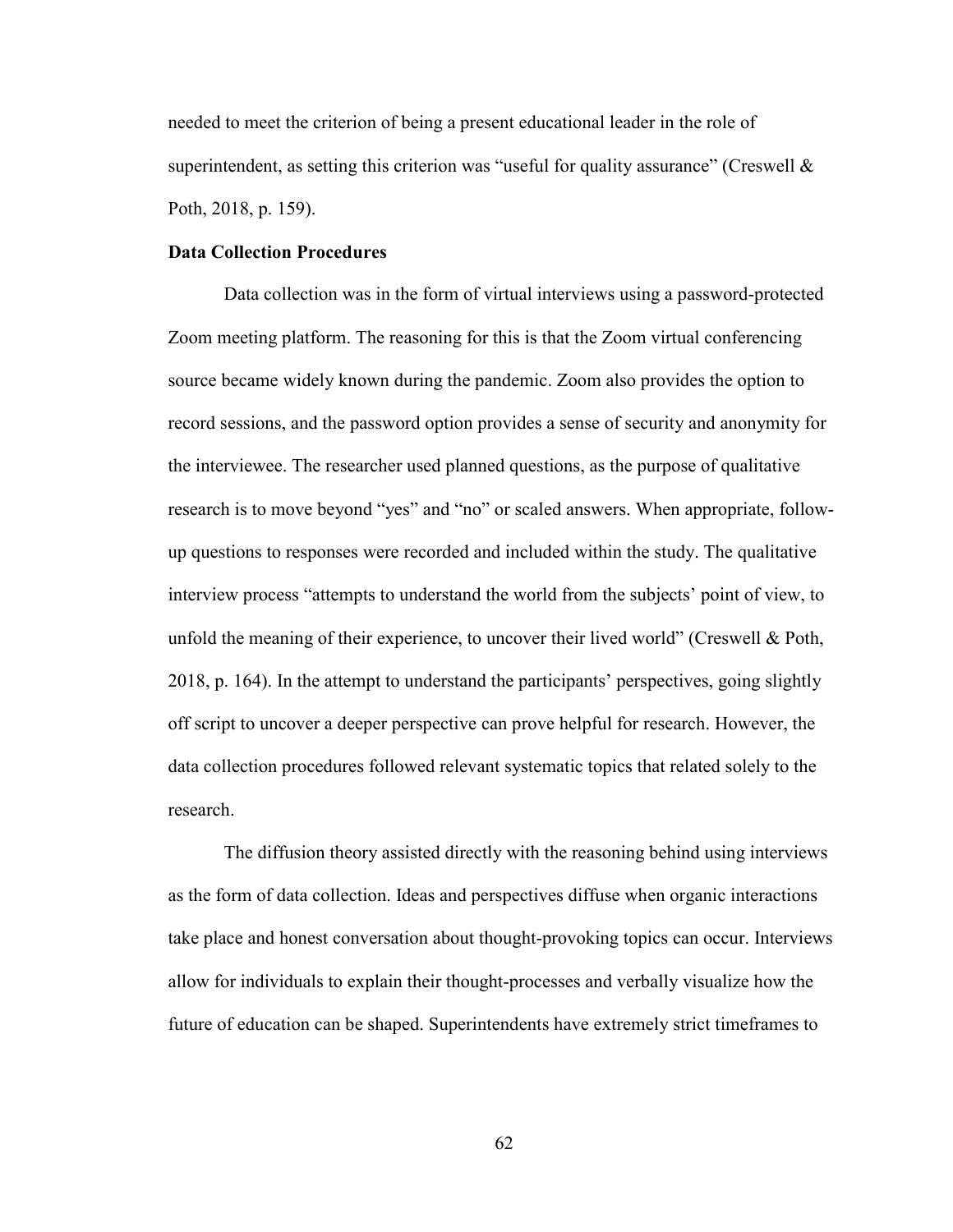needed to meet the criterion of being a present educational leader in the role of superintendent, as setting this criterion was "useful for quality assurance" (Creswell  $\&$ Poth, 2018, p. 159).

### **Data Collection Procedures**

Data collection was in the form of virtual interviews using a password-protected Zoom meeting platform. The reasoning for this is that the Zoom virtual conferencing source became widely known during the pandemic. Zoom also provides the option to record sessions, and the password option provides a sense of security and anonymity for the interviewee. The researcher used planned questions, as the purpose of qualitative research is to move beyond "yes" and "no" or scaled answers. When appropriate, followup questions to responses were recorded and included within the study. The qualitative interview process "attempts to understand the world from the subjects' point of view, to unfold the meaning of their experience, to uncover their lived world" (Creswell & Poth, 2018, p. 164). In the attempt to understand the participants' perspectives, going slightly off script to uncover a deeper perspective can prove helpful for research. However, the data collection procedures followed relevant systematic topics that related solely to the research.

The diffusion theory assisted directly with the reasoning behind using interviews as the form of data collection. Ideas and perspectives diffuse when organic interactions take place and honest conversation about thought-provoking topics can occur. Interviews allow for individuals to explain their thought-processes and verbally visualize how the future of education can be shaped. Superintendents have extremely strict timeframes to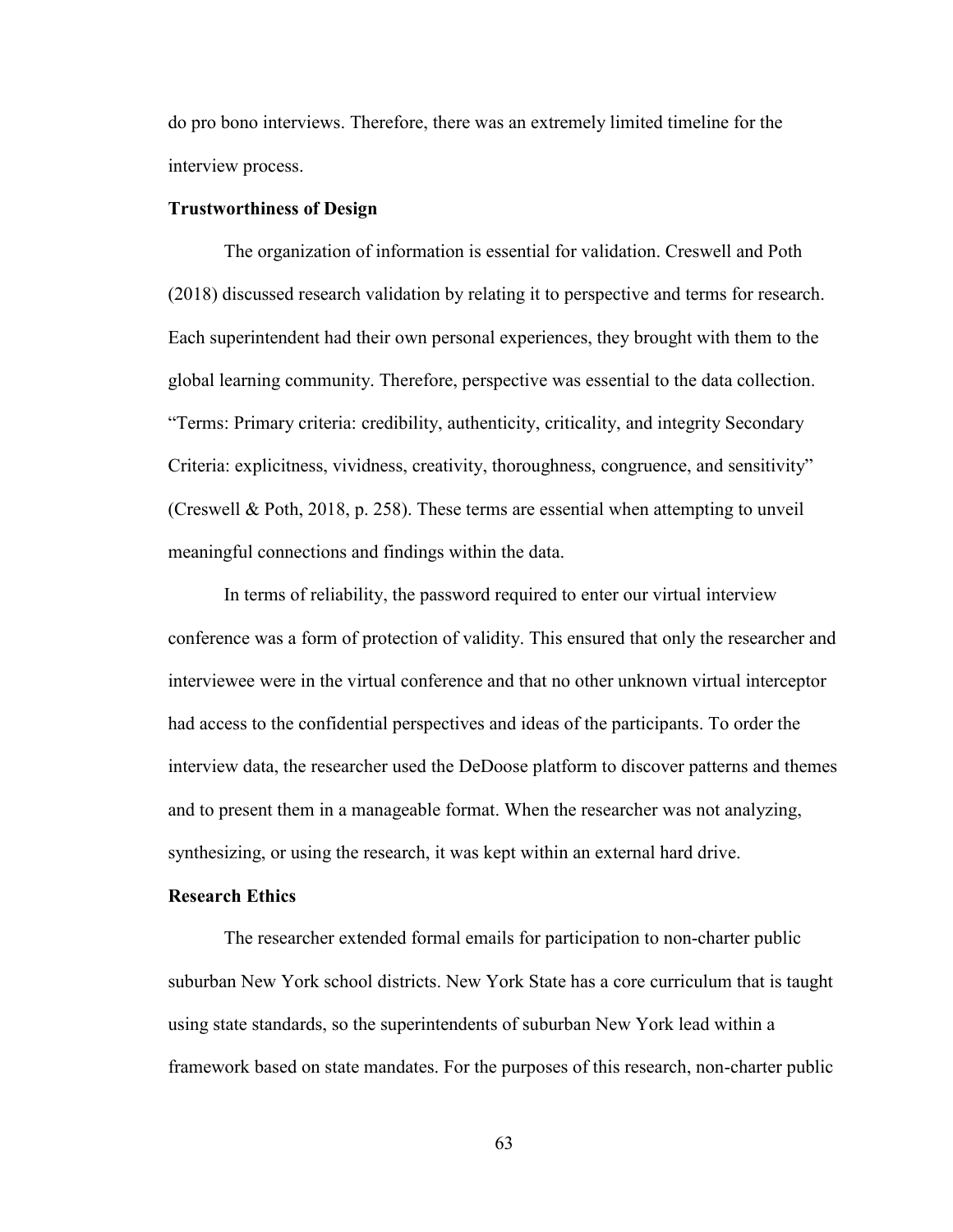do pro bono interviews. Therefore, there was an extremely limited timeline for the interview process.

# **Trustworthiness of Design**

The organization of information is essential for validation. Creswell and Poth (2018) discussed research validation by relating it to perspective and terms for research. Each superintendent had their own personal experiences, they brought with them to the global learning community. Therefore, perspective was essential to the data collection. "Terms: Primary criteria: credibility, authenticity, criticality, and integrity Secondary Criteria: explicitness, vividness, creativity, thoroughness, congruence, and sensitivity" (Creswell & Poth, 2018, p. 258). These terms are essential when attempting to unveil meaningful connections and findings within the data.

In terms of reliability, the password required to enter our virtual interview conference was a form of protection of validity. This ensured that only the researcher and interviewee were in the virtual conference and that no other unknown virtual interceptor had access to the confidential perspectives and ideas of the participants. To order the interview data, the researcher used the DeDoose platform to discover patterns and themes and to present them in a manageable format. When the researcher was not analyzing, synthesizing, or using the research, it was kept within an external hard drive.

# **Research Ethics**

The researcher extended formal emails for participation to non-charter public suburban New York school districts. New York State has a core curriculum that is taught using state standards, so the superintendents of suburban New York lead within a framework based on state mandates. For the purposes of this research, non-charter public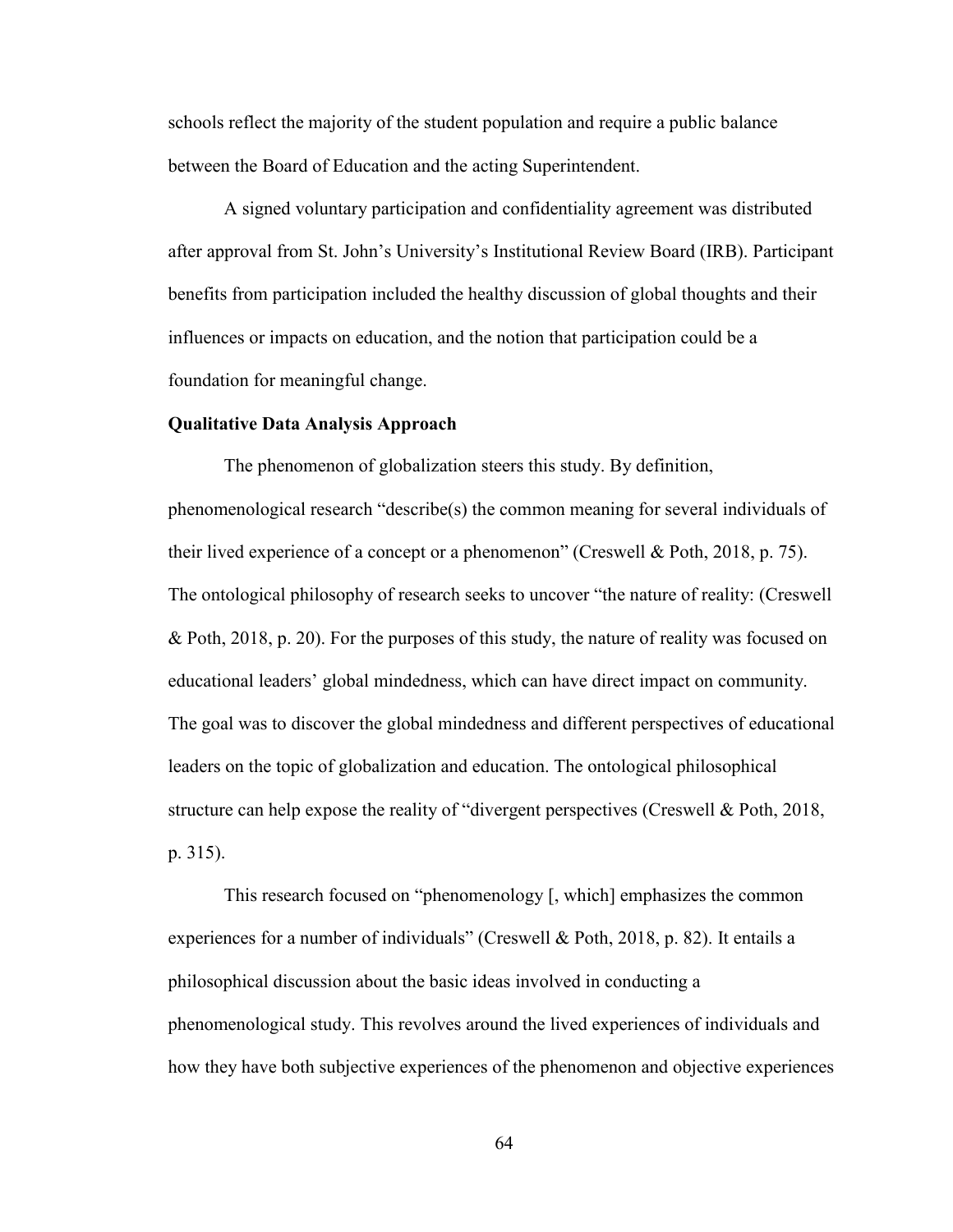schools reflect the majority of the student population and require a public balance between the Board of Education and the acting Superintendent.

A signed voluntary participation and confidentiality agreement was distributed after approval from St. John's University's Institutional Review Board (IRB). Participant benefits from participation included the healthy discussion of global thoughts and their influences or impacts on education, and the notion that participation could be a foundation for meaningful change.

#### **Qualitative Data Analysis Approach**

The phenomenon of globalization steers this study. By definition, phenomenological research "describe(s) the common meaning for several individuals of their lived experience of a concept or a phenomenon" (Creswell & Poth, 2018, p. 75). The ontological philosophy of research seeks to uncover "the nature of reality: (Creswell & Poth, 2018, p. 20). For the purposes of this study, the nature of reality was focused on educational leaders' global mindedness, which can have direct impact on community. The goal was to discover the global mindedness and different perspectives of educational leaders on the topic of globalization and education. The ontological philosophical structure can help expose the reality of "divergent perspectives (Creswell & Poth, 2018, p. 315).

This research focused on "phenomenology [, which] emphasizes the common experiences for a number of individuals" (Creswell & Poth, 2018, p. 82). It entails a philosophical discussion about the basic ideas involved in conducting a phenomenological study. This revolves around the lived experiences of individuals and how they have both subjective experiences of the phenomenon and objective experiences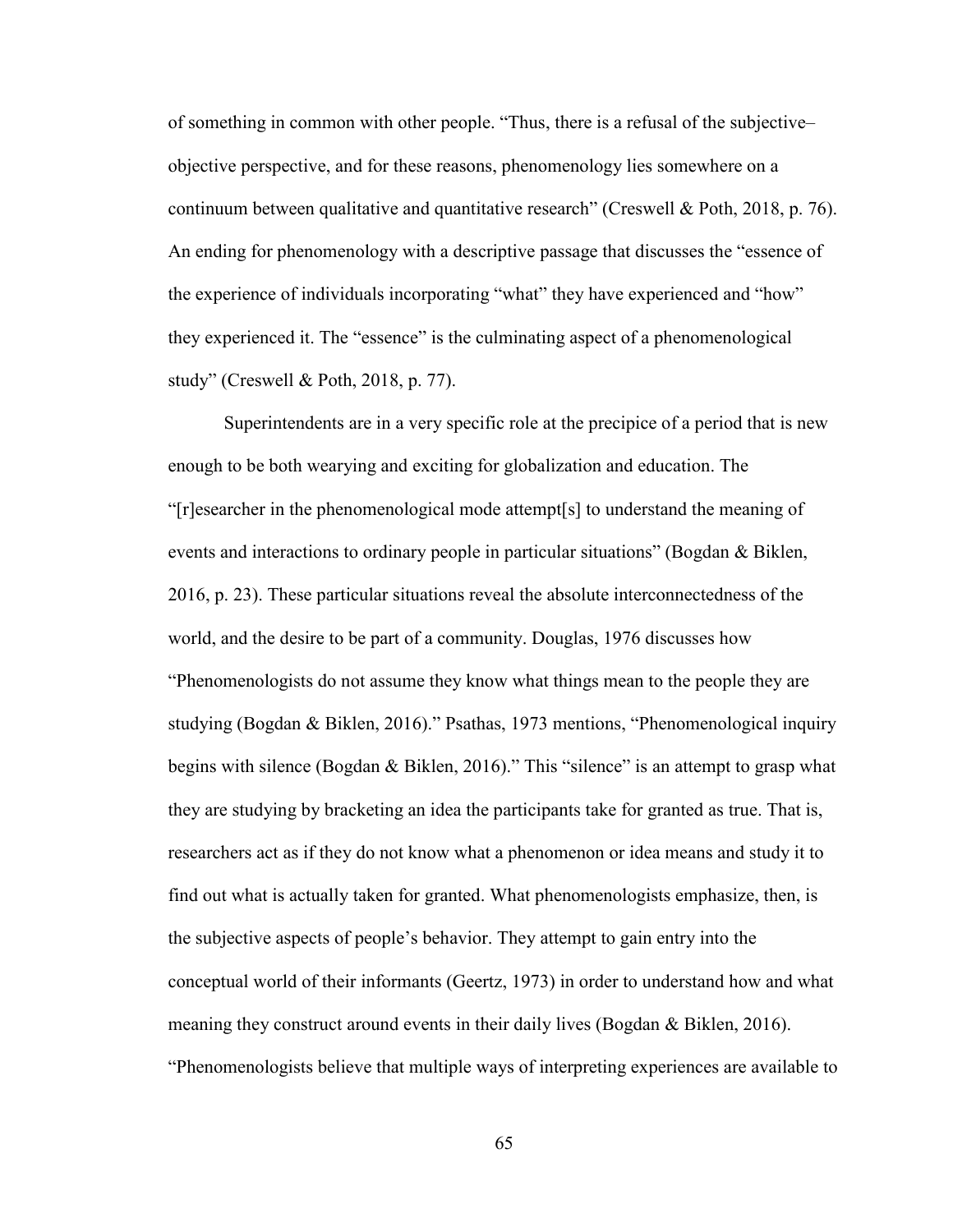of something in common with other people. "Thus, there is a refusal of the subjective– objective perspective, and for these reasons, phenomenology lies somewhere on a continuum between qualitative and quantitative research" (Creswell & Poth, 2018, p. 76). An ending for phenomenology with a descriptive passage that discusses the "essence of the experience of individuals incorporating "what" they have experienced and "how" they experienced it. The "essence" is the culminating aspect of a phenomenological study" (Creswell & Poth, 2018, p. 77).

Superintendents are in a very specific role at the precipice of a period that is new enough to be both wearying and exciting for globalization and education. The "[r]esearcher in the phenomenological mode attempt[s] to understand the meaning of events and interactions to ordinary people in particular situations" (Bogdan & Biklen, 2016, p. 23). These particular situations reveal the absolute interconnectedness of the world, and the desire to be part of a community. Douglas, 1976 discusses how "Phenomenologists do not assume they know what things mean to the people they are studying (Bogdan & Biklen, 2016)." Psathas, 1973 mentions, "Phenomenological inquiry begins with silence (Bogdan & Biklen, 2016)." This "silence" is an attempt to grasp what they are studying by bracketing an idea the participants take for granted as true. That is, researchers act as if they do not know what a phenomenon or idea means and study it to find out what is actually taken for granted. What phenomenologists emphasize, then, is the subjective aspects of people's behavior. They attempt to gain entry into the conceptual world of their informants (Geertz, 1973) in order to understand how and what meaning they construct around events in their daily lives (Bogdan & Biklen, 2016). "Phenomenologists believe that multiple ways of interpreting experiences are available to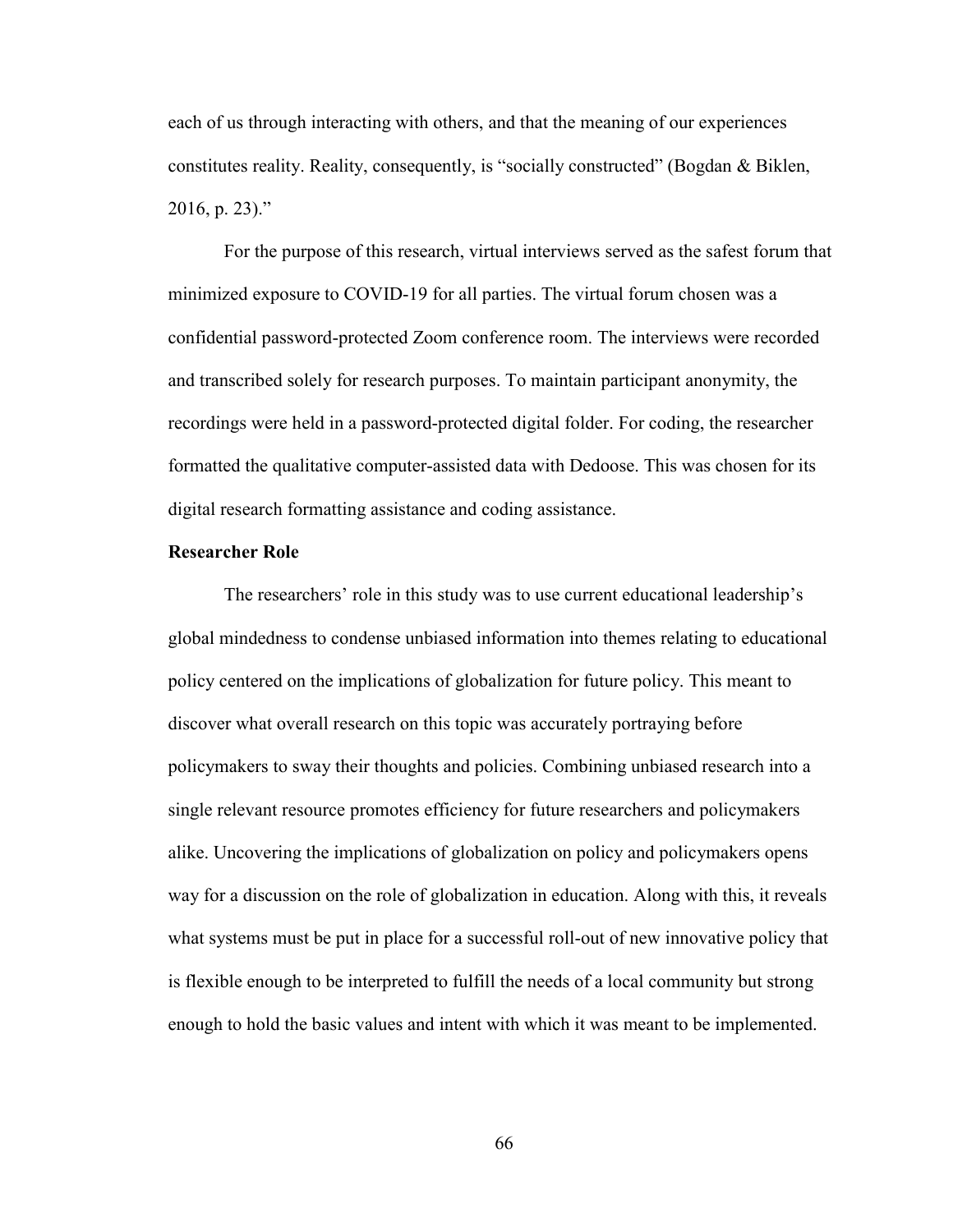each of us through interacting with others, and that the meaning of our experiences constitutes reality. Reality, consequently, is "socially constructed" (Bogdan & Biklen, 2016, p. 23)."

For the purpose of this research, virtual interviews served as the safest forum that minimized exposure to COVID-19 for all parties. The virtual forum chosen was a confidential password-protected Zoom conference room. The interviews were recorded and transcribed solely for research purposes. To maintain participant anonymity, the recordings were held in a password-protected digital folder. For coding, the researcher formatted the qualitative computer-assisted data with Dedoose. This was chosen for its digital research formatting assistance and coding assistance.

## **Researcher Role**

The researchers' role in this study was to use current educational leadership's global mindedness to condense unbiased information into themes relating to educational policy centered on the implications of globalization for future policy. This meant to discover what overall research on this topic was accurately portraying before policymakers to sway their thoughts and policies. Combining unbiased research into a single relevant resource promotes efficiency for future researchers and policymakers alike. Uncovering the implications of globalization on policy and policymakers opens way for a discussion on the role of globalization in education. Along with this, it reveals what systems must be put in place for a successful roll-out of new innovative policy that is flexible enough to be interpreted to fulfill the needs of a local community but strong enough to hold the basic values and intent with which it was meant to be implemented.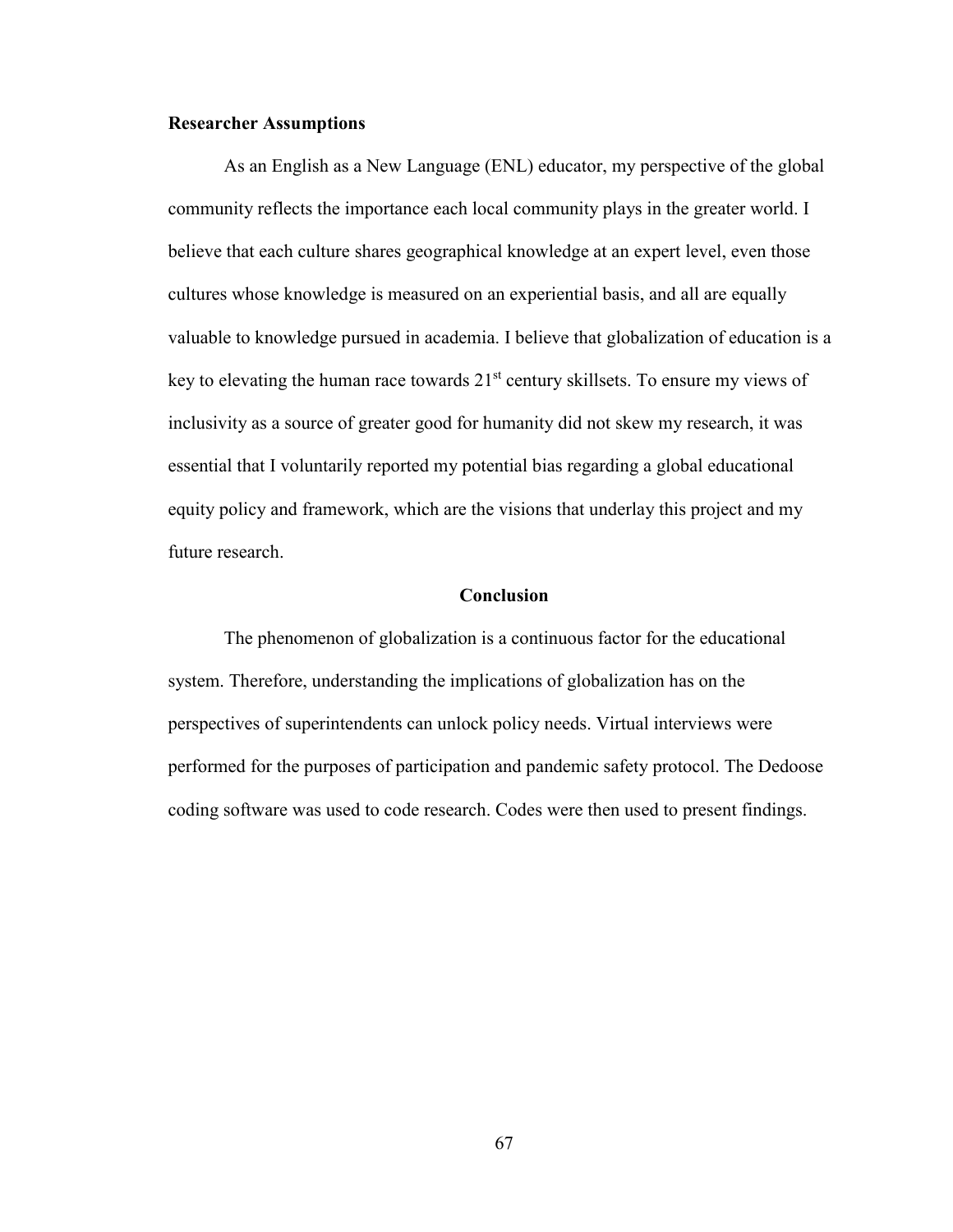# **Researcher Assumptions**

As an English as a New Language (ENL) educator, my perspective of the global community reflects the importance each local community plays in the greater world. I believe that each culture shares geographical knowledge at an expert level, even those cultures whose knowledge is measured on an experiential basis, and all are equally valuable to knowledge pursued in academia. I believe that globalization of education is a key to elevating the human race towards 21<sup>st</sup> century skillsets. To ensure my views of inclusivity as a source of greater good for humanity did not skew my research, it was essential that I voluntarily reported my potential bias regarding a global educational equity policy and framework, which are the visions that underlay this project and my future research.

# **Conclusion**

The phenomenon of globalization is a continuous factor for the educational system. Therefore, understanding the implications of globalization has on the perspectives of superintendents can unlock policy needs. Virtual interviews were performed for the purposes of participation and pandemic safety protocol. The Dedoose coding software was used to code research. Codes were then used to present findings.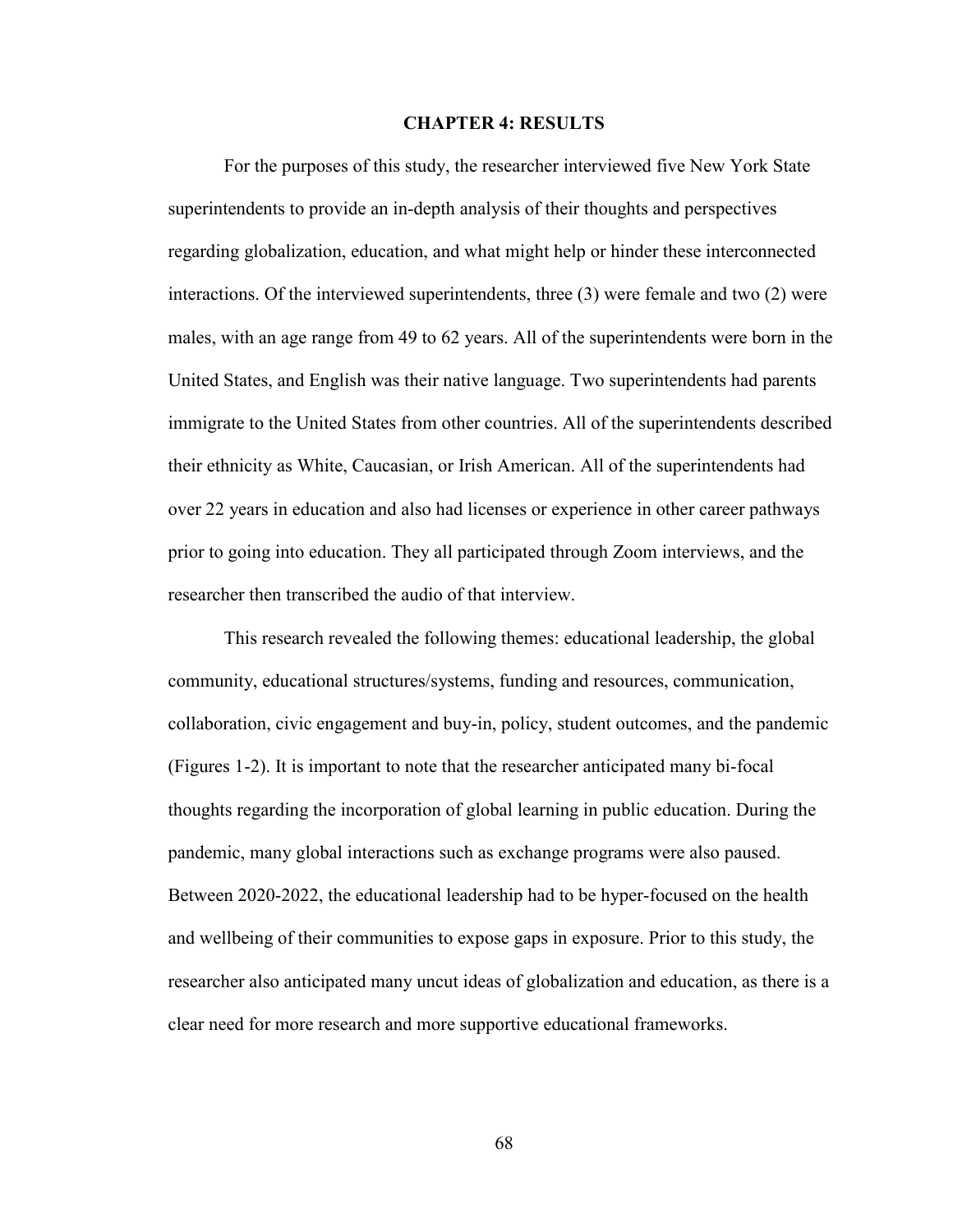## **CHAPTER 4: RESULTS**

For the purposes of this study, the researcher interviewed five New York State superintendents to provide an in-depth analysis of their thoughts and perspectives regarding globalization, education, and what might help or hinder these interconnected interactions. Of the interviewed superintendents, three (3) were female and two (2) were males, with an age range from 49 to 62 years. All of the superintendents were born in the United States, and English was their native language. Two superintendents had parents immigrate to the United States from other countries. All of the superintendents described their ethnicity as White, Caucasian, or Irish American. All of the superintendents had over 22 years in education and also had licenses or experience in other career pathways prior to going into education. They all participated through Zoom interviews, and the researcher then transcribed the audio of that interview.

This research revealed the following themes: educational leadership, the global community, educational structures/systems, funding and resources, communication, collaboration, civic engagement and buy-in, policy, student outcomes, and the pandemic (Figures 1-2). It is important to note that the researcher anticipated many bi-focal thoughts regarding the incorporation of global learning in public education. During the pandemic, many global interactions such as exchange programs were also paused. Between 2020-2022, the educational leadership had to be hyper-focused on the health and wellbeing of their communities to expose gaps in exposure. Prior to this study, the researcher also anticipated many uncut ideas of globalization and education, as there is a clear need for more research and more supportive educational frameworks.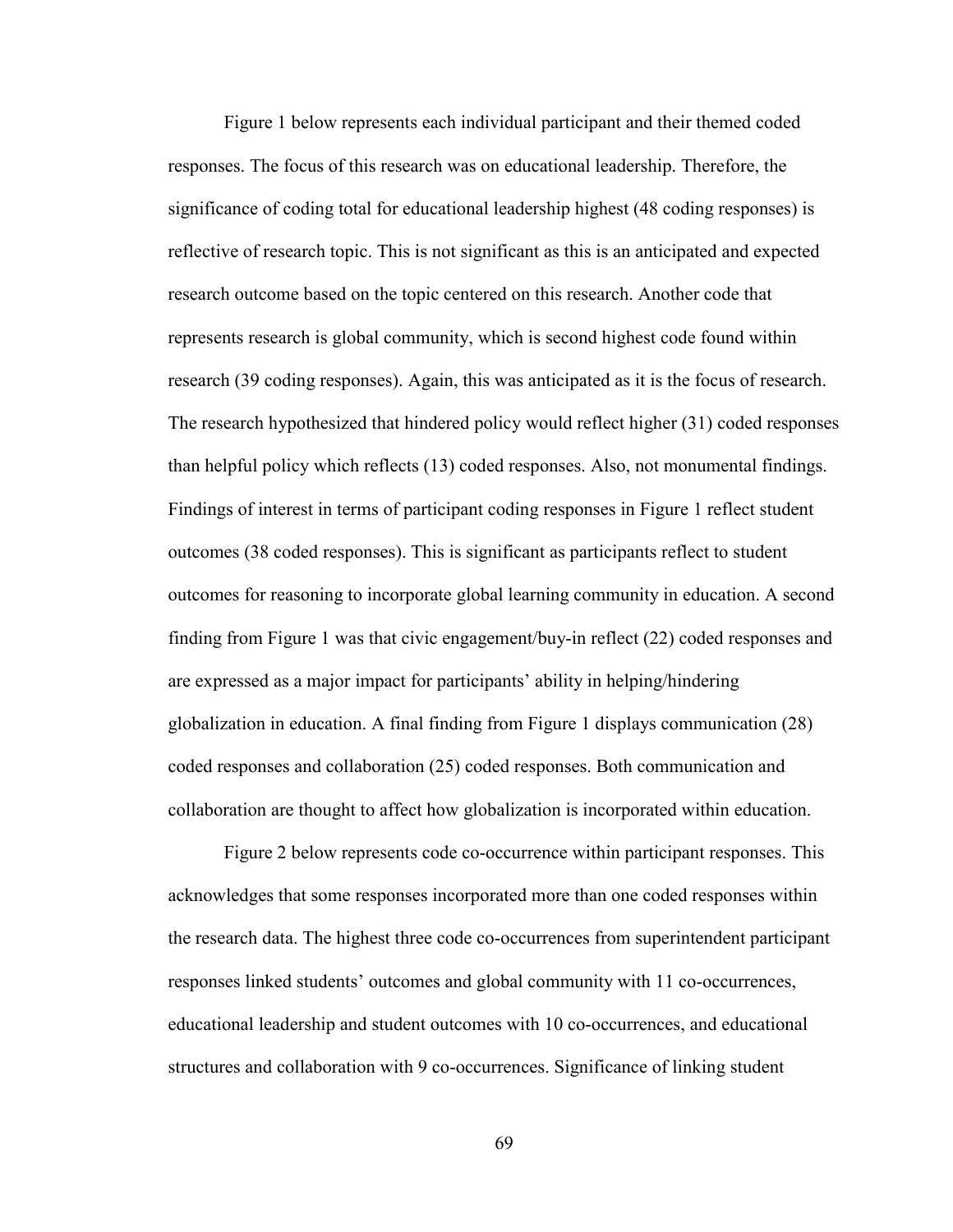Figure 1 below represents each individual participant and their themed coded responses. The focus of this research was on educational leadership. Therefore, the significance of coding total for educational leadership highest (48 coding responses) is reflective of research topic. This is not significant as this is an anticipated and expected research outcome based on the topic centered on this research. Another code that represents research is global community, which is second highest code found within research (39 coding responses). Again, this was anticipated as it is the focus of research. The research hypothesized that hindered policy would reflect higher (31) coded responses than helpful policy which reflects (13) coded responses. Also, not monumental findings. Findings of interest in terms of participant coding responses in Figure 1 reflect student outcomes (38 coded responses). This is significant as participants reflect to student outcomes for reasoning to incorporate global learning community in education. A second finding from Figure 1 was that civic engagement/buy-in reflect (22) coded responses and are expressed as a major impact for participants' ability in helping/hindering globalization in education. A final finding from Figure 1 displays communication (28) coded responses and collaboration (25) coded responses. Both communication and collaboration are thought to affect how globalization is incorporated within education.

Figure 2 below represents code co-occurrence within participant responses. This acknowledges that some responses incorporated more than one coded responses within the research data. The highest three code co-occurrences from superintendent participant responses linked students' outcomes and global community with 11 co-occurrences, educational leadership and student outcomes with 10 co-occurrences, and educational structures and collaboration with 9 co-occurrences. Significance of linking student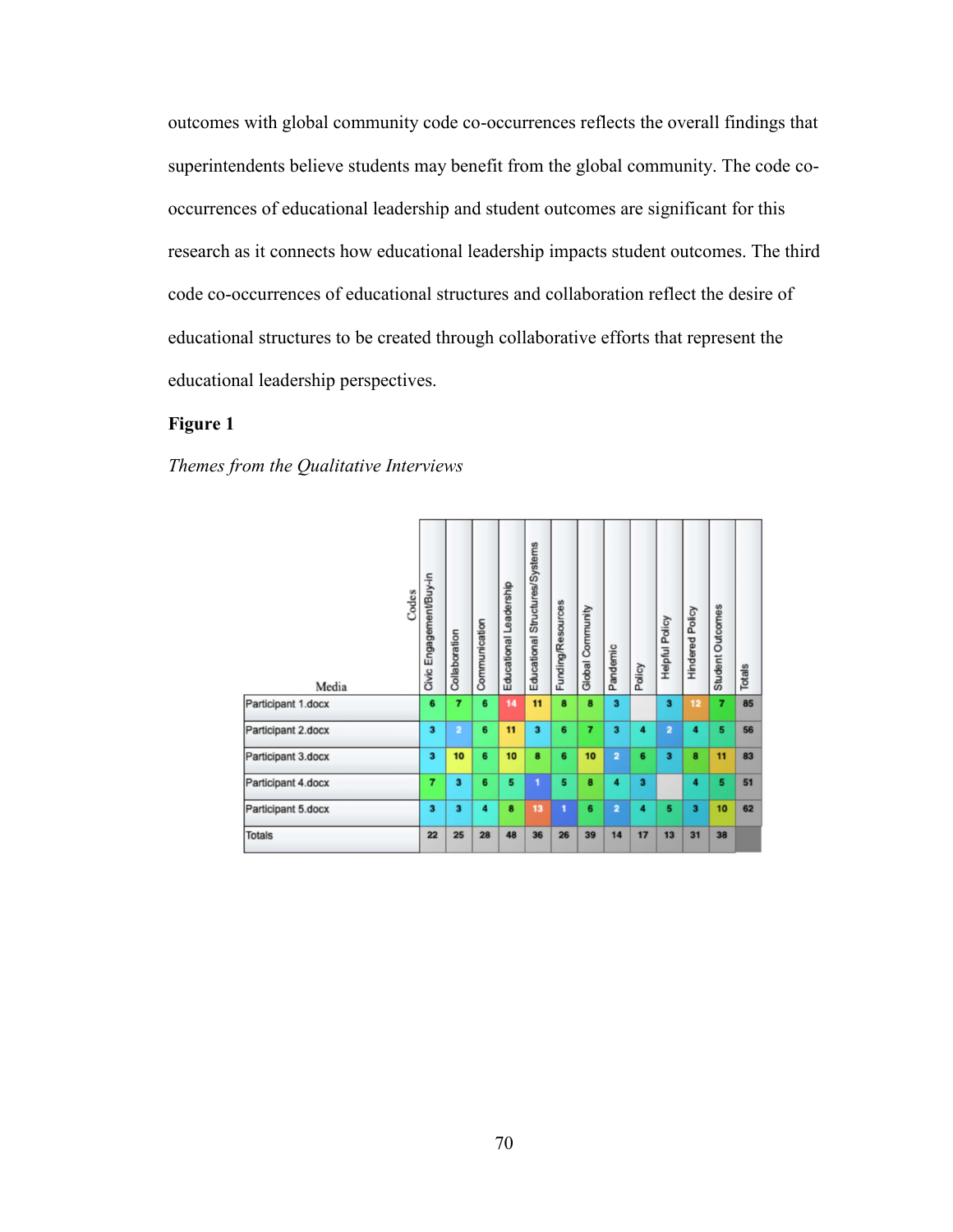outcomes with global community code co-occurrences reflects the overall findings that superintendents believe students may benefit from the global community. The code cooccurrences of educational leadership and student outcomes are significant for this research as it connects how educational leadership impacts student outcomes. The third code co-occurrences of educational structures and collaboration reflect the desire of educational structures to be created through collaborative efforts that represent the educational leadership perspectives.

# **Figure 1**

*Themes from the Qualitative Interviews* 

| Codes<br>Media     | Civic Engagement/Buy-in | Collaboration  | Communication | Educational Leadership | Educational Structures/Systems | Funding/Resources | Community<br>Global <sup>1</sup> | Pandemic                | Policy                  | Helpful Policy          | <b>Hindered Policy</b>  | Student Outcomes | Totals |
|--------------------|-------------------------|----------------|---------------|------------------------|--------------------------------|-------------------|----------------------------------|-------------------------|-------------------------|-------------------------|-------------------------|------------------|--------|
| Participant 1.docx | 6                       | 7              | 6             | 14                     | 11                             | 8                 | 8                                | $\overline{\mathbf{3}}$ |                         | 3                       | 12                      | 7                | 85     |
| Participant 2.docx | з                       | $\overline{2}$ | 6             | 11                     | 3                              | 6                 | 7                                | з                       | 4                       | $\overline{2}$          | 4                       | 5                | 56     |
| Participant 3.docx | 3                       | 10             | 6             | 10                     | 8                              | 6                 | 10                               | $\overline{2}$          | 6                       | $\overline{\mathbf{3}}$ | 8                       | 11               | 83     |
| Participant 4.docx | 7                       | 3              | 6             | 5                      | 1                              | 5                 | 8                                | 4                       | $\overline{\mathbf{3}}$ |                         | 4                       | 5                | 51     |
| Participant 5.docx | $\overline{\mathbf{3}}$ | 3              | 4             | 8                      | 13                             | 1                 | 6                                | 2                       | 4                       | 5                       | $\overline{\mathbf{3}}$ | 10               | 62     |
| <b>Totals</b>      | 22                      | 25             | 28            | 48                     | 36                             | 26                | 39                               | 14                      | 17                      | 13                      | 31                      | 38               |        |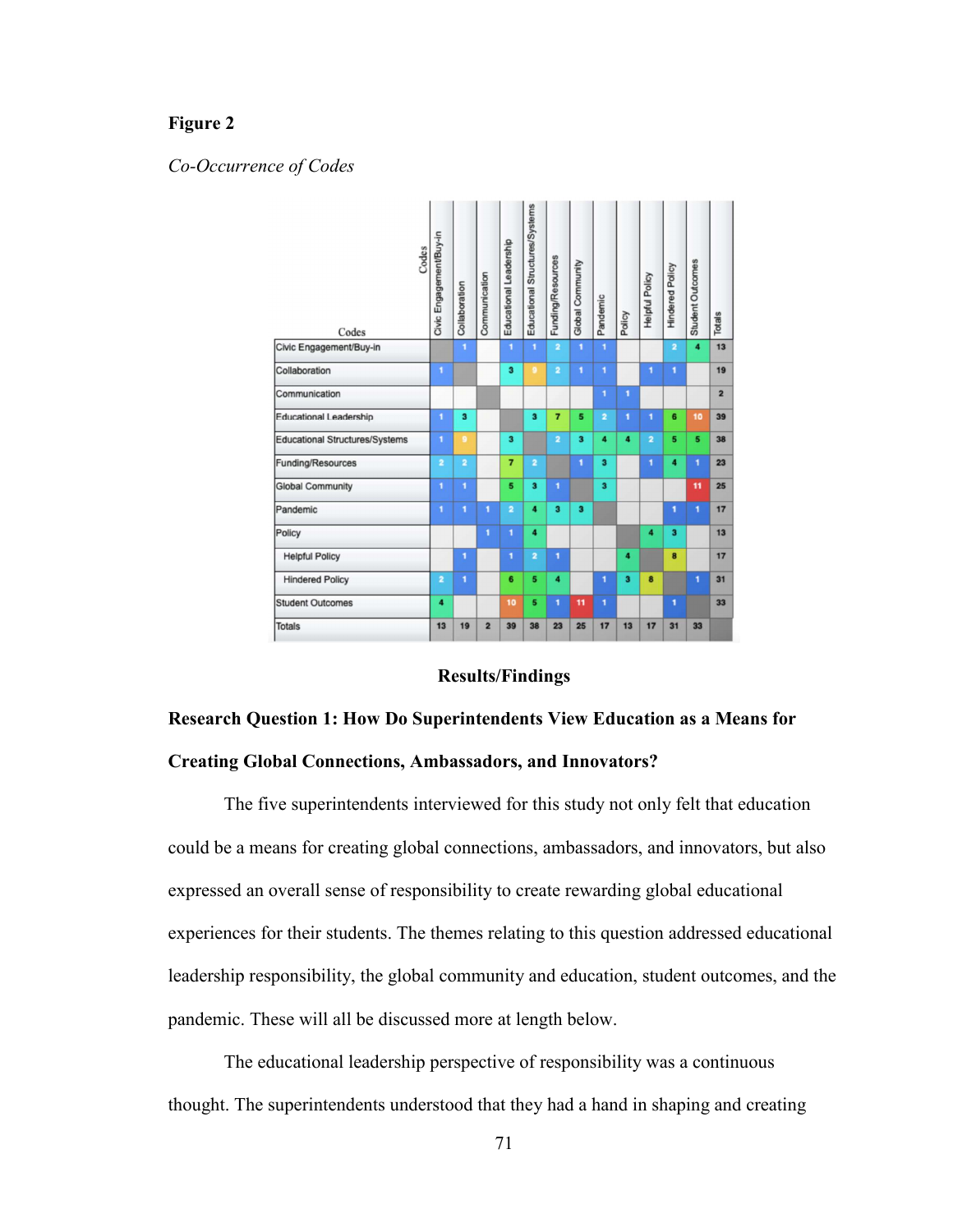# **Figure 2**

## *Co-Occurrence of Codes*



# **Results/Findings**

# **Research Question 1: How Do Superintendents View Education as a Means for Creating Global Connections, Ambassadors, and Innovators?**

The five superintendents interviewed for this study not only felt that education could be a means for creating global connections, ambassadors, and innovators, but also expressed an overall sense of responsibility to create rewarding global educational experiences for their students. The themes relating to this question addressed educational leadership responsibility, the global community and education, student outcomes, and the pandemic. These will all be discussed more at length below.

The educational leadership perspective of responsibility was a continuous thought. The superintendents understood that they had a hand in shaping and creating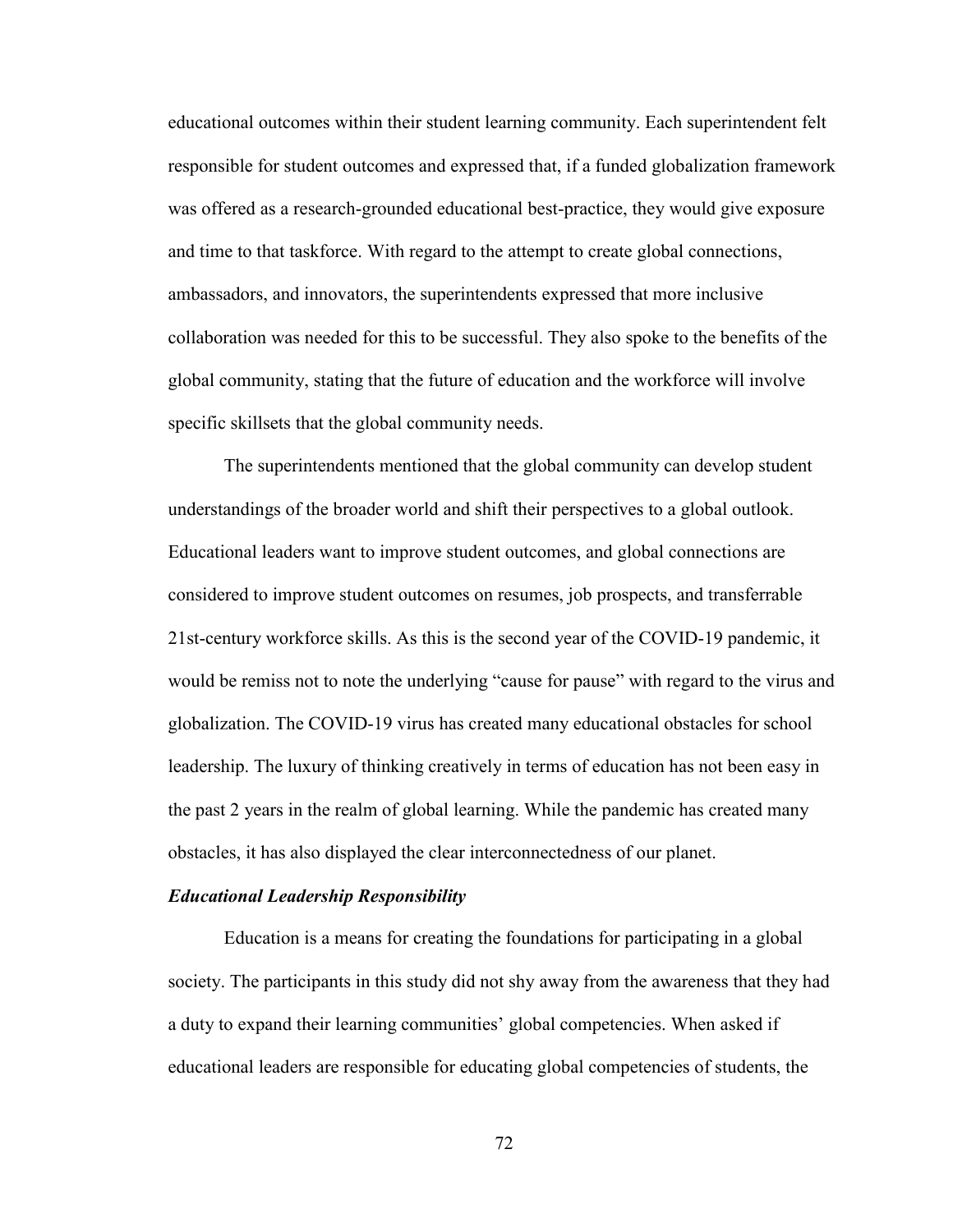educational outcomes within their student learning community. Each superintendent felt responsible for student outcomes and expressed that, if a funded globalization framework was offered as a research-grounded educational best-practice, they would give exposure and time to that taskforce. With regard to the attempt to create global connections, ambassadors, and innovators, the superintendents expressed that more inclusive collaboration was needed for this to be successful. They also spoke to the benefits of the global community, stating that the future of education and the workforce will involve specific skillsets that the global community needs.

The superintendents mentioned that the global community can develop student understandings of the broader world and shift their perspectives to a global outlook. Educational leaders want to improve student outcomes, and global connections are considered to improve student outcomes on resumes, job prospects, and transferrable 21st-century workforce skills. As this is the second year of the COVID-19 pandemic, it would be remiss not to note the underlying "cause for pause" with regard to the virus and globalization. The COVID-19 virus has created many educational obstacles for school leadership. The luxury of thinking creatively in terms of education has not been easy in the past 2 years in the realm of global learning. While the pandemic has created many obstacles, it has also displayed the clear interconnectedness of our planet.

#### *Educational Leadership Responsibility*

Education is a means for creating the foundations for participating in a global society. The participants in this study did not shy away from the awareness that they had a duty to expand their learning communities' global competencies. When asked if educational leaders are responsible for educating global competencies of students, the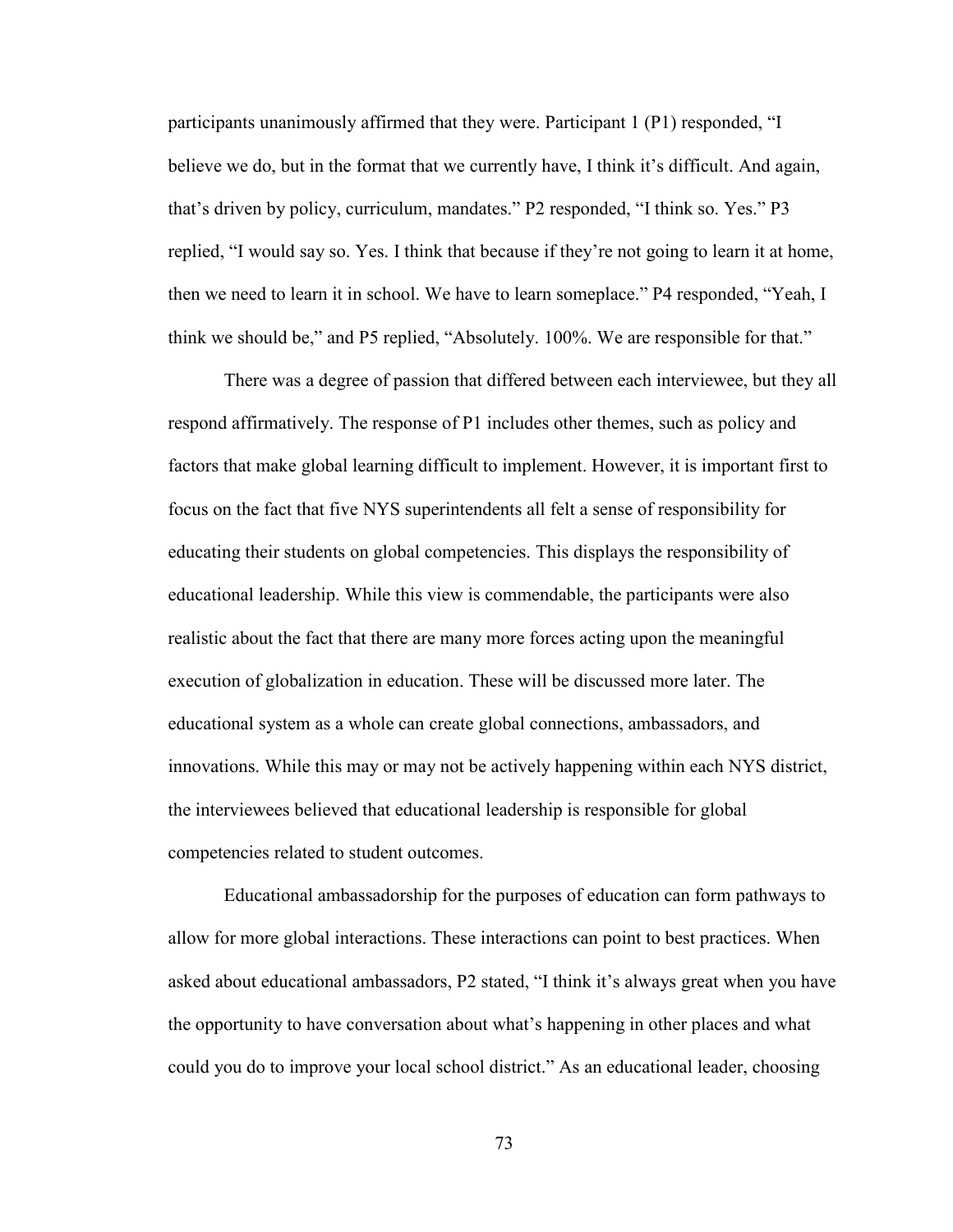participants unanimously affirmed that they were. Participant 1 (P1) responded, "I believe we do, but in the format that we currently have, I think it's difficult. And again, that's driven by policy, curriculum, mandates." P2 responded, "I think so. Yes." P3 replied, "I would say so. Yes. I think that because if they're not going to learn it at home, then we need to learn it in school. We have to learn someplace." P4 responded, "Yeah, I think we should be," and P5 replied, "Absolutely. 100%. We are responsible for that."

There was a degree of passion that differed between each interviewee, but they all respond affirmatively. The response of P1 includes other themes, such as policy and factors that make global learning difficult to implement. However, it is important first to focus on the fact that five NYS superintendents all felt a sense of responsibility for educating their students on global competencies. This displays the responsibility of educational leadership. While this view is commendable, the participants were also realistic about the fact that there are many more forces acting upon the meaningful execution of globalization in education. These will be discussed more later. The educational system as a whole can create global connections, ambassadors, and innovations. While this may or may not be actively happening within each NYS district, the interviewees believed that educational leadership is responsible for global competencies related to student outcomes.

Educational ambassadorship for the purposes of education can form pathways to allow for more global interactions. These interactions can point to best practices. When asked about educational ambassadors, P2 stated, "I think it's always great when you have the opportunity to have conversation about what's happening in other places and what could you do to improve your local school district." As an educational leader, choosing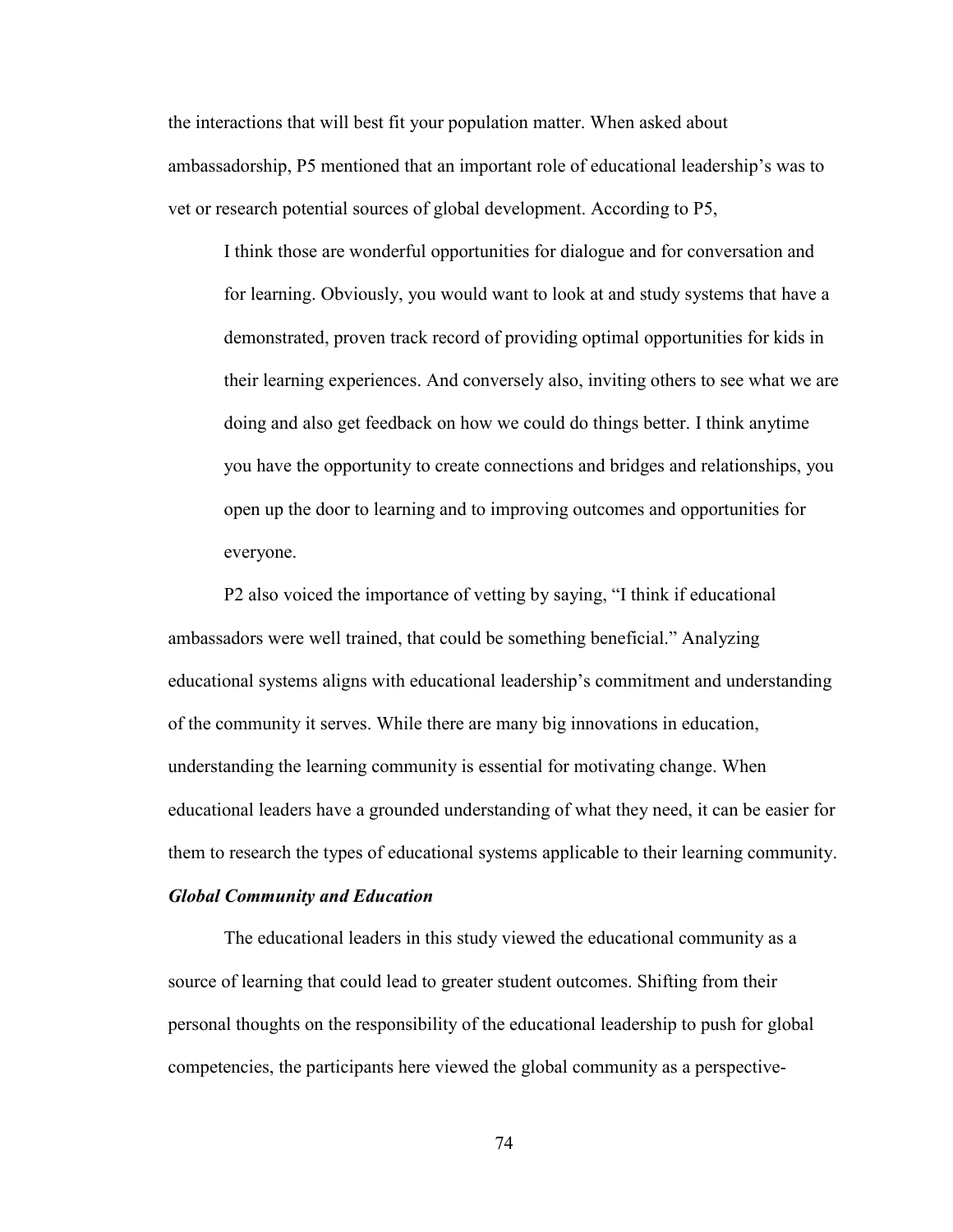the interactions that will best fit your population matter. When asked about ambassadorship, P5 mentioned that an important role of educational leadership's was to vet or research potential sources of global development. According to P5,

I think those are wonderful opportunities for dialogue and for conversation and for learning. Obviously, you would want to look at and study systems that have a demonstrated, proven track record of providing optimal opportunities for kids in their learning experiences. And conversely also, inviting others to see what we are doing and also get feedback on how we could do things better. I think anytime you have the opportunity to create connections and bridges and relationships, you open up the door to learning and to improving outcomes and opportunities for everyone.

P2 also voiced the importance of vetting by saying, "I think if educational ambassadors were well trained, that could be something beneficial." Analyzing educational systems aligns with educational leadership's commitment and understanding of the community it serves. While there are many big innovations in education, understanding the learning community is essential for motivating change. When educational leaders have a grounded understanding of what they need, it can be easier for them to research the types of educational systems applicable to their learning community.

#### *Global Community and Education*

The educational leaders in this study viewed the educational community as a source of learning that could lead to greater student outcomes. Shifting from their personal thoughts on the responsibility of the educational leadership to push for global competencies, the participants here viewed the global community as a perspective-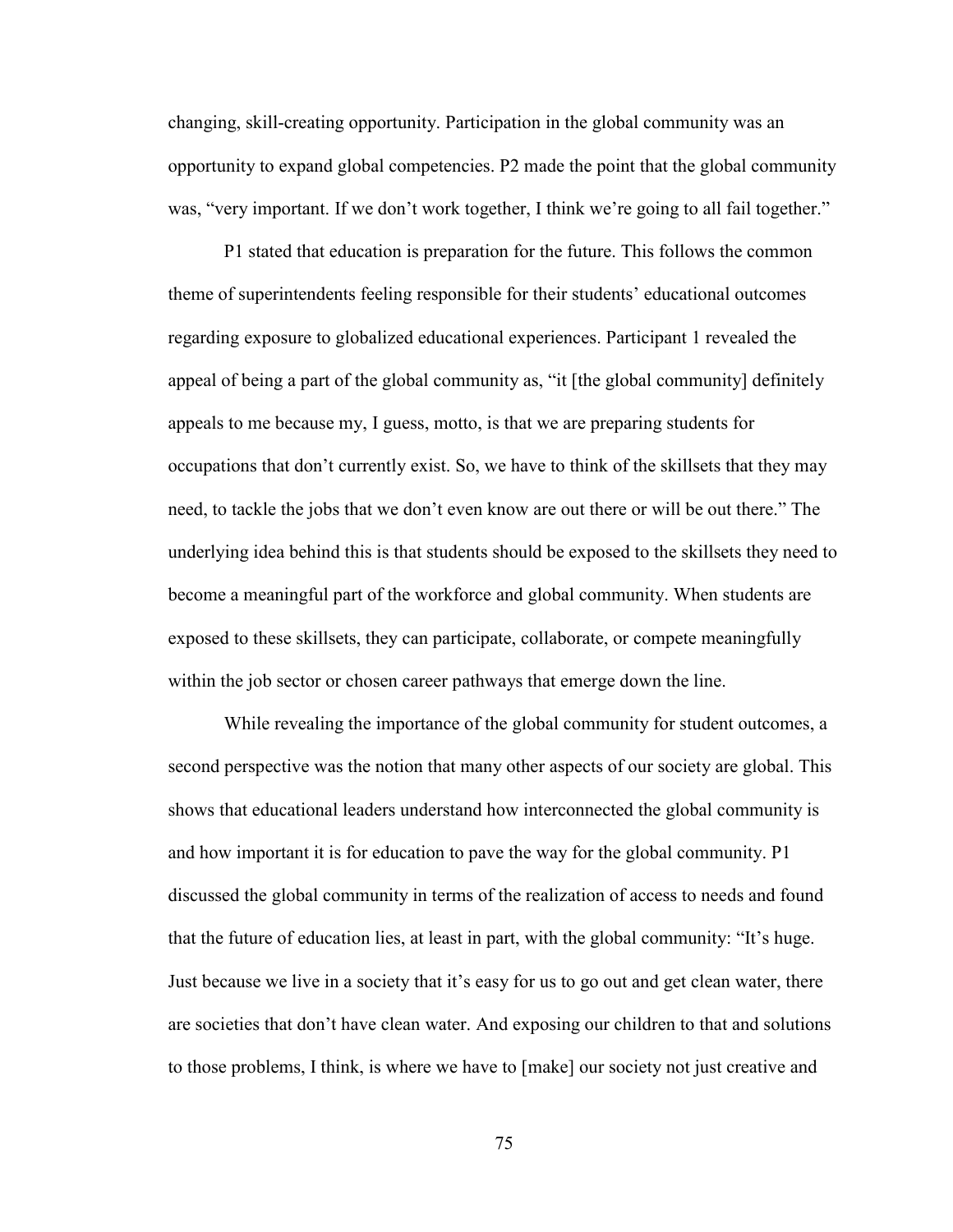changing, skill-creating opportunity. Participation in the global community was an opportunity to expand global competencies. P2 made the point that the global community was, "very important. If we don't work together, I think we're going to all fail together."

P1 stated that education is preparation for the future. This follows the common theme of superintendents feeling responsible for their students' educational outcomes regarding exposure to globalized educational experiences. Participant 1 revealed the appeal of being a part of the global community as, "it [the global community] definitely appeals to me because my, I guess, motto, is that we are preparing students for occupations that don't currently exist. So, we have to think of the skillsets that they may need, to tackle the jobs that we don't even know are out there or will be out there." The underlying idea behind this is that students should be exposed to the skillsets they need to become a meaningful part of the workforce and global community. When students are exposed to these skillsets, they can participate, collaborate, or compete meaningfully within the job sector or chosen career pathways that emerge down the line.

While revealing the importance of the global community for student outcomes, a second perspective was the notion that many other aspects of our society are global. This shows that educational leaders understand how interconnected the global community is and how important it is for education to pave the way for the global community. P1 discussed the global community in terms of the realization of access to needs and found that the future of education lies, at least in part, with the global community: "It's huge. Just because we live in a society that it's easy for us to go out and get clean water, there are societies that don't have clean water. And exposing our children to that and solutions to those problems, I think, is where we have to [make] our society not just creative and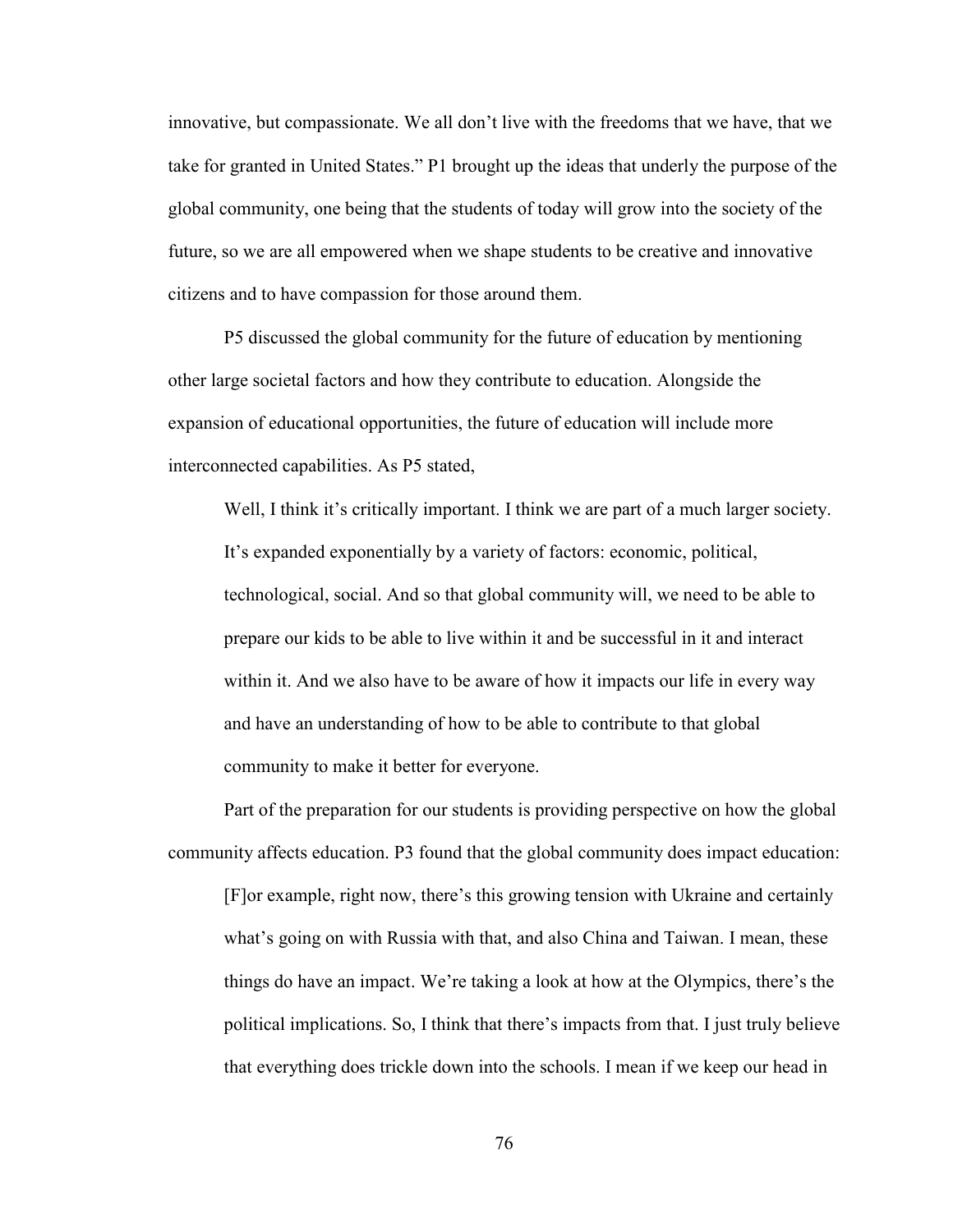innovative, but compassionate. We all don't live with the freedoms that we have, that we take for granted in United States." P1 brought up the ideas that underly the purpose of the global community, one being that the students of today will grow into the society of the future, so we are all empowered when we shape students to be creative and innovative citizens and to have compassion for those around them.

P5 discussed the global community for the future of education by mentioning other large societal factors and how they contribute to education. Alongside the expansion of educational opportunities, the future of education will include more interconnected capabilities. As P5 stated,

Well, I think it's critically important. I think we are part of a much larger society. It's expanded exponentially by a variety of factors: economic, political, technological, social. And so that global community will, we need to be able to prepare our kids to be able to live within it and be successful in it and interact within it. And we also have to be aware of how it impacts our life in every way and have an understanding of how to be able to contribute to that global community to make it better for everyone.

Part of the preparation for our students is providing perspective on how the global community affects education. P3 found that the global community does impact education: [F]or example, right now, there's this growing tension with Ukraine and certainly what's going on with Russia with that, and also China and Taiwan. I mean, these things do have an impact. We're taking a look at how at the Olympics, there's the political implications. So, I think that there's impacts from that. I just truly believe that everything does trickle down into the schools. I mean if we keep our head in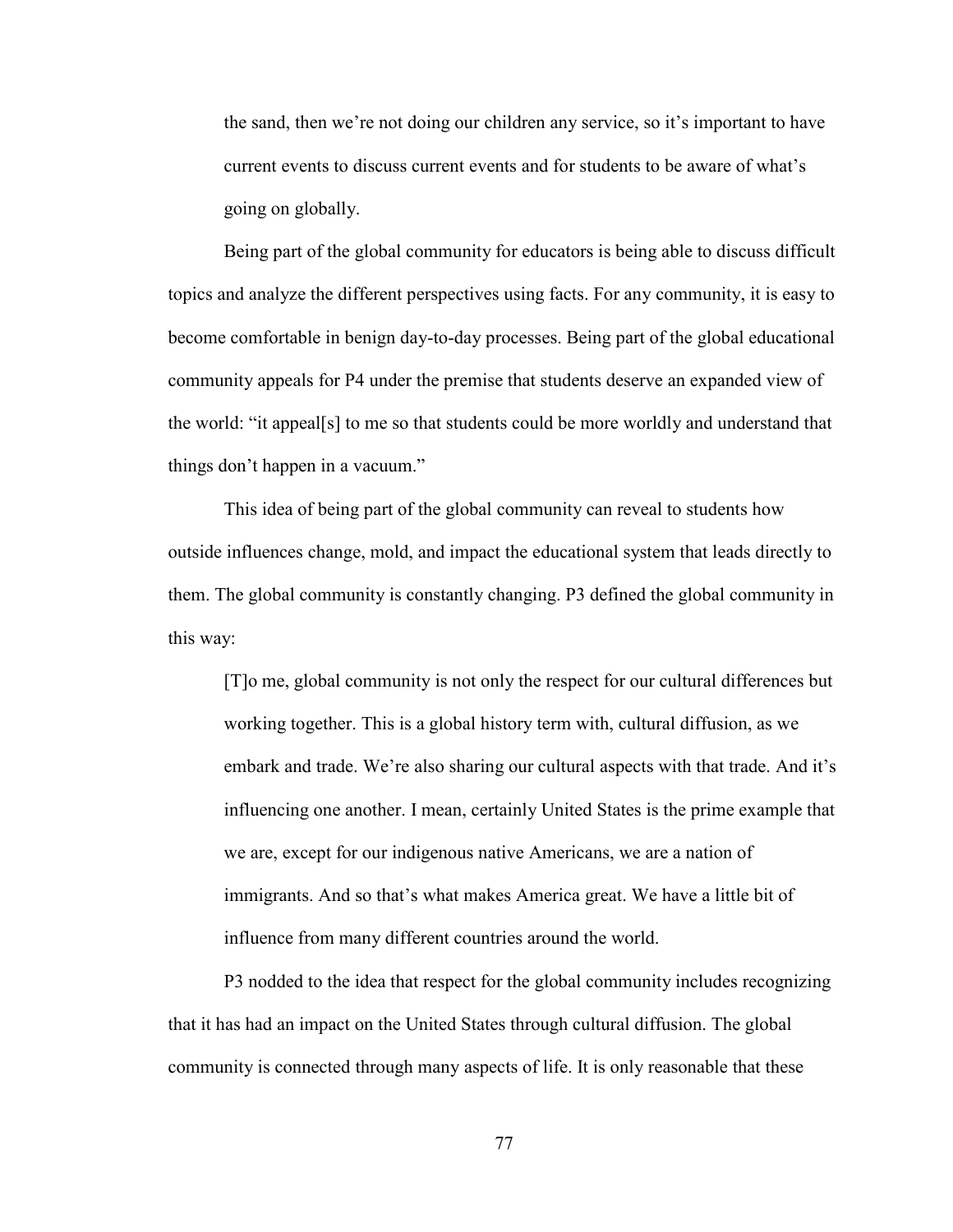the sand, then we're not doing our children any service, so it's important to have current events to discuss current events and for students to be aware of what's going on globally.

Being part of the global community for educators is being able to discuss difficult topics and analyze the different perspectives using facts. For any community, it is easy to become comfortable in benign day-to-day processes. Being part of the global educational community appeals for P4 under the premise that students deserve an expanded view of the world: "it appeal[s] to me so that students could be more worldly and understand that things don't happen in a vacuum."

This idea of being part of the global community can reveal to students how outside influences change, mold, and impact the educational system that leads directly to them. The global community is constantly changing. P3 defined the global community in this way:

[T]o me, global community is not only the respect for our cultural differences but working together. This is a global history term with, cultural diffusion, as we embark and trade. We're also sharing our cultural aspects with that trade. And it's influencing one another. I mean, certainly United States is the prime example that we are, except for our indigenous native Americans, we are a nation of immigrants. And so that's what makes America great. We have a little bit of influence from many different countries around the world.

P3 nodded to the idea that respect for the global community includes recognizing that it has had an impact on the United States through cultural diffusion. The global community is connected through many aspects of life. It is only reasonable that these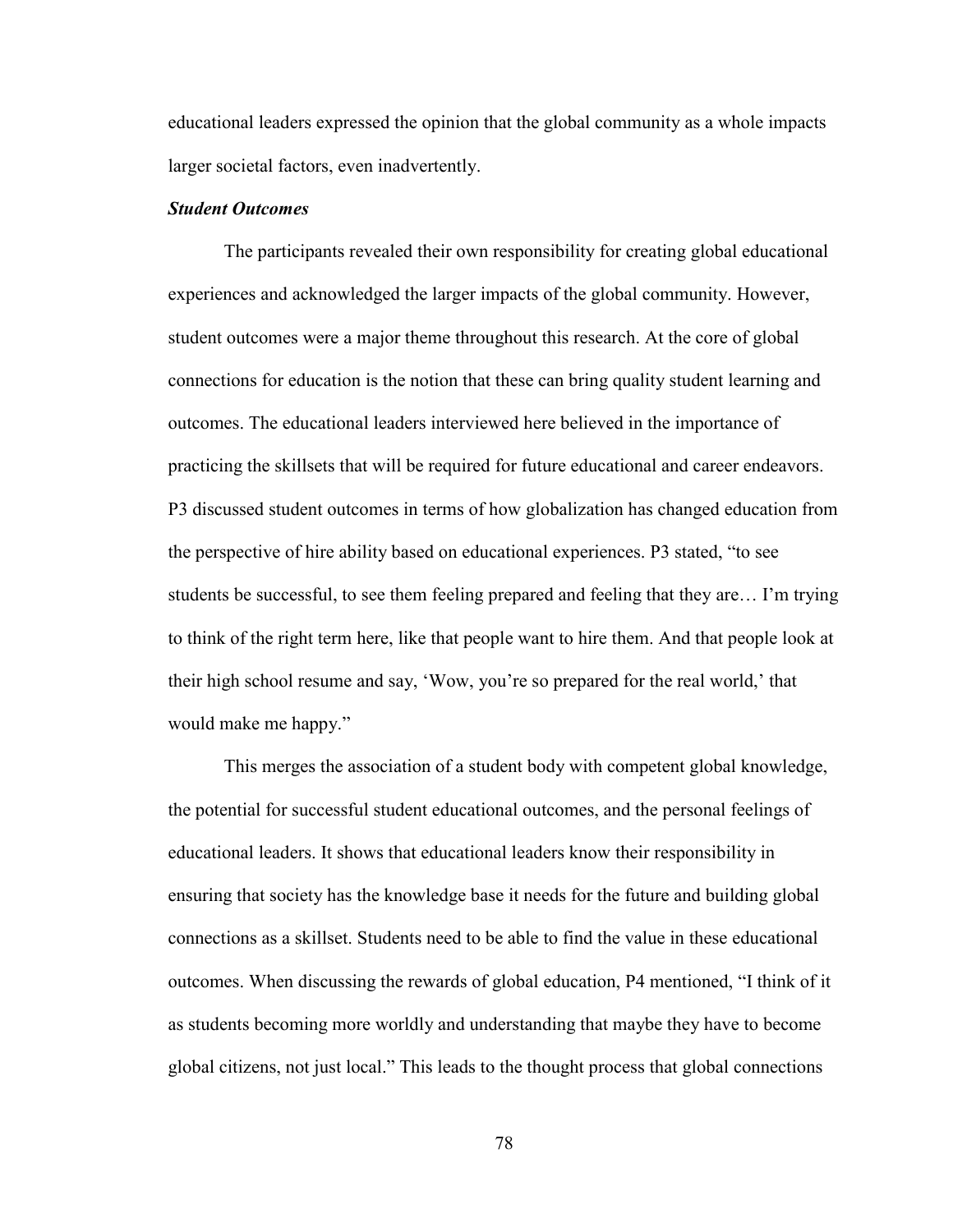educational leaders expressed the opinion that the global community as a whole impacts larger societal factors, even inadvertently.

# *Student Outcomes*

The participants revealed their own responsibility for creating global educational experiences and acknowledged the larger impacts of the global community. However, student outcomes were a major theme throughout this research. At the core of global connections for education is the notion that these can bring quality student learning and outcomes. The educational leaders interviewed here believed in the importance of practicing the skillsets that will be required for future educational and career endeavors. P3 discussed student outcomes in terms of how globalization has changed education from the perspective of hire ability based on educational experiences. P3 stated, "to see students be successful, to see them feeling prepared and feeling that they are… I'm trying to think of the right term here, like that people want to hire them. And that people look at their high school resume and say, 'Wow, you're so prepared for the real world,' that would make me happy."

This merges the association of a student body with competent global knowledge, the potential for successful student educational outcomes, and the personal feelings of educational leaders. It shows that educational leaders know their responsibility in ensuring that society has the knowledge base it needs for the future and building global connections as a skillset. Students need to be able to find the value in these educational outcomes. When discussing the rewards of global education, P4 mentioned, "I think of it as students becoming more worldly and understanding that maybe they have to become global citizens, not just local." This leads to the thought process that global connections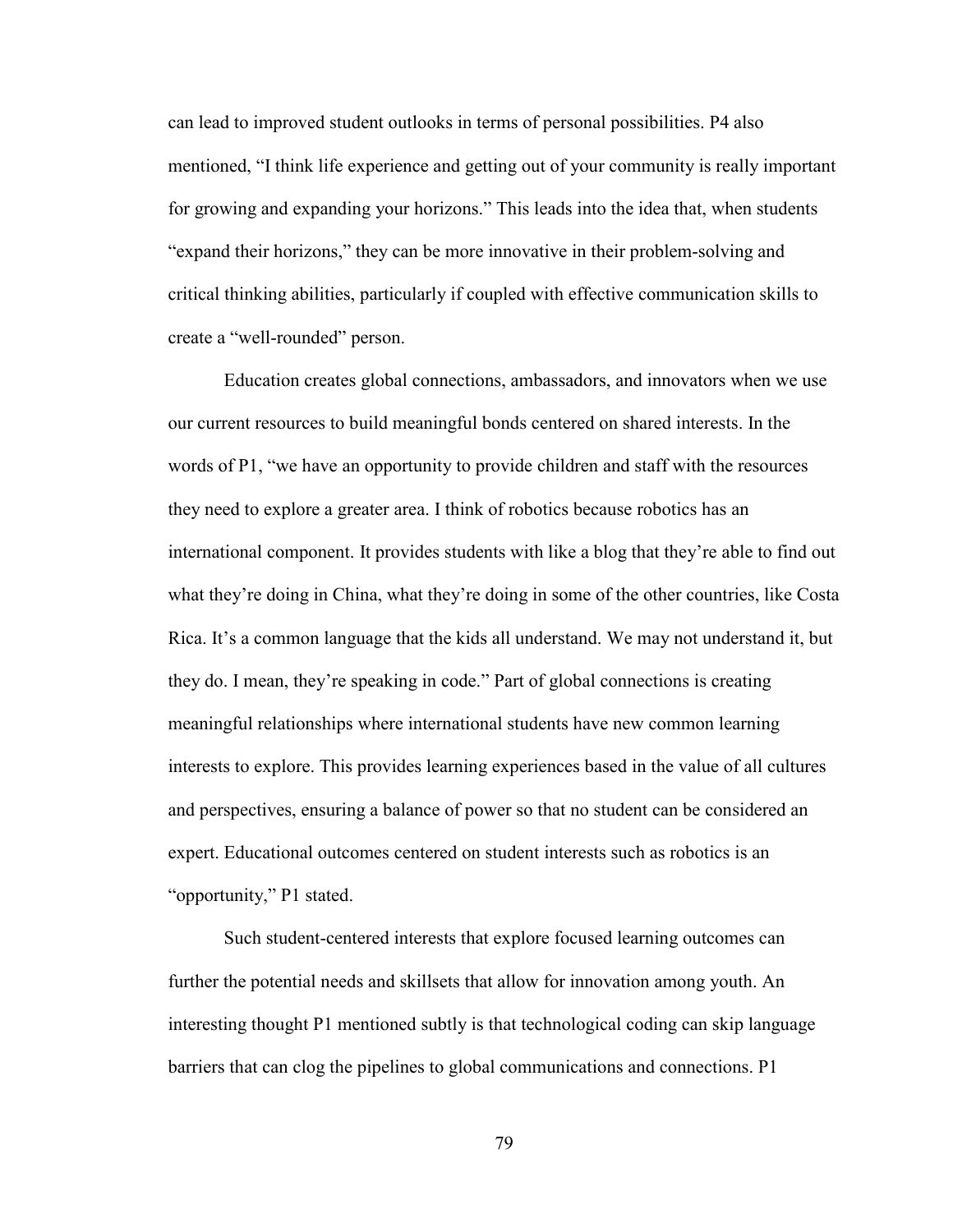can lead to improved student outlooks in terms of personal possibilities. P4 also mentioned, "I think life experience and getting out of your community is really important for growing and expanding your horizons." This leads into the idea that, when students "expand their horizons," they can be more innovative in their problem-solving and critical thinking abilities, particularly if coupled with effective communication skills to create a "well-rounded" person.

Education creates global connections, ambassadors, and innovators when we use our current resources to build meaningful bonds centered on shared interests. In the words of P1, "we have an opportunity to provide children and staff with the resources they need to explore a greater area. I think of robotics because robotics has an international component. It provides students with like a blog that they're able to find out what they're doing in China, what they're doing in some of the other countries, like Costa Rica. It's a common language that the kids all understand. We may not understand it, but they do. I mean, they're speaking in code." Part of global connections is creating meaningful relationships where international students have new common learning interests to explore. This provides learning experiences based in the value of all cultures and perspectives, ensuring a balance of power so that no student can be considered an expert. Educational outcomes centered on student interests such as robotics is an "opportunity," P1 stated.

Such student-centered interests that explore focused learning outcomes can further the potential needs and skillsets that allow for innovation among youth. An interesting thought P1 mentioned subtly is that technological coding can skip language barriers that can clog the pipelines to global communications and connections. P1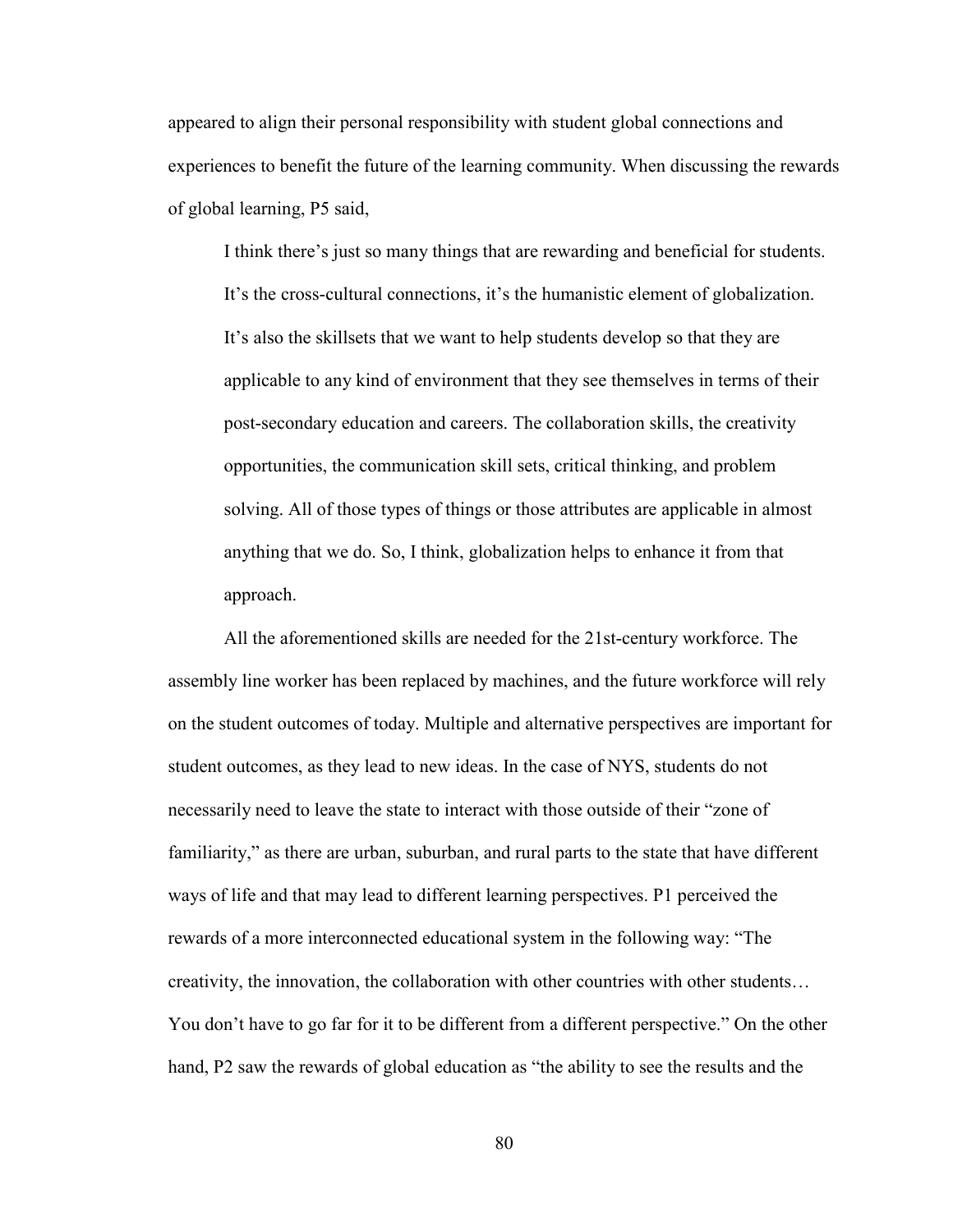appeared to align their personal responsibility with student global connections and experiences to benefit the future of the learning community. When discussing the rewards of global learning, P5 said,

I think there's just so many things that are rewarding and beneficial for students. It's the cross-cultural connections, it's the humanistic element of globalization. It's also the skillsets that we want to help students develop so that they are applicable to any kind of environment that they see themselves in terms of their post-secondary education and careers. The collaboration skills, the creativity opportunities, the communication skill sets, critical thinking, and problem solving. All of those types of things or those attributes are applicable in almost anything that we do. So, I think, globalization helps to enhance it from that approach.

All the aforementioned skills are needed for the 21st-century workforce. The assembly line worker has been replaced by machines, and the future workforce will rely on the student outcomes of today. Multiple and alternative perspectives are important for student outcomes, as they lead to new ideas. In the case of NYS, students do not necessarily need to leave the state to interact with those outside of their "zone of familiarity," as there are urban, suburban, and rural parts to the state that have different ways of life and that may lead to different learning perspectives. P1 perceived the rewards of a more interconnected educational system in the following way: "The creativity, the innovation, the collaboration with other countries with other students… You don't have to go far for it to be different from a different perspective." On the other hand, P2 saw the rewards of global education as "the ability to see the results and the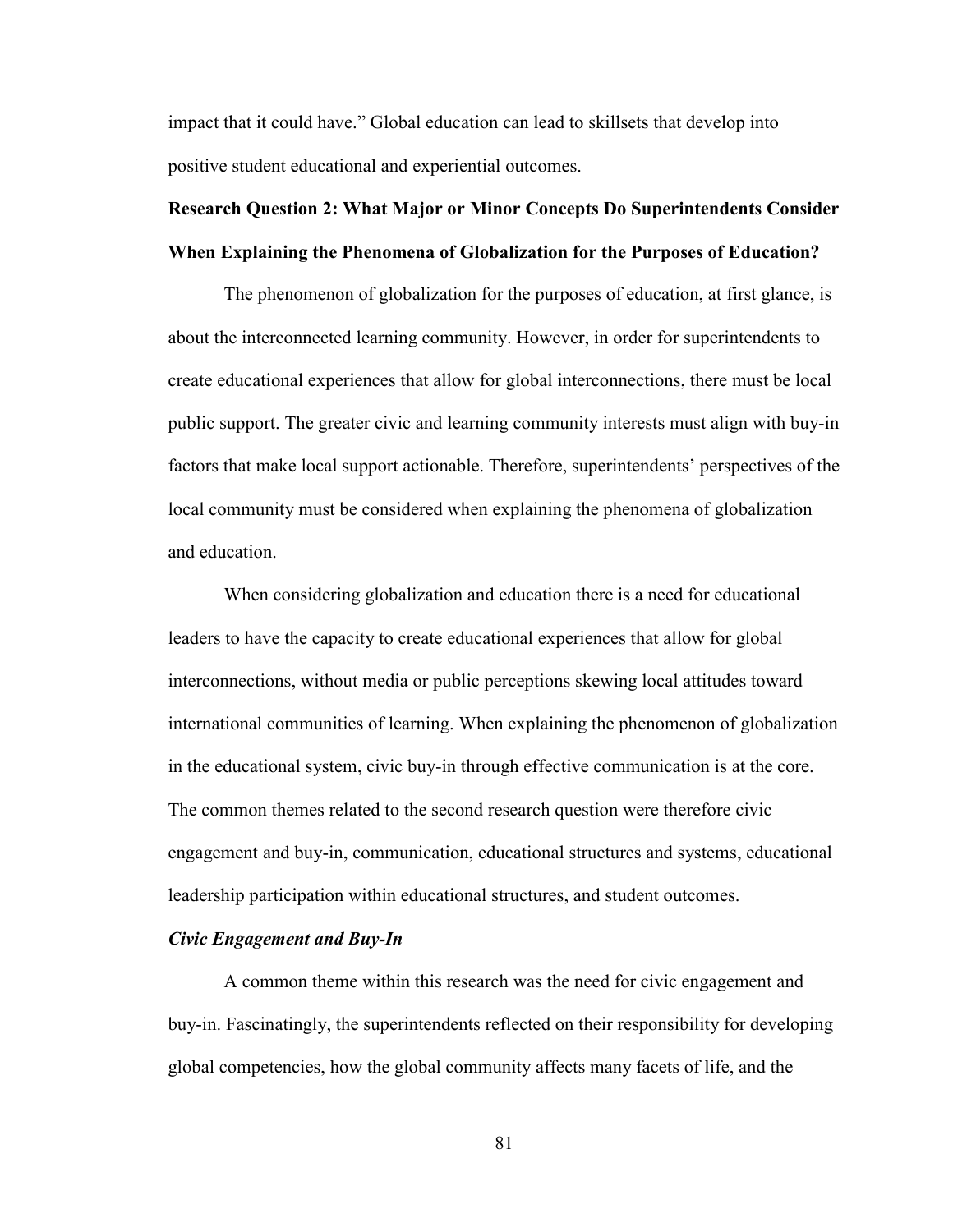impact that it could have." Global education can lead to skillsets that develop into positive student educational and experiential outcomes.

# **Research Question 2: What Major or Minor Concepts Do Superintendents Consider When Explaining the Phenomena of Globalization for the Purposes of Education?**

The phenomenon of globalization for the purposes of education, at first glance, is about the interconnected learning community. However, in order for superintendents to create educational experiences that allow for global interconnections, there must be local public support. The greater civic and learning community interests must align with buy-in factors that make local support actionable. Therefore, superintendents' perspectives of the local community must be considered when explaining the phenomena of globalization and education.

When considering globalization and education there is a need for educational leaders to have the capacity to create educational experiences that allow for global interconnections, without media or public perceptions skewing local attitudes toward international communities of learning. When explaining the phenomenon of globalization in the educational system, civic buy-in through effective communication is at the core. The common themes related to the second research question were therefore civic engagement and buy-in, communication, educational structures and systems, educational leadership participation within educational structures, and student outcomes.

### *Civic Engagement and Buy-In*

A common theme within this research was the need for civic engagement and buy-in. Fascinatingly, the superintendents reflected on their responsibility for developing global competencies, how the global community affects many facets of life, and the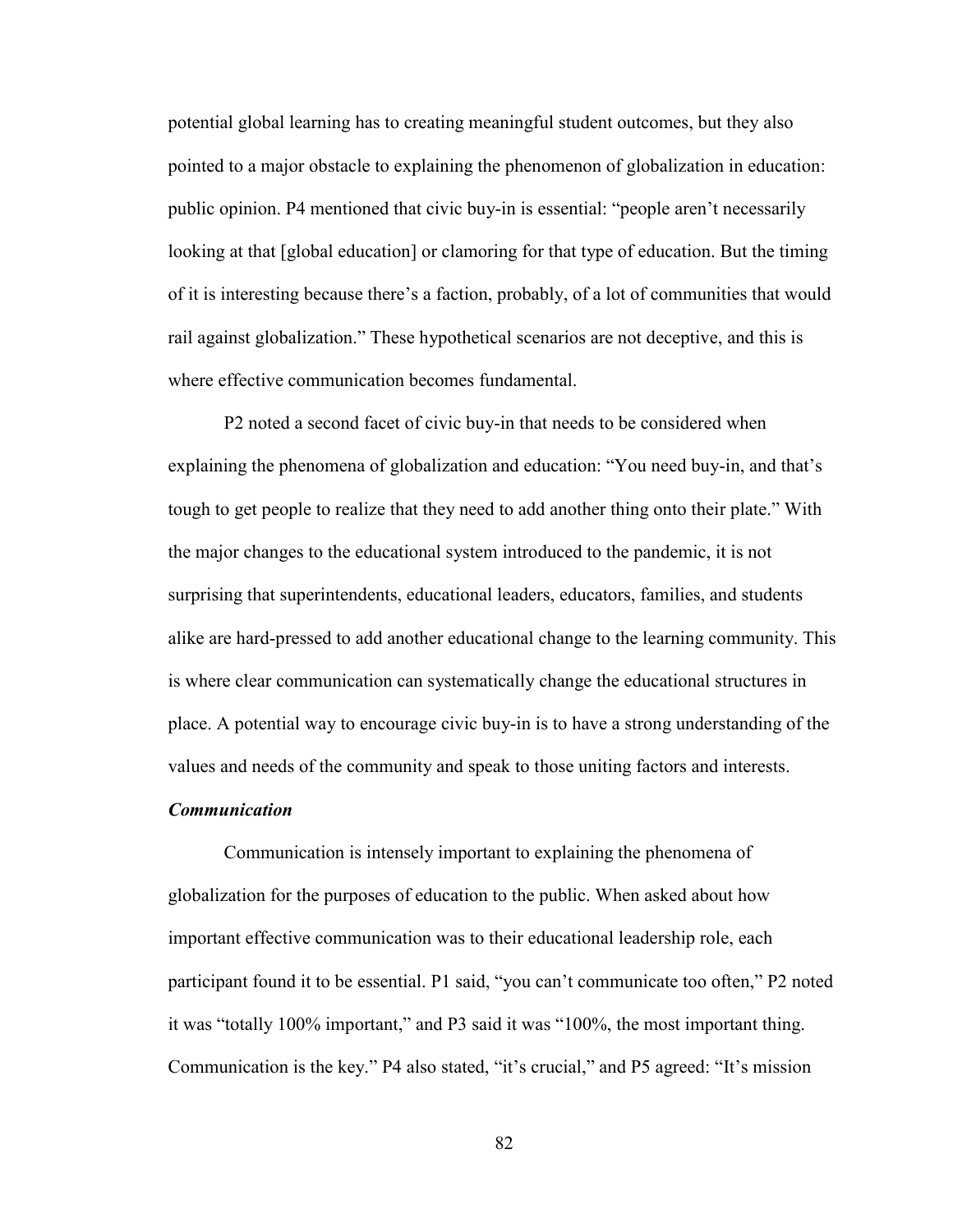potential global learning has to creating meaningful student outcomes, but they also pointed to a major obstacle to explaining the phenomenon of globalization in education: public opinion. P4 mentioned that civic buy-in is essential: "people aren't necessarily looking at that [global education] or clamoring for that type of education. But the timing of it is interesting because there's a faction, probably, of a lot of communities that would rail against globalization." These hypothetical scenarios are not deceptive, and this is where effective communication becomes fundamental.

P2 noted a second facet of civic buy-in that needs to be considered when explaining the phenomena of globalization and education: "You need buy-in, and that's tough to get people to realize that they need to add another thing onto their plate." With the major changes to the educational system introduced to the pandemic, it is not surprising that superintendents, educational leaders, educators, families, and students alike are hard-pressed to add another educational change to the learning community. This is where clear communication can systematically change the educational structures in place. A potential way to encourage civic buy-in is to have a strong understanding of the values and needs of the community and speak to those uniting factors and interests.

## *Communication*

Communication is intensely important to explaining the phenomena of globalization for the purposes of education to the public. When asked about how important effective communication was to their educational leadership role, each participant found it to be essential. P1 said, "you can't communicate too often," P2 noted it was "totally 100% important," and P3 said it was "100%, the most important thing. Communication is the key." P4 also stated, "it's crucial," and P5 agreed: "It's mission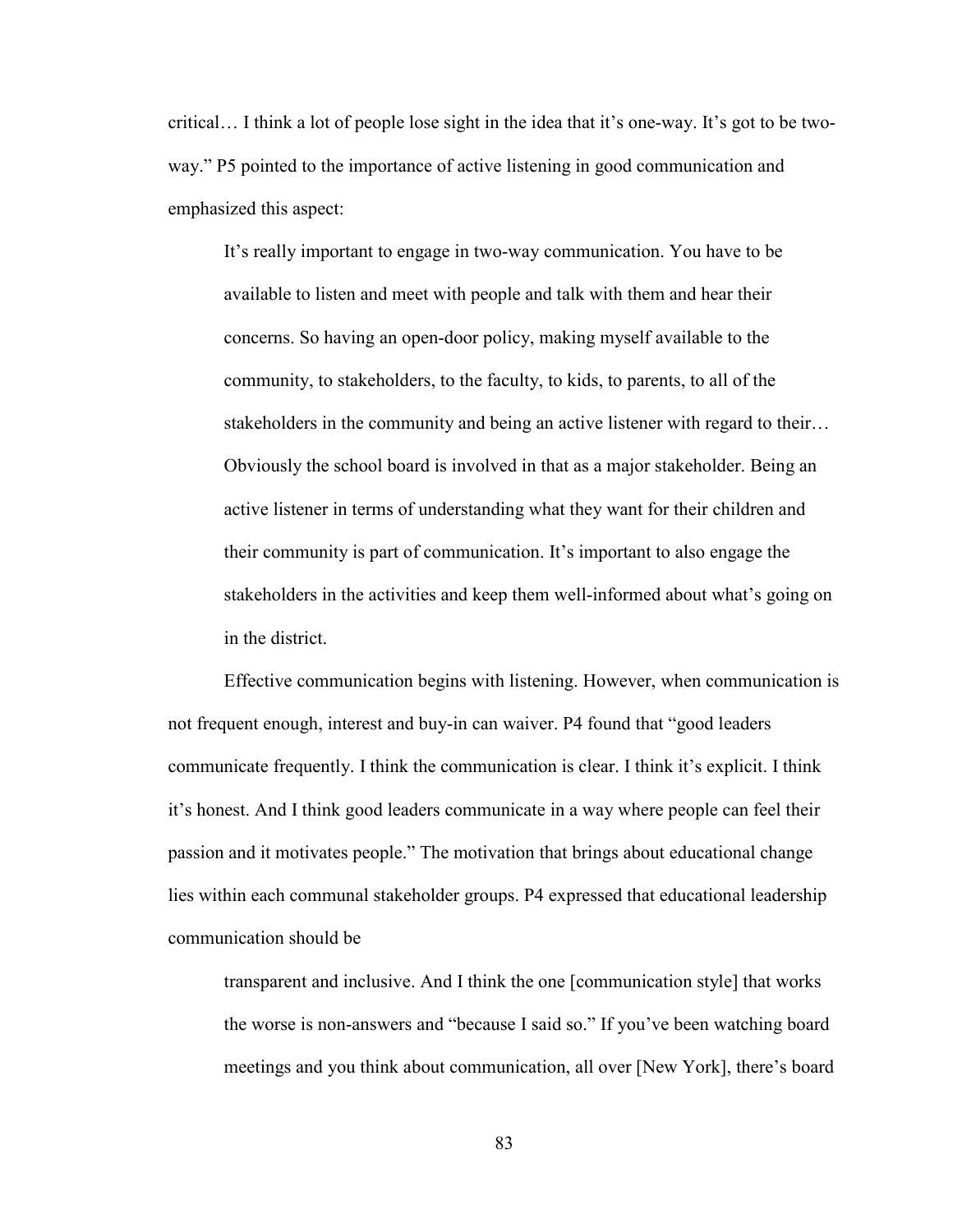critical… I think a lot of people lose sight in the idea that it's one-way. It's got to be twoway." P5 pointed to the importance of active listening in good communication and emphasized this aspect:

It's really important to engage in two-way communication. You have to be available to listen and meet with people and talk with them and hear their concerns. So having an open-door policy, making myself available to the community, to stakeholders, to the faculty, to kids, to parents, to all of the stakeholders in the community and being an active listener with regard to their… Obviously the school board is involved in that as a major stakeholder. Being an active listener in terms of understanding what they want for their children and their community is part of communication. It's important to also engage the stakeholders in the activities and keep them well-informed about what's going on in the district.

Effective communication begins with listening. However, when communication is not frequent enough, interest and buy-in can waiver. P4 found that "good leaders communicate frequently. I think the communication is clear. I think it's explicit. I think it's honest. And I think good leaders communicate in a way where people can feel their passion and it motivates people." The motivation that brings about educational change lies within each communal stakeholder groups. P4 expressed that educational leadership communication should be

transparent and inclusive. And I think the one [communication style] that works the worse is non-answers and "because I said so." If you've been watching board meetings and you think about communication, all over [New York], there's board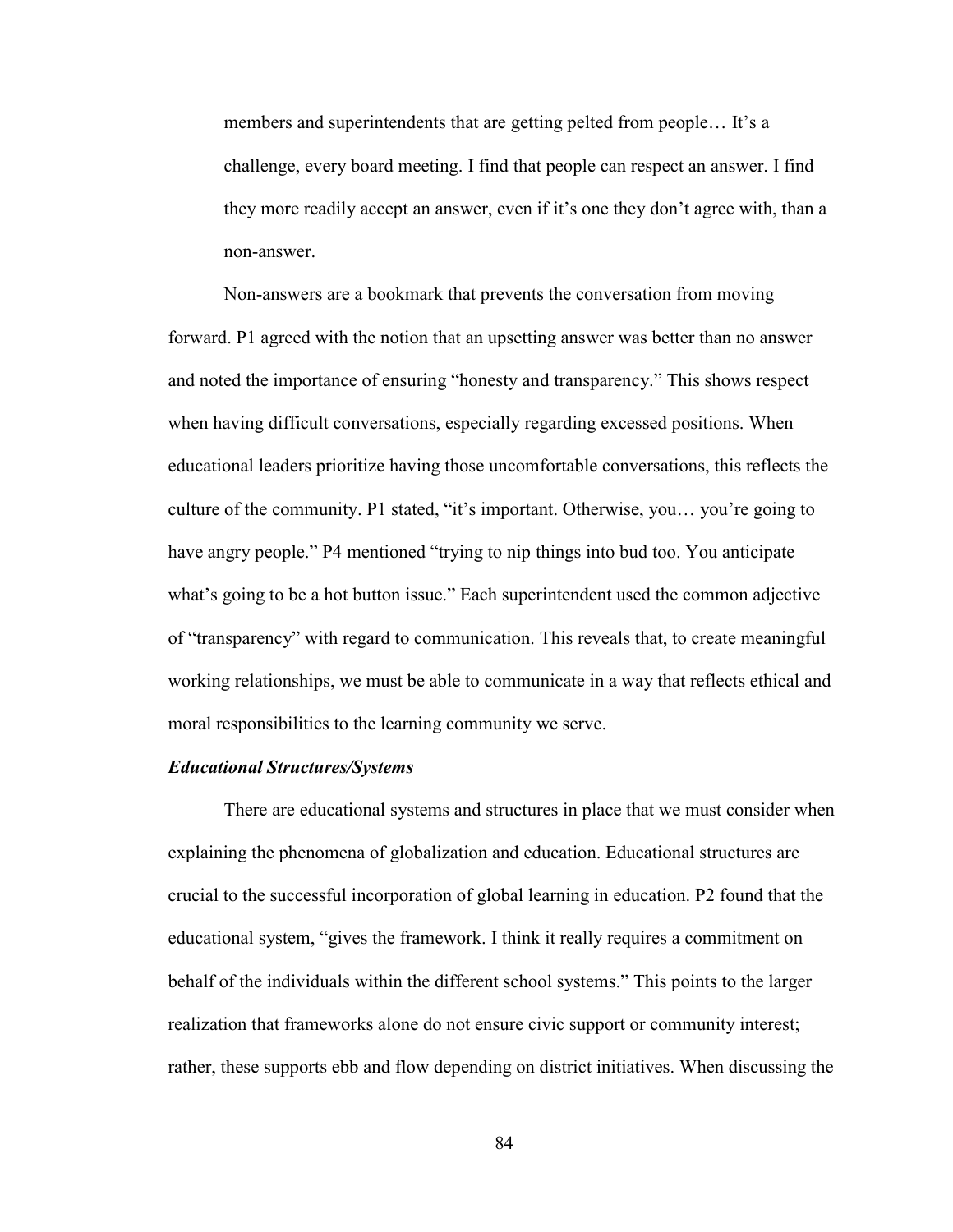members and superintendents that are getting pelted from people… It's a challenge, every board meeting. I find that people can respect an answer. I find they more readily accept an answer, even if it's one they don't agree with, than a non-answer.

Non-answers are a bookmark that prevents the conversation from moving forward. P1 agreed with the notion that an upsetting answer was better than no answer and noted the importance of ensuring "honesty and transparency." This shows respect when having difficult conversations, especially regarding excessed positions. When educational leaders prioritize having those uncomfortable conversations, this reflects the culture of the community. P1 stated, "it's important. Otherwise, you… you're going to have angry people." P4 mentioned "trying to nip things into bud too. You anticipate what's going to be a hot button issue." Each superintendent used the common adjective of "transparency" with regard to communication. This reveals that, to create meaningful working relationships, we must be able to communicate in a way that reflects ethical and moral responsibilities to the learning community we serve.

# *Educational Structures/Systems*

There are educational systems and structures in place that we must consider when explaining the phenomena of globalization and education. Educational structures are crucial to the successful incorporation of global learning in education. P2 found that the educational system, "gives the framework. I think it really requires a commitment on behalf of the individuals within the different school systems." This points to the larger realization that frameworks alone do not ensure civic support or community interest; rather, these supports ebb and flow depending on district initiatives. When discussing the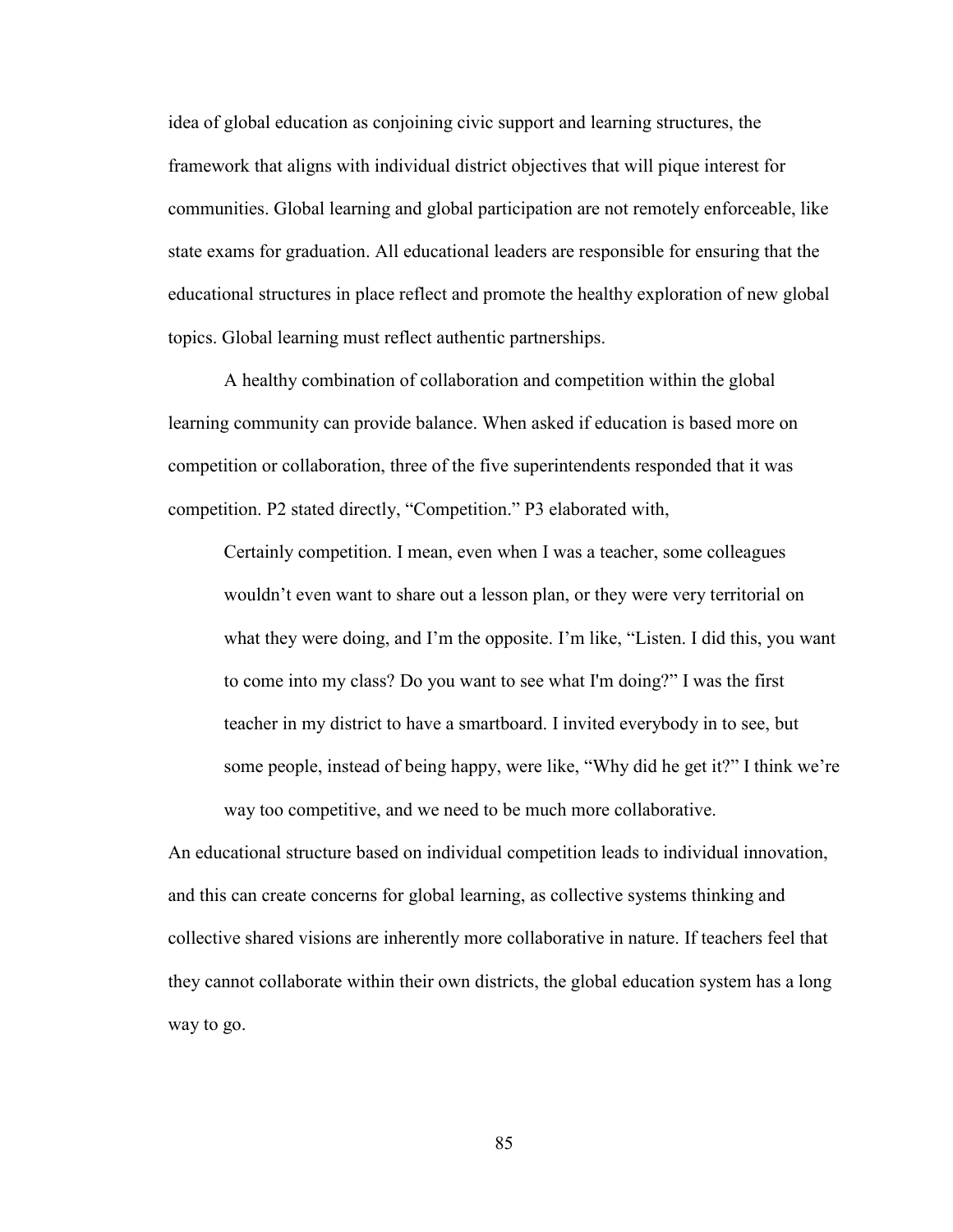idea of global education as conjoining civic support and learning structures, the framework that aligns with individual district objectives that will pique interest for communities. Global learning and global participation are not remotely enforceable, like state exams for graduation. All educational leaders are responsible for ensuring that the educational structures in place reflect and promote the healthy exploration of new global topics. Global learning must reflect authentic partnerships.

A healthy combination of collaboration and competition within the global learning community can provide balance. When asked if education is based more on competition or collaboration, three of the five superintendents responded that it was competition. P2 stated directly, "Competition." P3 elaborated with,

Certainly competition. I mean, even when I was a teacher, some colleagues wouldn't even want to share out a lesson plan, or they were very territorial on what they were doing, and I'm the opposite. I'm like, "Listen. I did this, you want to come into my class? Do you want to see what I'm doing?" I was the first teacher in my district to have a smartboard. I invited everybody in to see, but some people, instead of being happy, were like, "Why did he get it?" I think we're way too competitive, and we need to be much more collaborative.

An educational structure based on individual competition leads to individual innovation, and this can create concerns for global learning, as collective systems thinking and collective shared visions are inherently more collaborative in nature. If teachers feel that they cannot collaborate within their own districts, the global education system has a long way to go.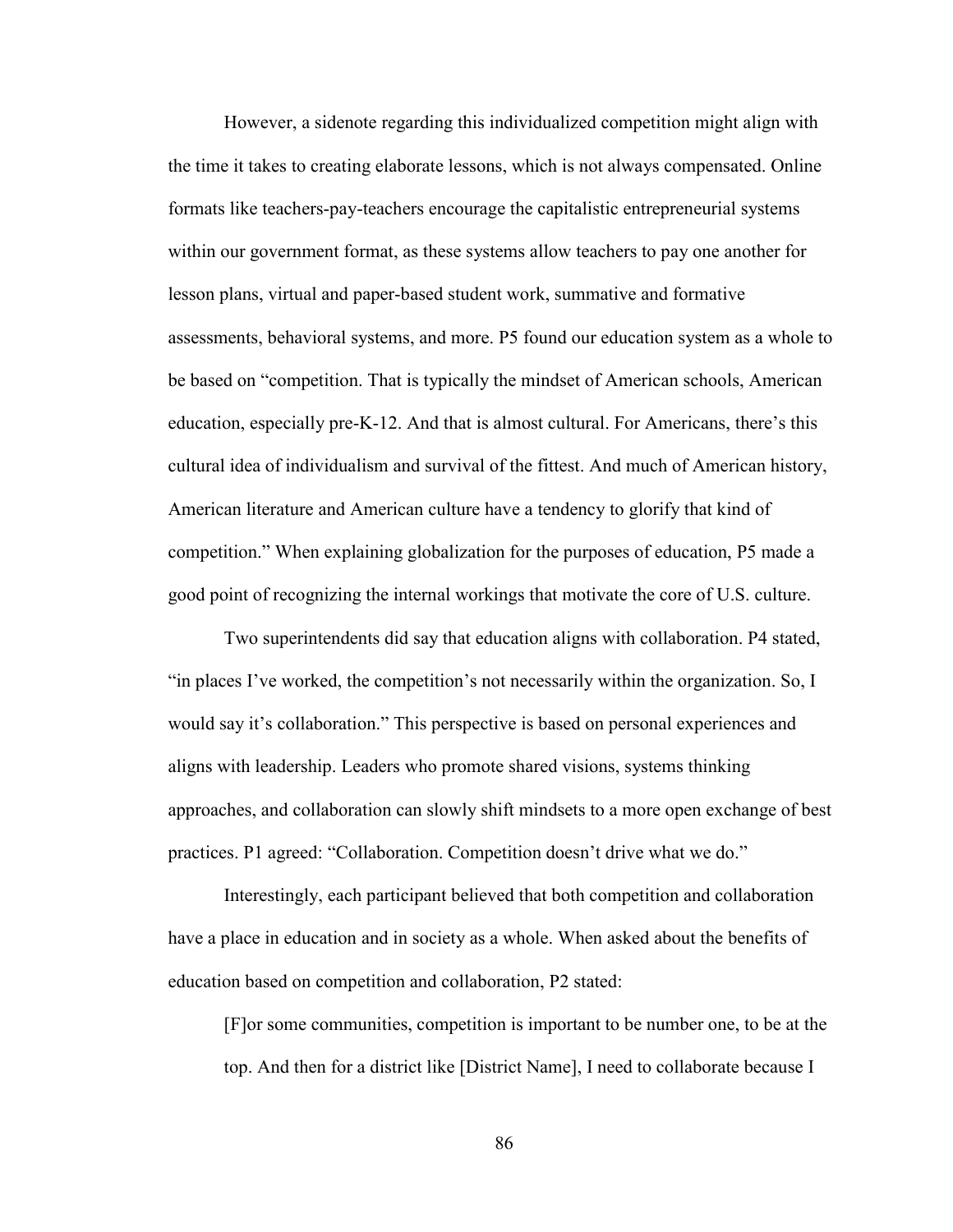However, a sidenote regarding this individualized competition might align with the time it takes to creating elaborate lessons, which is not always compensated. Online formats like teachers-pay-teachers encourage the capitalistic entrepreneurial systems within our government format, as these systems allow teachers to pay one another for lesson plans, virtual and paper-based student work, summative and formative assessments, behavioral systems, and more. P5 found our education system as a whole to be based on "competition. That is typically the mindset of American schools, American education, especially pre-K-12. And that is almost cultural. For Americans, there's this cultural idea of individualism and survival of the fittest. And much of American history, American literature and American culture have a tendency to glorify that kind of competition." When explaining globalization for the purposes of education, P5 made a good point of recognizing the internal workings that motivate the core of U.S. culture.

Two superintendents did say that education aligns with collaboration. P4 stated, "in places I've worked, the competition's not necessarily within the organization. So, I would say it's collaboration." This perspective is based on personal experiences and aligns with leadership. Leaders who promote shared visions, systems thinking approaches, and collaboration can slowly shift mindsets to a more open exchange of best practices. P1 agreed: "Collaboration. Competition doesn't drive what we do."

Interestingly, each participant believed that both competition and collaboration have a place in education and in society as a whole. When asked about the benefits of education based on competition and collaboration, P2 stated:

[F]or some communities, competition is important to be number one, to be at the top. And then for a district like [District Name], I need to collaborate because I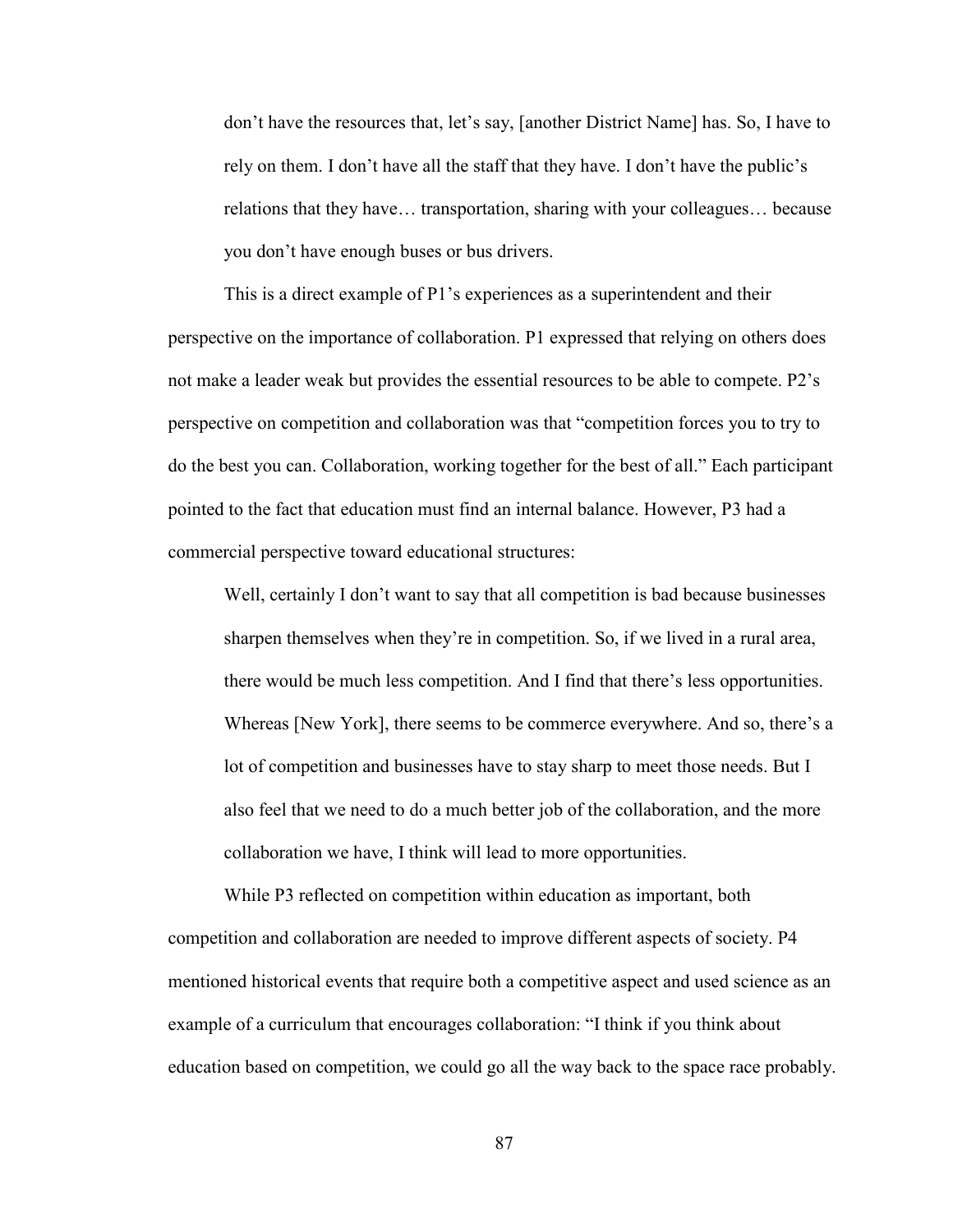don't have the resources that, let's say, [another District Name] has. So, I have to rely on them. I don't have all the staff that they have. I don't have the public's relations that they have… transportation, sharing with your colleagues… because you don't have enough buses or bus drivers.

This is a direct example of P1's experiences as a superintendent and their perspective on the importance of collaboration. P1 expressed that relying on others does not make a leader weak but provides the essential resources to be able to compete. P2's perspective on competition and collaboration was that "competition forces you to try to do the best you can. Collaboration, working together for the best of all." Each participant pointed to the fact that education must find an internal balance. However, P3 had a commercial perspective toward educational structures:

Well, certainly I don't want to say that all competition is bad because businesses sharpen themselves when they're in competition. So, if we lived in a rural area, there would be much less competition. And I find that there's less opportunities. Whereas [New York], there seems to be commerce everywhere. And so, there's a lot of competition and businesses have to stay sharp to meet those needs. But I also feel that we need to do a much better job of the collaboration, and the more collaboration we have, I think will lead to more opportunities.

While P3 reflected on competition within education as important, both competition and collaboration are needed to improve different aspects of society. P4 mentioned historical events that require both a competitive aspect and used science as an example of a curriculum that encourages collaboration: "I think if you think about education based on competition, we could go all the way back to the space race probably.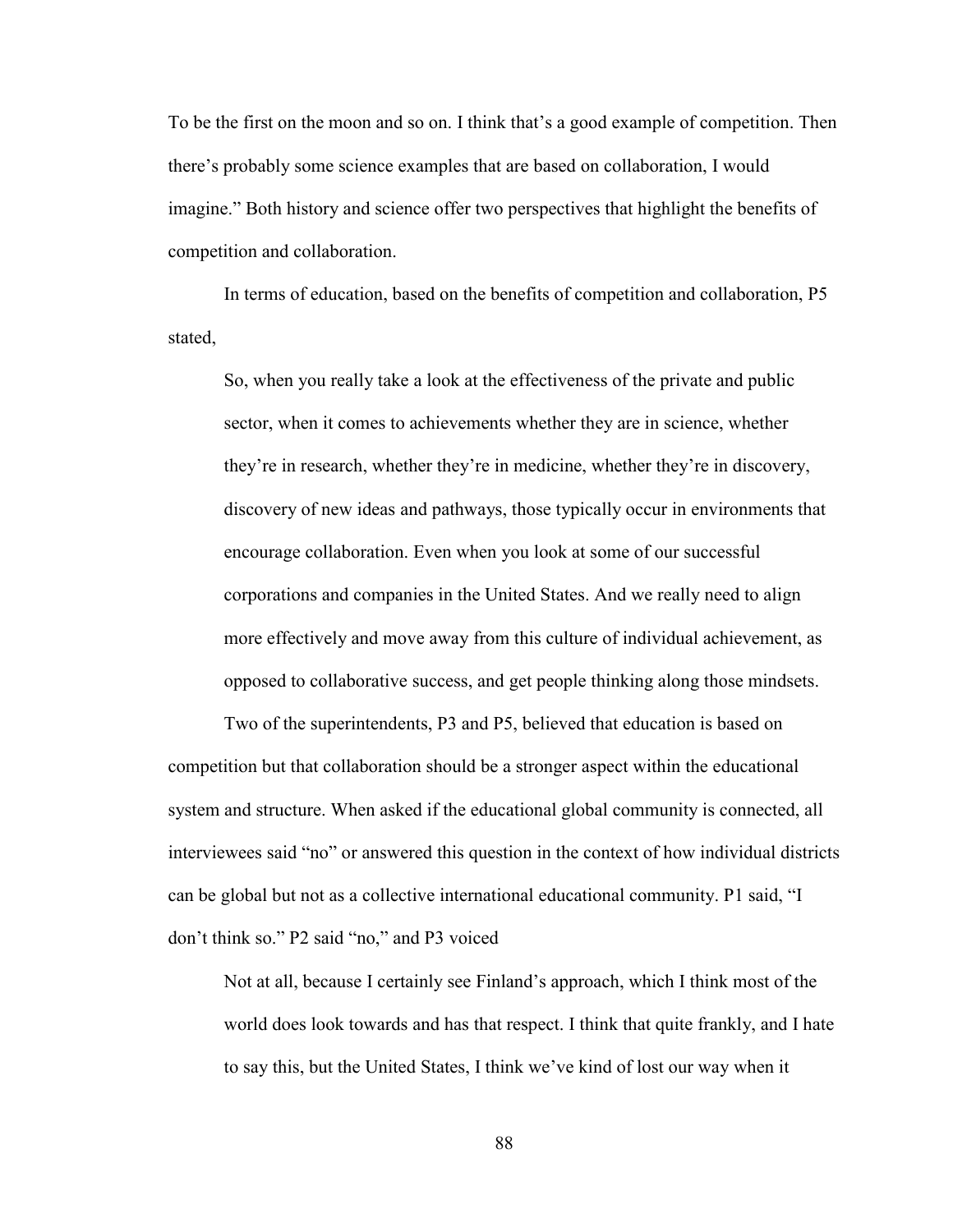To be the first on the moon and so on. I think that's a good example of competition. Then there's probably some science examples that are based on collaboration, I would imagine." Both history and science offer two perspectives that highlight the benefits of competition and collaboration.

In terms of education, based on the benefits of competition and collaboration, P5 stated,

So, when you really take a look at the effectiveness of the private and public sector, when it comes to achievements whether they are in science, whether they're in research, whether they're in medicine, whether they're in discovery, discovery of new ideas and pathways, those typically occur in environments that encourage collaboration. Even when you look at some of our successful corporations and companies in the United States. And we really need to align more effectively and move away from this culture of individual achievement, as opposed to collaborative success, and get people thinking along those mindsets.

Two of the superintendents, P3 and P5, believed that education is based on competition but that collaboration should be a stronger aspect within the educational system and structure. When asked if the educational global community is connected, all interviewees said "no" or answered this question in the context of how individual districts can be global but not as a collective international educational community. P1 said, "I don't think so." P2 said "no," and P3 voiced

Not at all, because I certainly see Finland's approach, which I think most of the world does look towards and has that respect. I think that quite frankly, and I hate to say this, but the United States, I think we've kind of lost our way when it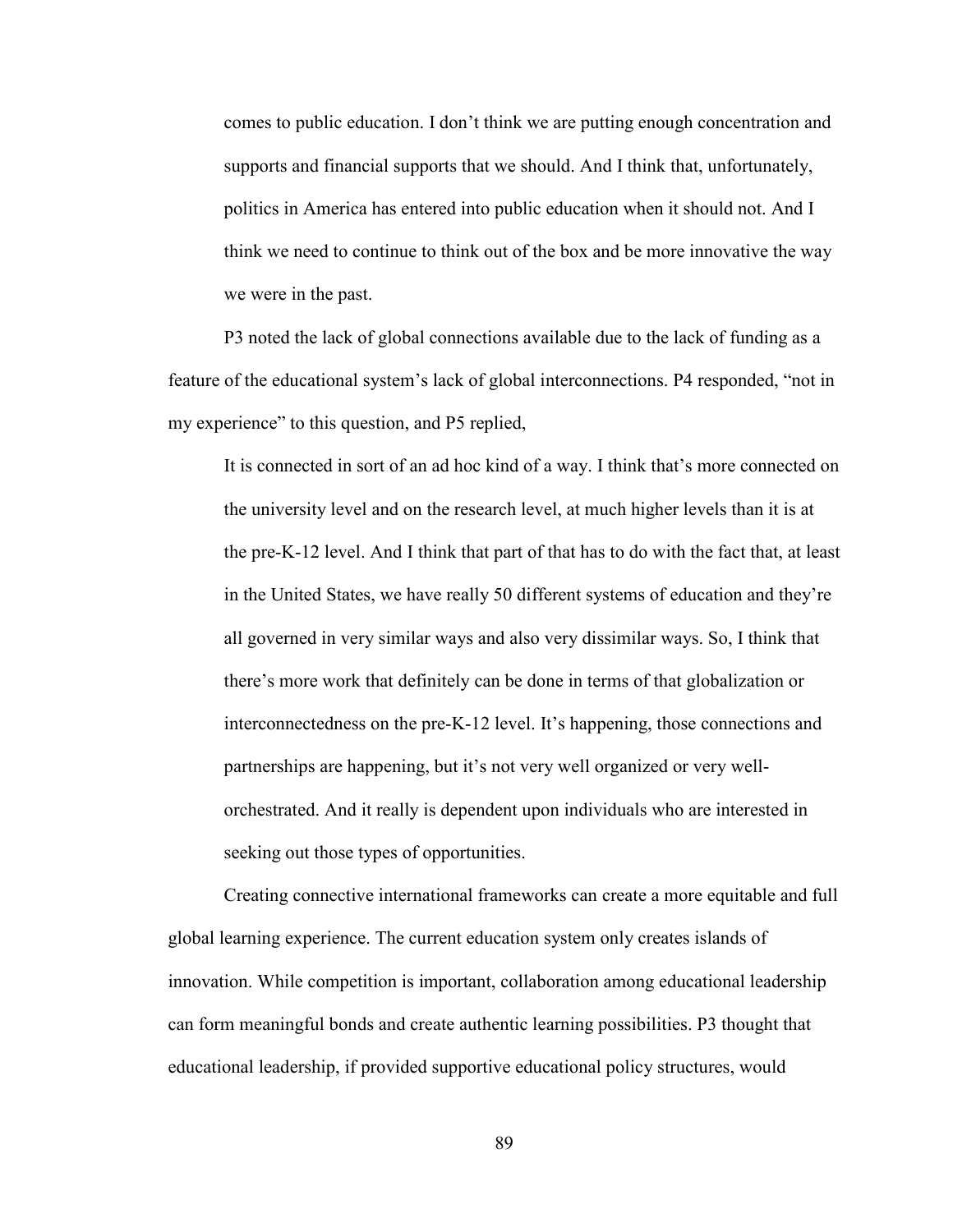comes to public education. I don't think we are putting enough concentration and supports and financial supports that we should. And I think that, unfortunately, politics in America has entered into public education when it should not. And I think we need to continue to think out of the box and be more innovative the way we were in the past.

P3 noted the lack of global connections available due to the lack of funding as a feature of the educational system's lack of global interconnections. P4 responded, "not in my experience" to this question, and P5 replied,

It is connected in sort of an ad hoc kind of a way. I think that's more connected on the university level and on the research level, at much higher levels than it is at the pre-K-12 level. And I think that part of that has to do with the fact that, at least in the United States, we have really 50 different systems of education and they're all governed in very similar ways and also very dissimilar ways. So, I think that there's more work that definitely can be done in terms of that globalization or interconnectedness on the pre-K-12 level. It's happening, those connections and partnerships are happening, but it's not very well organized or very wellorchestrated. And it really is dependent upon individuals who are interested in seeking out those types of opportunities.

Creating connective international frameworks can create a more equitable and full global learning experience. The current education system only creates islands of innovation. While competition is important, collaboration among educational leadership can form meaningful bonds and create authentic learning possibilities. P3 thought that educational leadership, if provided supportive educational policy structures, would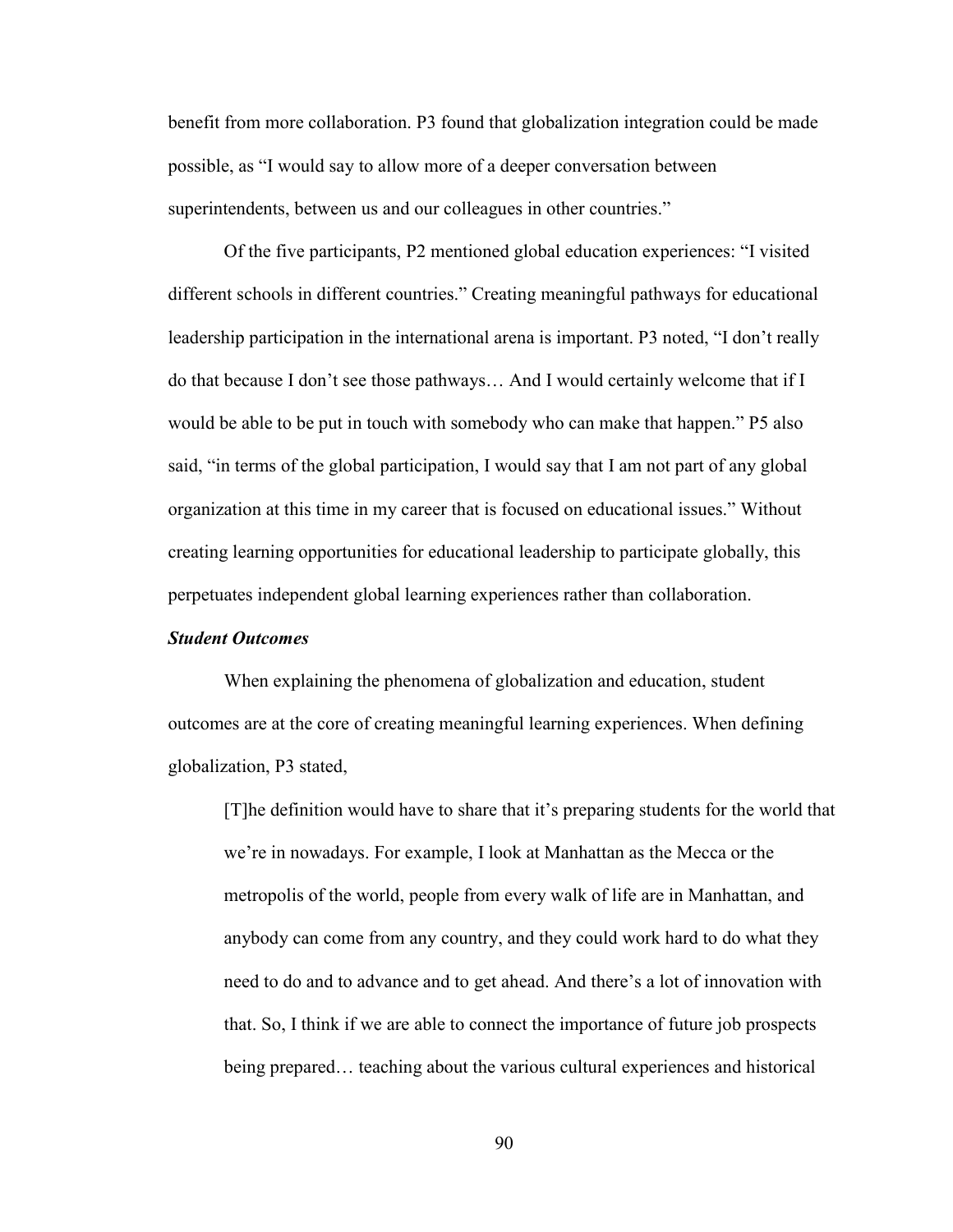benefit from more collaboration. P3 found that globalization integration could be made possible, as "I would say to allow more of a deeper conversation between superintendents, between us and our colleagues in other countries."

Of the five participants, P2 mentioned global education experiences: "I visited different schools in different countries." Creating meaningful pathways for educational leadership participation in the international arena is important. P3 noted, "I don't really do that because I don't see those pathways… And I would certainly welcome that if I would be able to be put in touch with somebody who can make that happen." P5 also said, "in terms of the global participation, I would say that I am not part of any global organization at this time in my career that is focused on educational issues." Without creating learning opportunities for educational leadership to participate globally, this perpetuates independent global learning experiences rather than collaboration.

# *Student Outcomes*

When explaining the phenomena of globalization and education, student outcomes are at the core of creating meaningful learning experiences. When defining globalization, P3 stated,

[T]he definition would have to share that it's preparing students for the world that we're in nowadays. For example, I look at Manhattan as the Mecca or the metropolis of the world, people from every walk of life are in Manhattan, and anybody can come from any country, and they could work hard to do what they need to do and to advance and to get ahead. And there's a lot of innovation with that. So, I think if we are able to connect the importance of future job prospects being prepared… teaching about the various cultural experiences and historical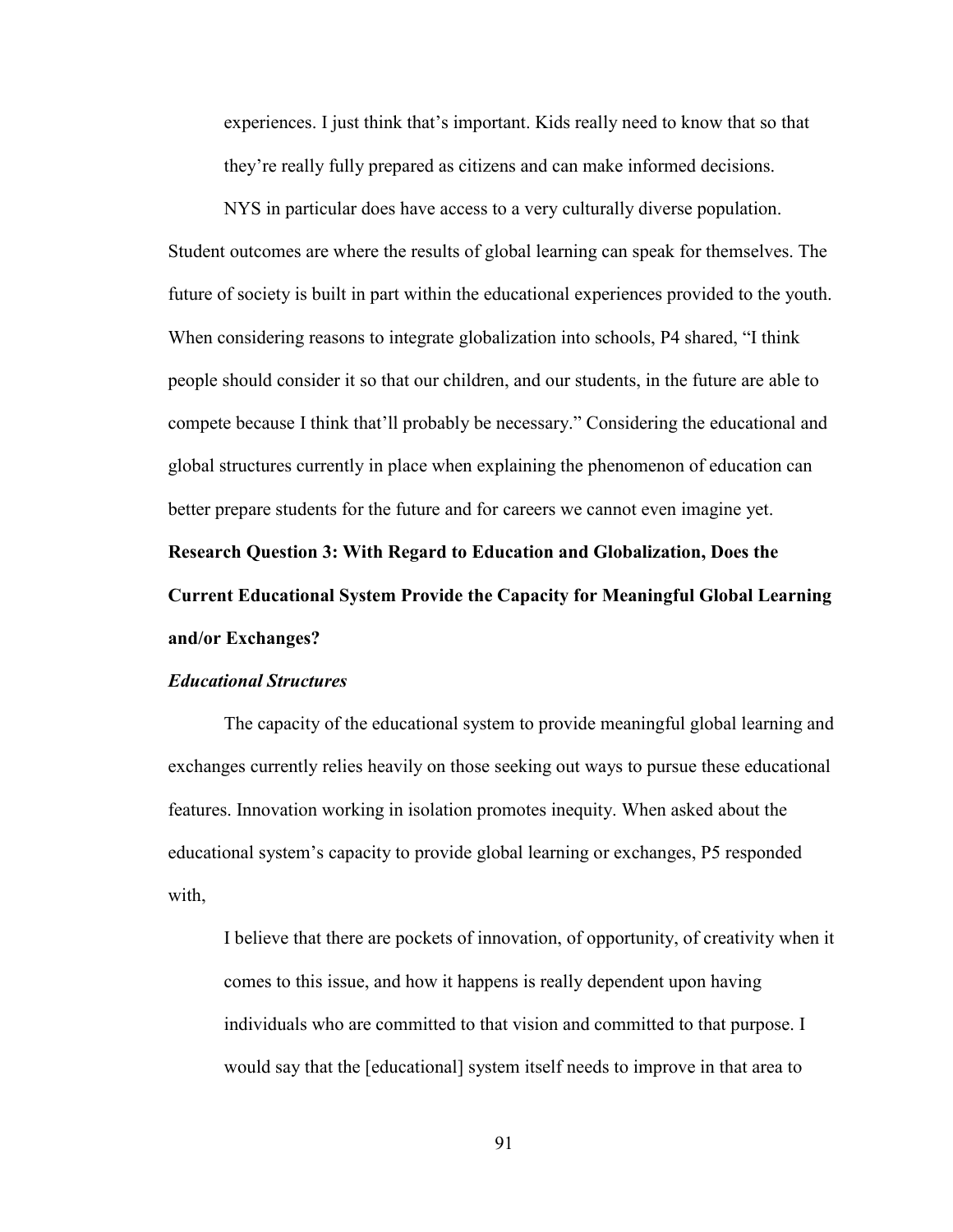experiences. I just think that's important. Kids really need to know that so that they're really fully prepared as citizens and can make informed decisions.

NYS in particular does have access to a very culturally diverse population. Student outcomes are where the results of global learning can speak for themselves. The future of society is built in part within the educational experiences provided to the youth. When considering reasons to integrate globalization into schools, P4 shared, "I think people should consider it so that our children, and our students, in the future are able to compete because I think that'll probably be necessary." Considering the educational and global structures currently in place when explaining the phenomenon of education can better prepare students for the future and for careers we cannot even imagine yet. **Research Question 3: With Regard to Education and Globalization, Does the Current Educational System Provide the Capacity for Meaningful Global Learning and/or Exchanges?** 

#### *Educational Structures*

The capacity of the educational system to provide meaningful global learning and exchanges currently relies heavily on those seeking out ways to pursue these educational features. Innovation working in isolation promotes inequity. When asked about the educational system's capacity to provide global learning or exchanges, P5 responded with,

I believe that there are pockets of innovation, of opportunity, of creativity when it comes to this issue, and how it happens is really dependent upon having individuals who are committed to that vision and committed to that purpose. I would say that the [educational] system itself needs to improve in that area to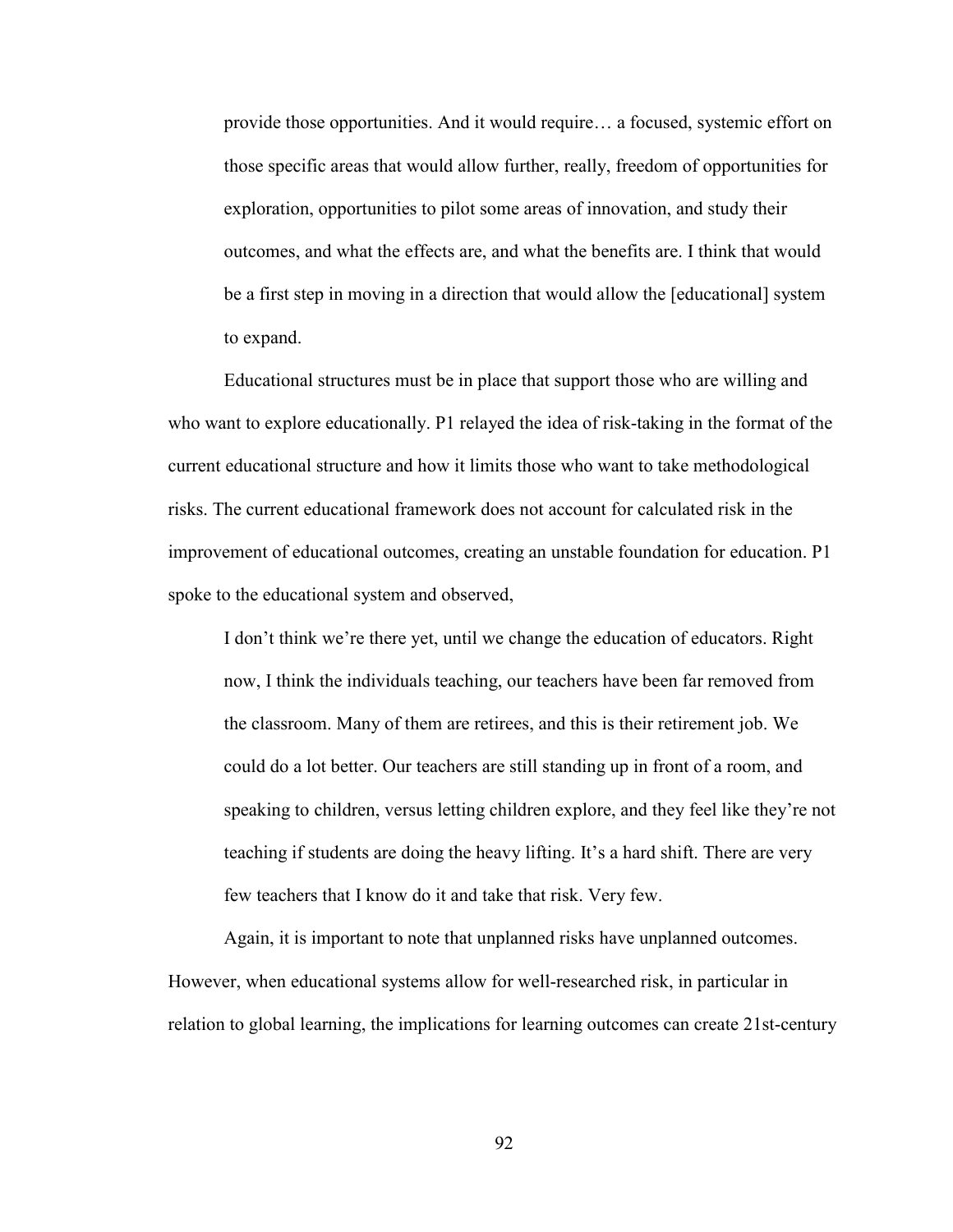provide those opportunities. And it would require… a focused, systemic effort on those specific areas that would allow further, really, freedom of opportunities for exploration, opportunities to pilot some areas of innovation, and study their outcomes, and what the effects are, and what the benefits are. I think that would be a first step in moving in a direction that would allow the [educational] system to expand.

Educational structures must be in place that support those who are willing and who want to explore educationally. P1 relayed the idea of risk-taking in the format of the current educational structure and how it limits those who want to take methodological risks. The current educational framework does not account for calculated risk in the improvement of educational outcomes, creating an unstable foundation for education. P1 spoke to the educational system and observed,

I don't think we're there yet, until we change the education of educators. Right now, I think the individuals teaching, our teachers have been far removed from the classroom. Many of them are retirees, and this is their retirement job. We could do a lot better. Our teachers are still standing up in front of a room, and speaking to children, versus letting children explore, and they feel like they're not teaching if students are doing the heavy lifting. It's a hard shift. There are very few teachers that I know do it and take that risk. Very few.

Again, it is important to note that unplanned risks have unplanned outcomes. However, when educational systems allow for well-researched risk, in particular in relation to global learning, the implications for learning outcomes can create 21st-century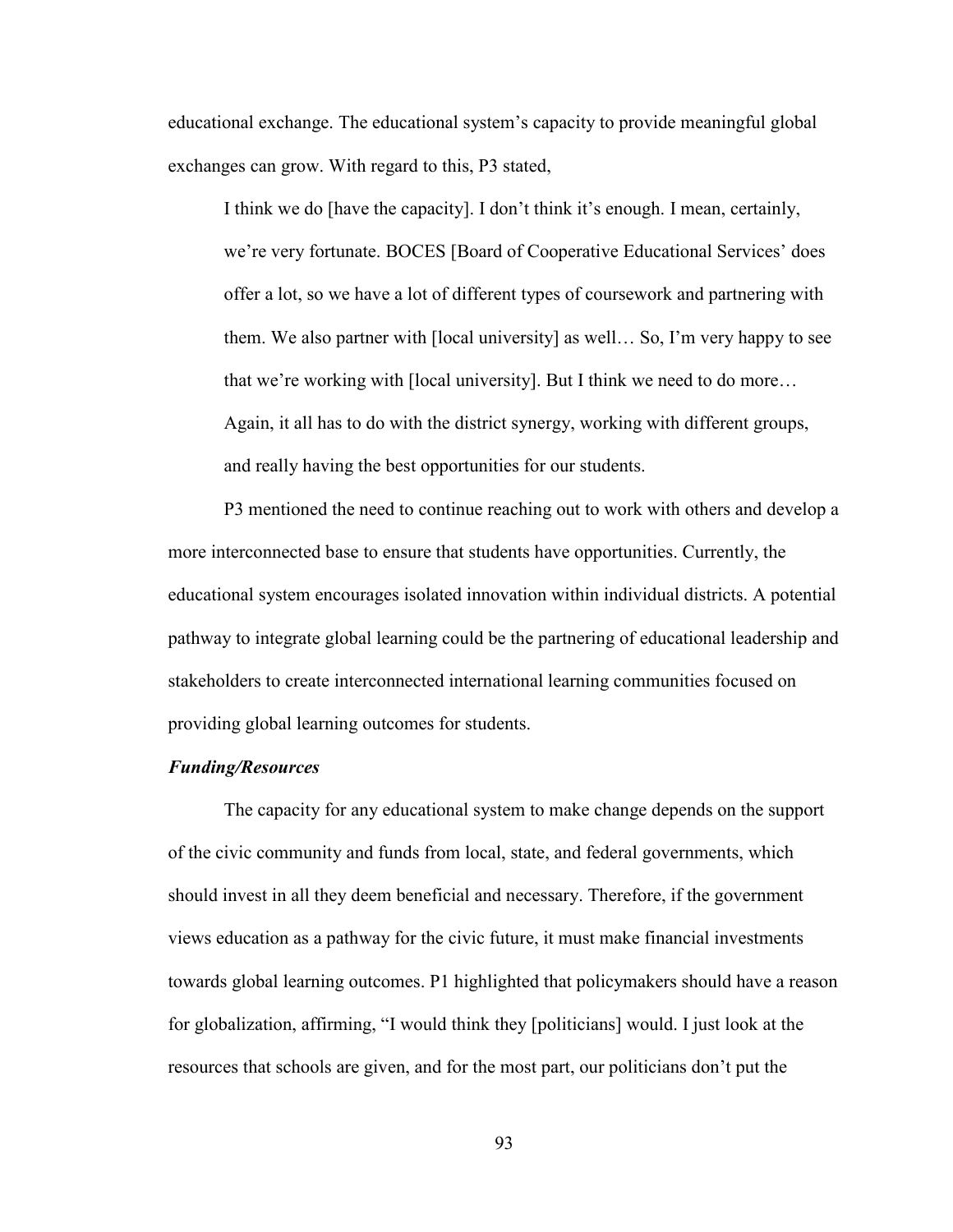educational exchange. The educational system's capacity to provide meaningful global exchanges can grow. With regard to this, P3 stated,

I think we do [have the capacity]. I don't think it's enough. I mean, certainly, we're very fortunate. BOCES [Board of Cooperative Educational Services' does offer a lot, so we have a lot of different types of coursework and partnering with them. We also partner with [local university] as well… So, I'm very happy to see that we're working with [local university]. But I think we need to do more… Again, it all has to do with the district synergy, working with different groups, and really having the best opportunities for our students.

P3 mentioned the need to continue reaching out to work with others and develop a more interconnected base to ensure that students have opportunities. Currently, the educational system encourages isolated innovation within individual districts. A potential pathway to integrate global learning could be the partnering of educational leadership and stakeholders to create interconnected international learning communities focused on providing global learning outcomes for students.

# *Funding/Resources*

The capacity for any educational system to make change depends on the support of the civic community and funds from local, state, and federal governments, which should invest in all they deem beneficial and necessary. Therefore, if the government views education as a pathway for the civic future, it must make financial investments towards global learning outcomes. P1 highlighted that policymakers should have a reason for globalization, affirming, "I would think they [politicians] would. I just look at the resources that schools are given, and for the most part, our politicians don't put the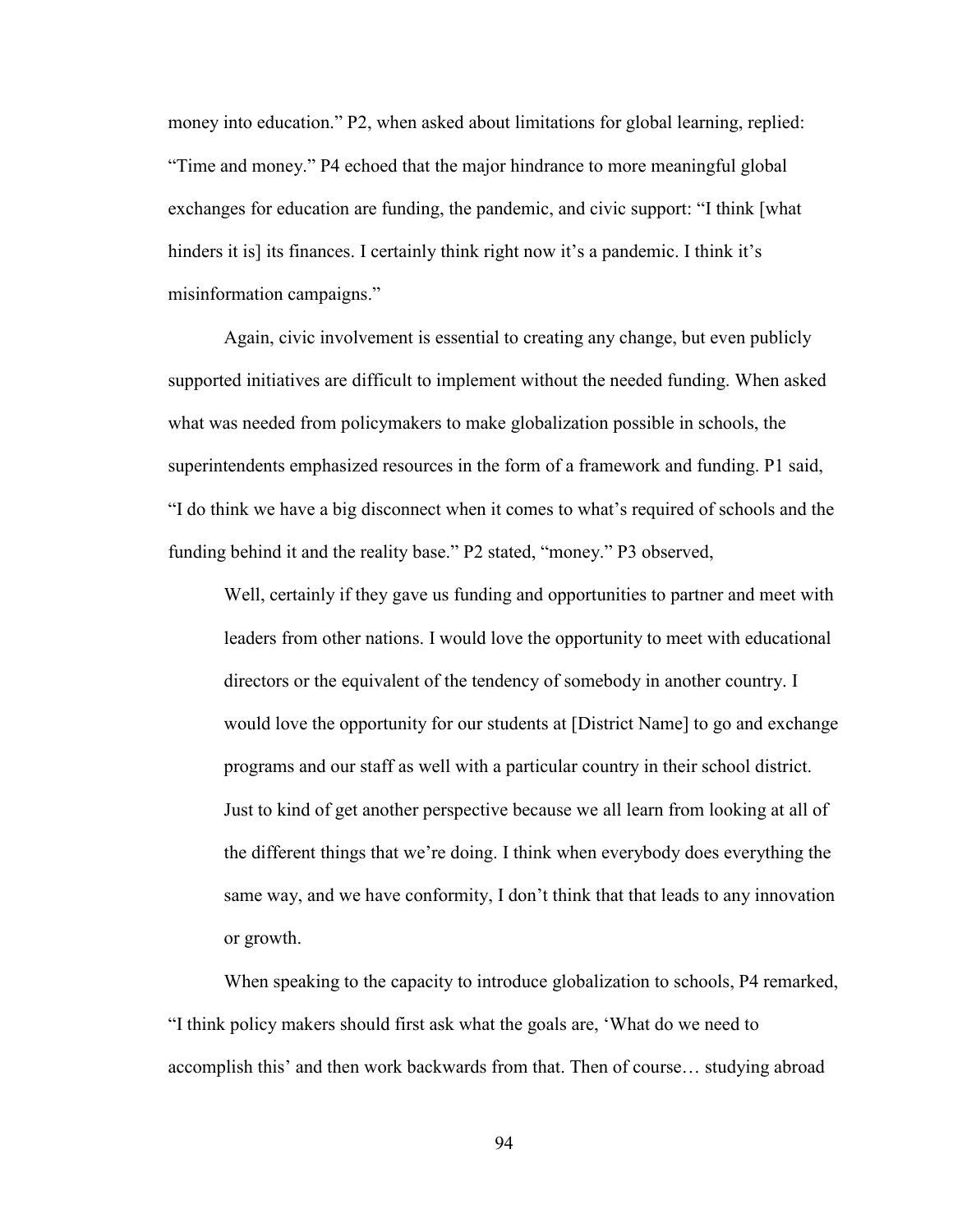money into education." P2, when asked about limitations for global learning, replied: "Time and money." P4 echoed that the major hindrance to more meaningful global exchanges for education are funding, the pandemic, and civic support: "I think [what hinders it is] its finances. I certainly think right now it's a pandemic. I think it's misinformation campaigns."

Again, civic involvement is essential to creating any change, but even publicly supported initiatives are difficult to implement without the needed funding. When asked what was needed from policymakers to make globalization possible in schools, the superintendents emphasized resources in the form of a framework and funding. P1 said, "I do think we have a big disconnect when it comes to what's required of schools and the funding behind it and the reality base." P2 stated, "money." P3 observed,

Well, certainly if they gave us funding and opportunities to partner and meet with leaders from other nations. I would love the opportunity to meet with educational directors or the equivalent of the tendency of somebody in another country. I would love the opportunity for our students at [District Name] to go and exchange programs and our staff as well with a particular country in their school district. Just to kind of get another perspective because we all learn from looking at all of the different things that we're doing. I think when everybody does everything the same way, and we have conformity, I don't think that that leads to any innovation or growth.

When speaking to the capacity to introduce globalization to schools, P4 remarked, "I think policy makers should first ask what the goals are, 'What do we need to accomplish this' and then work backwards from that. Then of course… studying abroad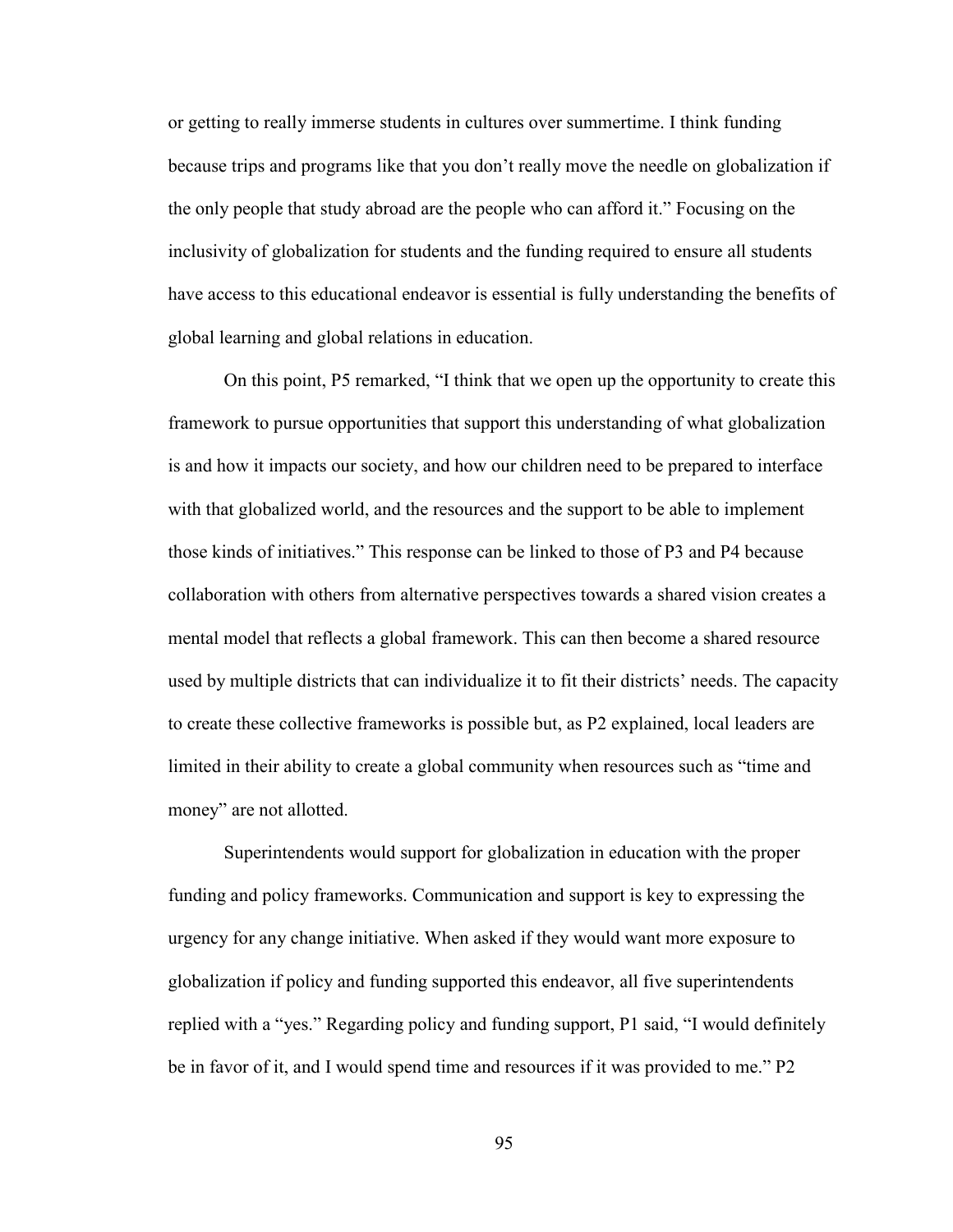or getting to really immerse students in cultures over summertime. I think funding because trips and programs like that you don't really move the needle on globalization if the only people that study abroad are the people who can afford it." Focusing on the inclusivity of globalization for students and the funding required to ensure all students have access to this educational endeavor is essential is fully understanding the benefits of global learning and global relations in education.

On this point, P5 remarked, "I think that we open up the opportunity to create this framework to pursue opportunities that support this understanding of what globalization is and how it impacts our society, and how our children need to be prepared to interface with that globalized world, and the resources and the support to be able to implement those kinds of initiatives." This response can be linked to those of P3 and P4 because collaboration with others from alternative perspectives towards a shared vision creates a mental model that reflects a global framework. This can then become a shared resource used by multiple districts that can individualize it to fit their districts' needs. The capacity to create these collective frameworks is possible but, as P2 explained, local leaders are limited in their ability to create a global community when resources such as "time and money" are not allotted.

Superintendents would support for globalization in education with the proper funding and policy frameworks. Communication and support is key to expressing the urgency for any change initiative. When asked if they would want more exposure to globalization if policy and funding supported this endeavor, all five superintendents replied with a "yes." Regarding policy and funding support, P1 said, "I would definitely be in favor of it, and I would spend time and resources if it was provided to me." P2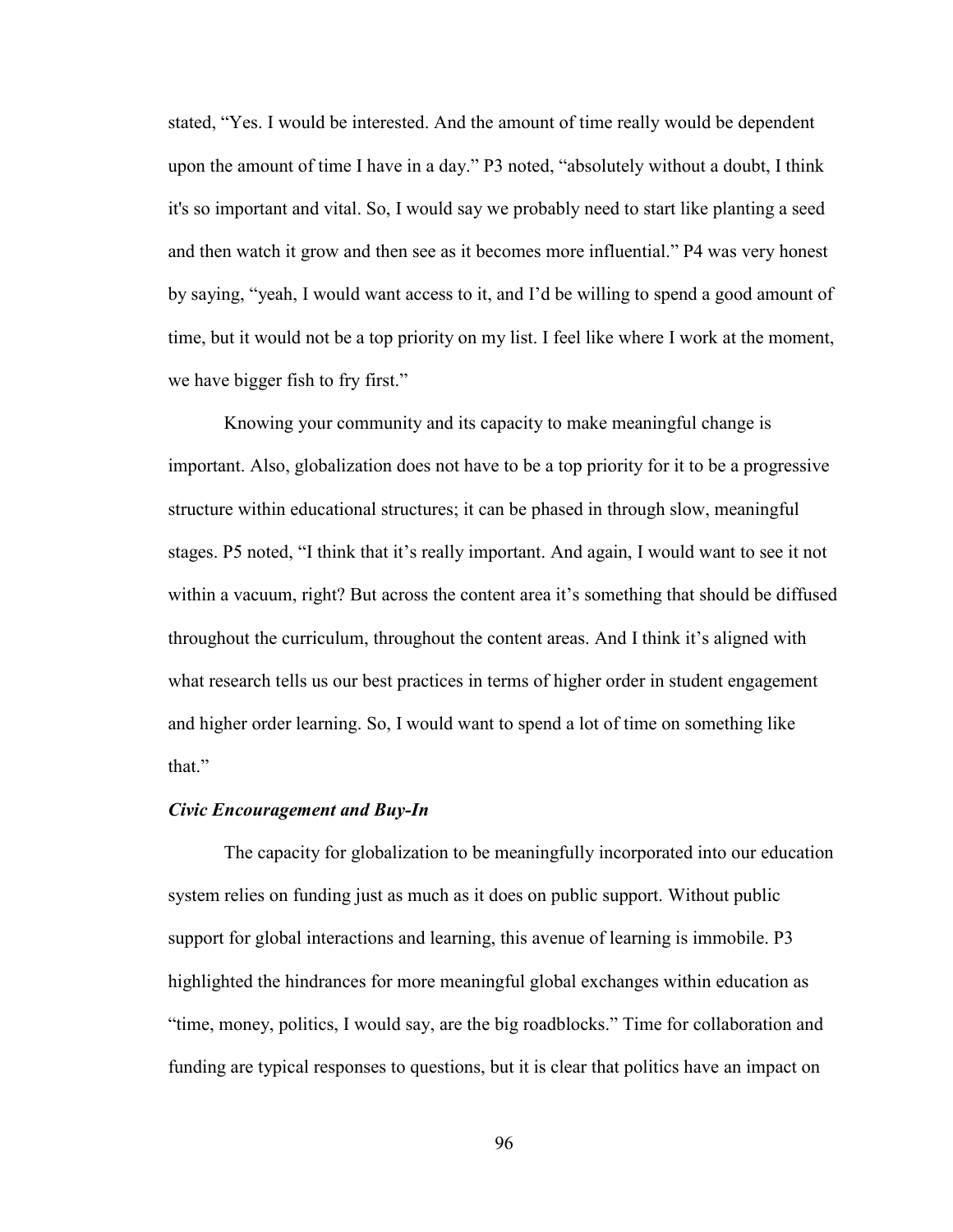stated, "Yes. I would be interested. And the amount of time really would be dependent upon the amount of time I have in a day." P3 noted, "absolutely without a doubt, I think it's so important and vital. So, I would say we probably need to start like planting a seed and then watch it grow and then see as it becomes more influential." P4 was very honest by saying, "yeah, I would want access to it, and I'd be willing to spend a good amount of time, but it would not be a top priority on my list. I feel like where I work at the moment, we have bigger fish to fry first."

Knowing your community and its capacity to make meaningful change is important. Also, globalization does not have to be a top priority for it to be a progressive structure within educational structures; it can be phased in through slow, meaningful stages. P5 noted, "I think that it's really important. And again, I would want to see it not within a vacuum, right? But across the content area it's something that should be diffused throughout the curriculum, throughout the content areas. And I think it's aligned with what research tells us our best practices in terms of higher order in student engagement and higher order learning. So, I would want to spend a lot of time on something like that."

# *Civic Encouragement and Buy-In*

The capacity for globalization to be meaningfully incorporated into our education system relies on funding just as much as it does on public support. Without public support for global interactions and learning, this avenue of learning is immobile. P3 highlighted the hindrances for more meaningful global exchanges within education as "time, money, politics, I would say, are the big roadblocks." Time for collaboration and funding are typical responses to questions, but it is clear that politics have an impact on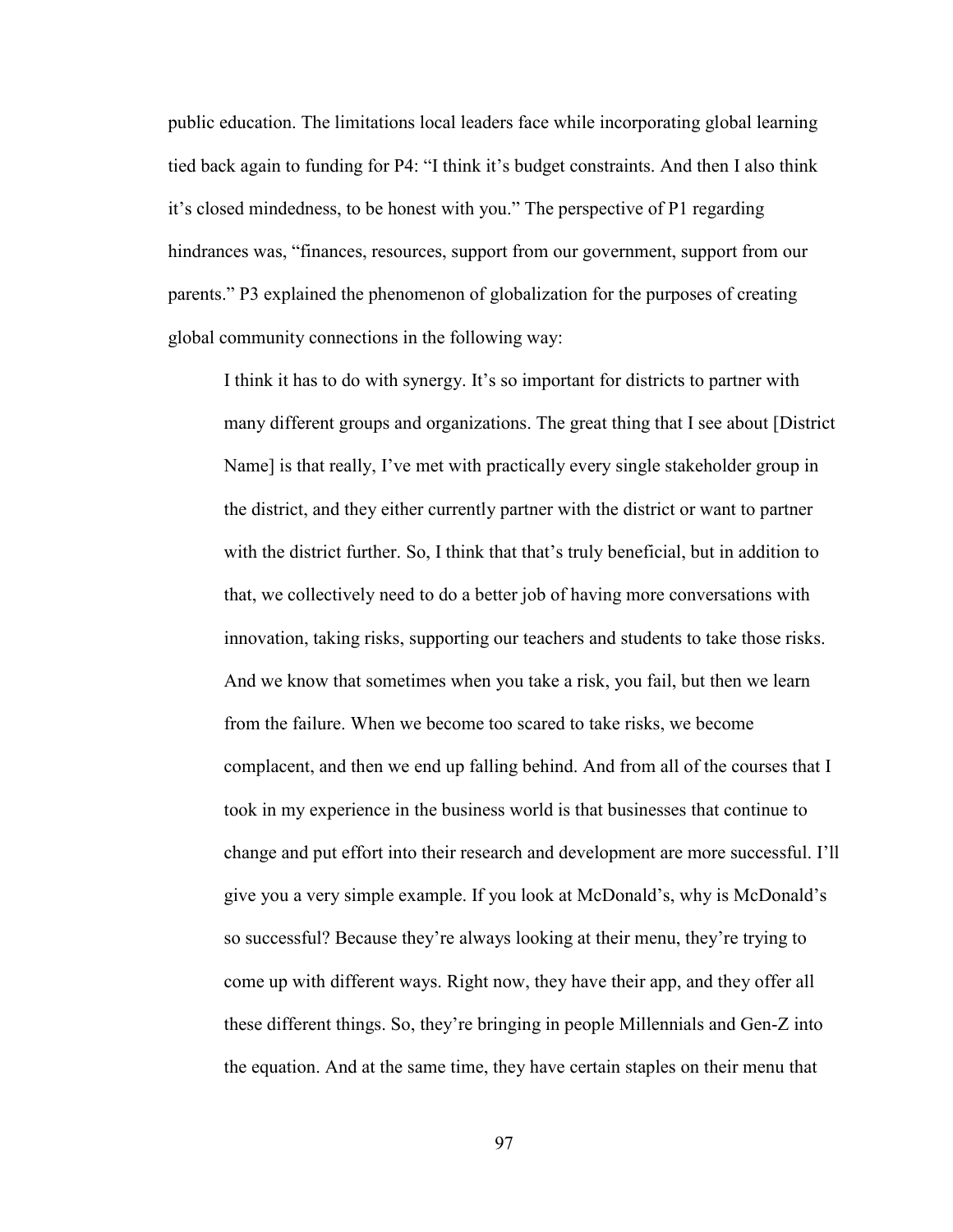public education. The limitations local leaders face while incorporating global learning tied back again to funding for P4: "I think it's budget constraints. And then I also think it's closed mindedness, to be honest with you." The perspective of P1 regarding hindrances was, "finances, resources, support from our government, support from our parents." P3 explained the phenomenon of globalization for the purposes of creating global community connections in the following way:

I think it has to do with synergy. It's so important for districts to partner with many different groups and organizations. The great thing that I see about [District Name] is that really, I've met with practically every single stakeholder group in the district, and they either currently partner with the district or want to partner with the district further. So, I think that that's truly beneficial, but in addition to that, we collectively need to do a better job of having more conversations with innovation, taking risks, supporting our teachers and students to take those risks. And we know that sometimes when you take a risk, you fail, but then we learn from the failure. When we become too scared to take risks, we become complacent, and then we end up falling behind. And from all of the courses that I took in my experience in the business world is that businesses that continue to change and put effort into their research and development are more successful. I'll give you a very simple example. If you look at McDonald's, why is McDonald's so successful? Because they're always looking at their menu, they're trying to come up with different ways. Right now, they have their app, and they offer all these different things. So, they're bringing in people Millennials and Gen-Z into the equation. And at the same time, they have certain staples on their menu that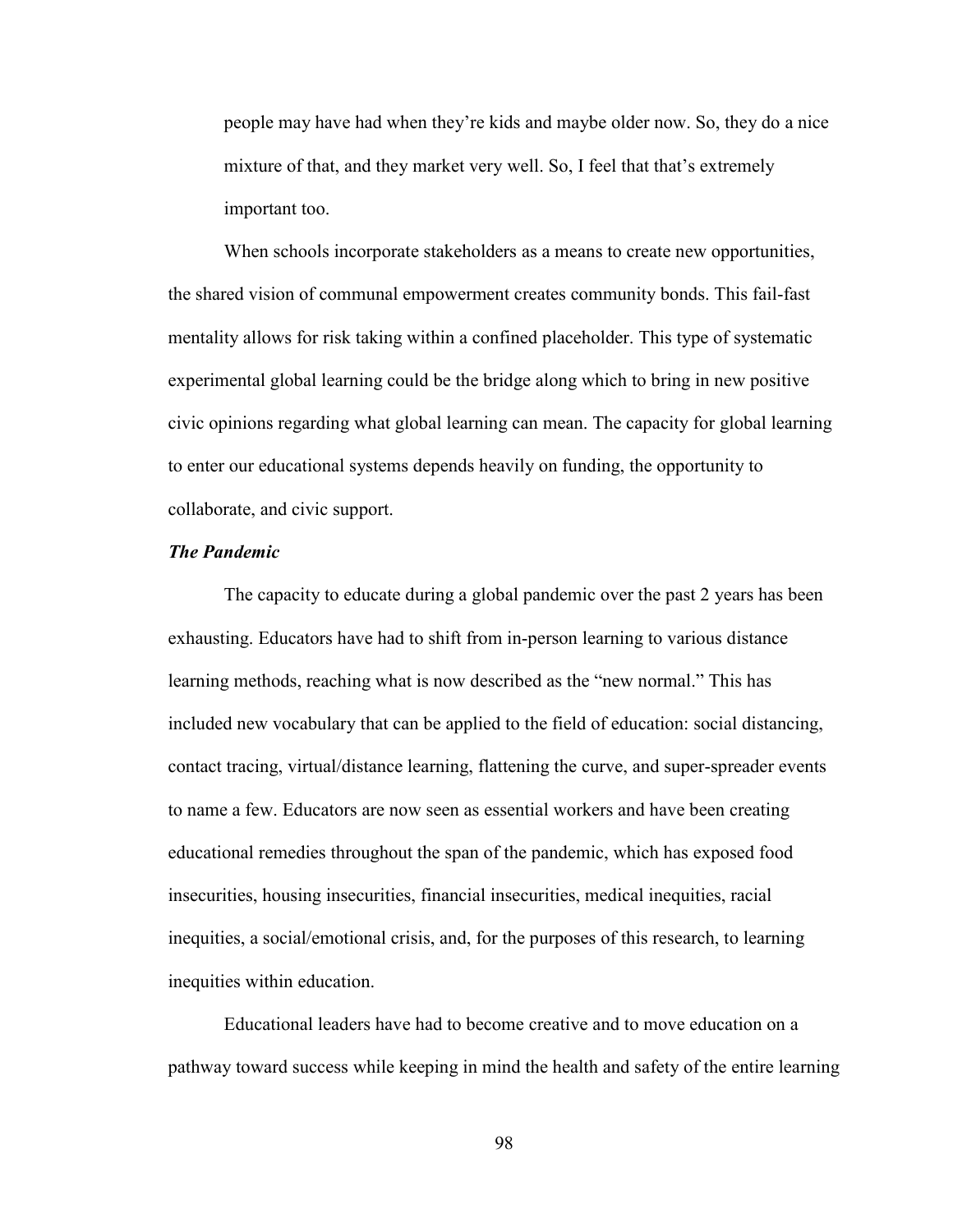people may have had when they're kids and maybe older now. So, they do a nice mixture of that, and they market very well. So, I feel that that's extremely important too.

When schools incorporate stakeholders as a means to create new opportunities, the shared vision of communal empowerment creates community bonds. This fail-fast mentality allows for risk taking within a confined placeholder. This type of systematic experimental global learning could be the bridge along which to bring in new positive civic opinions regarding what global learning can mean. The capacity for global learning to enter our educational systems depends heavily on funding, the opportunity to collaborate, and civic support.

# *The Pandemic*

The capacity to educate during a global pandemic over the past 2 years has been exhausting. Educators have had to shift from in-person learning to various distance learning methods, reaching what is now described as the "new normal." This has included new vocabulary that can be applied to the field of education: social distancing, contact tracing, virtual/distance learning, flattening the curve, and super-spreader events to name a few. Educators are now seen as essential workers and have been creating educational remedies throughout the span of the pandemic, which has exposed food insecurities, housing insecurities, financial insecurities, medical inequities, racial inequities, a social/emotional crisis, and, for the purposes of this research, to learning inequities within education.

Educational leaders have had to become creative and to move education on a pathway toward success while keeping in mind the health and safety of the entire learning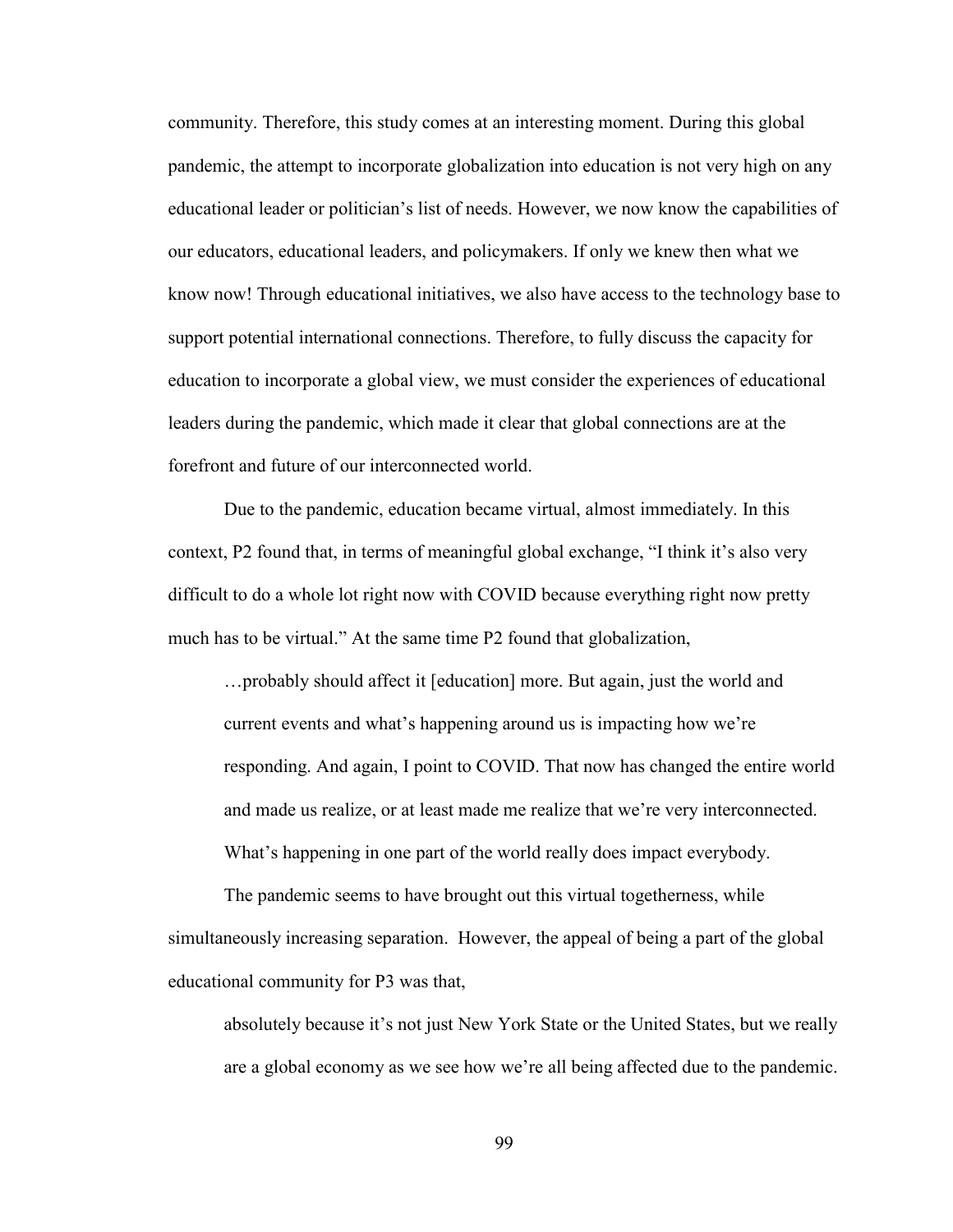community. Therefore, this study comes at an interesting moment. During this global pandemic, the attempt to incorporate globalization into education is not very high on any educational leader or politician's list of needs. However, we now know the capabilities of our educators, educational leaders, and policymakers. If only we knew then what we know now! Through educational initiatives, we also have access to the technology base to support potential international connections. Therefore, to fully discuss the capacity for education to incorporate a global view, we must consider the experiences of educational leaders during the pandemic, which made it clear that global connections are at the forefront and future of our interconnected world.

Due to the pandemic, education became virtual, almost immediately. In this context, P2 found that, in terms of meaningful global exchange, "I think it's also very difficult to do a whole lot right now with COVID because everything right now pretty much has to be virtual." At the same time P2 found that globalization,

…probably should affect it [education] more. But again, just the world and current events and what's happening around us is impacting how we're responding. And again, I point to COVID. That now has changed the entire world and made us realize, or at least made me realize that we're very interconnected. What's happening in one part of the world really does impact everybody.

The pandemic seems to have brought out this virtual togetherness, while simultaneously increasing separation. However, the appeal of being a part of the global educational community for P3 was that,

absolutely because it's not just New York State or the United States, but we really are a global economy as we see how we're all being affected due to the pandemic.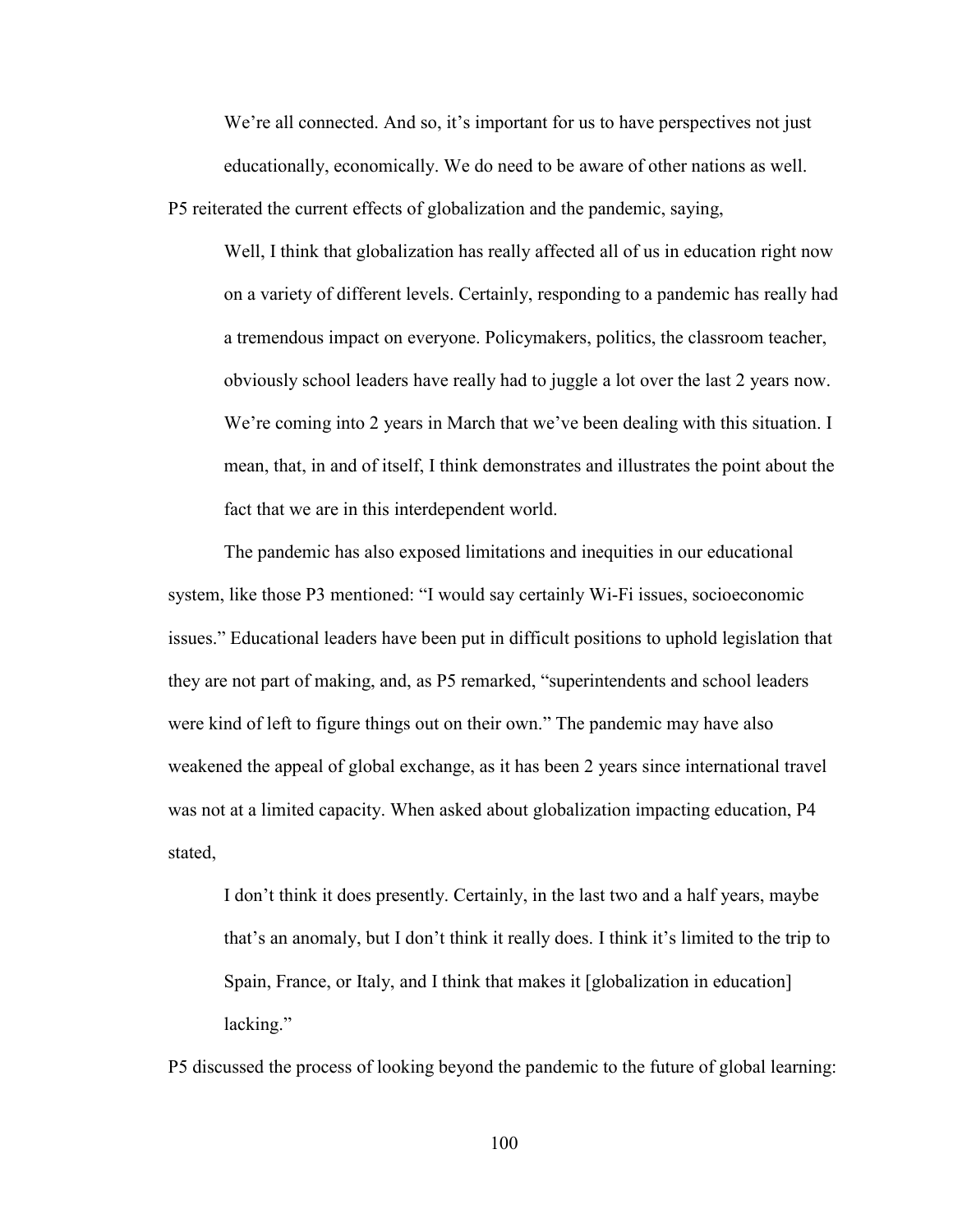We're all connected. And so, it's important for us to have perspectives not just educationally, economically. We do need to be aware of other nations as well.

P5 reiterated the current effects of globalization and the pandemic, saying,

Well, I think that globalization has really affected all of us in education right now on a variety of different levels. Certainly, responding to a pandemic has really had a tremendous impact on everyone. Policymakers, politics, the classroom teacher, obviously school leaders have really had to juggle a lot over the last 2 years now. We're coming into 2 years in March that we've been dealing with this situation. I mean, that, in and of itself, I think demonstrates and illustrates the point about the fact that we are in this interdependent world.

The pandemic has also exposed limitations and inequities in our educational system, like those P3 mentioned: "I would say certainly Wi-Fi issues, socioeconomic issues." Educational leaders have been put in difficult positions to uphold legislation that they are not part of making, and, as P5 remarked, "superintendents and school leaders were kind of left to figure things out on their own." The pandemic may have also weakened the appeal of global exchange, as it has been 2 years since international travel was not at a limited capacity. When asked about globalization impacting education, P4 stated,

I don't think it does presently. Certainly, in the last two and a half years, maybe that's an anomaly, but I don't think it really does. I think it's limited to the trip to Spain, France, or Italy, and I think that makes it [globalization in education] lacking."

P5 discussed the process of looking beyond the pandemic to the future of global learning: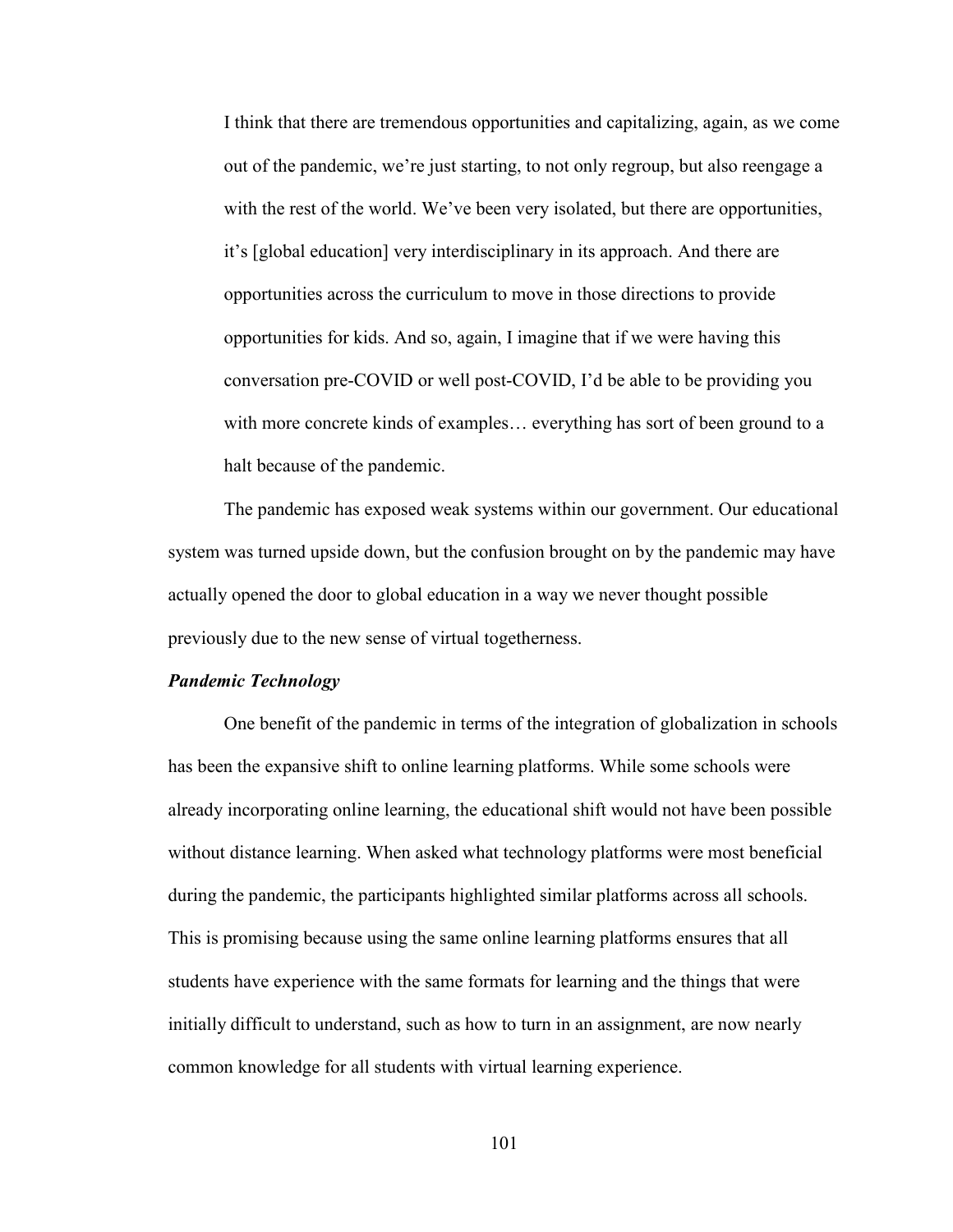I think that there are tremendous opportunities and capitalizing, again, as we come out of the pandemic, we're just starting, to not only regroup, but also reengage a with the rest of the world. We've been very isolated, but there are opportunities, it's [global education] very interdisciplinary in its approach. And there are opportunities across the curriculum to move in those directions to provide opportunities for kids. And so, again, I imagine that if we were having this conversation pre-COVID or well post-COVID, I'd be able to be providing you with more concrete kinds of examples… everything has sort of been ground to a halt because of the pandemic.

The pandemic has exposed weak systems within our government. Our educational system was turned upside down, but the confusion brought on by the pandemic may have actually opened the door to global education in a way we never thought possible previously due to the new sense of virtual togetherness.

### *Pandemic Technology*

One benefit of the pandemic in terms of the integration of globalization in schools has been the expansive shift to online learning platforms. While some schools were already incorporating online learning, the educational shift would not have been possible without distance learning. When asked what technology platforms were most beneficial during the pandemic, the participants highlighted similar platforms across all schools. This is promising because using the same online learning platforms ensures that all students have experience with the same formats for learning and the things that were initially difficult to understand, such as how to turn in an assignment, are now nearly common knowledge for all students with virtual learning experience.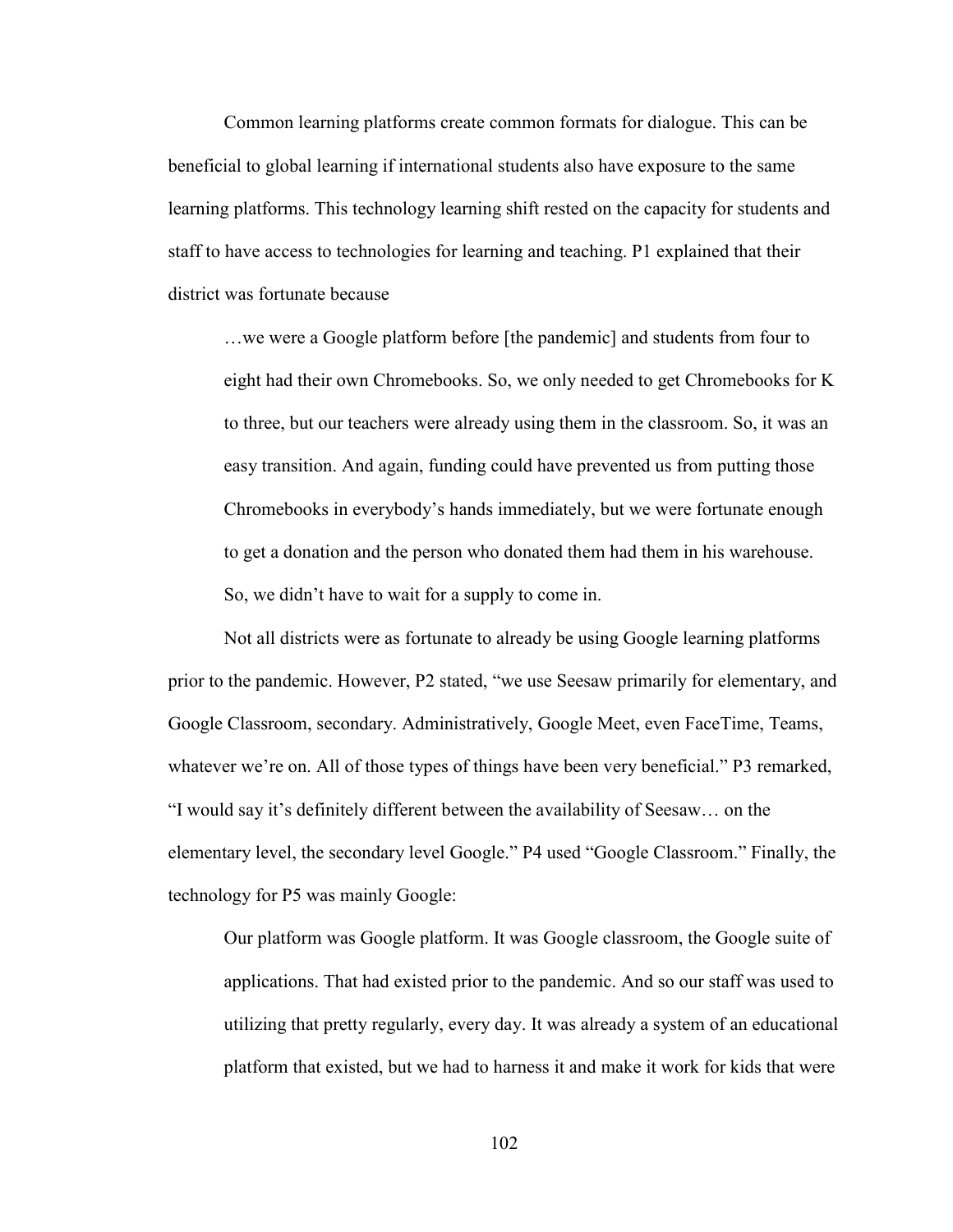Common learning platforms create common formats for dialogue. This can be beneficial to global learning if international students also have exposure to the same learning platforms. This technology learning shift rested on the capacity for students and staff to have access to technologies for learning and teaching. P1 explained that their district was fortunate because

…we were a Google platform before [the pandemic] and students from four to eight had their own Chromebooks. So, we only needed to get Chromebooks for K to three, but our teachers were already using them in the classroom. So, it was an easy transition. And again, funding could have prevented us from putting those Chromebooks in everybody's hands immediately, but we were fortunate enough to get a donation and the person who donated them had them in his warehouse. So, we didn't have to wait for a supply to come in.

Not all districts were as fortunate to already be using Google learning platforms prior to the pandemic. However, P2 stated, "we use Seesaw primarily for elementary, and Google Classroom, secondary. Administratively, Google Meet, even FaceTime, Teams, whatever we're on. All of those types of things have been very beneficial." P3 remarked, "I would say it's definitely different between the availability of Seesaw… on the elementary level, the secondary level Google." P4 used "Google Classroom." Finally, the technology for P5 was mainly Google:

Our platform was Google platform. It was Google classroom, the Google suite of applications. That had existed prior to the pandemic. And so our staff was used to utilizing that pretty regularly, every day. It was already a system of an educational platform that existed, but we had to harness it and make it work for kids that were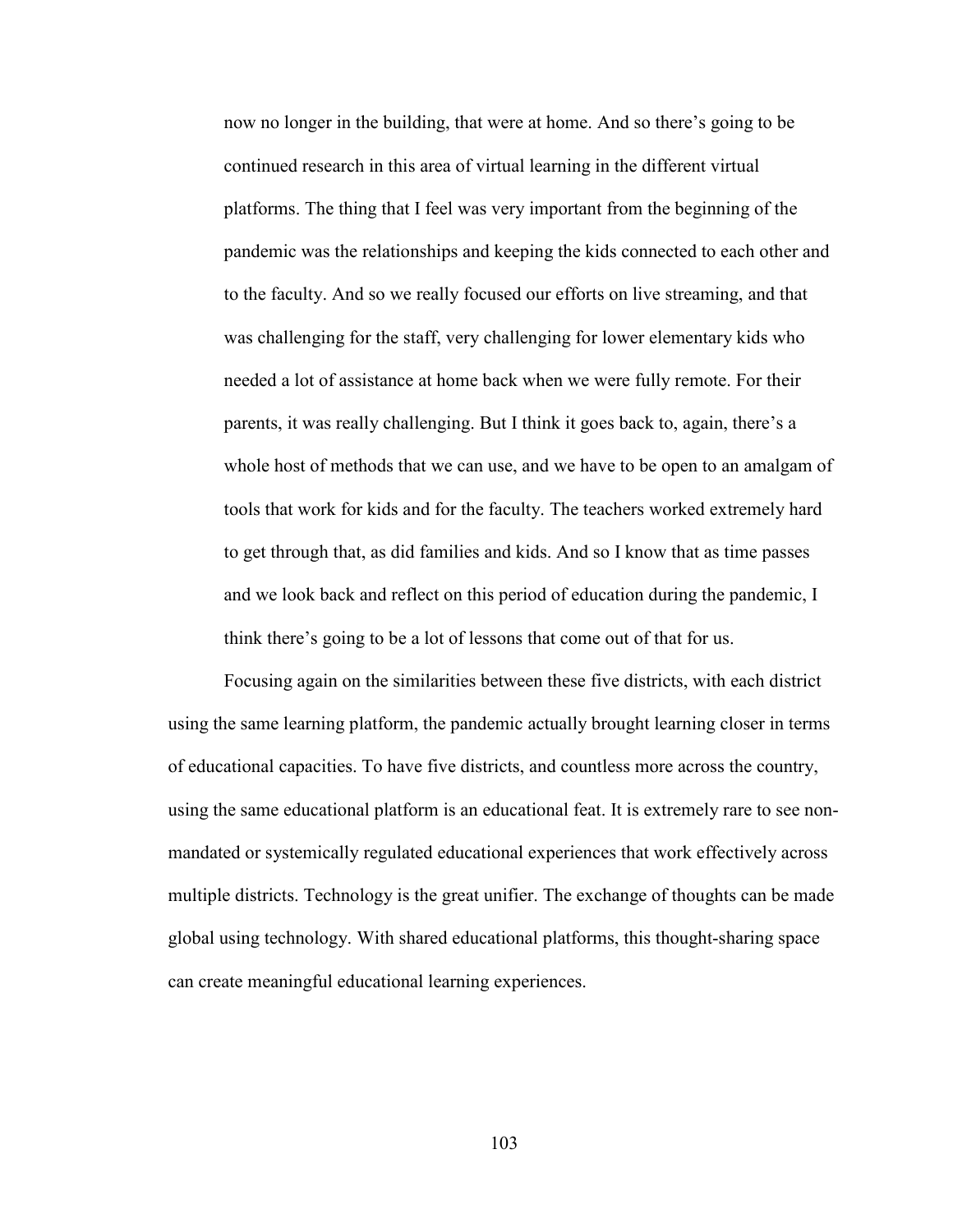now no longer in the building, that were at home. And so there's going to be continued research in this area of virtual learning in the different virtual platforms. The thing that I feel was very important from the beginning of the pandemic was the relationships and keeping the kids connected to each other and to the faculty. And so we really focused our efforts on live streaming, and that was challenging for the staff, very challenging for lower elementary kids who needed a lot of assistance at home back when we were fully remote. For their parents, it was really challenging. But I think it goes back to, again, there's a whole host of methods that we can use, and we have to be open to an amalgam of tools that work for kids and for the faculty. The teachers worked extremely hard to get through that, as did families and kids. And so I know that as time passes and we look back and reflect on this period of education during the pandemic, I think there's going to be a lot of lessons that come out of that for us.

Focusing again on the similarities between these five districts, with each district using the same learning platform, the pandemic actually brought learning closer in terms of educational capacities. To have five districts, and countless more across the country, using the same educational platform is an educational feat. It is extremely rare to see nonmandated or systemically regulated educational experiences that work effectively across multiple districts. Technology is the great unifier. The exchange of thoughts can be made global using technology. With shared educational platforms, this thought-sharing space can create meaningful educational learning experiences.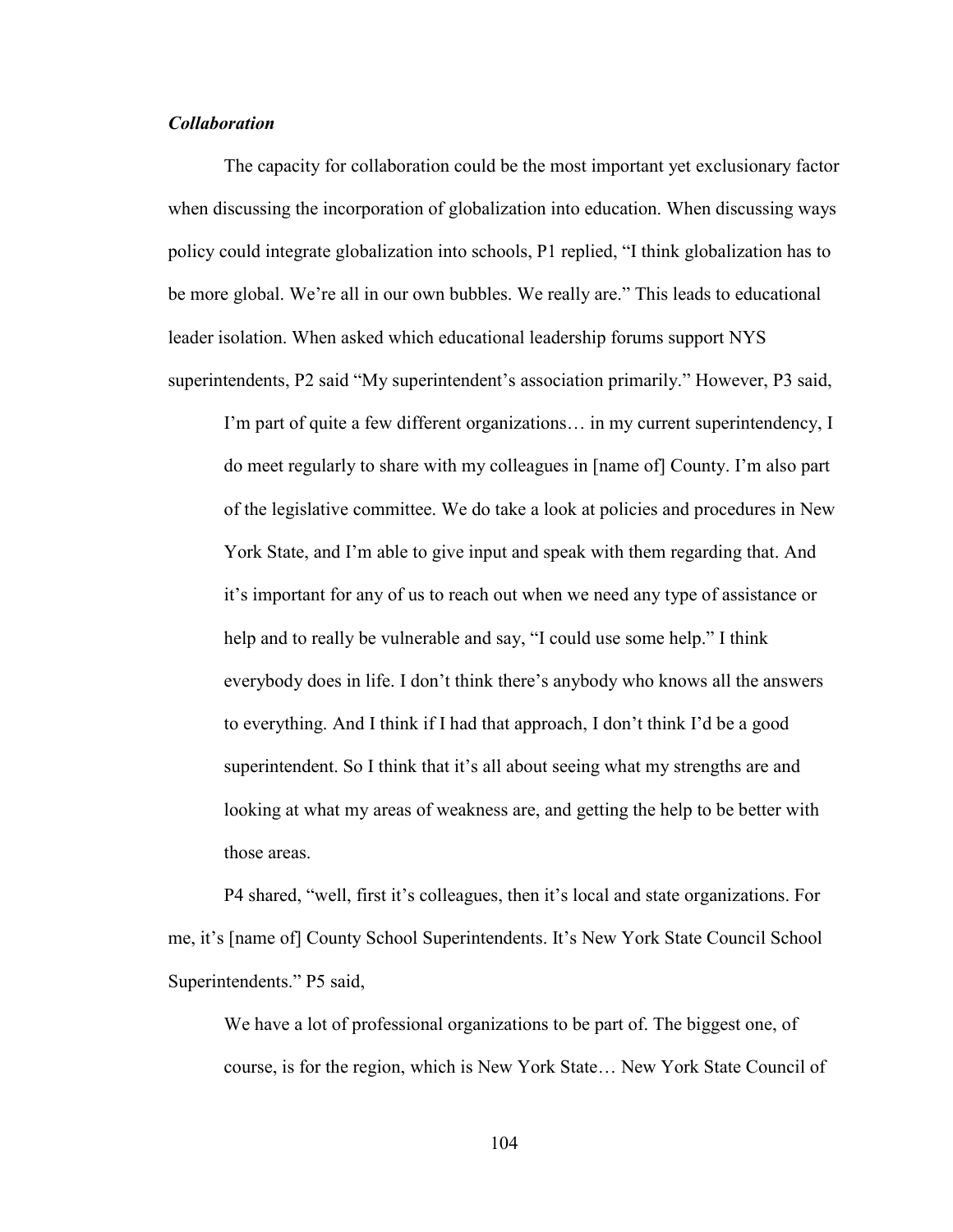# *Collaboration*

The capacity for collaboration could be the most important yet exclusionary factor when discussing the incorporation of globalization into education. When discussing ways policy could integrate globalization into schools, P1 replied, "I think globalization has to be more global. We're all in our own bubbles. We really are." This leads to educational leader isolation. When asked which educational leadership forums support NYS superintendents, P2 said "My superintendent's association primarily." However, P3 said,

I'm part of quite a few different organizations… in my current superintendency, I do meet regularly to share with my colleagues in [name of] County. I'm also part of the legislative committee. We do take a look at policies and procedures in New York State, and I'm able to give input and speak with them regarding that. And it's important for any of us to reach out when we need any type of assistance or help and to really be vulnerable and say, "I could use some help." I think everybody does in life. I don't think there's anybody who knows all the answers to everything. And I think if I had that approach, I don't think I'd be a good superintendent. So I think that it's all about seeing what my strengths are and looking at what my areas of weakness are, and getting the help to be better with those areas.

P4 shared, "well, first it's colleagues, then it's local and state organizations. For me, it's [name of] County School Superintendents. It's New York State Council School Superintendents." P5 said,

We have a lot of professional organizations to be part of. The biggest one, of course, is for the region, which is New York State… New York State Council of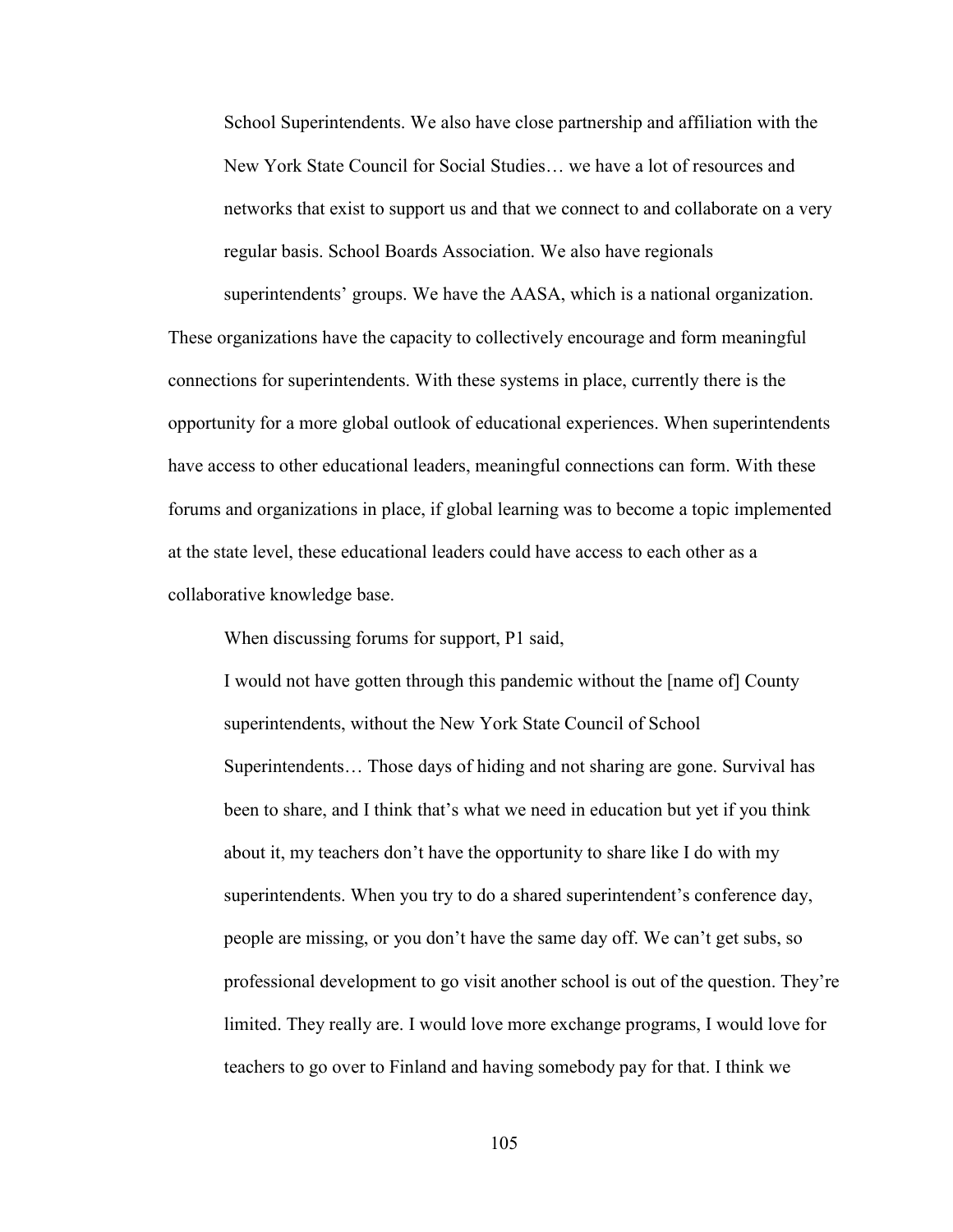School Superintendents. We also have close partnership and affiliation with the New York State Council for Social Studies… we have a lot of resources and networks that exist to support us and that we connect to and collaborate on a very regular basis. School Boards Association. We also have regionals superintendents' groups. We have the AASA, which is a national organization.

These organizations have the capacity to collectively encourage and form meaningful connections for superintendents. With these systems in place, currently there is the opportunity for a more global outlook of educational experiences. When superintendents have access to other educational leaders, meaningful connections can form. With these forums and organizations in place, if global learning was to become a topic implemented at the state level, these educational leaders could have access to each other as a collaborative knowledge base.

When discussing forums for support, P1 said,

I would not have gotten through this pandemic without the [name of] County superintendents, without the New York State Council of School Superintendents… Those days of hiding and not sharing are gone. Survival has been to share, and I think that's what we need in education but yet if you think about it, my teachers don't have the opportunity to share like I do with my superintendents. When you try to do a shared superintendent's conference day, people are missing, or you don't have the same day off. We can't get subs, so professional development to go visit another school is out of the question. They're limited. They really are. I would love more exchange programs, I would love for teachers to go over to Finland and having somebody pay for that. I think we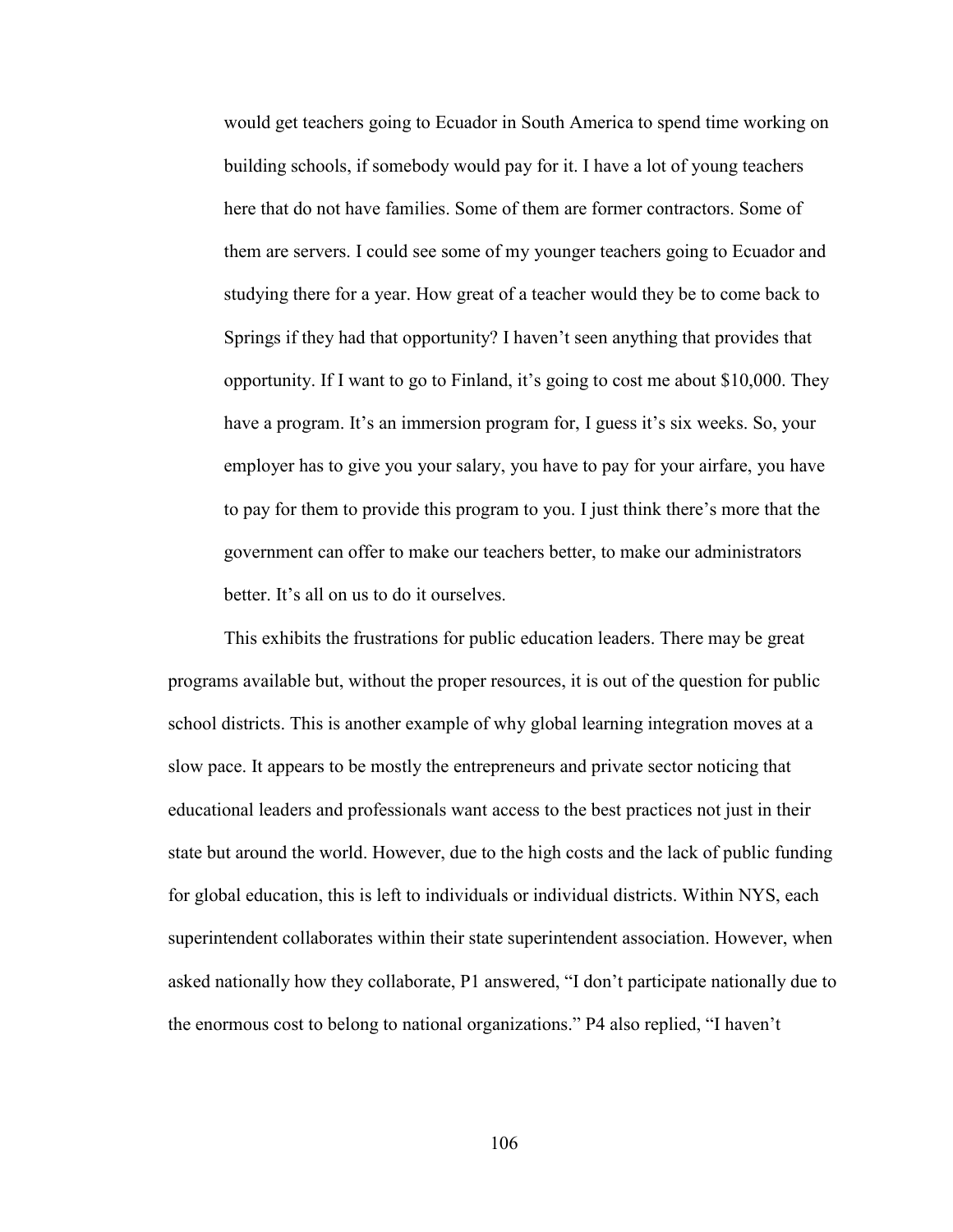would get teachers going to Ecuador in South America to spend time working on building schools, if somebody would pay for it. I have a lot of young teachers here that do not have families. Some of them are former contractors. Some of them are servers. I could see some of my younger teachers going to Ecuador and studying there for a year. How great of a teacher would they be to come back to Springs if they had that opportunity? I haven't seen anything that provides that opportunity. If I want to go to Finland, it's going to cost me about \$10,000. They have a program. It's an immersion program for, I guess it's six weeks. So, your employer has to give you your salary, you have to pay for your airfare, you have to pay for them to provide this program to you. I just think there's more that the government can offer to make our teachers better, to make our administrators better. It's all on us to do it ourselves.

This exhibits the frustrations for public education leaders. There may be great programs available but, without the proper resources, it is out of the question for public school districts. This is another example of why global learning integration moves at a slow pace. It appears to be mostly the entrepreneurs and private sector noticing that educational leaders and professionals want access to the best practices not just in their state but around the world. However, due to the high costs and the lack of public funding for global education, this is left to individuals or individual districts. Within NYS, each superintendent collaborates within their state superintendent association. However, when asked nationally how they collaborate, P1 answered, "I don't participate nationally due to the enormous cost to belong to national organizations." P4 also replied, "I haven't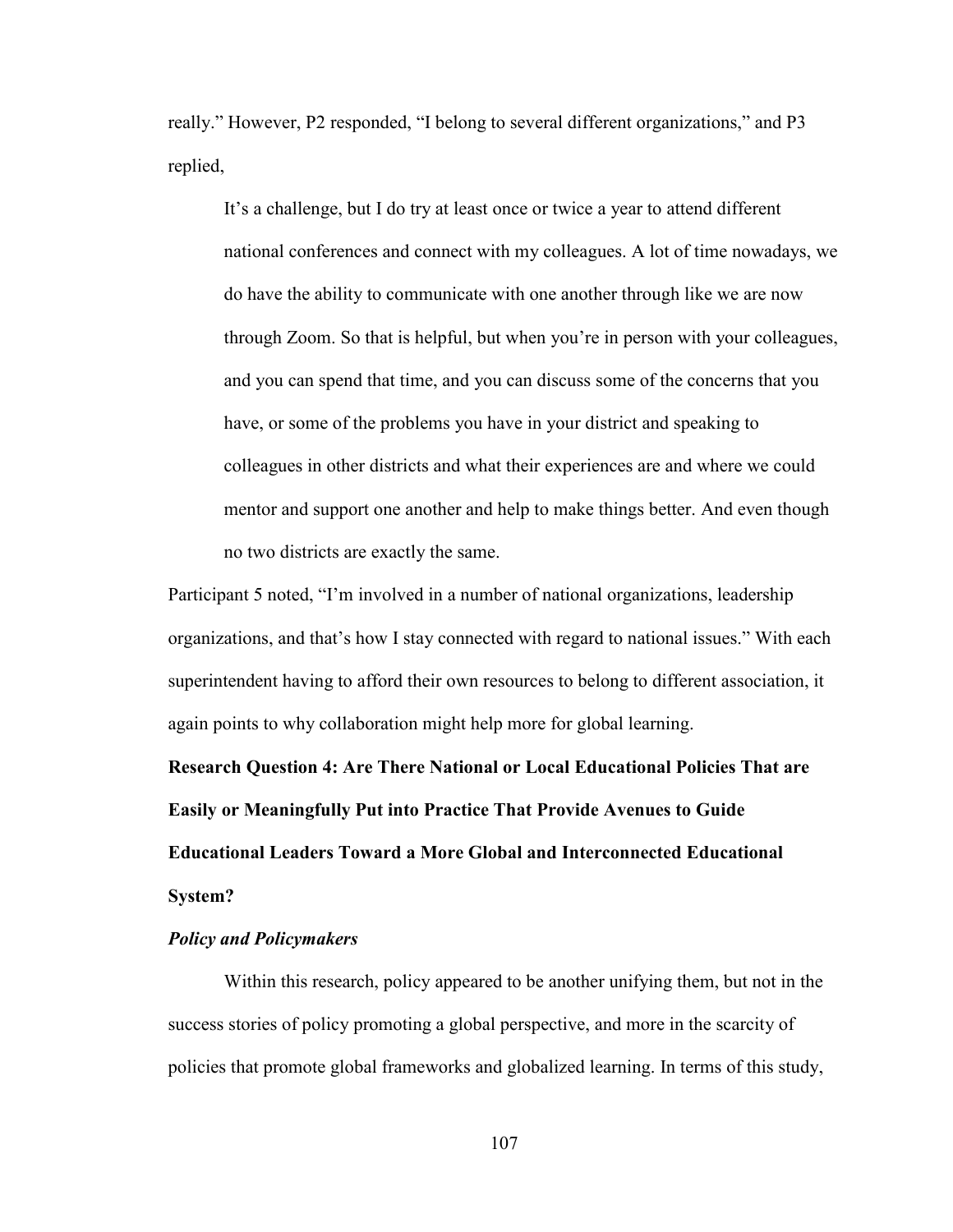really." However, P2 responded, "I belong to several different organizations," and P3 replied,

It's a challenge, but I do try at least once or twice a year to attend different national conferences and connect with my colleagues. A lot of time nowadays, we do have the ability to communicate with one another through like we are now through Zoom. So that is helpful, but when you're in person with your colleagues, and you can spend that time, and you can discuss some of the concerns that you have, or some of the problems you have in your district and speaking to colleagues in other districts and what their experiences are and where we could mentor and support one another and help to make things better. And even though no two districts are exactly the same.

Participant 5 noted, "I'm involved in a number of national organizations, leadership organizations, and that's how I stay connected with regard to national issues." With each superintendent having to afford their own resources to belong to different association, it again points to why collaboration might help more for global learning.

**Research Question 4: Are There National or Local Educational Policies That are Easily or Meaningfully Put into Practice That Provide Avenues to Guide Educational Leaders Toward a More Global and Interconnected Educational System?** 

## *Policy and Policymakers*

Within this research, policy appeared to be another unifying them, but not in the success stories of policy promoting a global perspective, and more in the scarcity of policies that promote global frameworks and globalized learning. In terms of this study,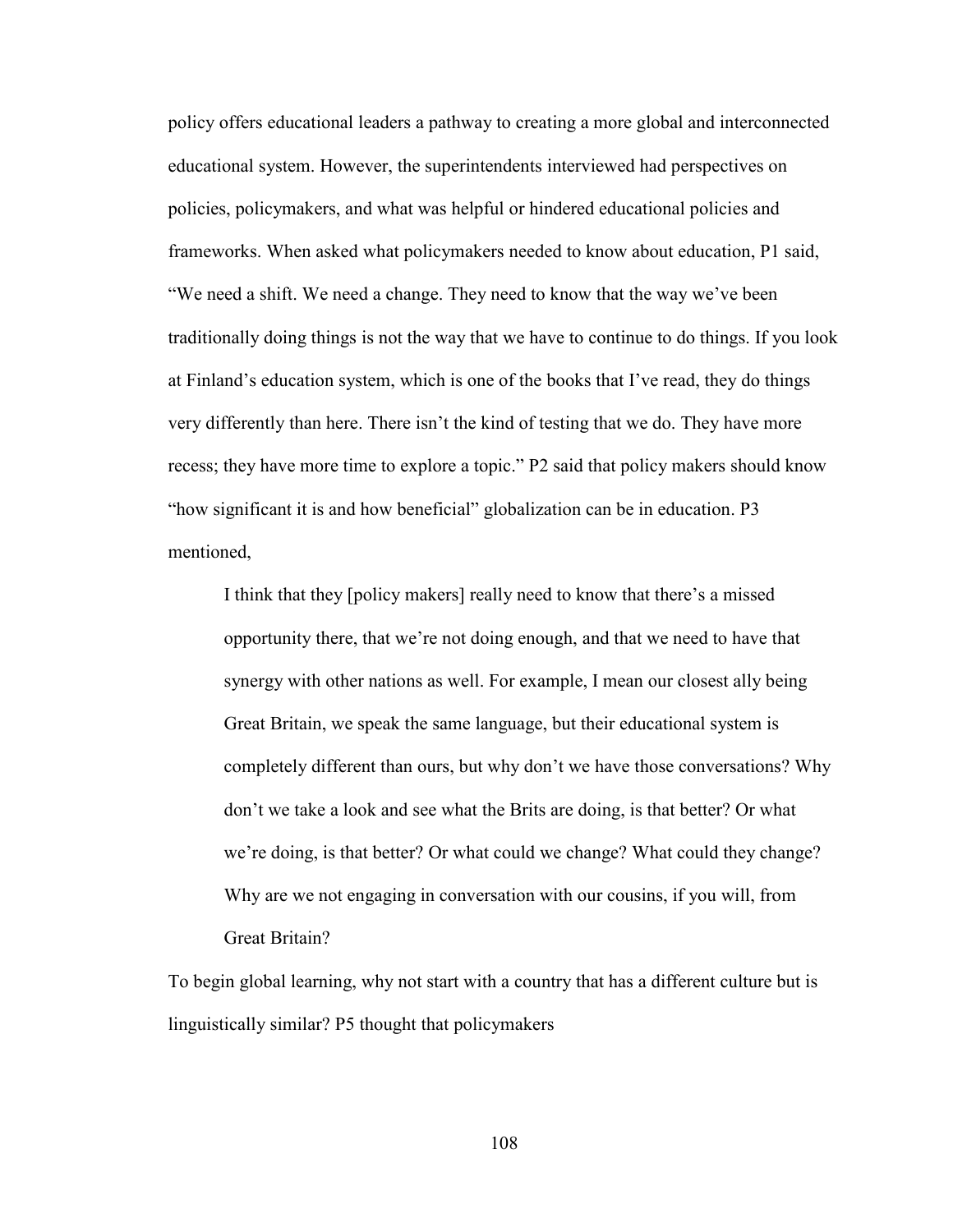policy offers educational leaders a pathway to creating a more global and interconnected educational system. However, the superintendents interviewed had perspectives on policies, policymakers, and what was helpful or hindered educational policies and frameworks. When asked what policymakers needed to know about education, P1 said, "We need a shift. We need a change. They need to know that the way we've been traditionally doing things is not the way that we have to continue to do things. If you look at Finland's education system, which is one of the books that I've read, they do things very differently than here. There isn't the kind of testing that we do. They have more recess; they have more time to explore a topic." P2 said that policy makers should know "how significant it is and how beneficial" globalization can be in education. P3 mentioned,

I think that they [policy makers] really need to know that there's a missed opportunity there, that we're not doing enough, and that we need to have that synergy with other nations as well. For example, I mean our closest ally being Great Britain, we speak the same language, but their educational system is completely different than ours, but why don't we have those conversations? Why don't we take a look and see what the Brits are doing, is that better? Or what we're doing, is that better? Or what could we change? What could they change? Why are we not engaging in conversation with our cousins, if you will, from Great Britain?

To begin global learning, why not start with a country that has a different culture but is linguistically similar? P5 thought that policymakers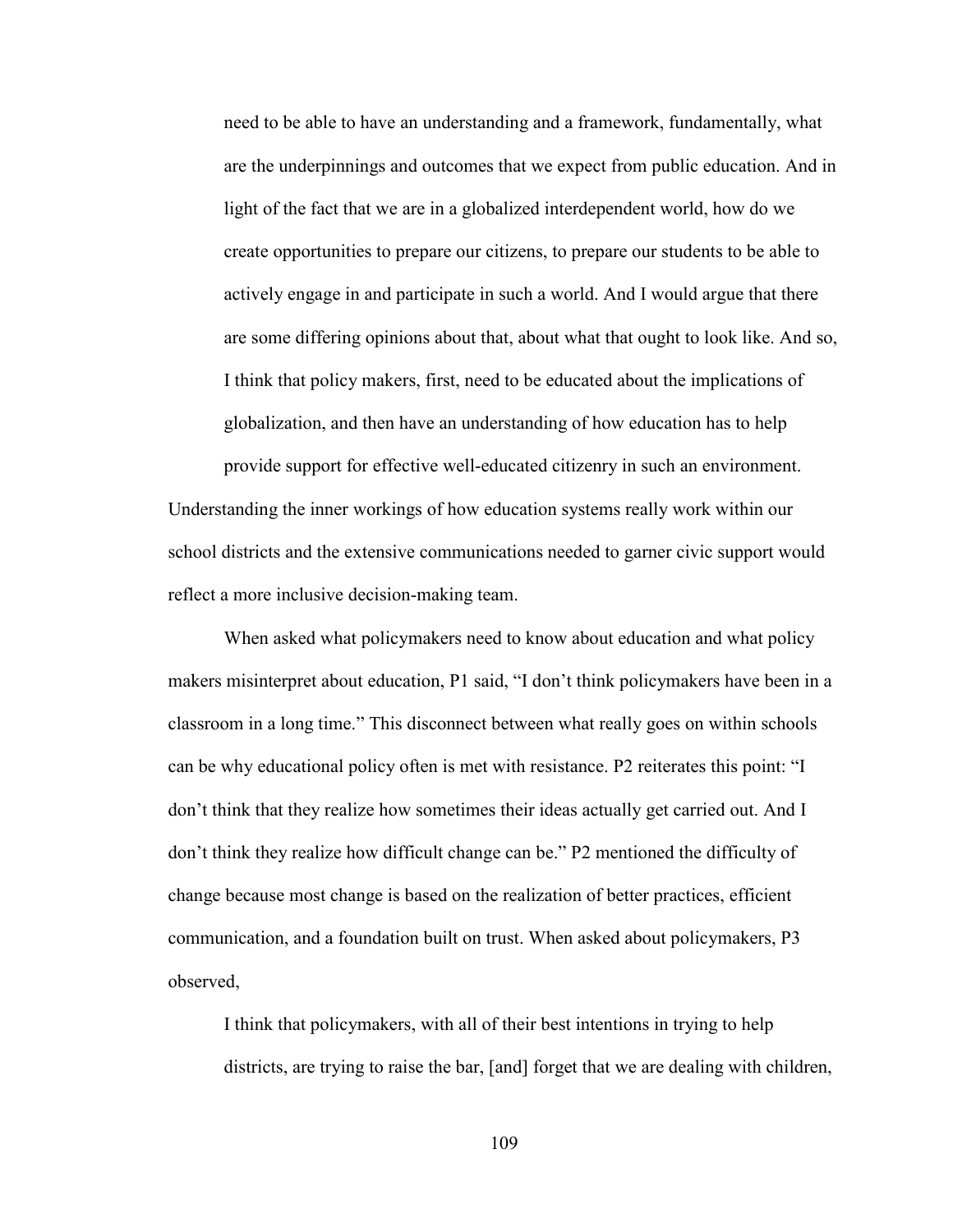need to be able to have an understanding and a framework, fundamentally, what are the underpinnings and outcomes that we expect from public education. And in light of the fact that we are in a globalized interdependent world, how do we create opportunities to prepare our citizens, to prepare our students to be able to actively engage in and participate in such a world. And I would argue that there are some differing opinions about that, about what that ought to look like. And so, I think that policy makers, first, need to be educated about the implications of globalization, and then have an understanding of how education has to help

provide support for effective well-educated citizenry in such an environment. Understanding the inner workings of how education systems really work within our school districts and the extensive communications needed to garner civic support would reflect a more inclusive decision-making team.

When asked what policymakers need to know about education and what policy makers misinterpret about education, P1 said, "I don't think policymakers have been in a classroom in a long time." This disconnect between what really goes on within schools can be why educational policy often is met with resistance. P2 reiterates this point: "I don't think that they realize how sometimes their ideas actually get carried out. And I don't think they realize how difficult change can be." P2 mentioned the difficulty of change because most change is based on the realization of better practices, efficient communication, and a foundation built on trust. When asked about policymakers, P3 observed,

I think that policymakers, with all of their best intentions in trying to help districts, are trying to raise the bar, [and] forget that we are dealing with children,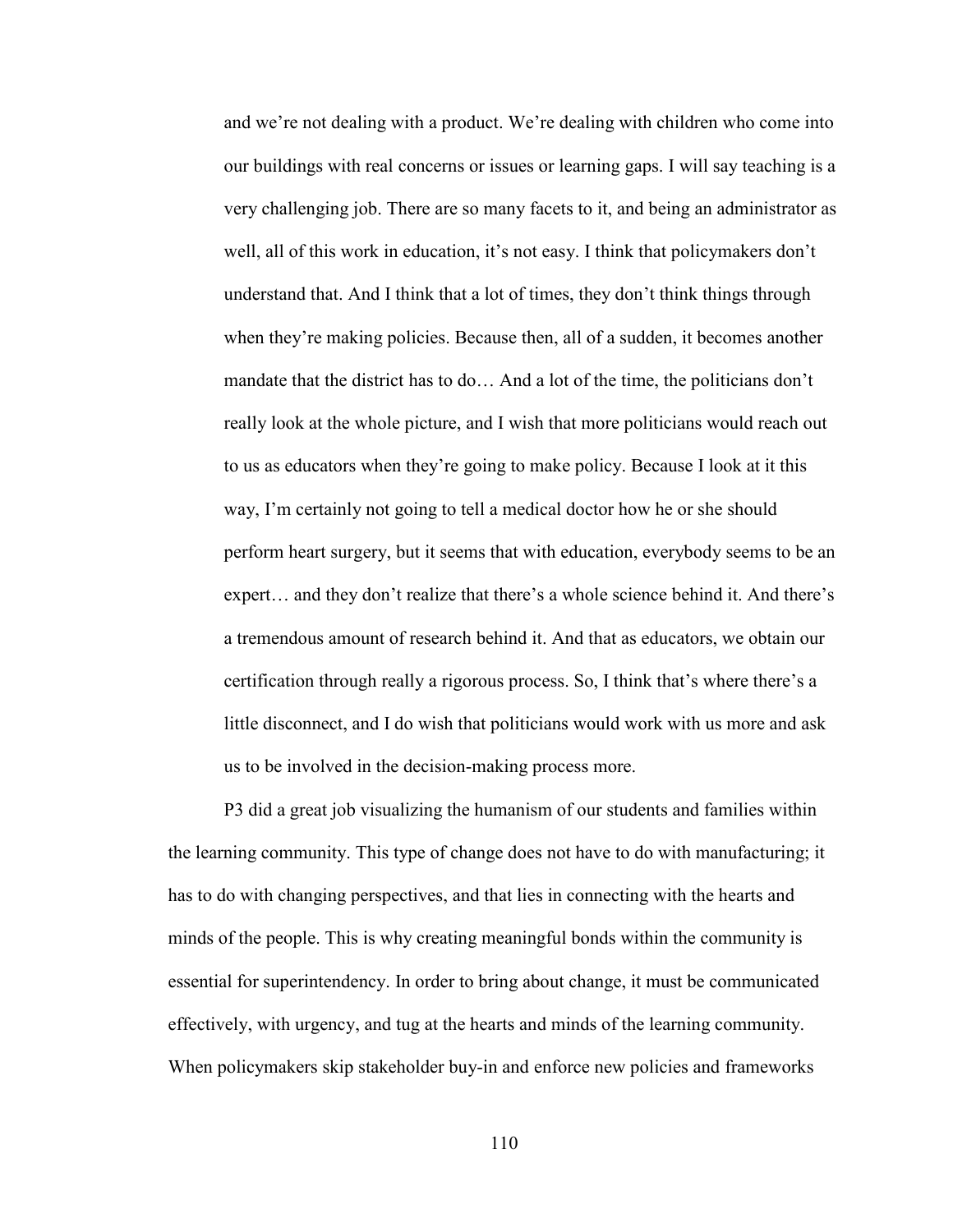and we're not dealing with a product. We're dealing with children who come into our buildings with real concerns or issues or learning gaps. I will say teaching is a very challenging job. There are so many facets to it, and being an administrator as well, all of this work in education, it's not easy. I think that policymakers don't understand that. And I think that a lot of times, they don't think things through when they're making policies. Because then, all of a sudden, it becomes another mandate that the district has to do… And a lot of the time, the politicians don't really look at the whole picture, and I wish that more politicians would reach out to us as educators when they're going to make policy. Because I look at it this way, I'm certainly not going to tell a medical doctor how he or she should perform heart surgery, but it seems that with education, everybody seems to be an expert… and they don't realize that there's a whole science behind it. And there's a tremendous amount of research behind it. And that as educators, we obtain our certification through really a rigorous process. So, I think that's where there's a little disconnect, and I do wish that politicians would work with us more and ask us to be involved in the decision-making process more.

P3 did a great job visualizing the humanism of our students and families within the learning community. This type of change does not have to do with manufacturing; it has to do with changing perspectives, and that lies in connecting with the hearts and minds of the people. This is why creating meaningful bonds within the community is essential for superintendency. In order to bring about change, it must be communicated effectively, with urgency, and tug at the hearts and minds of the learning community. When policymakers skip stakeholder buy-in and enforce new policies and frameworks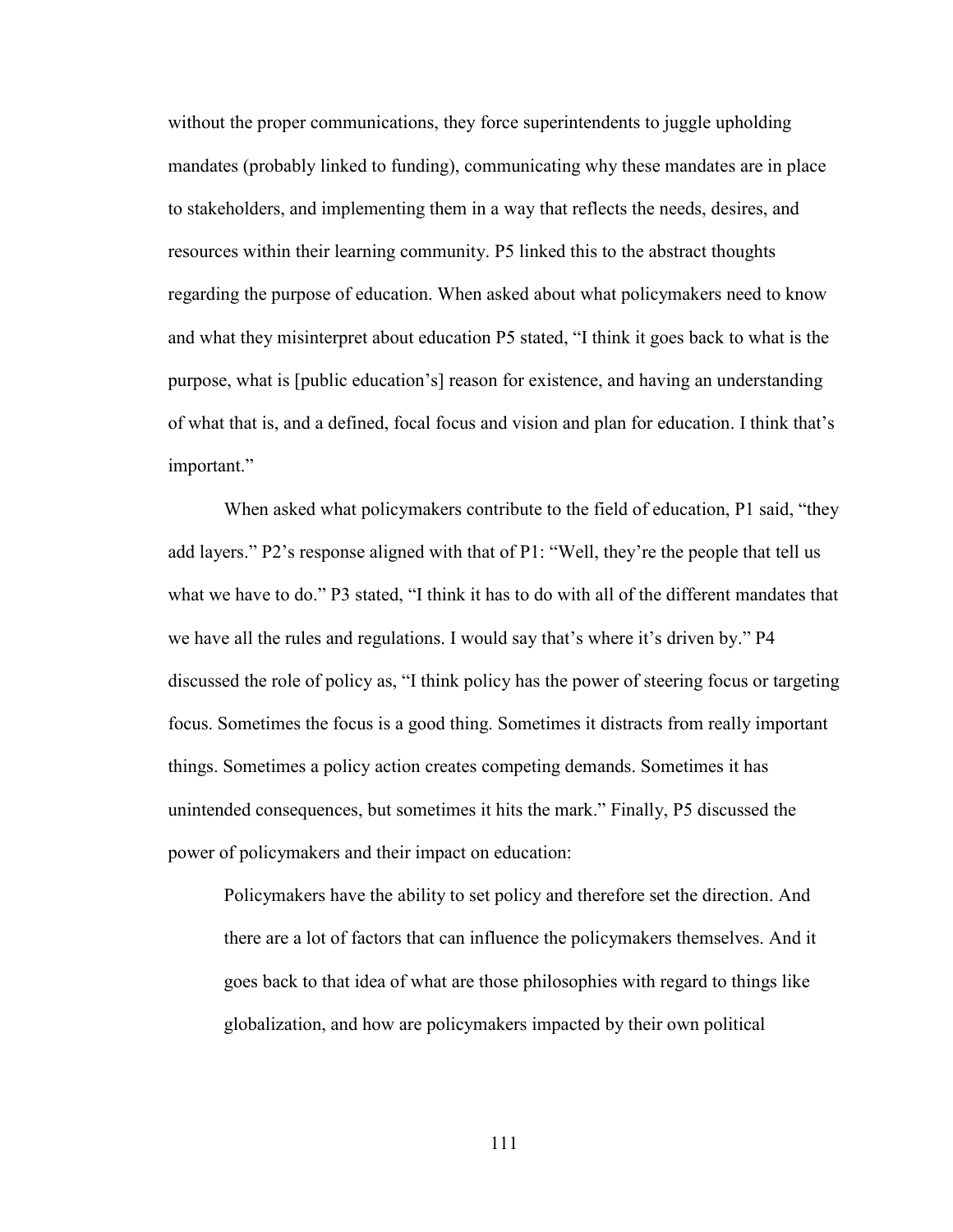without the proper communications, they force superintendents to juggle upholding mandates (probably linked to funding), communicating why these mandates are in place to stakeholders, and implementing them in a way that reflects the needs, desires, and resources within their learning community. P5 linked this to the abstract thoughts regarding the purpose of education. When asked about what policymakers need to know and what they misinterpret about education P5 stated, "I think it goes back to what is the purpose, what is [public education's] reason for existence, and having an understanding of what that is, and a defined, focal focus and vision and plan for education. I think that's important."

When asked what policymakers contribute to the field of education, P1 said, "they add layers." P2's response aligned with that of P1: "Well, they're the people that tell us what we have to do." P3 stated, "I think it has to do with all of the different mandates that we have all the rules and regulations. I would say that's where it's driven by." P4 discussed the role of policy as, "I think policy has the power of steering focus or targeting focus. Sometimes the focus is a good thing. Sometimes it distracts from really important things. Sometimes a policy action creates competing demands. Sometimes it has unintended consequences, but sometimes it hits the mark." Finally, P5 discussed the power of policymakers and their impact on education:

Policymakers have the ability to set policy and therefore set the direction. And there are a lot of factors that can influence the policymakers themselves. And it goes back to that idea of what are those philosophies with regard to things like globalization, and how are policymakers impacted by their own political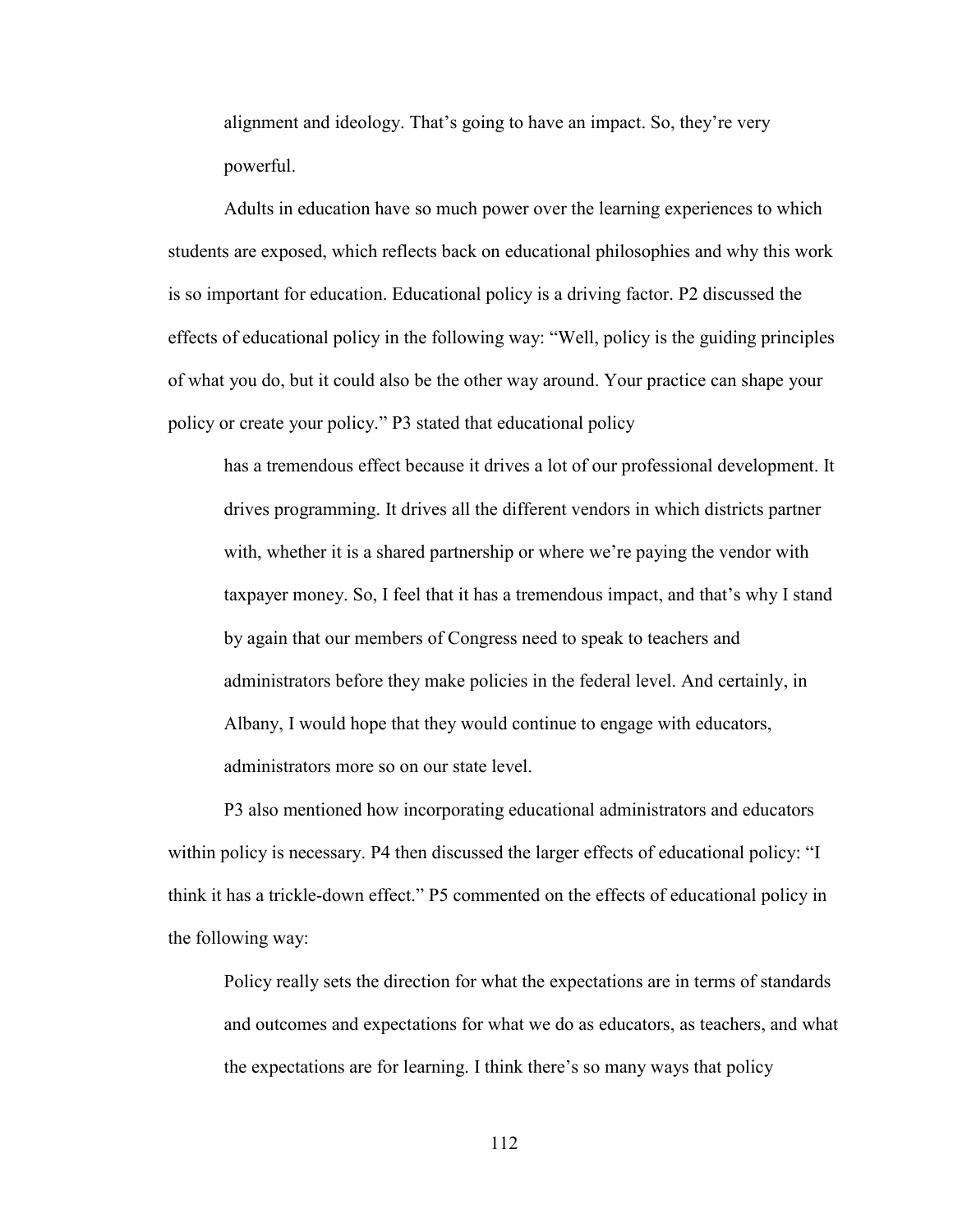alignment and ideology. That's going to have an impact. So, they're very powerful.

Adults in education have so much power over the learning experiences to which students are exposed, which reflects back on educational philosophies and why this work is so important for education. Educational policy is a driving factor. P2 discussed the effects of educational policy in the following way: "Well, policy is the guiding principles of what you do, but it could also be the other way around. Your practice can shape your policy or create your policy." P3 stated that educational policy

has a tremendous effect because it drives a lot of our professional development. It drives programming. It drives all the different vendors in which districts partner with, whether it is a shared partnership or where we're paying the vendor with taxpayer money. So, I feel that it has a tremendous impact, and that's why I stand by again that our members of Congress need to speak to teachers and administrators before they make policies in the federal level. And certainly, in Albany, I would hope that they would continue to engage with educators, administrators more so on our state level.

P3 also mentioned how incorporating educational administrators and educators within policy is necessary. P4 then discussed the larger effects of educational policy: "I think it has a trickle-down effect." P5 commented on the effects of educational policy in the following way:

Policy really sets the direction for what the expectations are in terms of standards and outcomes and expectations for what we do as educators, as teachers, and what the expectations are for learning. I think there's so many ways that policy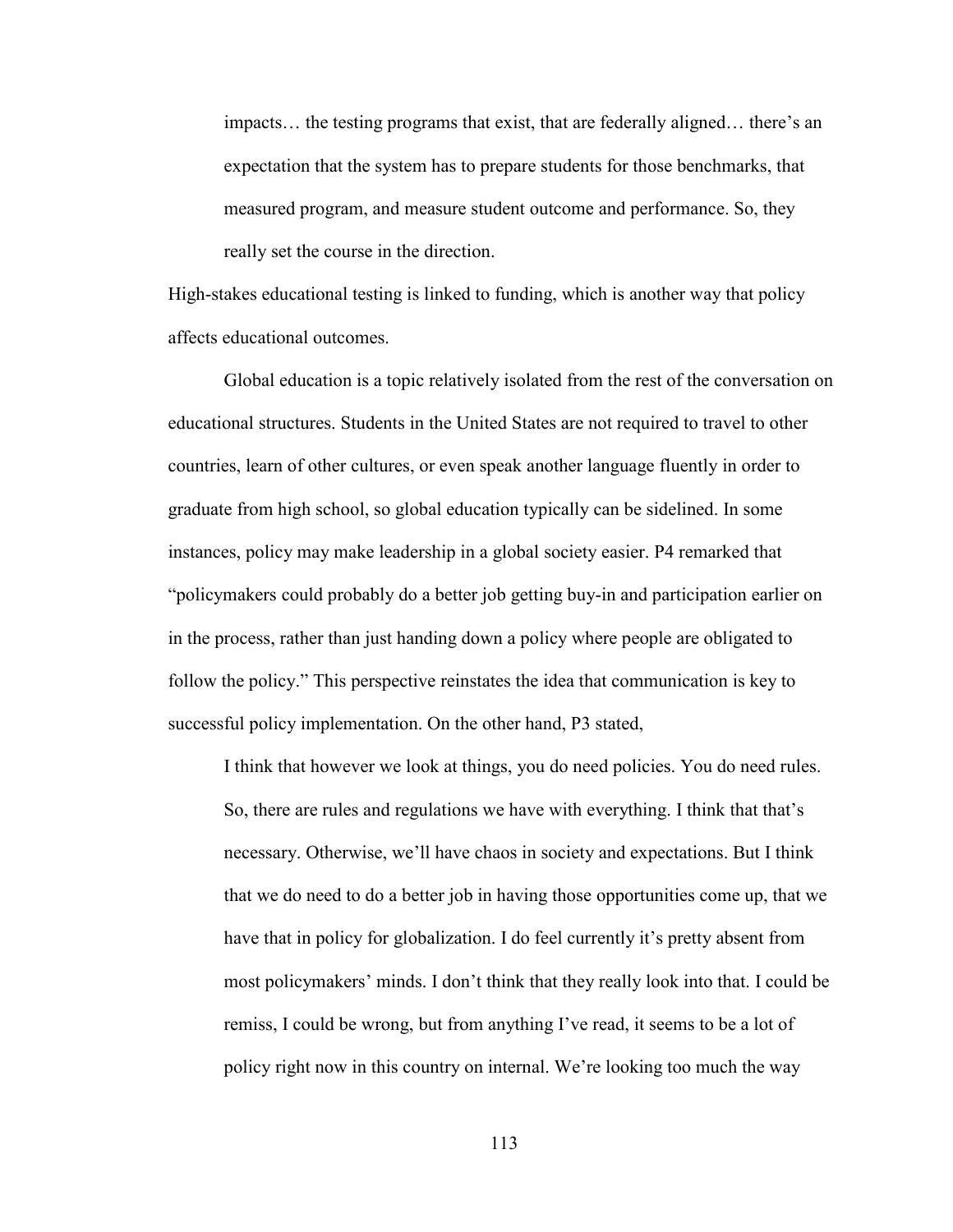impacts… the testing programs that exist, that are federally aligned… there's an expectation that the system has to prepare students for those benchmarks, that measured program, and measure student outcome and performance. So, they really set the course in the direction.

High-stakes educational testing is linked to funding, which is another way that policy affects educational outcomes.

Global education is a topic relatively isolated from the rest of the conversation on educational structures. Students in the United States are not required to travel to other countries, learn of other cultures, or even speak another language fluently in order to graduate from high school, so global education typically can be sidelined. In some instances, policy may make leadership in a global society easier. P4 remarked that "policymakers could probably do a better job getting buy-in and participation earlier on in the process, rather than just handing down a policy where people are obligated to follow the policy." This perspective reinstates the idea that communication is key to successful policy implementation. On the other hand, P3 stated,

I think that however we look at things, you do need policies. You do need rules. So, there are rules and regulations we have with everything. I think that that's necessary. Otherwise, we'll have chaos in society and expectations. But I think that we do need to do a better job in having those opportunities come up, that we have that in policy for globalization. I do feel currently it's pretty absent from most policymakers' minds. I don't think that they really look into that. I could be remiss, I could be wrong, but from anything I've read, it seems to be a lot of policy right now in this country on internal. We're looking too much the way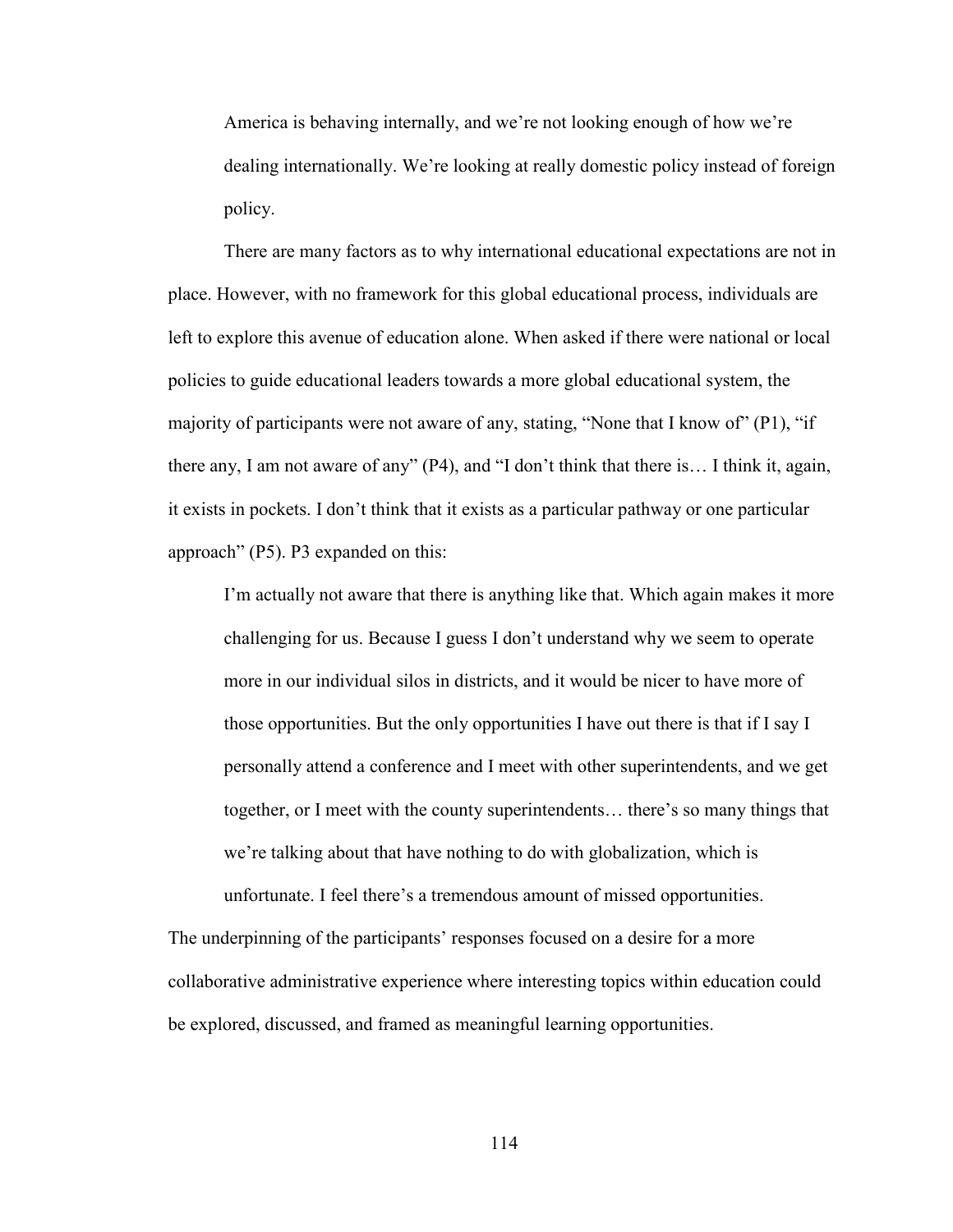America is behaving internally, and we're not looking enough of how we're dealing internationally. We're looking at really domestic policy instead of foreign policy.

There are many factors as to why international educational expectations are not in place. However, with no framework for this global educational process, individuals are left to explore this avenue of education alone. When asked if there were national or local policies to guide educational leaders towards a more global educational system, the majority of participants were not aware of any, stating, "None that I know of" (P1), "if there any, I am not aware of any" (P4), and "I don't think that there is… I think it, again, it exists in pockets. I don't think that it exists as a particular pathway or one particular approach" (P5). P3 expanded on this:

I'm actually not aware that there is anything like that. Which again makes it more challenging for us. Because I guess I don't understand why we seem to operate more in our individual silos in districts, and it would be nicer to have more of those opportunities. But the only opportunities I have out there is that if I say I personally attend a conference and I meet with other superintendents, and we get together, or I meet with the county superintendents… there's so many things that we're talking about that have nothing to do with globalization, which is unfortunate. I feel there's a tremendous amount of missed opportunities.

The underpinning of the participants' responses focused on a desire for a more collaborative administrative experience where interesting topics within education could be explored, discussed, and framed as meaningful learning opportunities.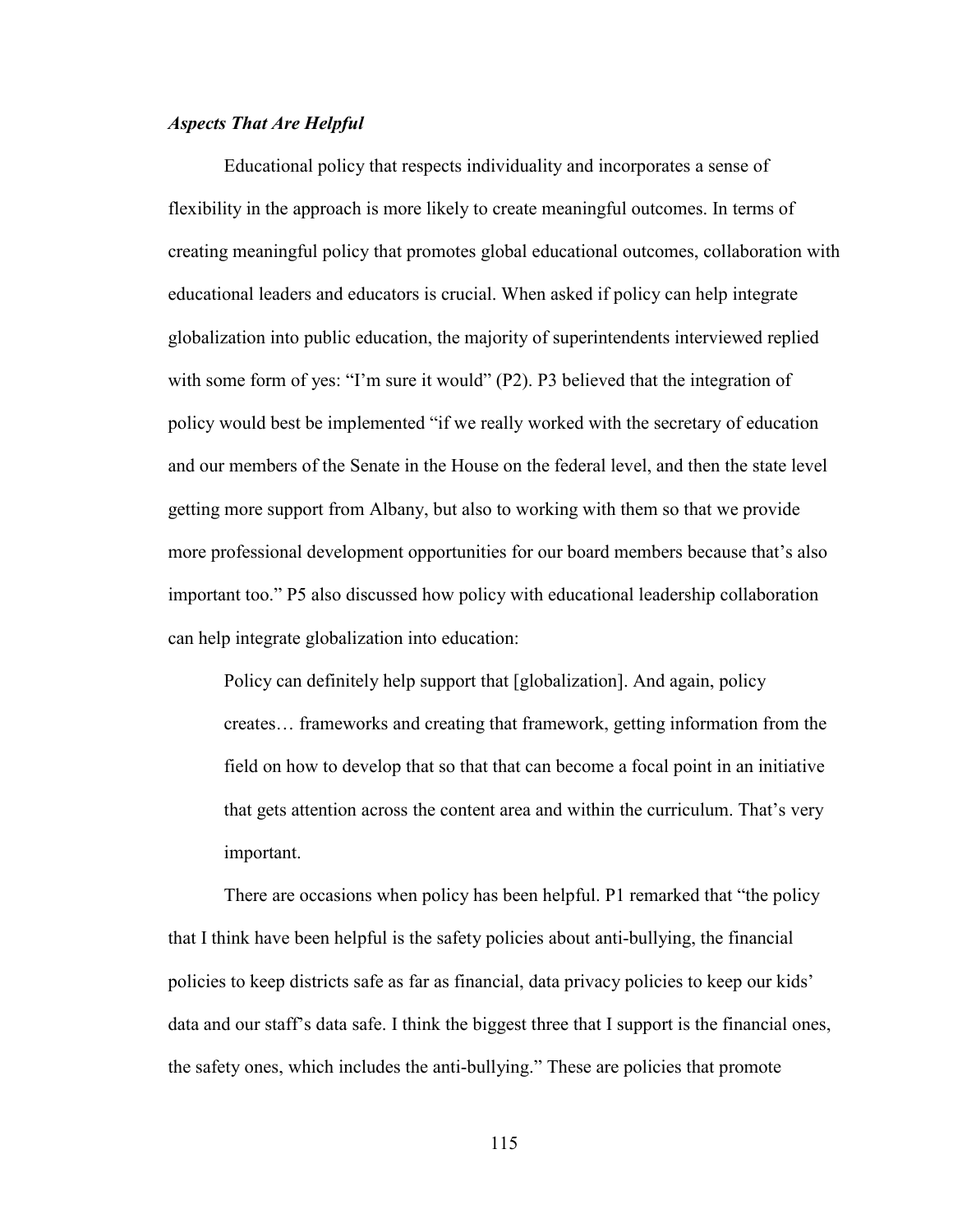# *Aspects That Are Helpful*

Educational policy that respects individuality and incorporates a sense of flexibility in the approach is more likely to create meaningful outcomes. In terms of creating meaningful policy that promotes global educational outcomes, collaboration with educational leaders and educators is crucial. When asked if policy can help integrate globalization into public education, the majority of superintendents interviewed replied with some form of yes: "I'm sure it would" (P2). P3 believed that the integration of policy would best be implemented "if we really worked with the secretary of education and our members of the Senate in the House on the federal level, and then the state level getting more support from Albany, but also to working with them so that we provide more professional development opportunities for our board members because that's also important too." P5 also discussed how policy with educational leadership collaboration can help integrate globalization into education:

Policy can definitely help support that [globalization]. And again, policy creates… frameworks and creating that framework, getting information from the field on how to develop that so that that can become a focal point in an initiative that gets attention across the content area and within the curriculum. That's very important.

There are occasions when policy has been helpful. P1 remarked that "the policy that I think have been helpful is the safety policies about anti-bullying, the financial policies to keep districts safe as far as financial, data privacy policies to keep our kids' data and our staff's data safe. I think the biggest three that I support is the financial ones, the safety ones, which includes the anti-bullying." These are policies that promote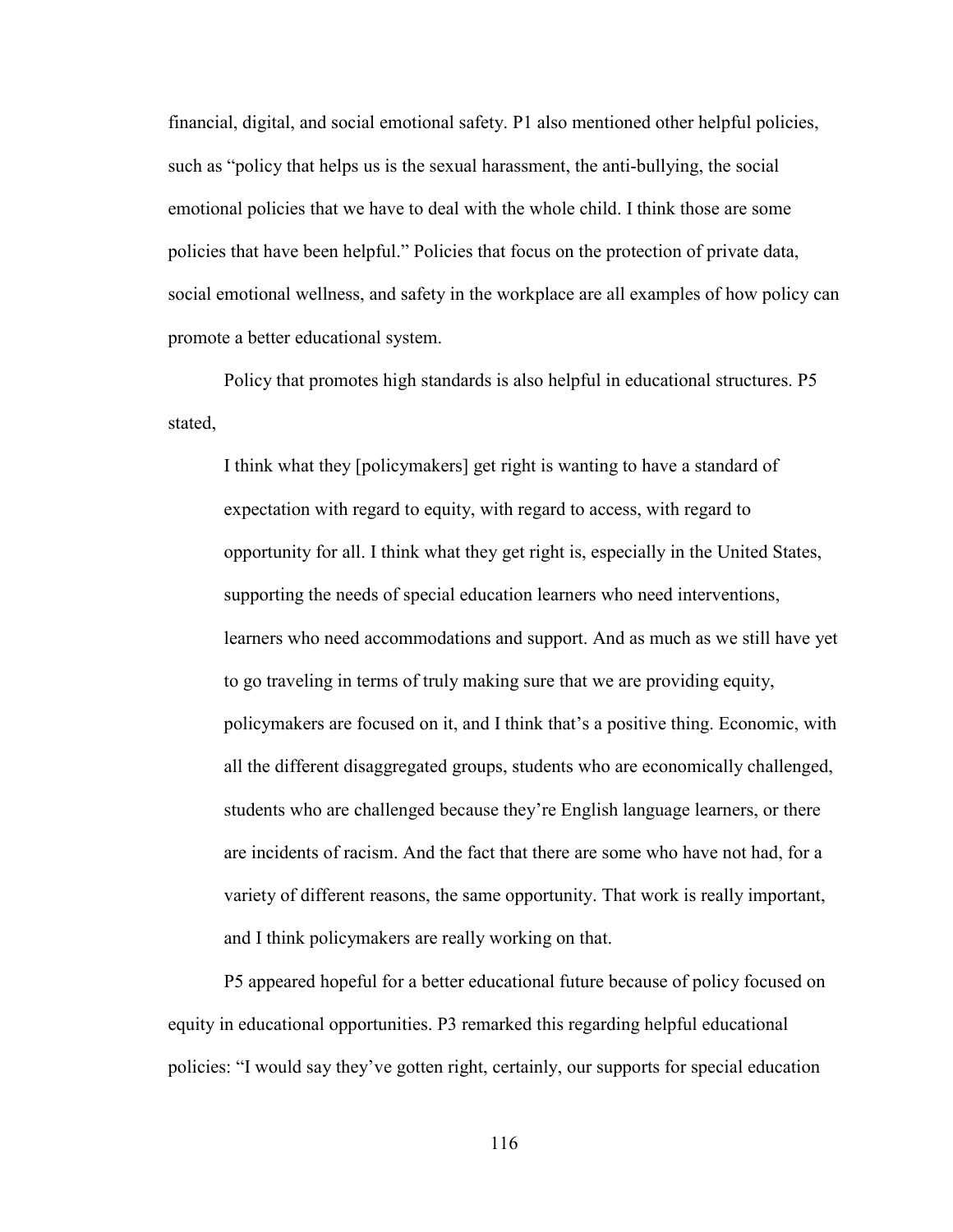financial, digital, and social emotional safety. P1 also mentioned other helpful policies, such as "policy that helps us is the sexual harassment, the anti-bullying, the social emotional policies that we have to deal with the whole child. I think those are some policies that have been helpful." Policies that focus on the protection of private data, social emotional wellness, and safety in the workplace are all examples of how policy can promote a better educational system.

Policy that promotes high standards is also helpful in educational structures. P5 stated,

I think what they [policymakers] get right is wanting to have a standard of expectation with regard to equity, with regard to access, with regard to opportunity for all. I think what they get right is, especially in the United States, supporting the needs of special education learners who need interventions, learners who need accommodations and support. And as much as we still have yet to go traveling in terms of truly making sure that we are providing equity, policymakers are focused on it, and I think that's a positive thing. Economic, with all the different disaggregated groups, students who are economically challenged, students who are challenged because they're English language learners, or there are incidents of racism. And the fact that there are some who have not had, for a variety of different reasons, the same opportunity. That work is really important, and I think policymakers are really working on that.

P5 appeared hopeful for a better educational future because of policy focused on equity in educational opportunities. P3 remarked this regarding helpful educational policies: "I would say they've gotten right, certainly, our supports for special education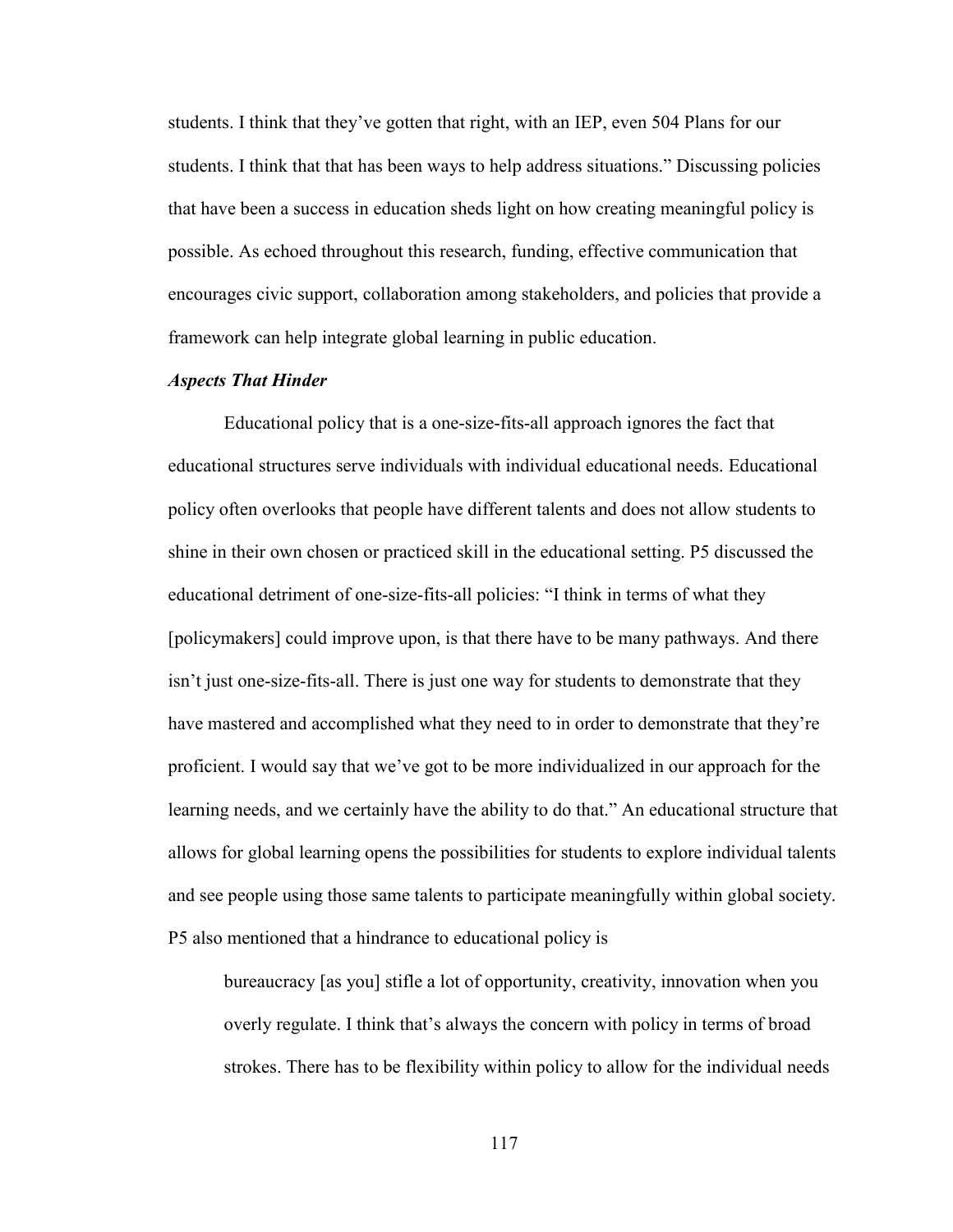students. I think that they've gotten that right, with an IEP, even 504 Plans for our students. I think that that has been ways to help address situations." Discussing policies that have been a success in education sheds light on how creating meaningful policy is possible. As echoed throughout this research, funding, effective communication that encourages civic support, collaboration among stakeholders, and policies that provide a framework can help integrate global learning in public education.

## *Aspects That Hinder*

Educational policy that is a one-size-fits-all approach ignores the fact that educational structures serve individuals with individual educational needs. Educational policy often overlooks that people have different talents and does not allow students to shine in their own chosen or practiced skill in the educational setting. P5 discussed the educational detriment of one-size-fits-all policies: "I think in terms of what they [policymakers] could improve upon, is that there have to be many pathways. And there isn't just one-size-fits-all. There is just one way for students to demonstrate that they have mastered and accomplished what they need to in order to demonstrate that they're proficient. I would say that we've got to be more individualized in our approach for the learning needs, and we certainly have the ability to do that." An educational structure that allows for global learning opens the possibilities for students to explore individual talents and see people using those same talents to participate meaningfully within global society. P5 also mentioned that a hindrance to educational policy is

bureaucracy [as you] stifle a lot of opportunity, creativity, innovation when you overly regulate. I think that's always the concern with policy in terms of broad strokes. There has to be flexibility within policy to allow for the individual needs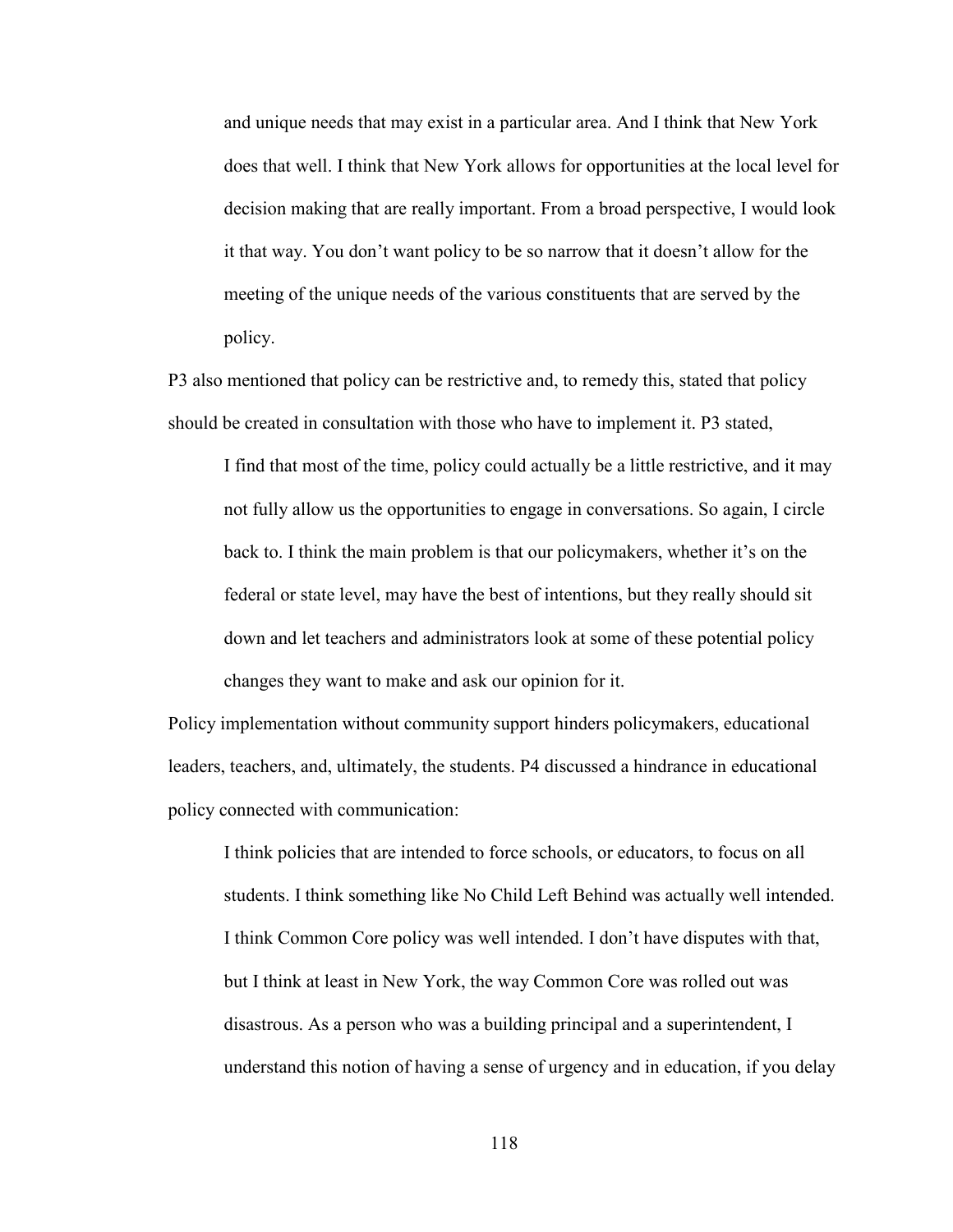and unique needs that may exist in a particular area. And I think that New York does that well. I think that New York allows for opportunities at the local level for decision making that are really important. From a broad perspective, I would look it that way. You don't want policy to be so narrow that it doesn't allow for the meeting of the unique needs of the various constituents that are served by the policy.

P3 also mentioned that policy can be restrictive and, to remedy this, stated that policy should be created in consultation with those who have to implement it. P3 stated,

I find that most of the time, policy could actually be a little restrictive, and it may not fully allow us the opportunities to engage in conversations. So again, I circle back to. I think the main problem is that our policymakers, whether it's on the federal or state level, may have the best of intentions, but they really should sit down and let teachers and administrators look at some of these potential policy changes they want to make and ask our opinion for it.

Policy implementation without community support hinders policymakers, educational leaders, teachers, and, ultimately, the students. P4 discussed a hindrance in educational policy connected with communication:

I think policies that are intended to force schools, or educators, to focus on all students. I think something like No Child Left Behind was actually well intended. I think Common Core policy was well intended. I don't have disputes with that, but I think at least in New York, the way Common Core was rolled out was disastrous. As a person who was a building principal and a superintendent, I understand this notion of having a sense of urgency and in education, if you delay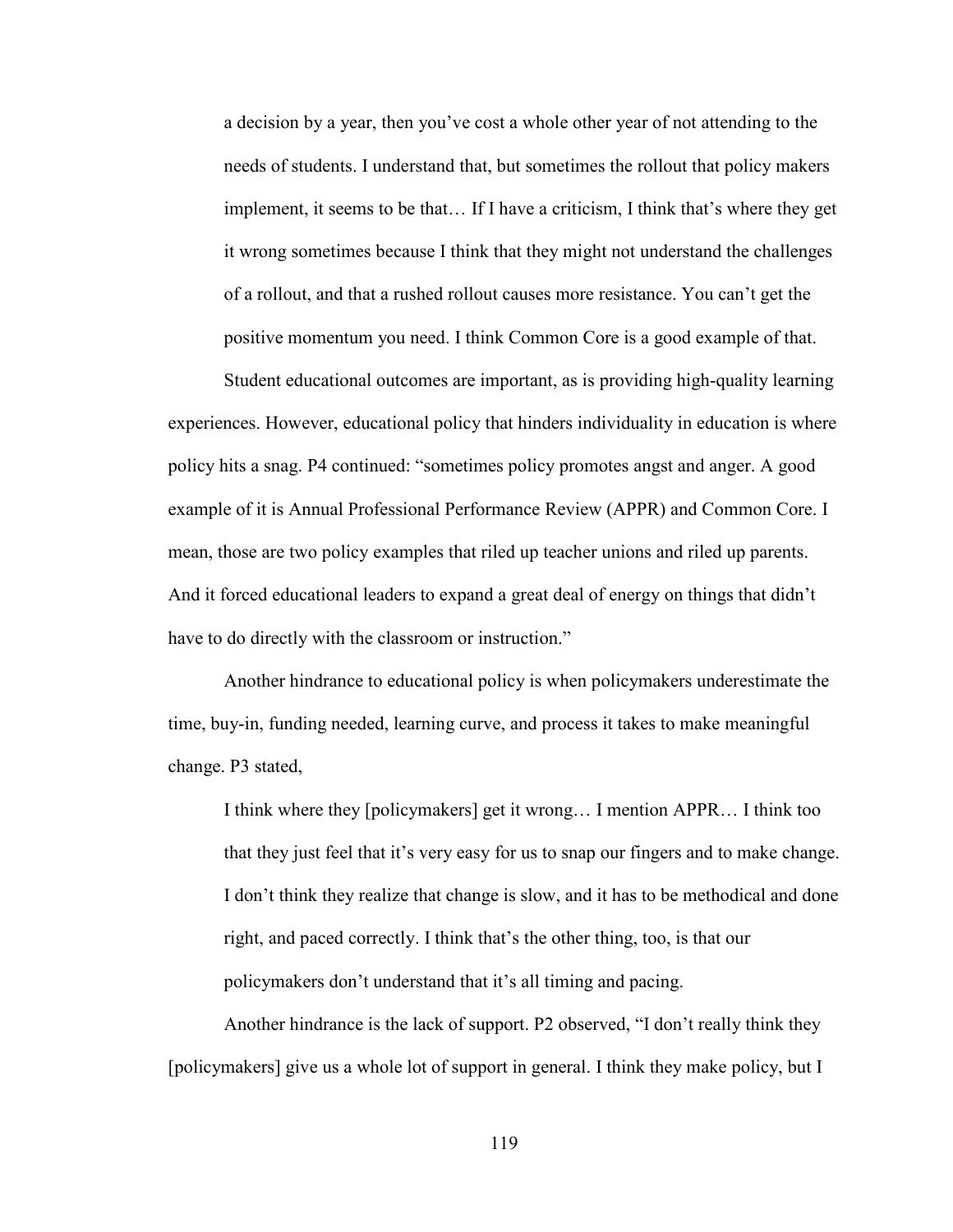a decision by a year, then you've cost a whole other year of not attending to the needs of students. I understand that, but sometimes the rollout that policy makers implement, it seems to be that… If I have a criticism, I think that's where they get it wrong sometimes because I think that they might not understand the challenges of a rollout, and that a rushed rollout causes more resistance. You can't get the positive momentum you need. I think Common Core is a good example of that.

Student educational outcomes are important, as is providing high-quality learning experiences. However, educational policy that hinders individuality in education is where policy hits a snag. P4 continued: "sometimes policy promotes angst and anger. A good example of it is Annual Professional Performance Review (APPR) and Common Core. I mean, those are two policy examples that riled up teacher unions and riled up parents. And it forced educational leaders to expand a great deal of energy on things that didn't have to do directly with the classroom or instruction."

Another hindrance to educational policy is when policymakers underestimate the time, buy-in, funding needed, learning curve, and process it takes to make meaningful change. P3 stated,

I think where they [policymakers] get it wrong… I mention APPR… I think too that they just feel that it's very easy for us to snap our fingers and to make change. I don't think they realize that change is slow, and it has to be methodical and done right, and paced correctly. I think that's the other thing, too, is that our policymakers don't understand that it's all timing and pacing.

Another hindrance is the lack of support. P2 observed, "I don't really think they [policymakers] give us a whole lot of support in general. I think they make policy, but I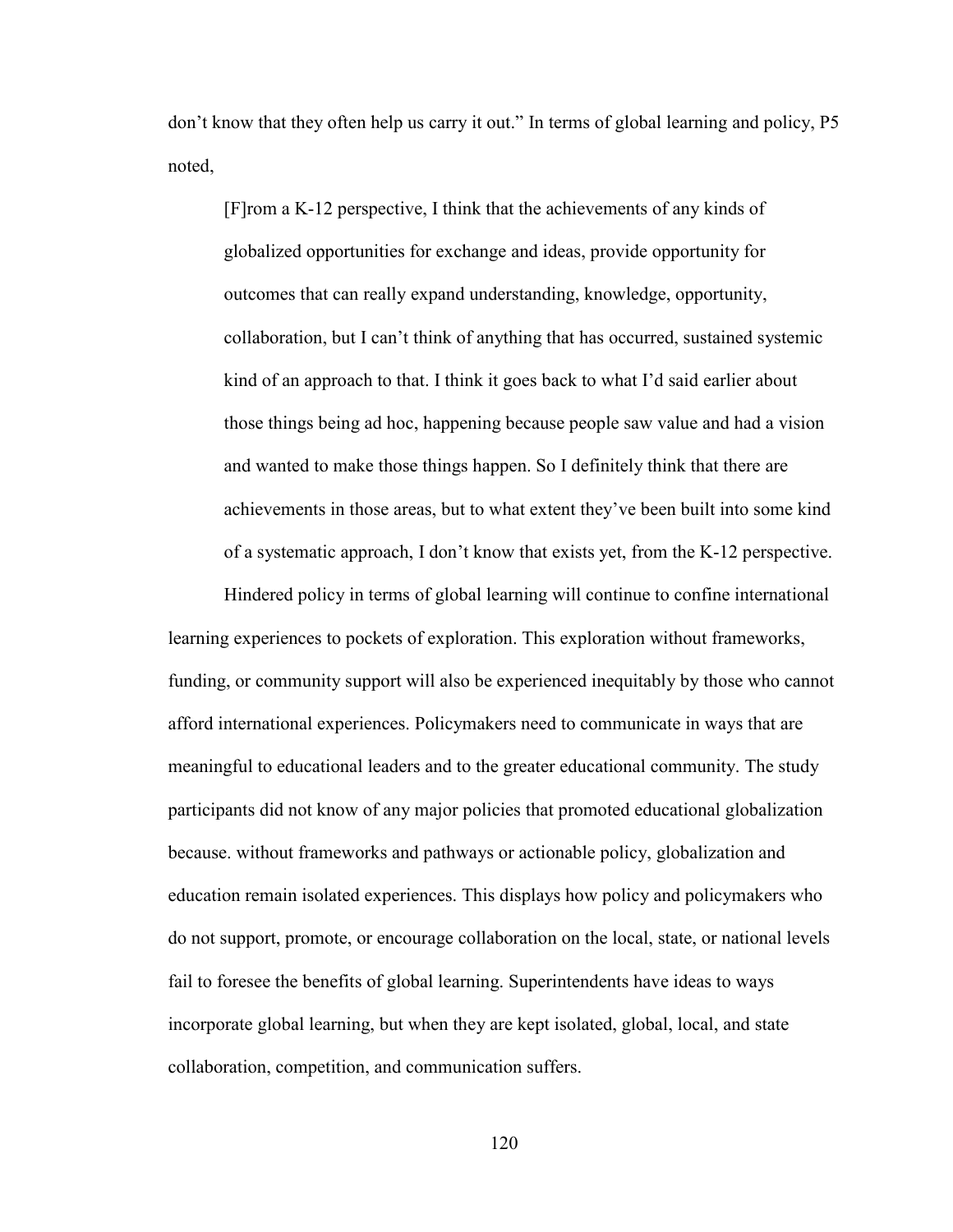don't know that they often help us carry it out." In terms of global learning and policy, P5 noted,

[F]rom a K-12 perspective, I think that the achievements of any kinds of globalized opportunities for exchange and ideas, provide opportunity for outcomes that can really expand understanding, knowledge, opportunity, collaboration, but I can't think of anything that has occurred, sustained systemic kind of an approach to that. I think it goes back to what I'd said earlier about those things being ad hoc, happening because people saw value and had a vision and wanted to make those things happen. So I definitely think that there are achievements in those areas, but to what extent they've been built into some kind of a systematic approach, I don't know that exists yet, from the K-12 perspective.

Hindered policy in terms of global learning will continue to confine international learning experiences to pockets of exploration. This exploration without frameworks, funding, or community support will also be experienced inequitably by those who cannot afford international experiences. Policymakers need to communicate in ways that are meaningful to educational leaders and to the greater educational community. The study participants did not know of any major policies that promoted educational globalization because. without frameworks and pathways or actionable policy, globalization and education remain isolated experiences. This displays how policy and policymakers who do not support, promote, or encourage collaboration on the local, state, or national levels fail to foresee the benefits of global learning. Superintendents have ideas to ways incorporate global learning, but when they are kept isolated, global, local, and state collaboration, competition, and communication suffers.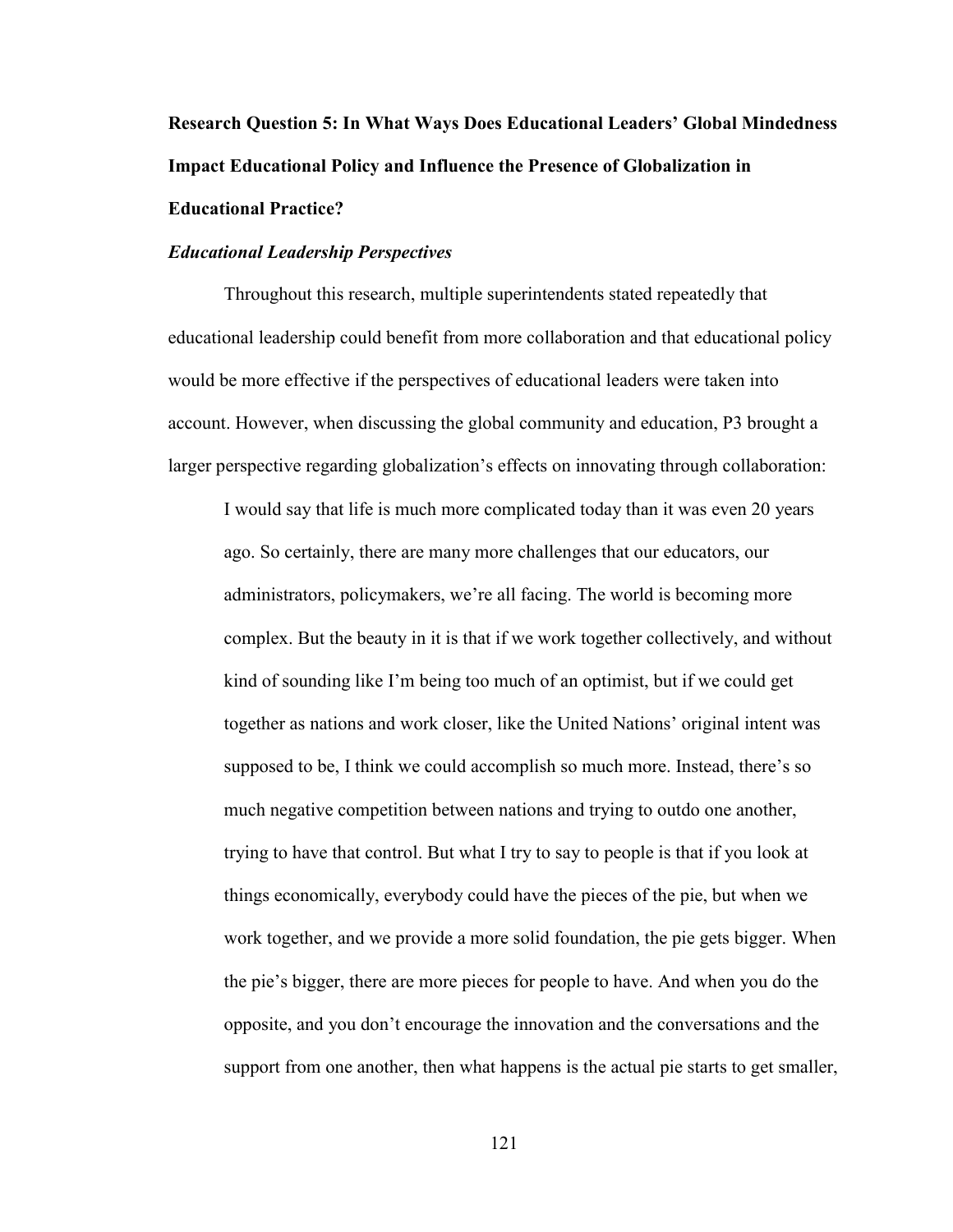**Research Question 5: In What Ways Does Educational Leaders' Global Mindedness Impact Educational Policy and Influence the Presence of Globalization in Educational Practice?** 

## *Educational Leadership Perspectives*

Throughout this research, multiple superintendents stated repeatedly that educational leadership could benefit from more collaboration and that educational policy would be more effective if the perspectives of educational leaders were taken into account. However, when discussing the global community and education, P3 brought a larger perspective regarding globalization's effects on innovating through collaboration:

I would say that life is much more complicated today than it was even 20 years ago. So certainly, there are many more challenges that our educators, our administrators, policymakers, we're all facing. The world is becoming more complex. But the beauty in it is that if we work together collectively, and without kind of sounding like I'm being too much of an optimist, but if we could get together as nations and work closer, like the United Nations' original intent was supposed to be, I think we could accomplish so much more. Instead, there's so much negative competition between nations and trying to outdo one another, trying to have that control. But what I try to say to people is that if you look at things economically, everybody could have the pieces of the pie, but when we work together, and we provide a more solid foundation, the pie gets bigger. When the pie's bigger, there are more pieces for people to have. And when you do the opposite, and you don't encourage the innovation and the conversations and the support from one another, then what happens is the actual pie starts to get smaller,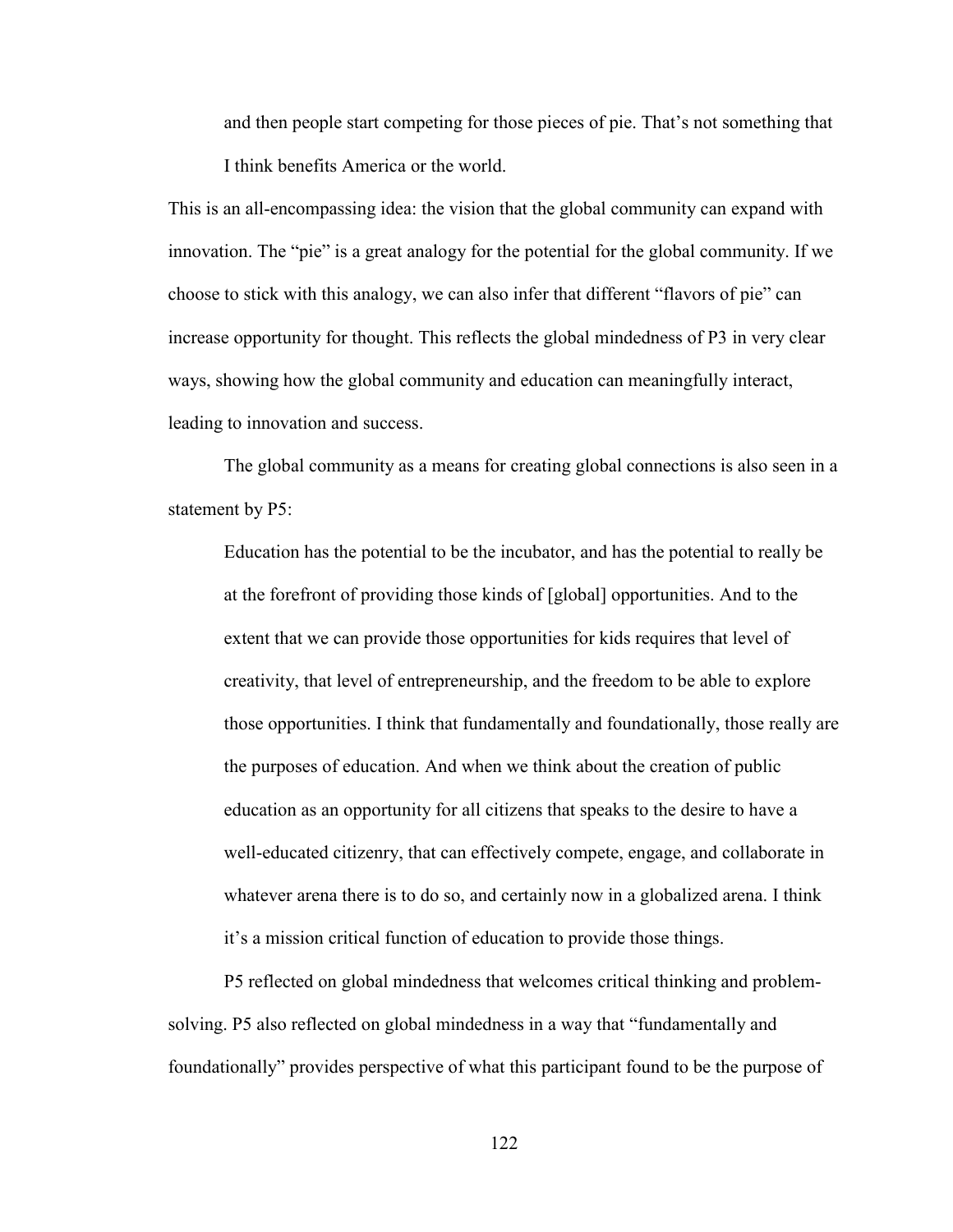and then people start competing for those pieces of pie. That's not something that I think benefits America or the world.

This is an all-encompassing idea: the vision that the global community can expand with innovation. The "pie" is a great analogy for the potential for the global community. If we choose to stick with this analogy, we can also infer that different "flavors of pie" can increase opportunity for thought. This reflects the global mindedness of P3 in very clear ways, showing how the global community and education can meaningfully interact, leading to innovation and success.

The global community as a means for creating global connections is also seen in a statement by P5:

Education has the potential to be the incubator, and has the potential to really be at the forefront of providing those kinds of [global] opportunities. And to the extent that we can provide those opportunities for kids requires that level of creativity, that level of entrepreneurship, and the freedom to be able to explore those opportunities. I think that fundamentally and foundationally, those really are the purposes of education. And when we think about the creation of public education as an opportunity for all citizens that speaks to the desire to have a well-educated citizenry, that can effectively compete, engage, and collaborate in whatever arena there is to do so, and certainly now in a globalized arena. I think it's a mission critical function of education to provide those things.

P5 reflected on global mindedness that welcomes critical thinking and problemsolving. P5 also reflected on global mindedness in a way that "fundamentally and foundationally" provides perspective of what this participant found to be the purpose of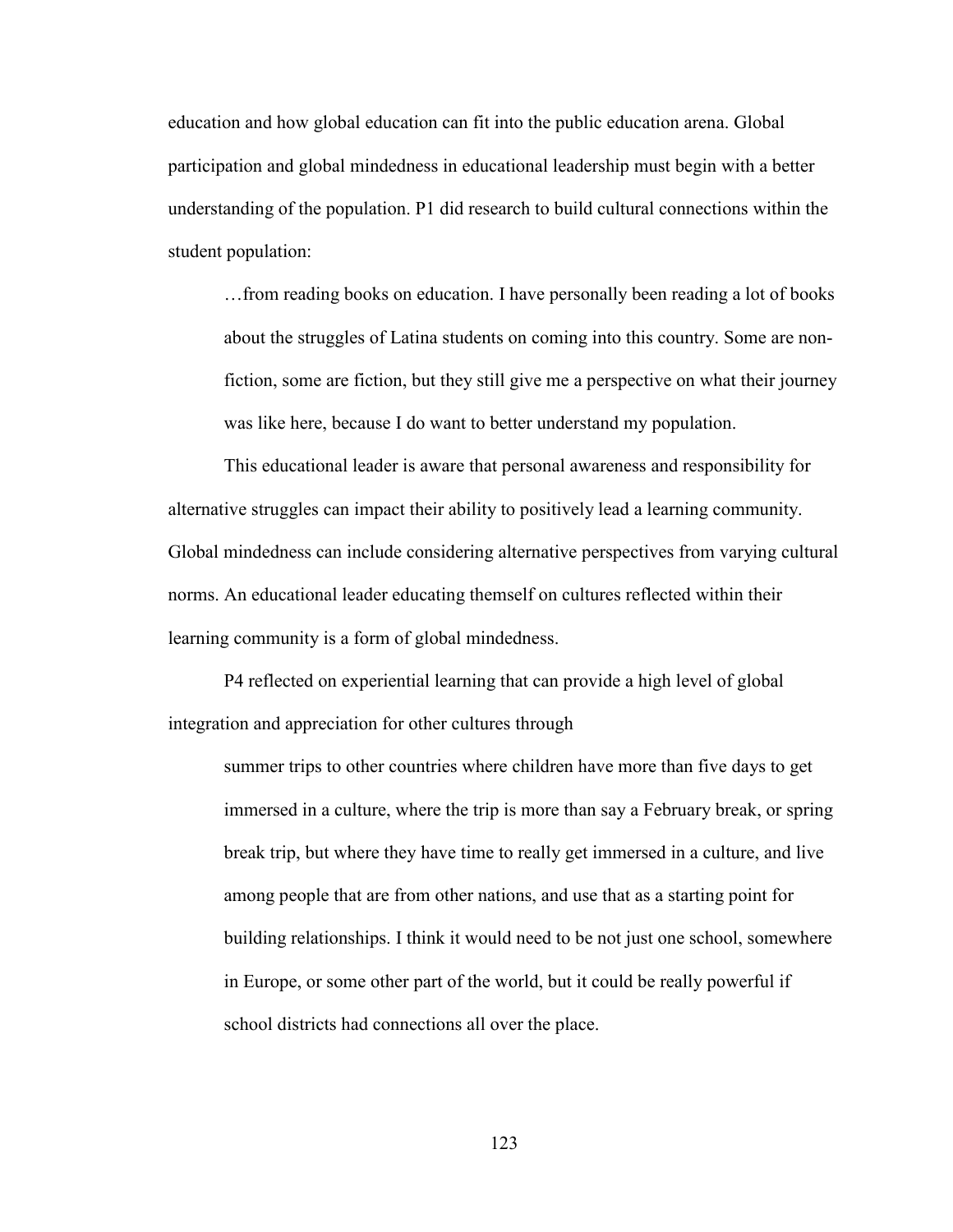education and how global education can fit into the public education arena. Global participation and global mindedness in educational leadership must begin with a better understanding of the population. P1 did research to build cultural connections within the student population:

…from reading books on education. I have personally been reading a lot of books about the struggles of Latina students on coming into this country. Some are nonfiction, some are fiction, but they still give me a perspective on what their journey was like here, because I do want to better understand my population.

This educational leader is aware that personal awareness and responsibility for alternative struggles can impact their ability to positively lead a learning community. Global mindedness can include considering alternative perspectives from varying cultural norms. An educational leader educating themself on cultures reflected within their learning community is a form of global mindedness.

P4 reflected on experiential learning that can provide a high level of global integration and appreciation for other cultures through

summer trips to other countries where children have more than five days to get immersed in a culture, where the trip is more than say a February break, or spring break trip, but where they have time to really get immersed in a culture, and live among people that are from other nations, and use that as a starting point for building relationships. I think it would need to be not just one school, somewhere in Europe, or some other part of the world, but it could be really powerful if school districts had connections all over the place.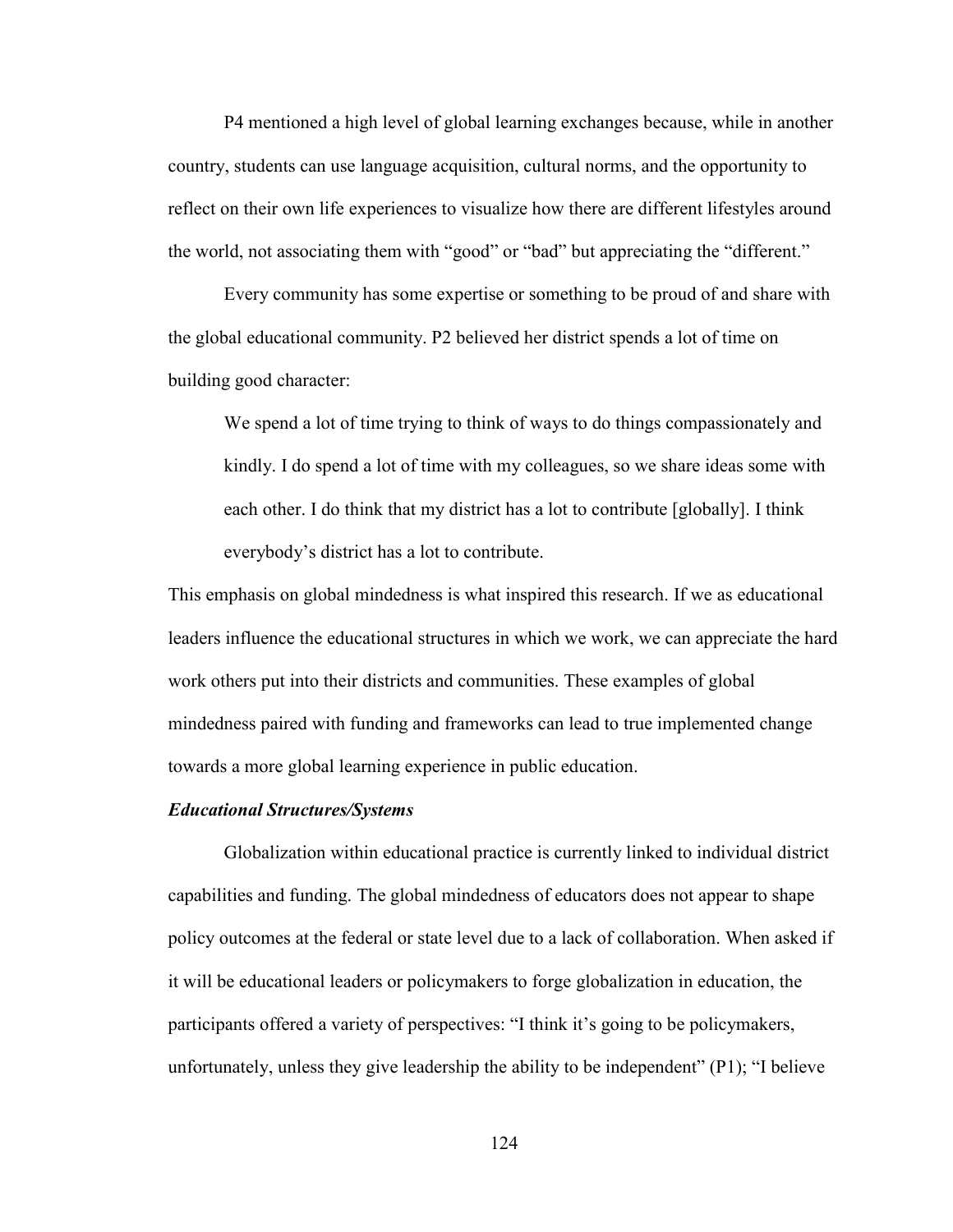P4 mentioned a high level of global learning exchanges because, while in another country, students can use language acquisition, cultural norms, and the opportunity to reflect on their own life experiences to visualize how there are different lifestyles around the world, not associating them with "good" or "bad" but appreciating the "different."

Every community has some expertise or something to be proud of and share with the global educational community. P2 believed her district spends a lot of time on building good character:

We spend a lot of time trying to think of ways to do things compassionately and kindly. I do spend a lot of time with my colleagues, so we share ideas some with each other. I do think that my district has a lot to contribute [globally]. I think everybody's district has a lot to contribute.

This emphasis on global mindedness is what inspired this research. If we as educational leaders influence the educational structures in which we work, we can appreciate the hard work others put into their districts and communities. These examples of global mindedness paired with funding and frameworks can lead to true implemented change towards a more global learning experience in public education.

### *Educational Structures/Systems*

Globalization within educational practice is currently linked to individual district capabilities and funding. The global mindedness of educators does not appear to shape policy outcomes at the federal or state level due to a lack of collaboration. When asked if it will be educational leaders or policymakers to forge globalization in education, the participants offered a variety of perspectives: "I think it's going to be policymakers, unfortunately, unless they give leadership the ability to be independent"  $(P1)$ ; "I believe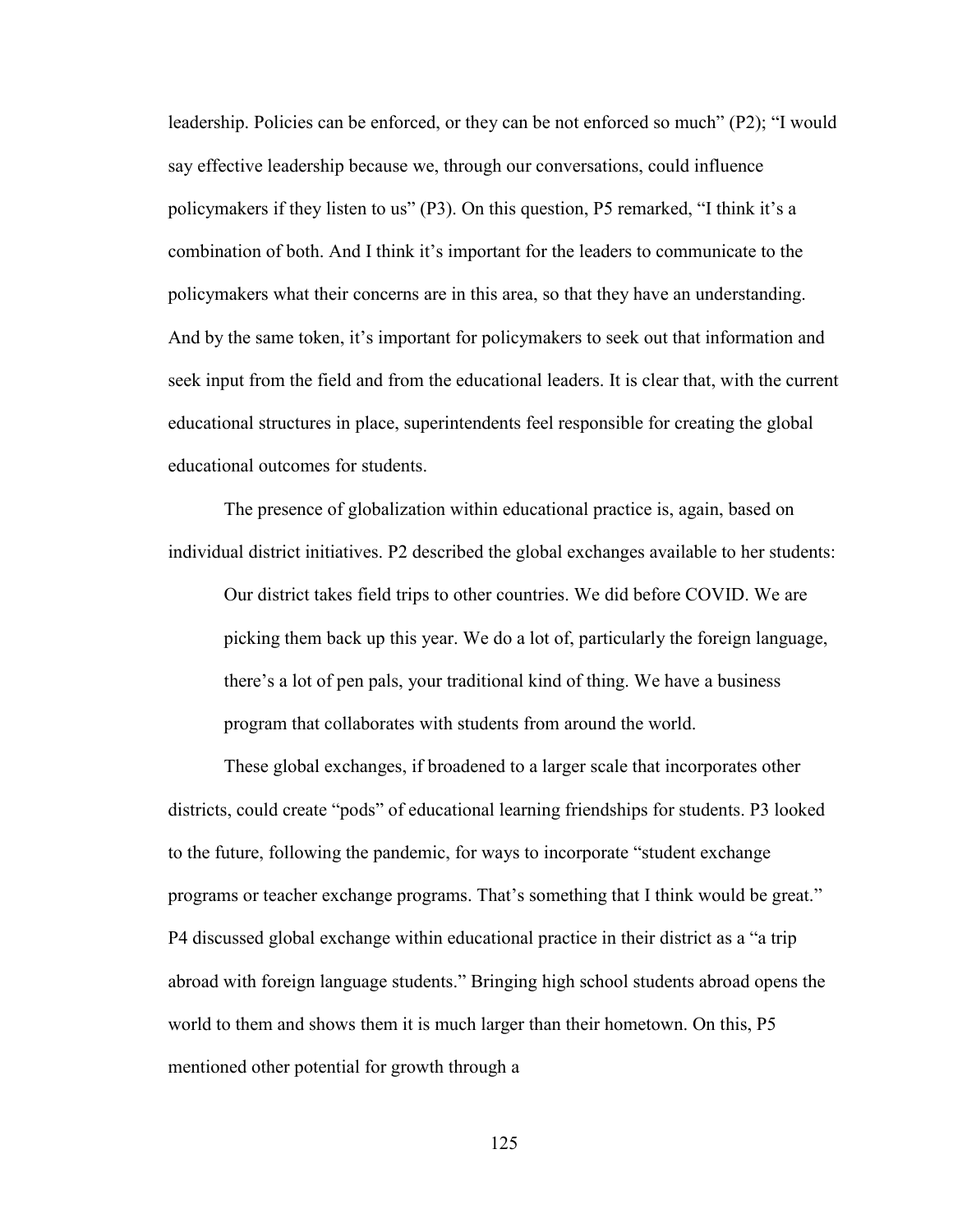leadership. Policies can be enforced, or they can be not enforced so much" (P2); "I would say effective leadership because we, through our conversations, could influence policymakers if they listen to us" (P3). On this question, P5 remarked, "I think it's a combination of both. And I think it's important for the leaders to communicate to the policymakers what their concerns are in this area, so that they have an understanding. And by the same token, it's important for policymakers to seek out that information and seek input from the field and from the educational leaders. It is clear that, with the current educational structures in place, superintendents feel responsible for creating the global educational outcomes for students.

The presence of globalization within educational practice is, again, based on individual district initiatives. P2 described the global exchanges available to her students:

Our district takes field trips to other countries. We did before COVID. We are picking them back up this year. We do a lot of, particularly the foreign language, there's a lot of pen pals, your traditional kind of thing. We have a business program that collaborates with students from around the world.

These global exchanges, if broadened to a larger scale that incorporates other districts, could create "pods" of educational learning friendships for students. P3 looked to the future, following the pandemic, for ways to incorporate "student exchange programs or teacher exchange programs. That's something that I think would be great." P4 discussed global exchange within educational practice in their district as a "a trip abroad with foreign language students." Bringing high school students abroad opens the world to them and shows them it is much larger than their hometown. On this, P5 mentioned other potential for growth through a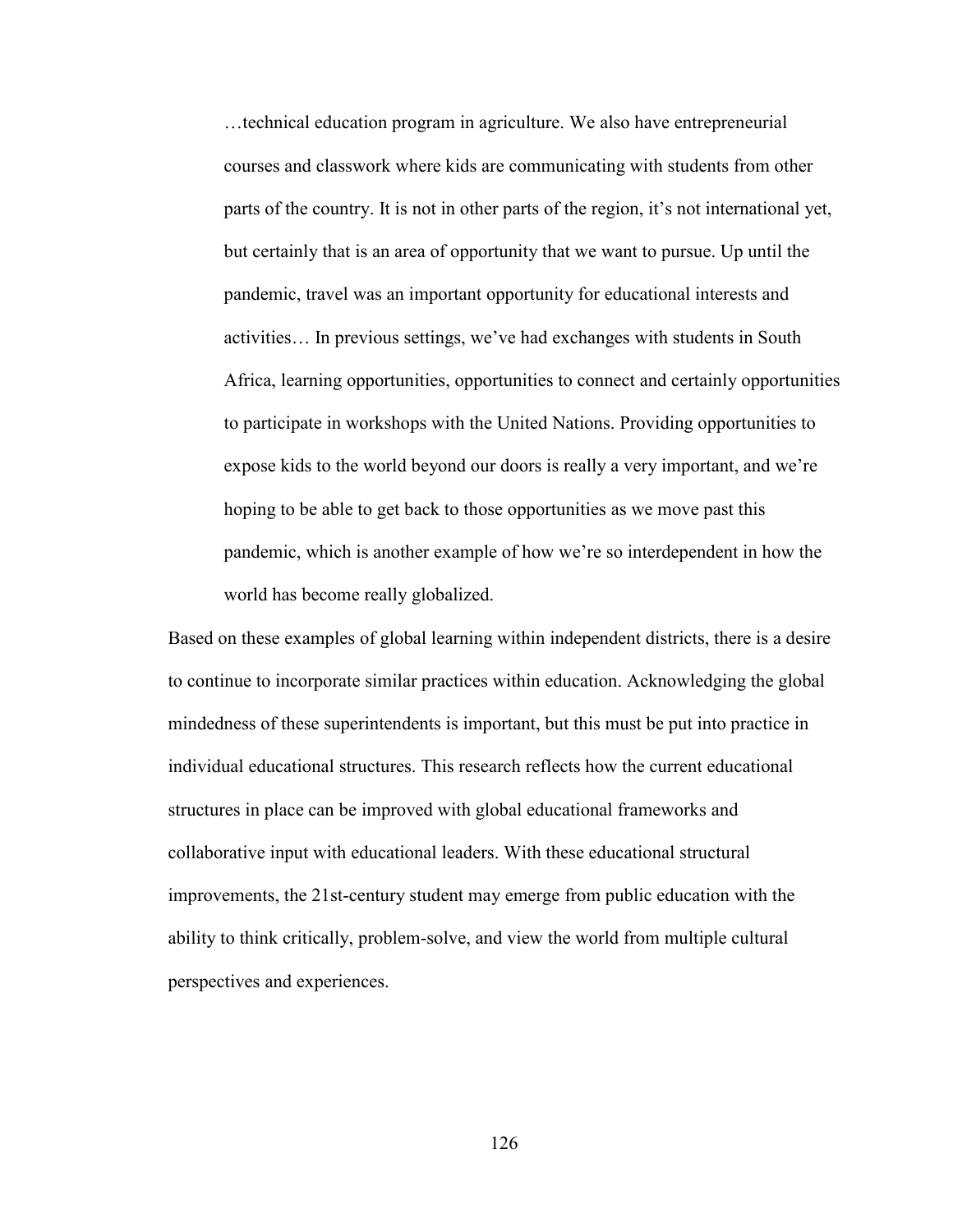…technical education program in agriculture. We also have entrepreneurial courses and classwork where kids are communicating with students from other parts of the country. It is not in other parts of the region, it's not international yet, but certainly that is an area of opportunity that we want to pursue. Up until the pandemic, travel was an important opportunity for educational interests and activities… In previous settings, we've had exchanges with students in South Africa, learning opportunities, opportunities to connect and certainly opportunities to participate in workshops with the United Nations. Providing opportunities to expose kids to the world beyond our doors is really a very important, and we're hoping to be able to get back to those opportunities as we move past this pandemic, which is another example of how we're so interdependent in how the world has become really globalized.

Based on these examples of global learning within independent districts, there is a desire to continue to incorporate similar practices within education. Acknowledging the global mindedness of these superintendents is important, but this must be put into practice in individual educational structures. This research reflects how the current educational structures in place can be improved with global educational frameworks and collaborative input with educational leaders. With these educational structural improvements, the 21st-century student may emerge from public education with the ability to think critically, problem-solve, and view the world from multiple cultural perspectives and experiences.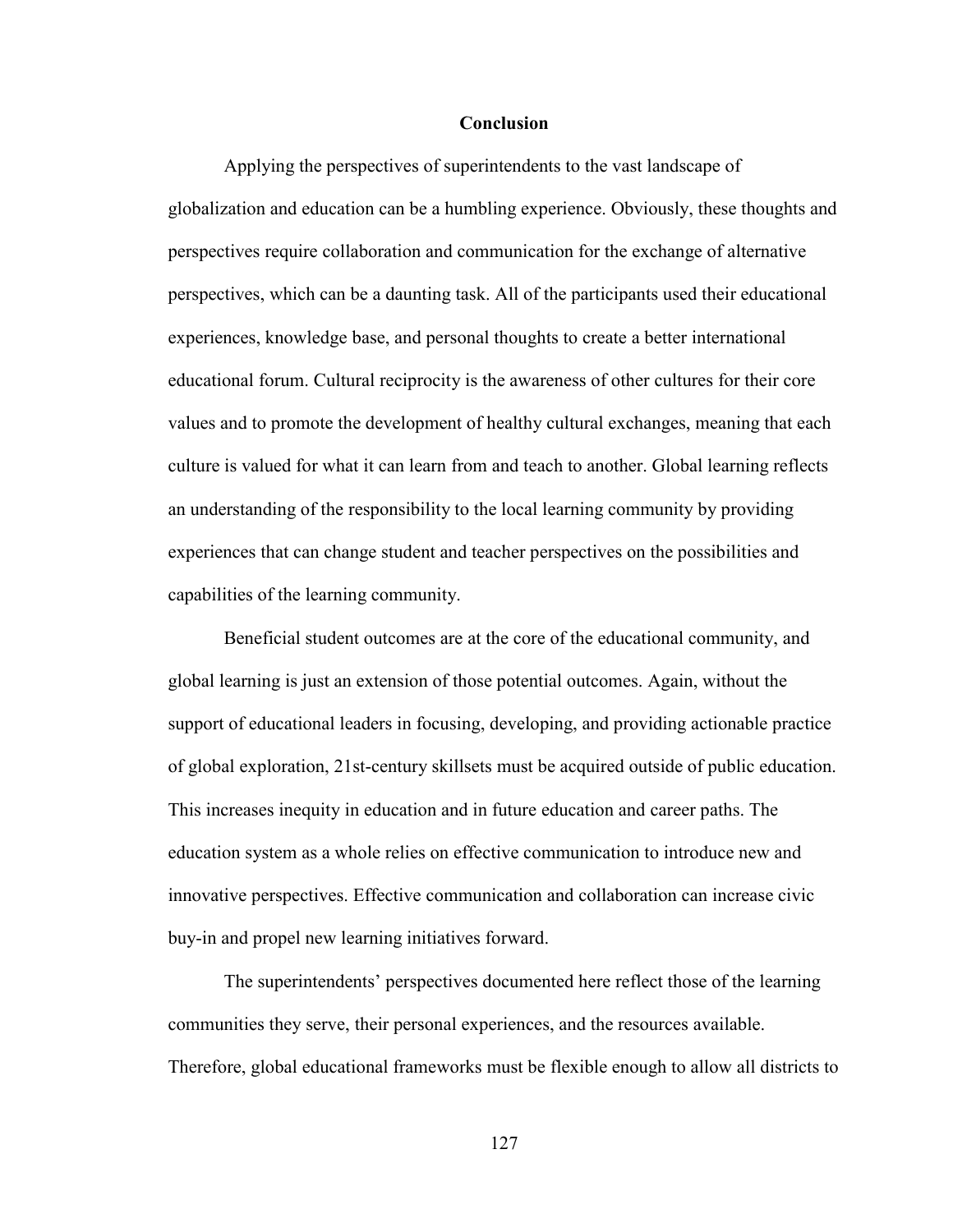## **Conclusion**

Applying the perspectives of superintendents to the vast landscape of globalization and education can be a humbling experience. Obviously, these thoughts and perspectives require collaboration and communication for the exchange of alternative perspectives, which can be a daunting task. All of the participants used their educational experiences, knowledge base, and personal thoughts to create a better international educational forum. Cultural reciprocity is the awareness of other cultures for their core values and to promote the development of healthy cultural exchanges, meaning that each culture is valued for what it can learn from and teach to another. Global learning reflects an understanding of the responsibility to the local learning community by providing experiences that can change student and teacher perspectives on the possibilities and capabilities of the learning community.

Beneficial student outcomes are at the core of the educational community, and global learning is just an extension of those potential outcomes. Again, without the support of educational leaders in focusing, developing, and providing actionable practice of global exploration, 21st-century skillsets must be acquired outside of public education. This increases inequity in education and in future education and career paths. The education system as a whole relies on effective communication to introduce new and innovative perspectives. Effective communication and collaboration can increase civic buy-in and propel new learning initiatives forward.

The superintendents' perspectives documented here reflect those of the learning communities they serve, their personal experiences, and the resources available. Therefore, global educational frameworks must be flexible enough to allow all districts to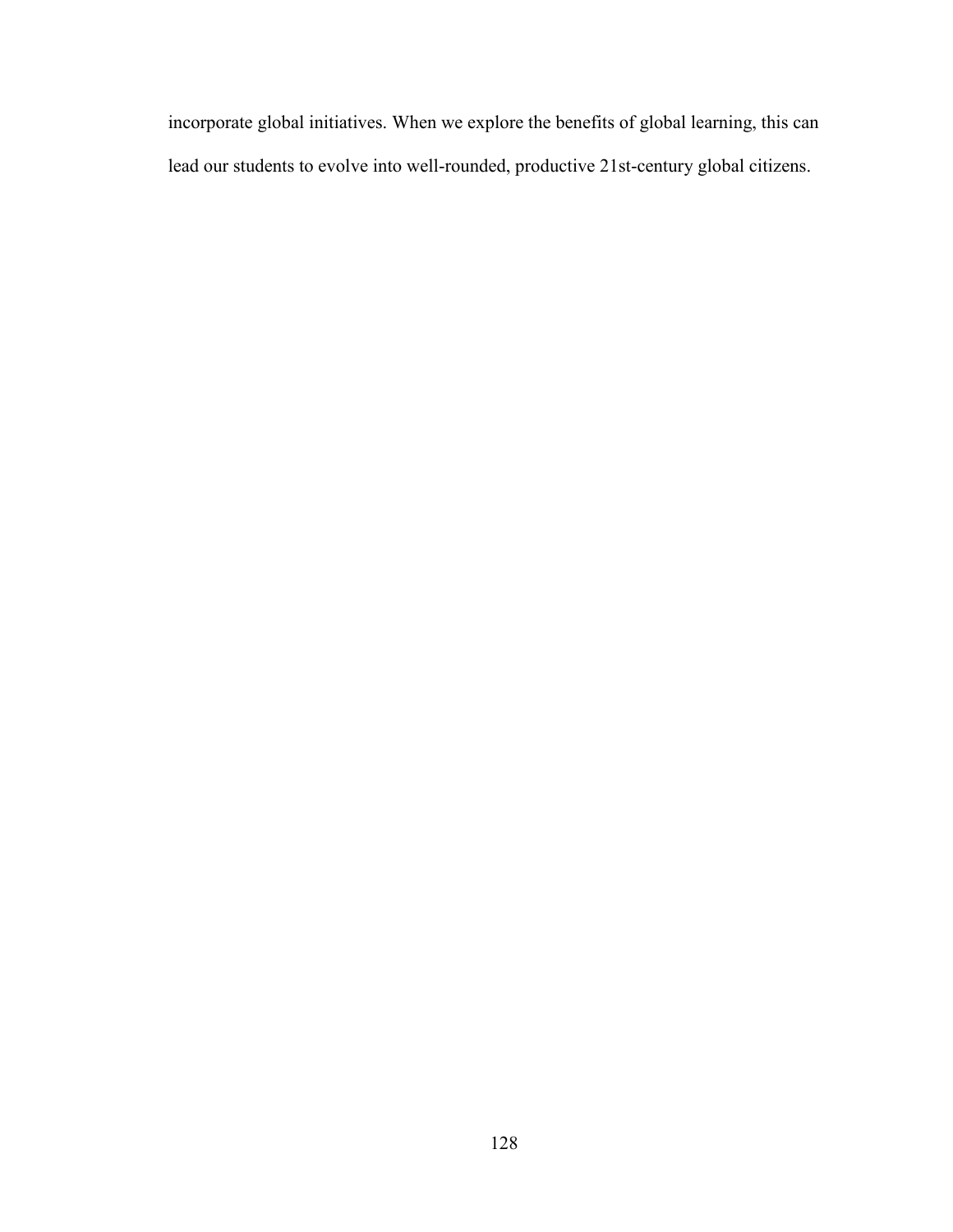incorporate global initiatives. When we explore the benefits of global learning, this can lead our students to evolve into well-rounded, productive 21st-century global citizens.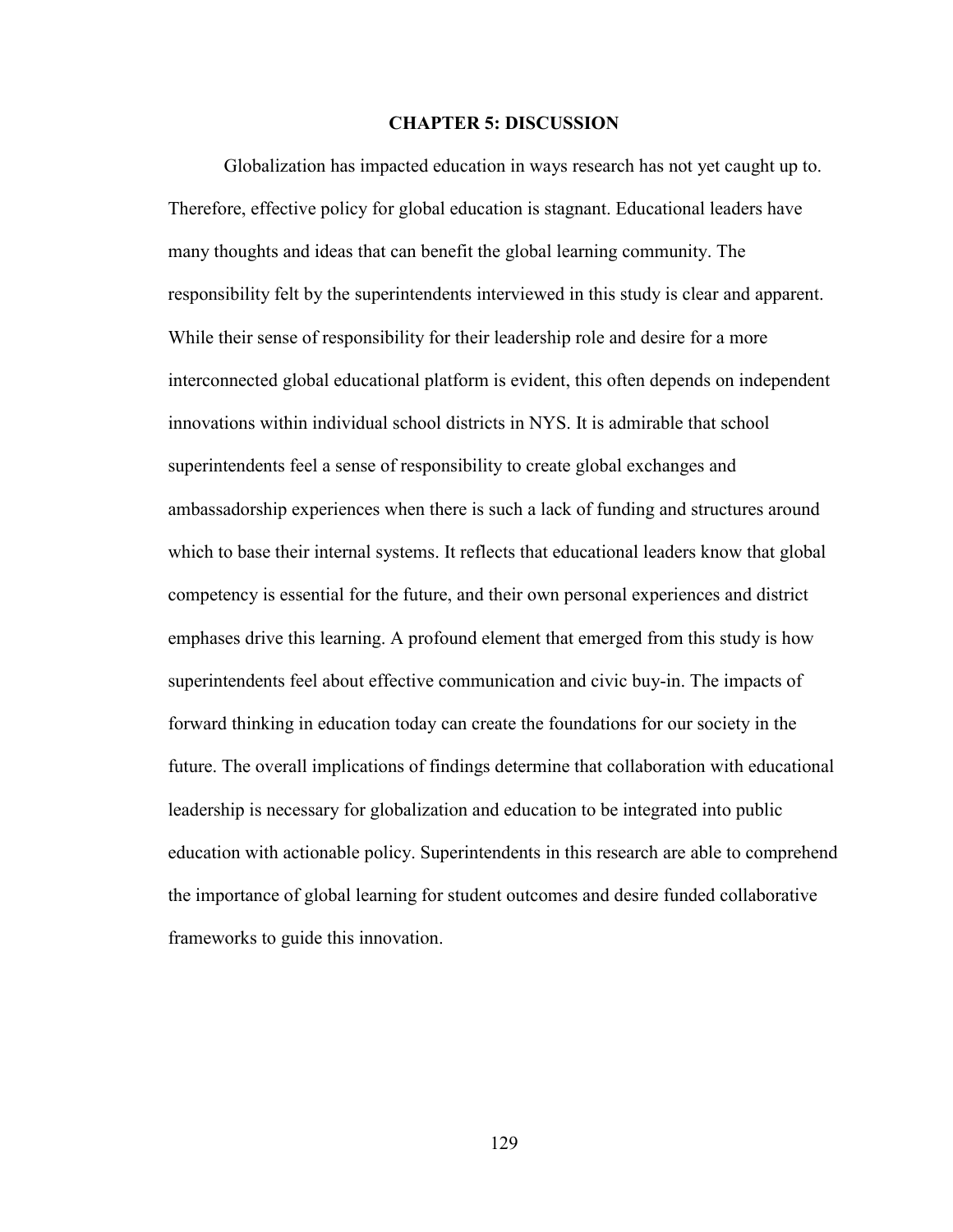## **CHAPTER 5: DISCUSSION**

Globalization has impacted education in ways research has not yet caught up to. Therefore, effective policy for global education is stagnant. Educational leaders have many thoughts and ideas that can benefit the global learning community. The responsibility felt by the superintendents interviewed in this study is clear and apparent. While their sense of responsibility for their leadership role and desire for a more interconnected global educational platform is evident, this often depends on independent innovations within individual school districts in NYS. It is admirable that school superintendents feel a sense of responsibility to create global exchanges and ambassadorship experiences when there is such a lack of funding and structures around which to base their internal systems. It reflects that educational leaders know that global competency is essential for the future, and their own personal experiences and district emphases drive this learning. A profound element that emerged from this study is how superintendents feel about effective communication and civic buy-in. The impacts of forward thinking in education today can create the foundations for our society in the future. The overall implications of findings determine that collaboration with educational leadership is necessary for globalization and education to be integrated into public education with actionable policy. Superintendents in this research are able to comprehend the importance of global learning for student outcomes and desire funded collaborative frameworks to guide this innovation.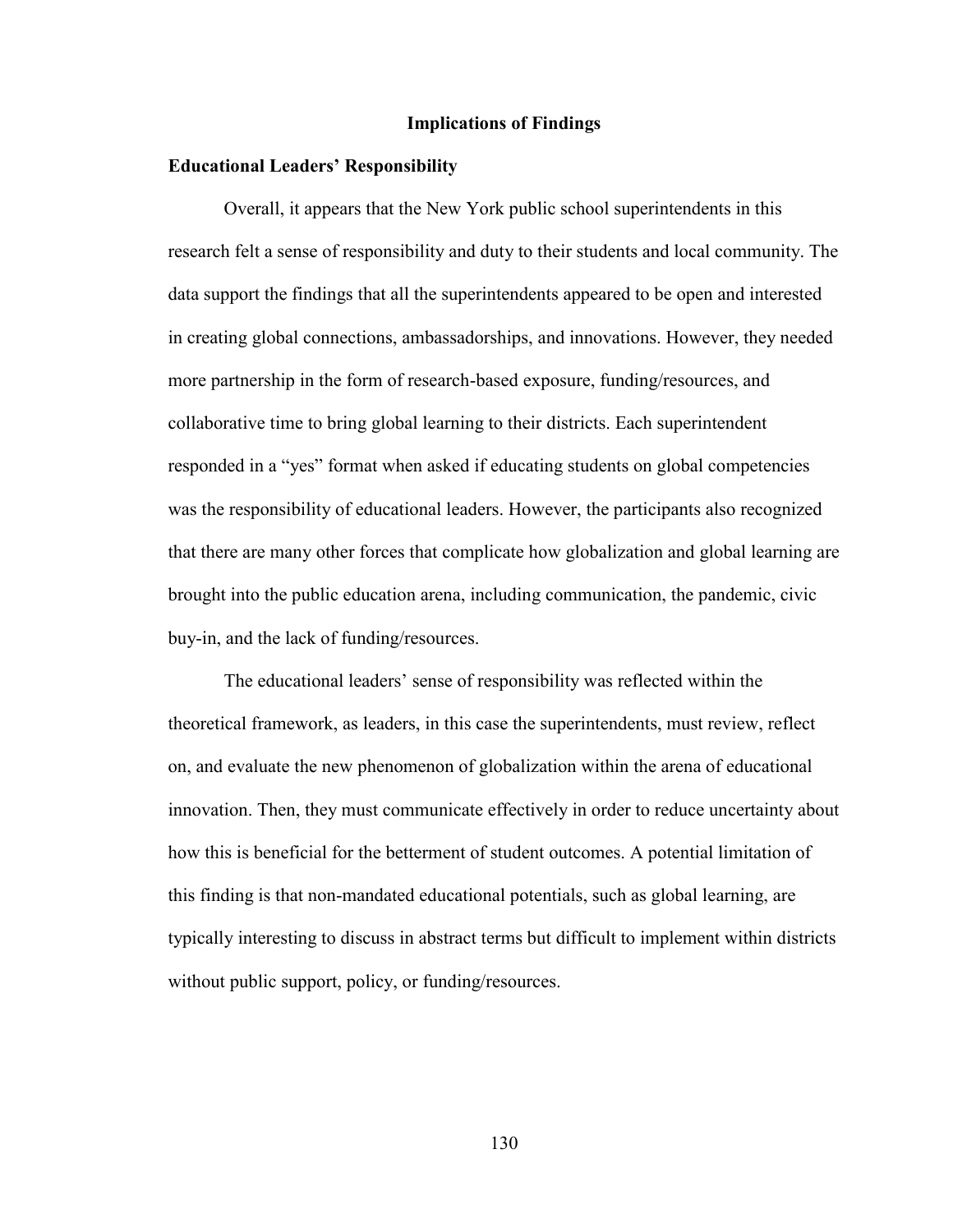#### **Implications of Findings**

### **Educational Leaders' Responsibility**

Overall, it appears that the New York public school superintendents in this research felt a sense of responsibility and duty to their students and local community. The data support the findings that all the superintendents appeared to be open and interested in creating global connections, ambassadorships, and innovations. However, they needed more partnership in the form of research-based exposure, funding/resources, and collaborative time to bring global learning to their districts. Each superintendent responded in a "yes" format when asked if educating students on global competencies was the responsibility of educational leaders. However, the participants also recognized that there are many other forces that complicate how globalization and global learning are brought into the public education arena, including communication, the pandemic, civic buy-in, and the lack of funding/resources.

The educational leaders' sense of responsibility was reflected within the theoretical framework, as leaders, in this case the superintendents, must review, reflect on, and evaluate the new phenomenon of globalization within the arena of educational innovation. Then, they must communicate effectively in order to reduce uncertainty about how this is beneficial for the betterment of student outcomes. A potential limitation of this finding is that non-mandated educational potentials, such as global learning, are typically interesting to discuss in abstract terms but difficult to implement within districts without public support, policy, or funding/resources.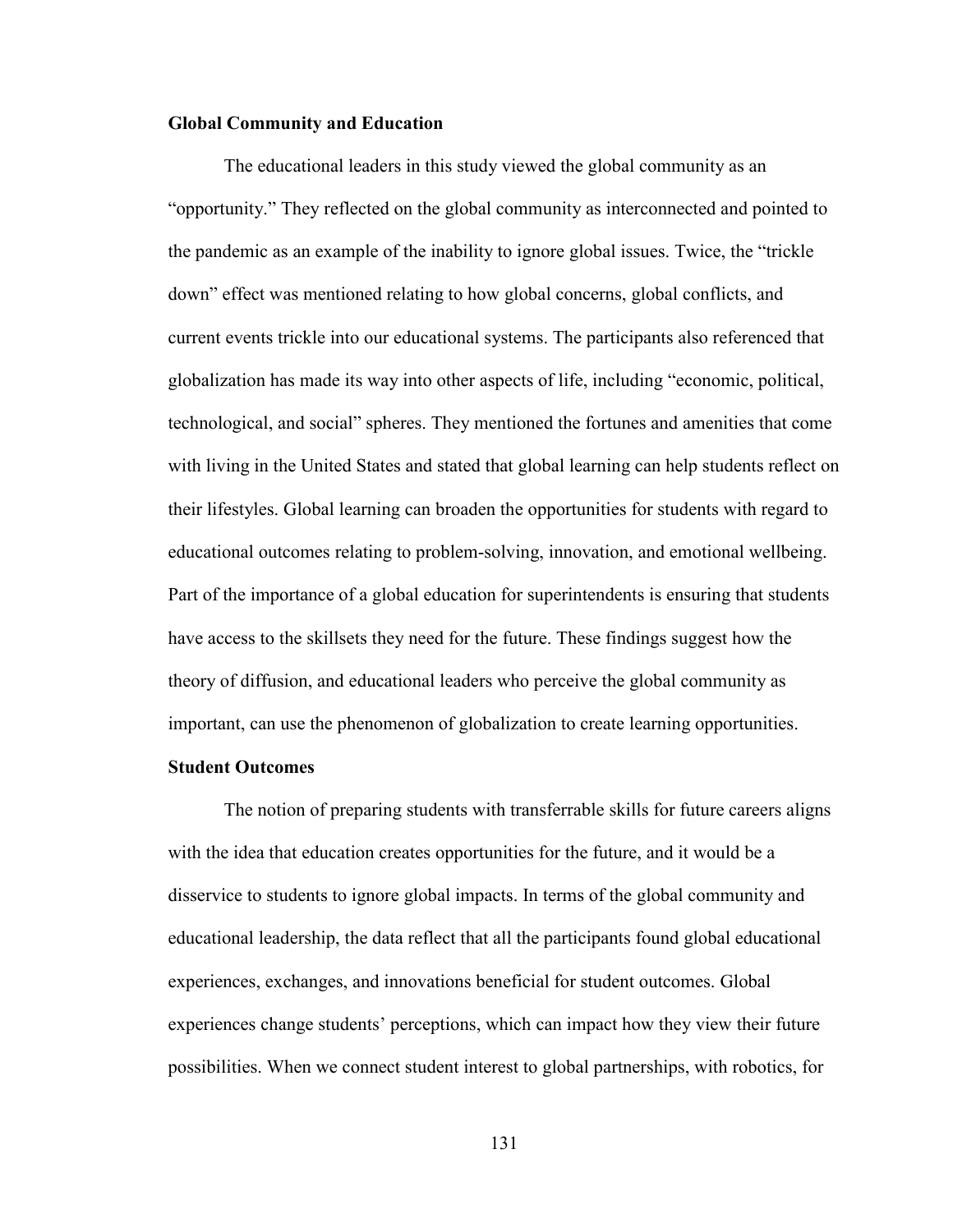## **Global Community and Education**

The educational leaders in this study viewed the global community as an "opportunity." They reflected on the global community as interconnected and pointed to the pandemic as an example of the inability to ignore global issues. Twice, the "trickle down" effect was mentioned relating to how global concerns, global conflicts, and current events trickle into our educational systems. The participants also referenced that globalization has made its way into other aspects of life, including "economic, political, technological, and social" spheres. They mentioned the fortunes and amenities that come with living in the United States and stated that global learning can help students reflect on their lifestyles. Global learning can broaden the opportunities for students with regard to educational outcomes relating to problem-solving, innovation, and emotional wellbeing. Part of the importance of a global education for superintendents is ensuring that students have access to the skillsets they need for the future. These findings suggest how the theory of diffusion, and educational leaders who perceive the global community as important, can use the phenomenon of globalization to create learning opportunities.

## **Student Outcomes**

The notion of preparing students with transferrable skills for future careers aligns with the idea that education creates opportunities for the future, and it would be a disservice to students to ignore global impacts. In terms of the global community and educational leadership, the data reflect that all the participants found global educational experiences, exchanges, and innovations beneficial for student outcomes. Global experiences change students' perceptions, which can impact how they view their future possibilities. When we connect student interest to global partnerships, with robotics, for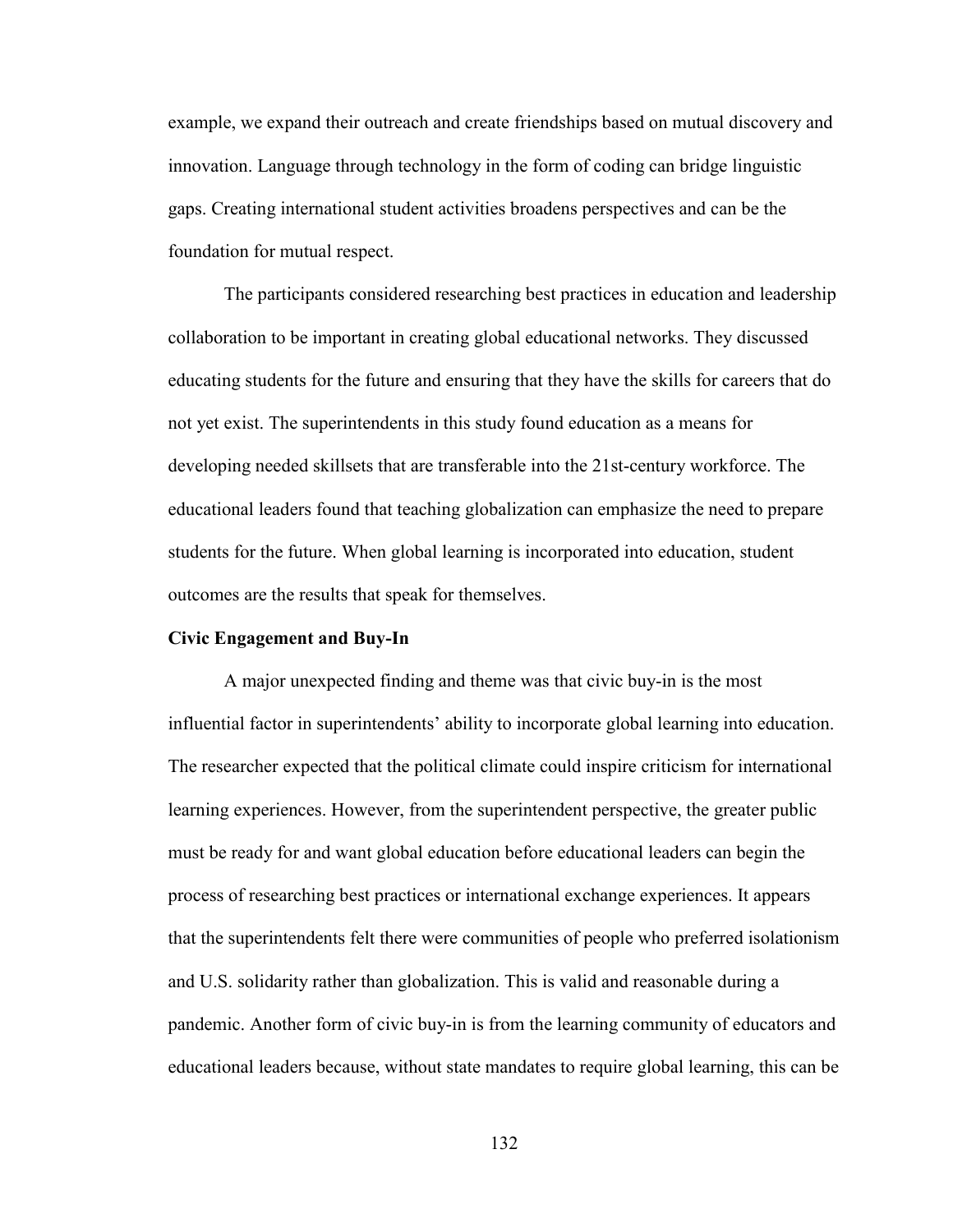example, we expand their outreach and create friendships based on mutual discovery and innovation. Language through technology in the form of coding can bridge linguistic gaps. Creating international student activities broadens perspectives and can be the foundation for mutual respect.

The participants considered researching best practices in education and leadership collaboration to be important in creating global educational networks. They discussed educating students for the future and ensuring that they have the skills for careers that do not yet exist. The superintendents in this study found education as a means for developing needed skillsets that are transferable into the 21st-century workforce. The educational leaders found that teaching globalization can emphasize the need to prepare students for the future. When global learning is incorporated into education, student outcomes are the results that speak for themselves.

### **Civic Engagement and Buy-In**

A major unexpected finding and theme was that civic buy-in is the most influential factor in superintendents' ability to incorporate global learning into education. The researcher expected that the political climate could inspire criticism for international learning experiences. However, from the superintendent perspective, the greater public must be ready for and want global education before educational leaders can begin the process of researching best practices or international exchange experiences. It appears that the superintendents felt there were communities of people who preferred isolationism and U.S. solidarity rather than globalization. This is valid and reasonable during a pandemic. Another form of civic buy-in is from the learning community of educators and educational leaders because, without state mandates to require global learning, this can be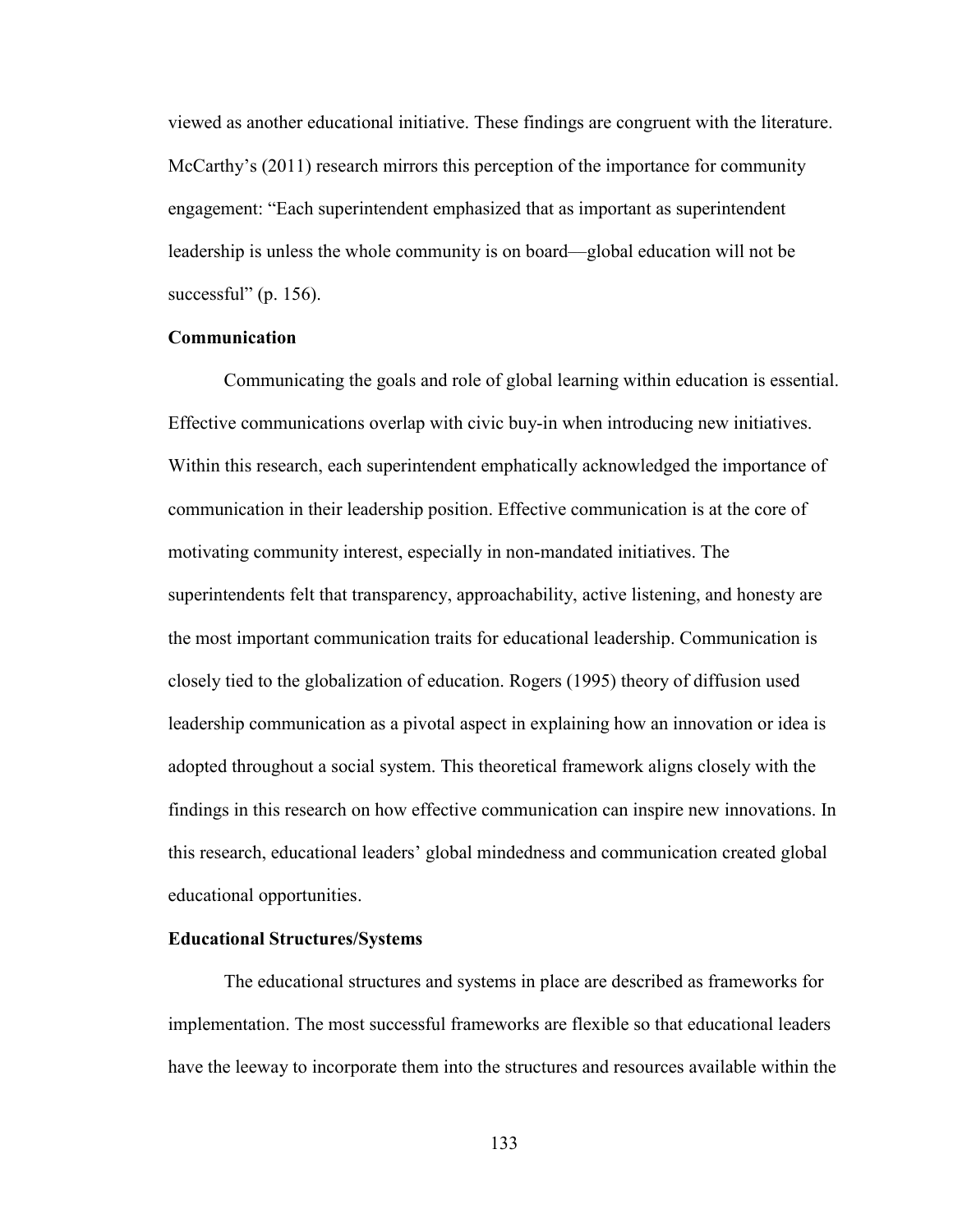viewed as another educational initiative. These findings are congruent with the literature. McCarthy's (2011) research mirrors this perception of the importance for community engagement: "Each superintendent emphasized that as important as superintendent leadership is unless the whole community is on board––global education will not be successful" (p. 156).

## **Communication**

Communicating the goals and role of global learning within education is essential. Effective communications overlap with civic buy-in when introducing new initiatives. Within this research, each superintendent emphatically acknowledged the importance of communication in their leadership position. Effective communication is at the core of motivating community interest, especially in non-mandated initiatives. The superintendents felt that transparency, approachability, active listening, and honesty are the most important communication traits for educational leadership. Communication is closely tied to the globalization of education. Rogers (1995) theory of diffusion used leadership communication as a pivotal aspect in explaining how an innovation or idea is adopted throughout a social system. This theoretical framework aligns closely with the findings in this research on how effective communication can inspire new innovations. In this research, educational leaders' global mindedness and communication created global educational opportunities.

### **Educational Structures/Systems**

The educational structures and systems in place are described as frameworks for implementation. The most successful frameworks are flexible so that educational leaders have the leeway to incorporate them into the structures and resources available within the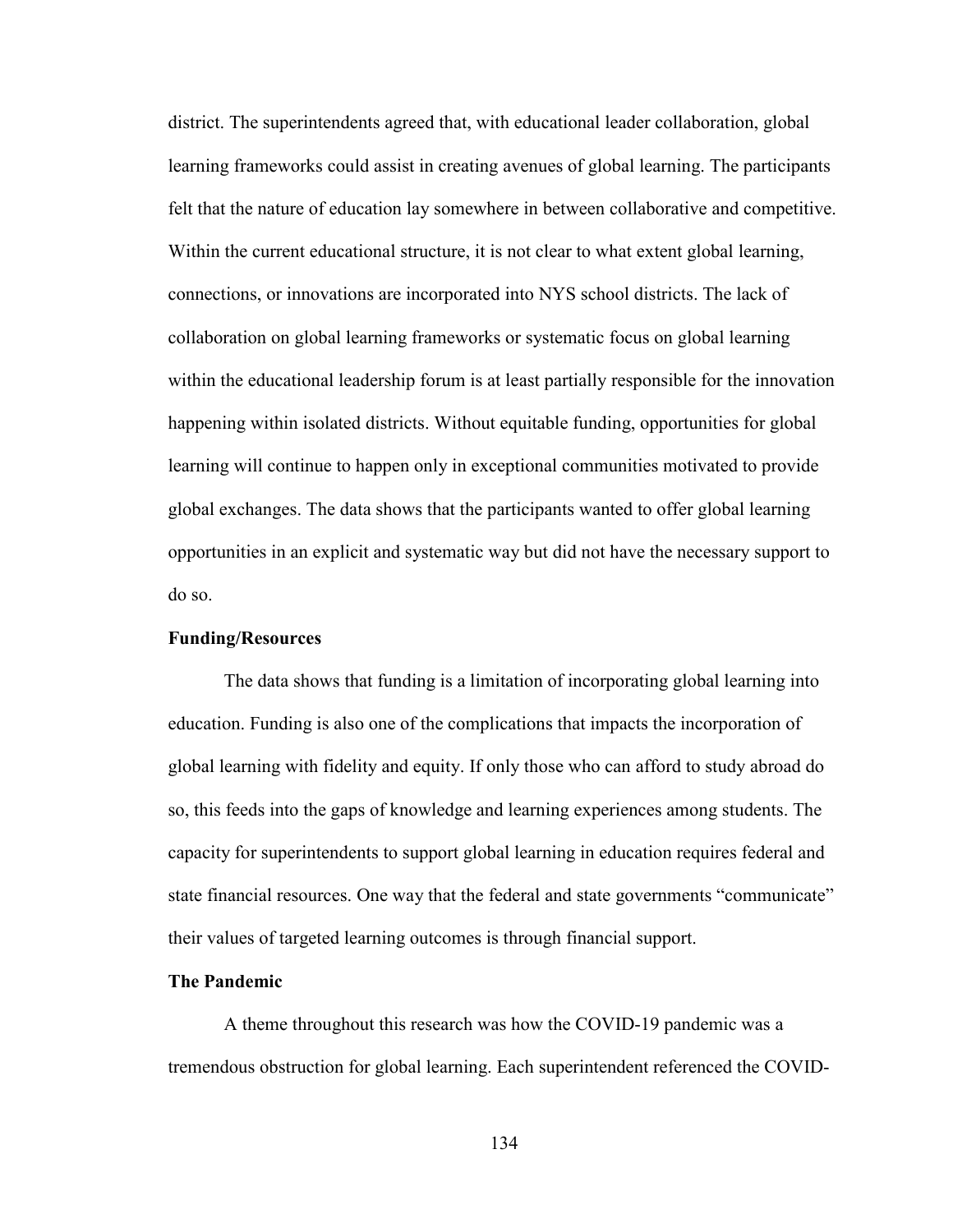district. The superintendents agreed that, with educational leader collaboration, global learning frameworks could assist in creating avenues of global learning. The participants felt that the nature of education lay somewhere in between collaborative and competitive. Within the current educational structure, it is not clear to what extent global learning, connections, or innovations are incorporated into NYS school districts. The lack of collaboration on global learning frameworks or systematic focus on global learning within the educational leadership forum is at least partially responsible for the innovation happening within isolated districts. Without equitable funding, opportunities for global learning will continue to happen only in exceptional communities motivated to provide global exchanges. The data shows that the participants wanted to offer global learning opportunities in an explicit and systematic way but did not have the necessary support to do so.

## **Funding/Resources**

The data shows that funding is a limitation of incorporating global learning into education. Funding is also one of the complications that impacts the incorporation of global learning with fidelity and equity. If only those who can afford to study abroad do so, this feeds into the gaps of knowledge and learning experiences among students. The capacity for superintendents to support global learning in education requires federal and state financial resources. One way that the federal and state governments "communicate" their values of targeted learning outcomes is through financial support.

## **The Pandemic**

A theme throughout this research was how the COVID-19 pandemic was a tremendous obstruction for global learning. Each superintendent referenced the COVID-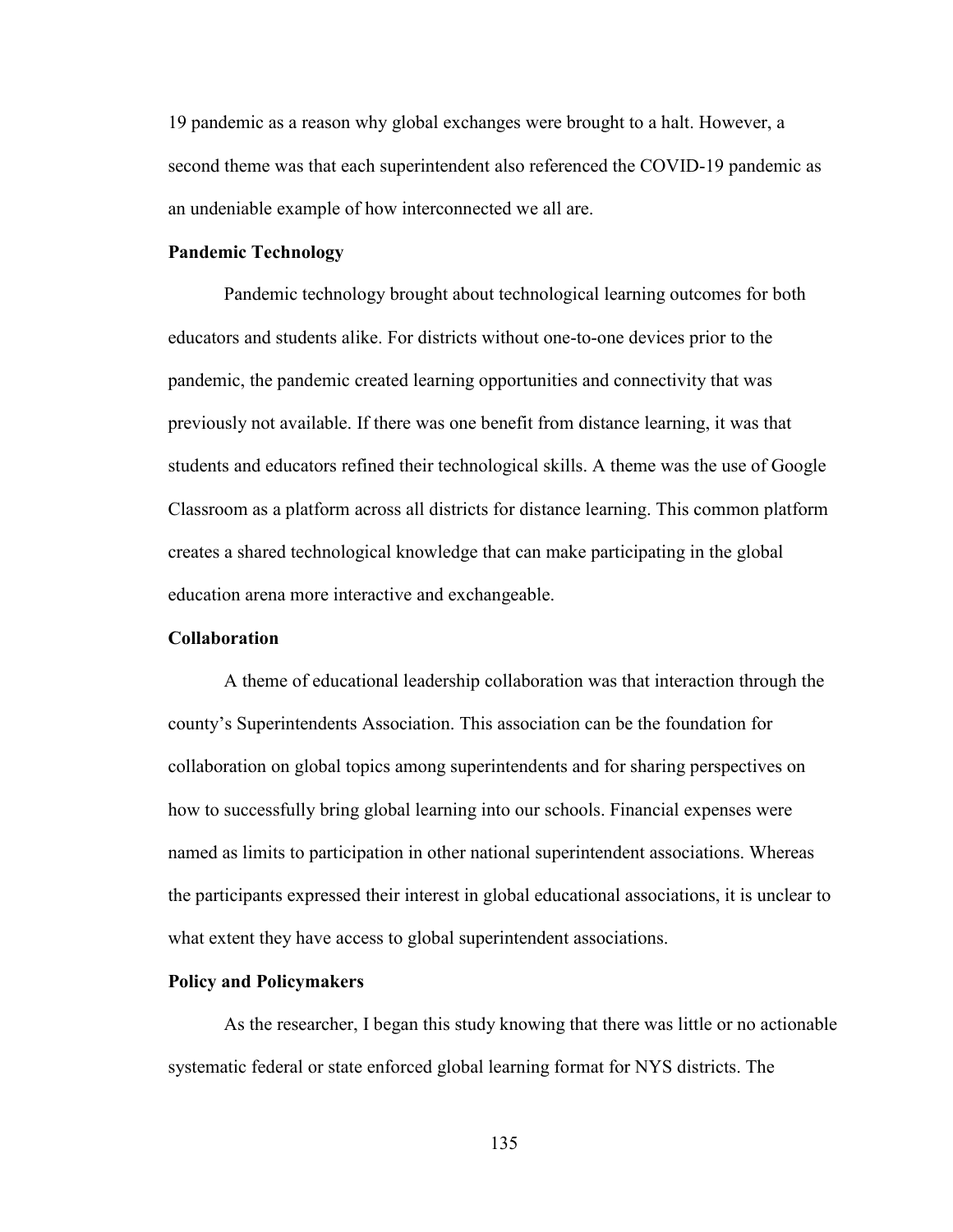19 pandemic as a reason why global exchanges were brought to a halt. However, a second theme was that each superintendent also referenced the COVID-19 pandemic as an undeniable example of how interconnected we all are.

#### **Pandemic Technology**

Pandemic technology brought about technological learning outcomes for both educators and students alike. For districts without one-to-one devices prior to the pandemic, the pandemic created learning opportunities and connectivity that was previously not available. If there was one benefit from distance learning, it was that students and educators refined their technological skills. A theme was the use of Google Classroom as a platform across all districts for distance learning. This common platform creates a shared technological knowledge that can make participating in the global education arena more interactive and exchangeable.

## **Collaboration**

A theme of educational leadership collaboration was that interaction through the county's Superintendents Association. This association can be the foundation for collaboration on global topics among superintendents and for sharing perspectives on how to successfully bring global learning into our schools. Financial expenses were named as limits to participation in other national superintendent associations. Whereas the participants expressed their interest in global educational associations, it is unclear to what extent they have access to global superintendent associations.

#### **Policy and Policymakers**

As the researcher, I began this study knowing that there was little or no actionable systematic federal or state enforced global learning format for NYS districts. The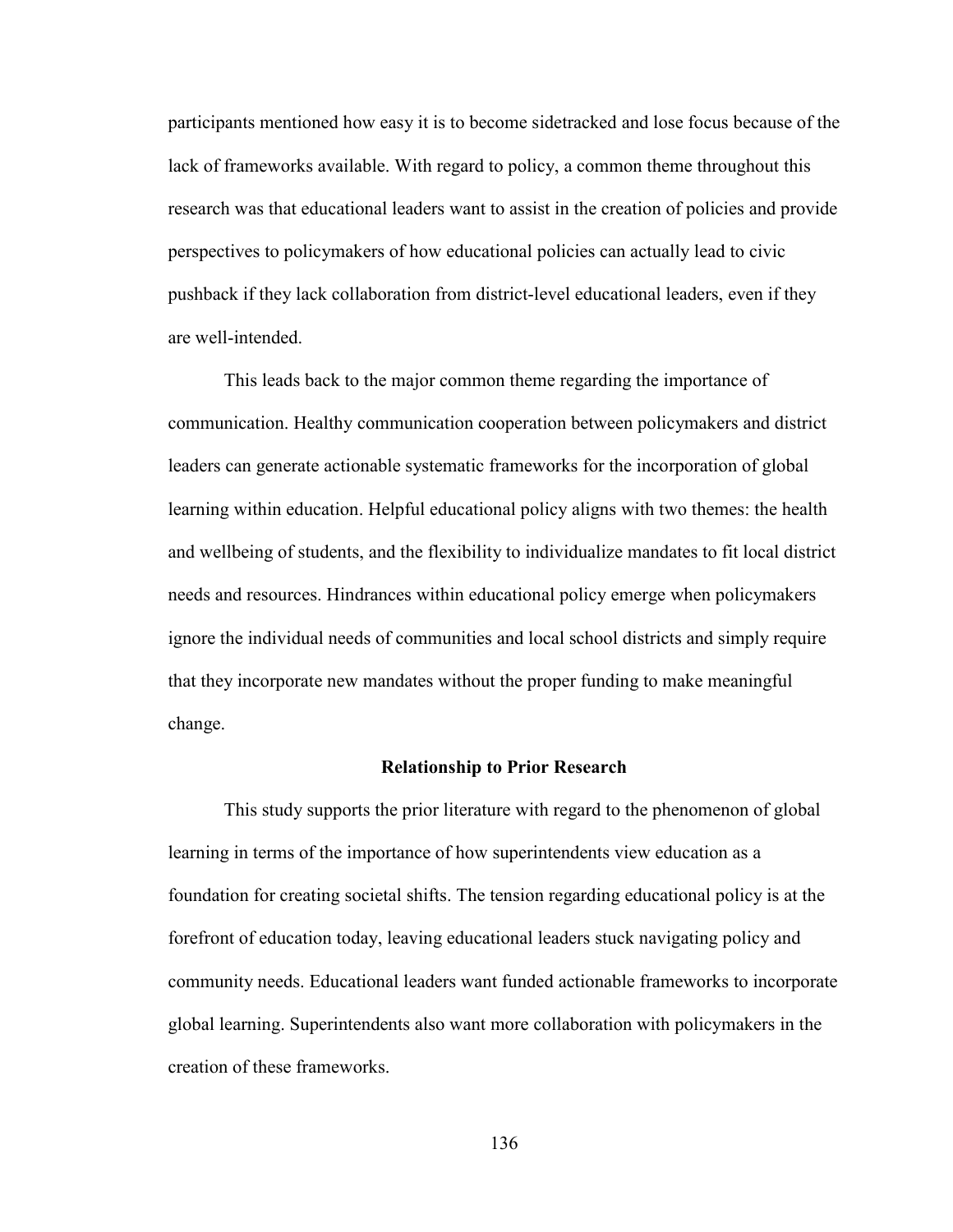participants mentioned how easy it is to become sidetracked and lose focus because of the lack of frameworks available. With regard to policy, a common theme throughout this research was that educational leaders want to assist in the creation of policies and provide perspectives to policymakers of how educational policies can actually lead to civic pushback if they lack collaboration from district-level educational leaders, even if they are well-intended.

This leads back to the major common theme regarding the importance of communication. Healthy communication cooperation between policymakers and district leaders can generate actionable systematic frameworks for the incorporation of global learning within education. Helpful educational policy aligns with two themes: the health and wellbeing of students, and the flexibility to individualize mandates to fit local district needs and resources. Hindrances within educational policy emerge when policymakers ignore the individual needs of communities and local school districts and simply require that they incorporate new mandates without the proper funding to make meaningful change.

#### **Relationship to Prior Research**

This study supports the prior literature with regard to the phenomenon of global learning in terms of the importance of how superintendents view education as a foundation for creating societal shifts. The tension regarding educational policy is at the forefront of education today, leaving educational leaders stuck navigating policy and community needs. Educational leaders want funded actionable frameworks to incorporate global learning. Superintendents also want more collaboration with policymakers in the creation of these frameworks.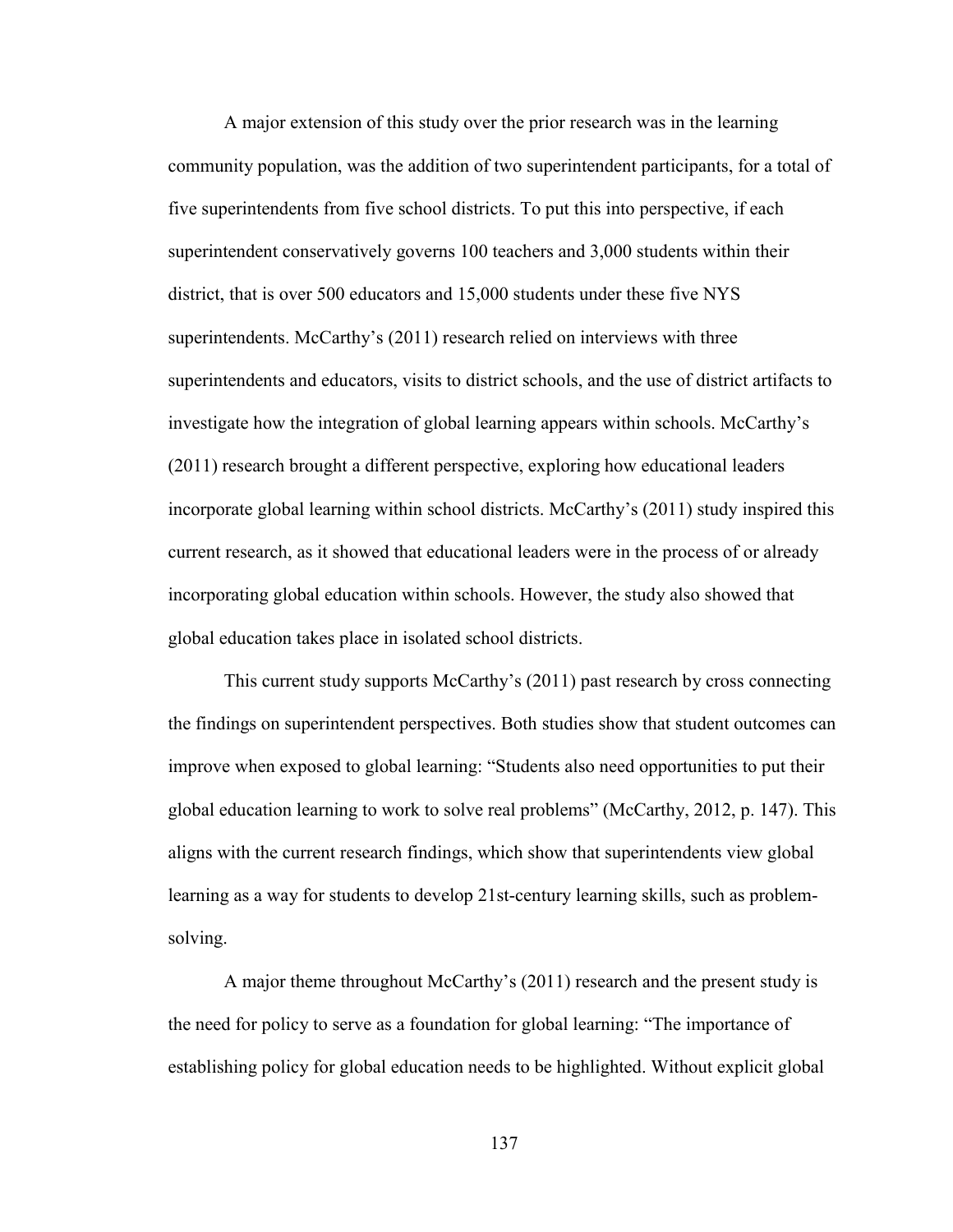A major extension of this study over the prior research was in the learning community population, was the addition of two superintendent participants, for a total of five superintendents from five school districts. To put this into perspective, if each superintendent conservatively governs 100 teachers and 3,000 students within their district, that is over 500 educators and 15,000 students under these five NYS superintendents. McCarthy's (2011) research relied on interviews with three superintendents and educators, visits to district schools, and the use of district artifacts to investigate how the integration of global learning appears within schools. McCarthy's (2011) research brought a different perspective, exploring how educational leaders incorporate global learning within school districts. McCarthy's (2011) study inspired this current research, as it showed that educational leaders were in the process of or already incorporating global education within schools. However, the study also showed that global education takes place in isolated school districts.

This current study supports McCarthy's (2011) past research by cross connecting the findings on superintendent perspectives. Both studies show that student outcomes can improve when exposed to global learning: "Students also need opportunities to put their global education learning to work to solve real problems" (McCarthy, 2012, p. 147). This aligns with the current research findings, which show that superintendents view global learning as a way for students to develop 21st-century learning skills, such as problemsolving.

A major theme throughout McCarthy's (2011) research and the present study is the need for policy to serve as a foundation for global learning: "The importance of establishing policy for global education needs to be highlighted. Without explicit global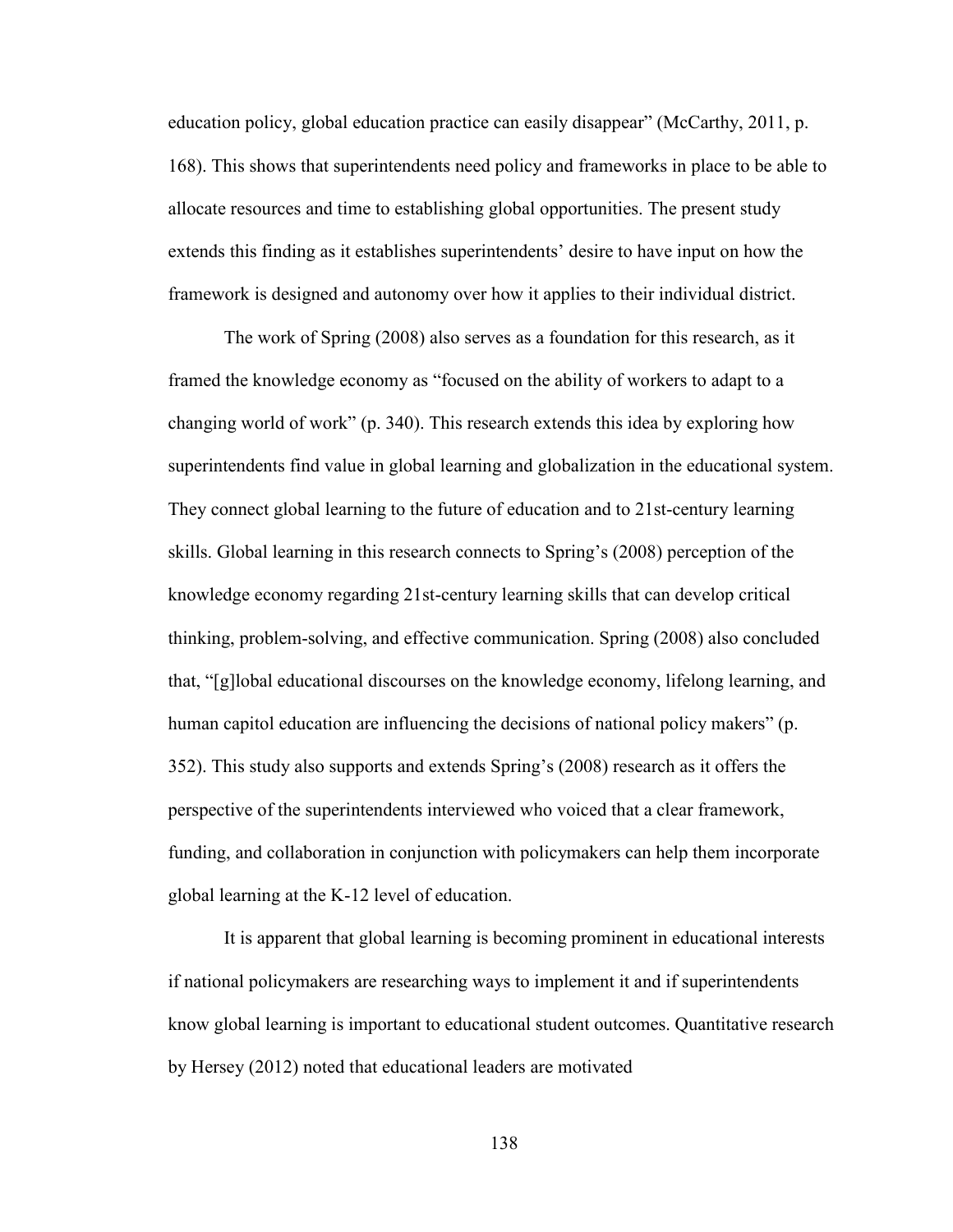education policy, global education practice can easily disappear" (McCarthy, 2011, p. 168). This shows that superintendents need policy and frameworks in place to be able to allocate resources and time to establishing global opportunities. The present study extends this finding as it establishes superintendents' desire to have input on how the framework is designed and autonomy over how it applies to their individual district.

The work of Spring (2008) also serves as a foundation for this research, as it framed the knowledge economy as "focused on the ability of workers to adapt to a changing world of work" (p. 340). This research extends this idea by exploring how superintendents find value in global learning and globalization in the educational system. They connect global learning to the future of education and to 21st-century learning skills. Global learning in this research connects to Spring's (2008) perception of the knowledge economy regarding 21st-century learning skills that can develop critical thinking, problem-solving, and effective communication. Spring (2008) also concluded that, "[g]lobal educational discourses on the knowledge economy, lifelong learning, and human capitol education are influencing the decisions of national policy makers" (p. 352). This study also supports and extends Spring's (2008) research as it offers the perspective of the superintendents interviewed who voiced that a clear framework, funding, and collaboration in conjunction with policymakers can help them incorporate global learning at the K-12 level of education.

It is apparent that global learning is becoming prominent in educational interests if national policymakers are researching ways to implement it and if superintendents know global learning is important to educational student outcomes. Quantitative research by Hersey (2012) noted that educational leaders are motivated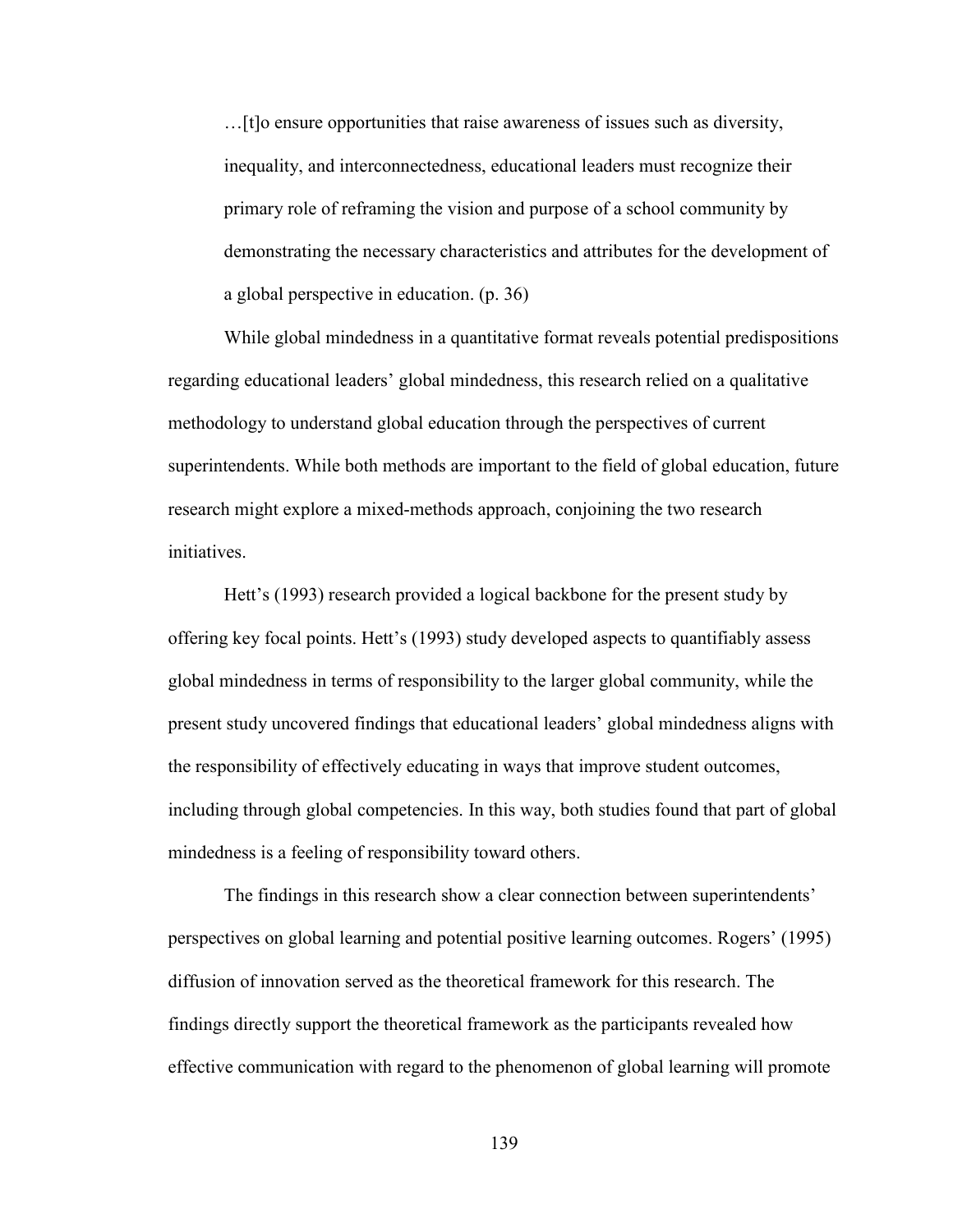…[t]o ensure opportunities that raise awareness of issues such as diversity, inequality, and interconnectedness, educational leaders must recognize their primary role of reframing the vision and purpose of a school community by demonstrating the necessary characteristics and attributes for the development of a global perspective in education. (p. 36)

While global mindedness in a quantitative format reveals potential predispositions regarding educational leaders' global mindedness, this research relied on a qualitative methodology to understand global education through the perspectives of current superintendents. While both methods are important to the field of global education, future research might explore a mixed-methods approach, conjoining the two research initiatives.

Hett's (1993) research provided a logical backbone for the present study by offering key focal points. Hett's (1993) study developed aspects to quantifiably assess global mindedness in terms of responsibility to the larger global community, while the present study uncovered findings that educational leaders' global mindedness aligns with the responsibility of effectively educating in ways that improve student outcomes, including through global competencies. In this way, both studies found that part of global mindedness is a feeling of responsibility toward others.

The findings in this research show a clear connection between superintendents' perspectives on global learning and potential positive learning outcomes. Rogers' (1995) diffusion of innovation served as the theoretical framework for this research. The findings directly support the theoretical framework as the participants revealed how effective communication with regard to the phenomenon of global learning will promote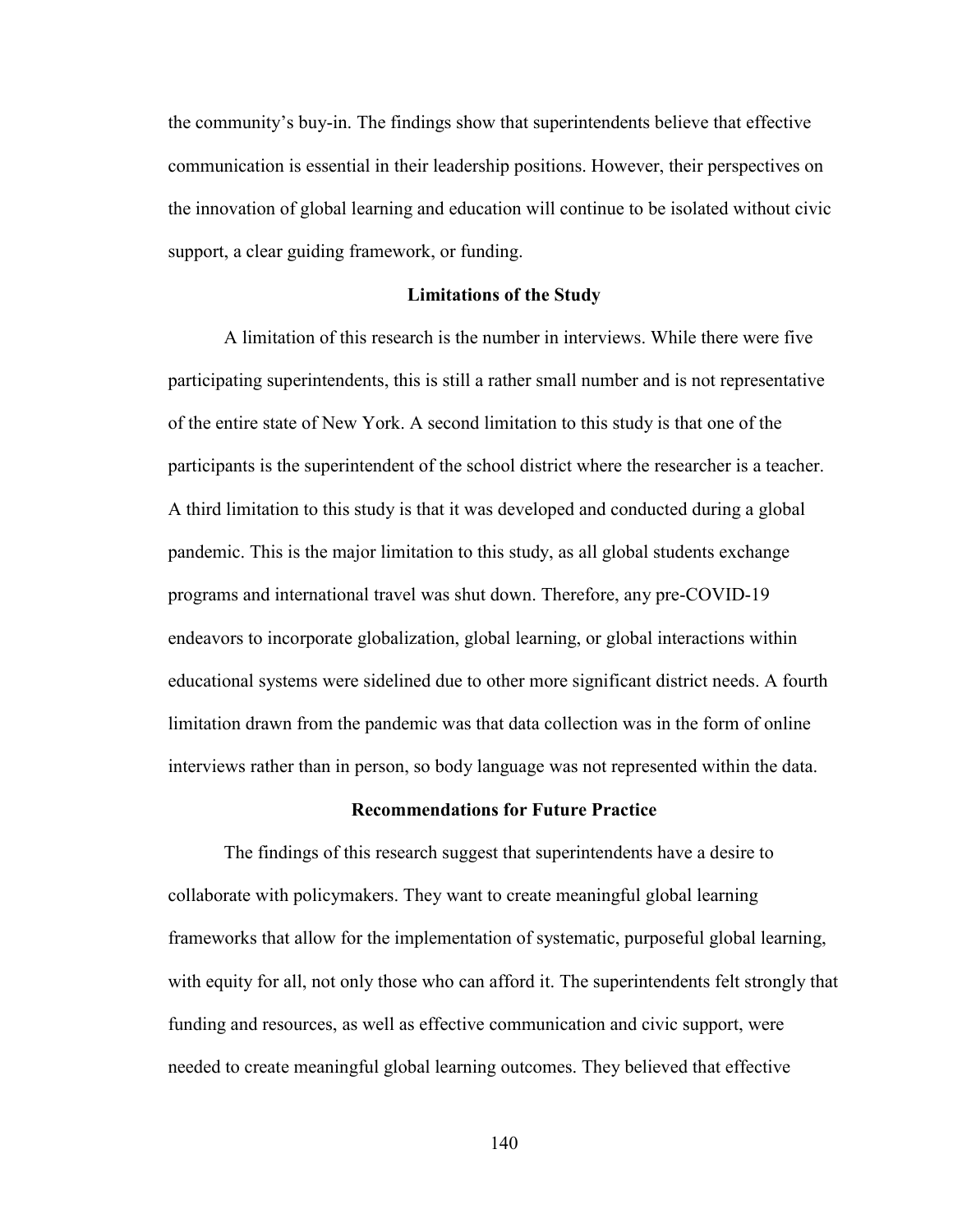the community's buy-in. The findings show that superintendents believe that effective communication is essential in their leadership positions. However, their perspectives on the innovation of global learning and education will continue to be isolated without civic support, a clear guiding framework, or funding.

#### **Limitations of the Study**

A limitation of this research is the number in interviews. While there were five participating superintendents, this is still a rather small number and is not representative of the entire state of New York. A second limitation to this study is that one of the participants is the superintendent of the school district where the researcher is a teacher. A third limitation to this study is that it was developed and conducted during a global pandemic. This is the major limitation to this study, as all global students exchange programs and international travel was shut down. Therefore, any pre-COVID-19 endeavors to incorporate globalization, global learning, or global interactions within educational systems were sidelined due to other more significant district needs. A fourth limitation drawn from the pandemic was that data collection was in the form of online interviews rather than in person, so body language was not represented within the data.

#### **Recommendations for Future Practice**

The findings of this research suggest that superintendents have a desire to collaborate with policymakers. They want to create meaningful global learning frameworks that allow for the implementation of systematic, purposeful global learning, with equity for all, not only those who can afford it. The superintendents felt strongly that funding and resources, as well as effective communication and civic support, were needed to create meaningful global learning outcomes. They believed that effective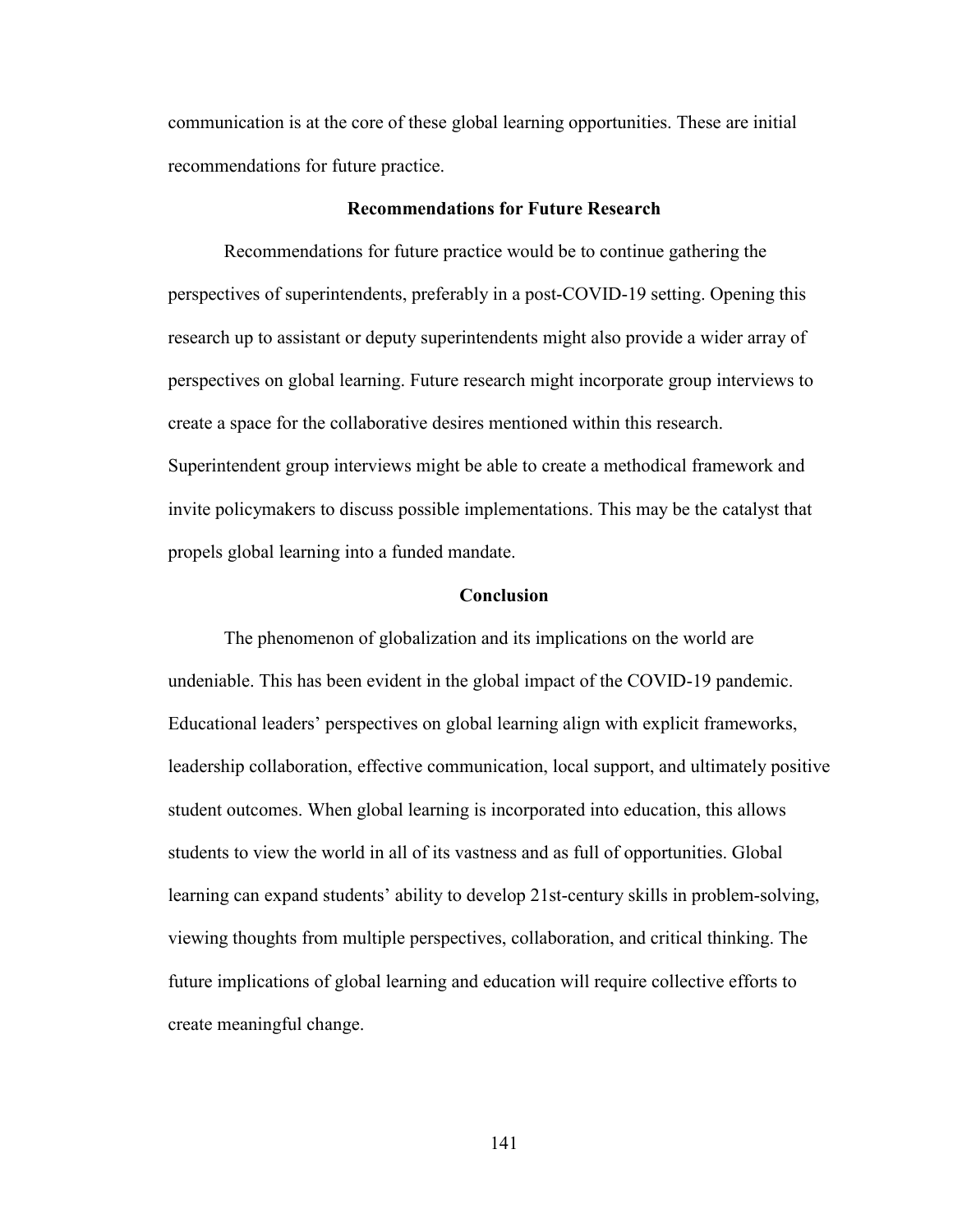communication is at the core of these global learning opportunities. These are initial recommendations for future practice.

#### **Recommendations for Future Research**

Recommendations for future practice would be to continue gathering the perspectives of superintendents, preferably in a post-COVID-19 setting. Opening this research up to assistant or deputy superintendents might also provide a wider array of perspectives on global learning. Future research might incorporate group interviews to create a space for the collaborative desires mentioned within this research. Superintendent group interviews might be able to create a methodical framework and invite policymakers to discuss possible implementations. This may be the catalyst that propels global learning into a funded mandate.

#### **Conclusion**

The phenomenon of globalization and its implications on the world are undeniable. This has been evident in the global impact of the COVID-19 pandemic. Educational leaders' perspectives on global learning align with explicit frameworks, leadership collaboration, effective communication, local support, and ultimately positive student outcomes. When global learning is incorporated into education, this allows students to view the world in all of its vastness and as full of opportunities. Global learning can expand students' ability to develop 21st-century skills in problem-solving, viewing thoughts from multiple perspectives, collaboration, and critical thinking. The future implications of global learning and education will require collective efforts to create meaningful change.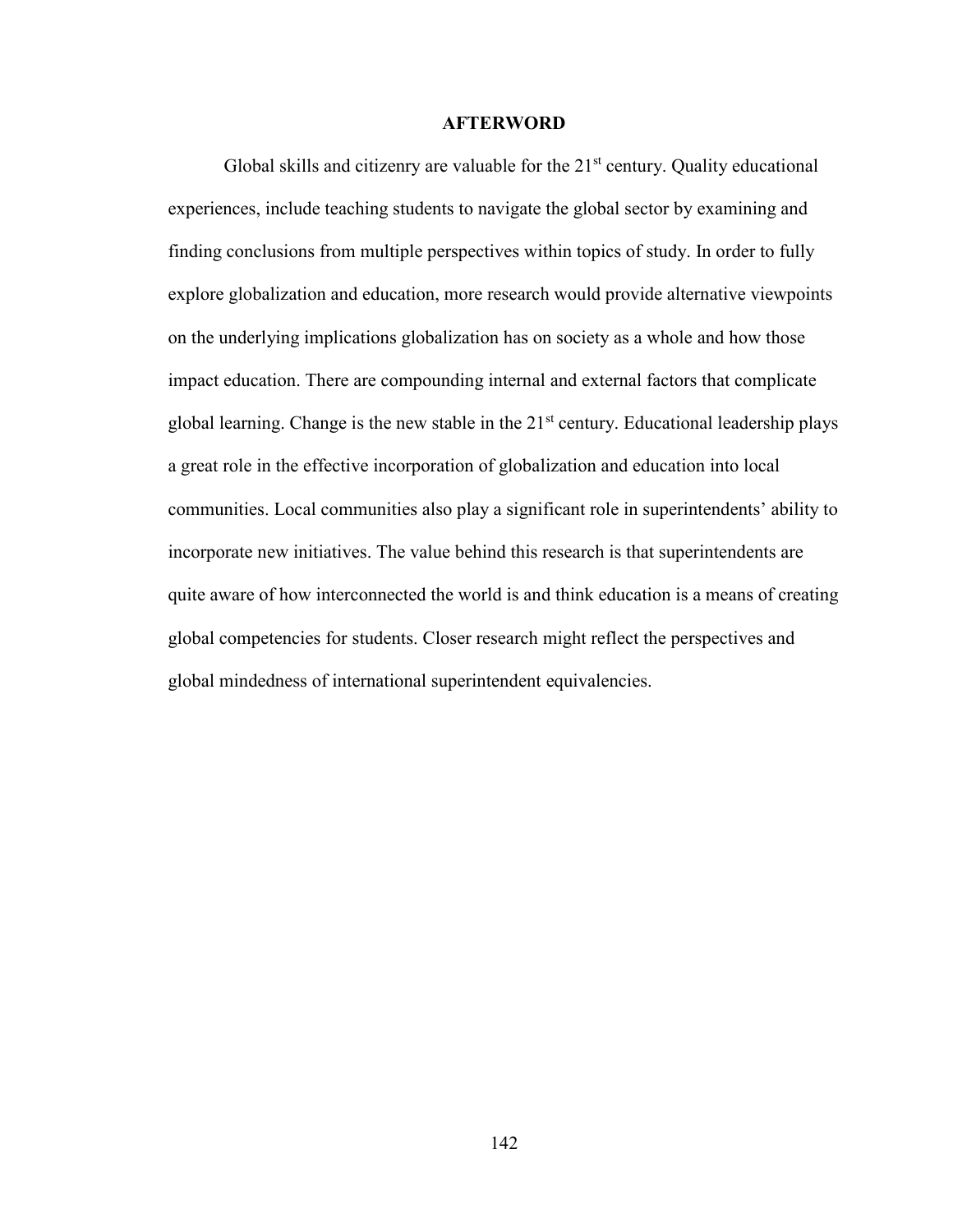#### **AFTERWORD**

Global skills and citizenry are valuable for the  $21<sup>st</sup>$  century. Quality educational experiences, include teaching students to navigate the global sector by examining and finding conclusions from multiple perspectives within topics of study. In order to fully explore globalization and education, more research would provide alternative viewpoints on the underlying implications globalization has on society as a whole and how those impact education. There are compounding internal and external factors that complicate global learning. Change is the new stable in the 21<sup>st</sup> century. Educational leadership plays a great role in the effective incorporation of globalization and education into local communities. Local communities also play a significant role in superintendents' ability to incorporate new initiatives. The value behind this research is that superintendents are quite aware of how interconnected the world is and think education is a means of creating global competencies for students. Closer research might reflect the perspectives and global mindedness of international superintendent equivalencies.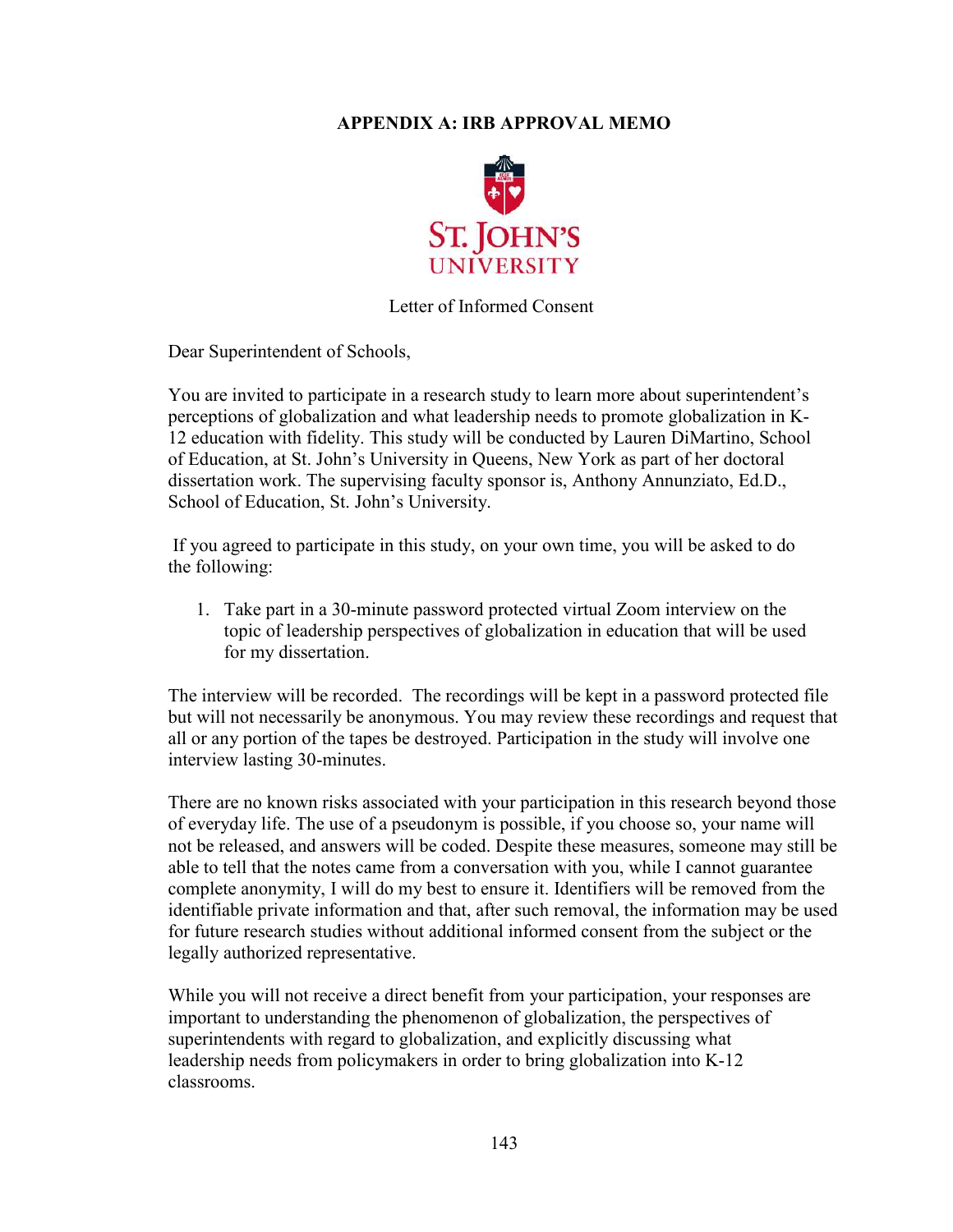# **APPENDIX A: IRB APPROVAL MEMO**



## Letter of Informed Consent

Dear Superintendent of Schools,

You are invited to participate in a research study to learn more about superintendent's perceptions of globalization and what leadership needs to promote globalization in K-12 education with fidelity. This study will be conducted by Lauren DiMartino, School of Education, at St. John's University in Queens, New York as part of her doctoral dissertation work. The supervising faculty sponsor is, Anthony Annunziato, Ed.D., School of Education, St. John's University.

 If you agreed to participate in this study, on your own time, you will be asked to do the following:

1. Take part in a 30-minute password protected virtual Zoom interview on the topic of leadership perspectives of globalization in education that will be used for my dissertation.

The interview will be recorded. The recordings will be kept in a password protected file but will not necessarily be anonymous. You may review these recordings and request that all or any portion of the tapes be destroyed. Participation in the study will involve one interview lasting 30-minutes.

There are no known risks associated with your participation in this research beyond those of everyday life. The use of a pseudonym is possible, if you choose so, your name will not be released, and answers will be coded. Despite these measures, someone may still be able to tell that the notes came from a conversation with you, while I cannot guarantee complete anonymity, I will do my best to ensure it. Identifiers will be removed from the identifiable private information and that, after such removal, the information may be used for future research studies without additional informed consent from the subject or the legally authorized representative.

While you will not receive a direct benefit from your participation, your responses are important to understanding the phenomenon of globalization, the perspectives of superintendents with regard to globalization, and explicitly discussing what leadership needs from policymakers in order to bring globalization into K-12 classrooms.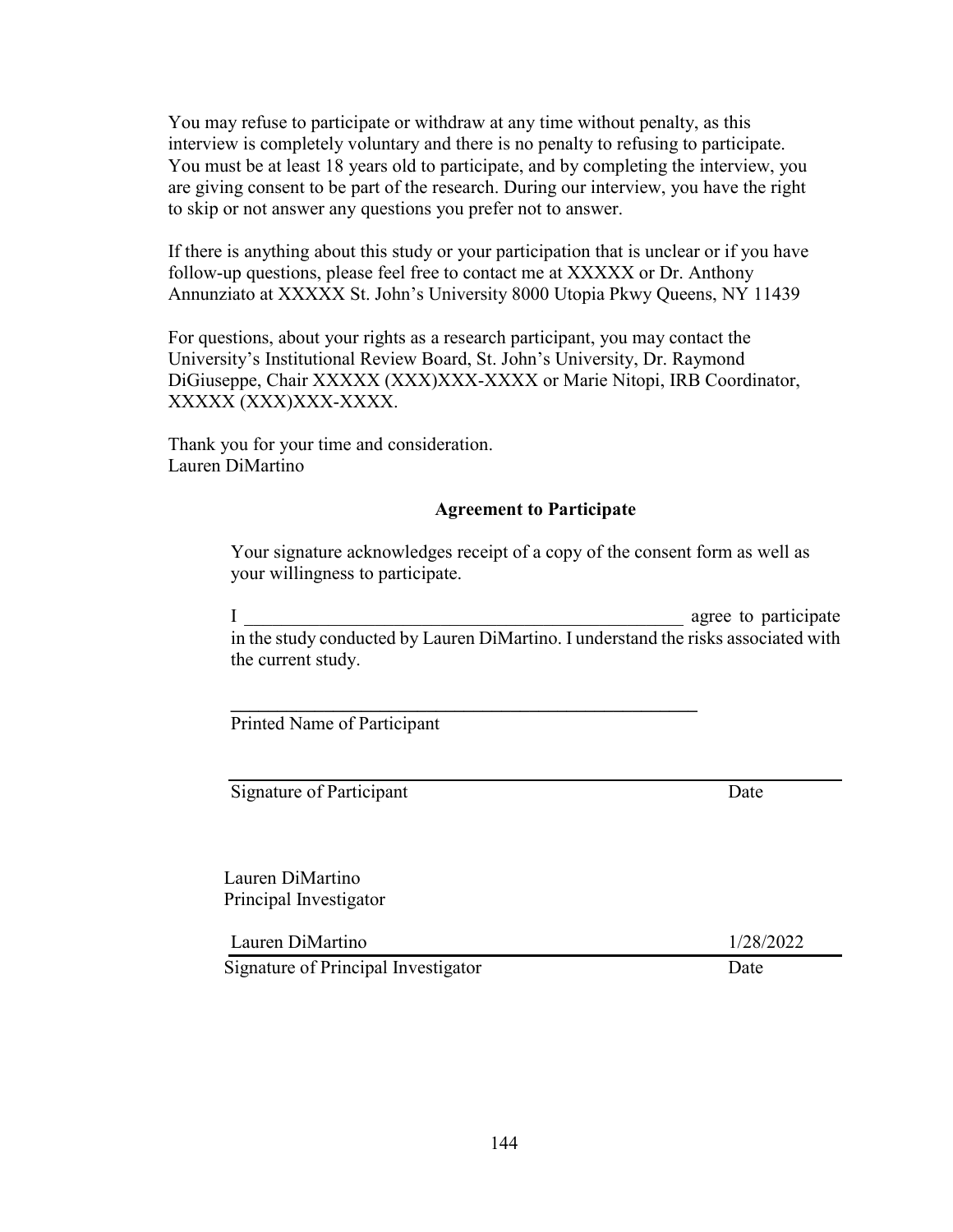You may refuse to participate or withdraw at any time without penalty, as this interview is completely voluntary and there is no penalty to refusing to participate. You must be at least 18 years old to participate, and by completing the interview, you are giving consent to be part of the research. During our interview, you have the right to skip or not answer any questions you prefer not to answer.

If there is anything about this study or your participation that is unclear or if you have follow-up questions, please feel free to contact me at XXXXX or Dr. Anthony Annunziato at XXXXX St. John's University 8000 Utopia Pkwy Queens, NY 11439

For questions, about your rights as a research participant, you may contact the University's Institutional Review Board, St. John's University, Dr. Raymond DiGiuseppe, Chair XXXXX (XXX)XXX-XXXX or Marie Nitopi, IRB Coordinator, XXXXX (XXX)XXX-XXXX.

Thank you for your time and consideration. Lauren DiMartino

# **Agreement to Participate**

Your signature acknowledges receipt of a copy of the consent form as well as your willingness to participate.

I agree to participate in the study conducted by Lauren DiMartino. I understand the risks associated with the current study.

**\_\_\_\_\_\_\_\_\_\_\_\_\_\_\_\_\_\_\_\_\_\_\_\_\_\_\_\_\_\_\_\_\_\_\_\_\_\_\_\_\_\_\_\_\_\_\_\_\_\_** 

Printed Name of Participant

Signature of Participant Date

Lauren DiMartino Principal Investigator

Lauren DiMartino 1/28/2022

Signature of Principal Investigator Date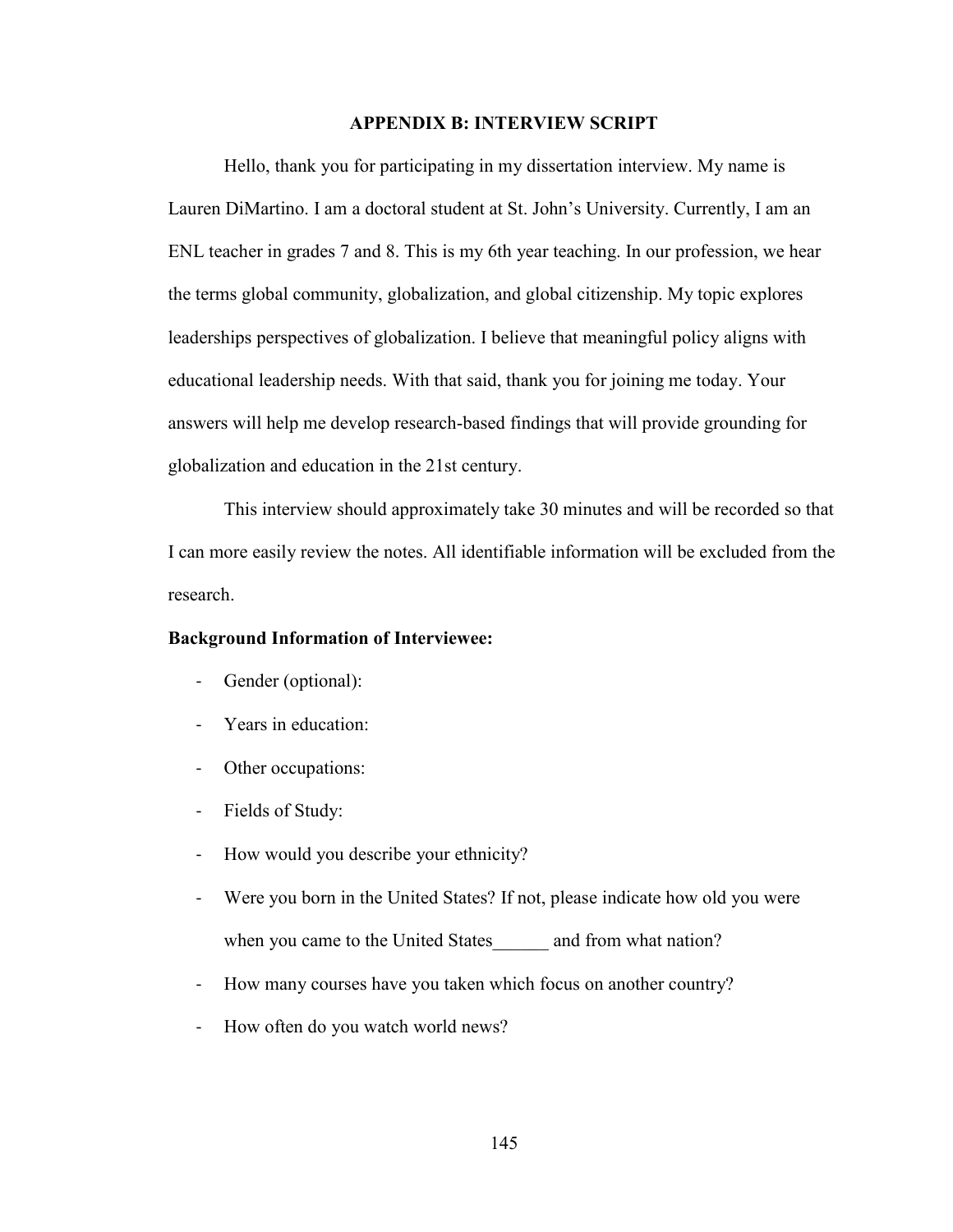## **APPENDIX B: INTERVIEW SCRIPT**

Hello, thank you for participating in my dissertation interview. My name is Lauren DiMartino. I am a doctoral student at St. John's University. Currently, I am an ENL teacher in grades 7 and 8. This is my 6th year teaching. In our profession, we hear the terms global community, globalization, and global citizenship. My topic explores leaderships perspectives of globalization. I believe that meaningful policy aligns with educational leadership needs. With that said, thank you for joining me today. Your answers will help me develop research-based findings that will provide grounding for globalization and education in the 21st century.

This interview should approximately take 30 minutes and will be recorded so that I can more easily review the notes. All identifiable information will be excluded from the research.

## **Background Information of Interviewee:**

- Gender (optional):
- Years in education:
- Other occupations:
- Fields of Study:
- How would you describe your ethnicity?
- Were you born in the United States? If not, please indicate how old you were when you came to the United States and from what nation?
- How many courses have you taken which focus on another country?
- How often do you watch world news?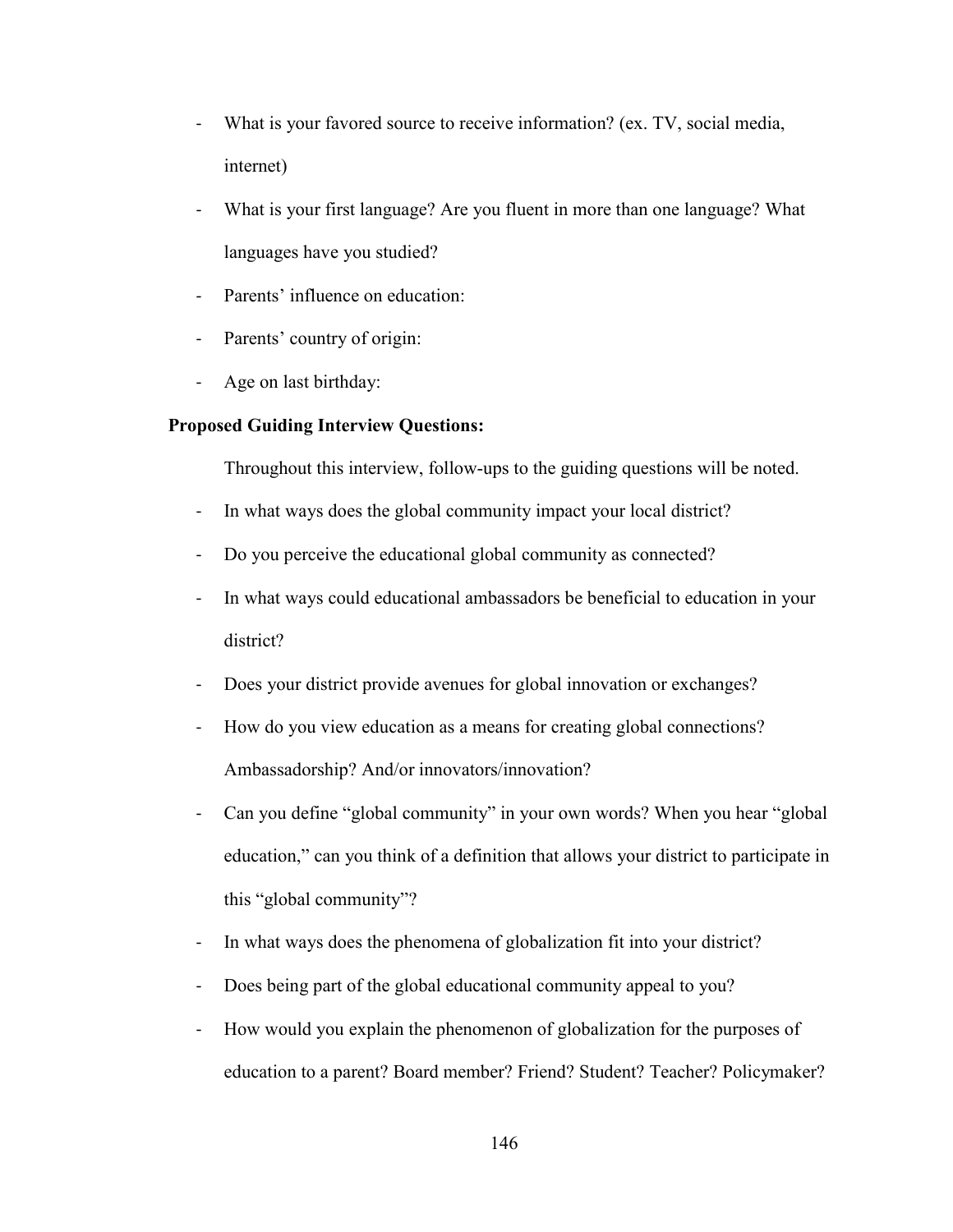- What is your favored source to receive information? (ex. TV, social media, internet)
- What is your first language? Are you fluent in more than one language? What languages have you studied?
- Parents' influence on education:
- Parents' country of origin:
- Age on last birthday:

## **Proposed Guiding Interview Questions:**

Throughout this interview, follow-ups to the guiding questions will be noted.

- In what ways does the global community impact your local district?
- Do you perceive the educational global community as connected?
- In what ways could educational ambassadors be beneficial to education in your district?
- Does your district provide avenues for global innovation or exchanges?
- How do you view education as a means for creating global connections? Ambassadorship? And/or innovators/innovation?
- Can you define "global community" in your own words? When you hear "global education," can you think of a definition that allows your district to participate in this "global community"?
- In what ways does the phenomena of globalization fit into your district?
- Does being part of the global educational community appeal to you?
- How would you explain the phenomenon of globalization for the purposes of education to a parent? Board member? Friend? Student? Teacher? Policymaker?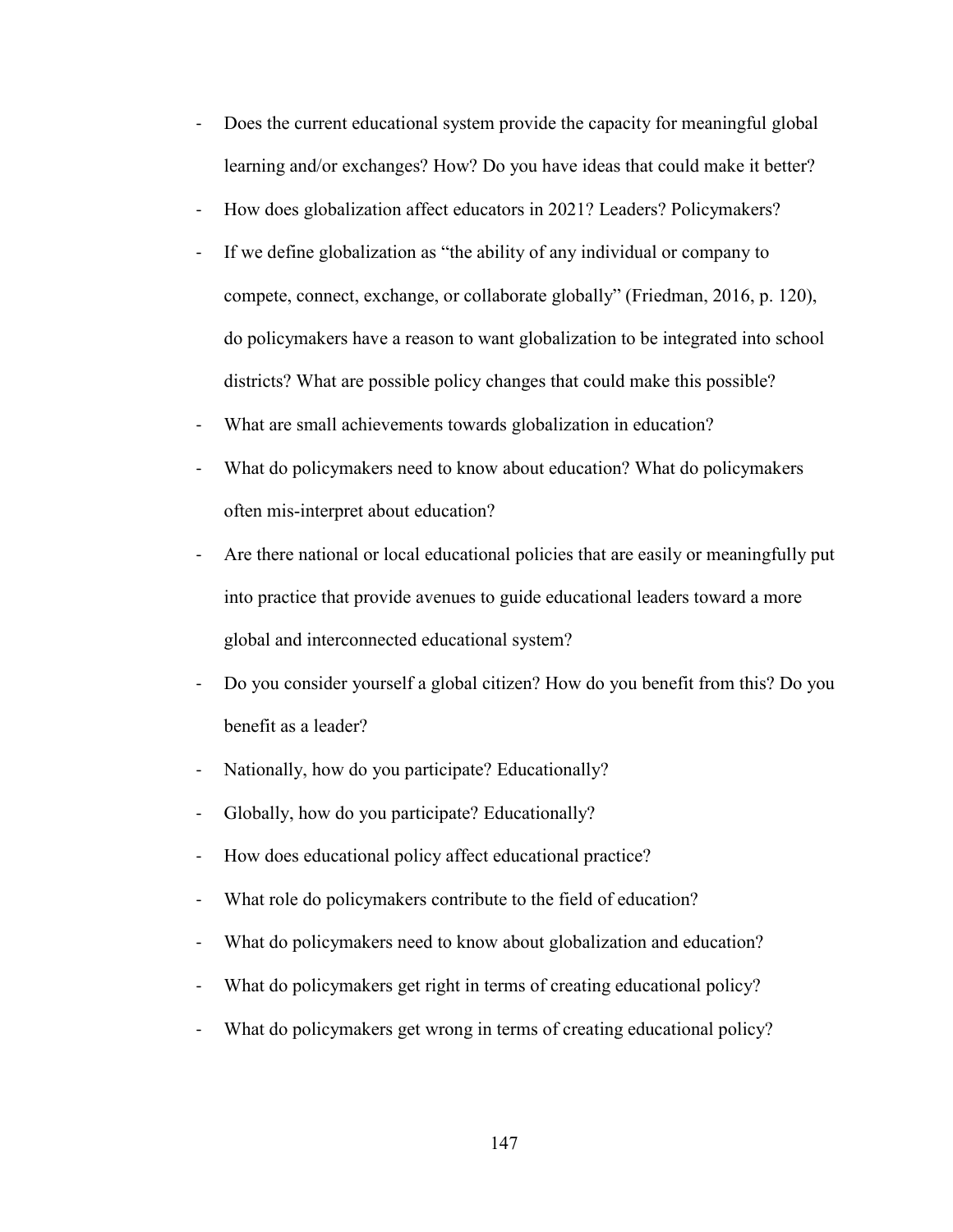- Does the current educational system provide the capacity for meaningful global learning and/or exchanges? How? Do you have ideas that could make it better?
- How does globalization affect educators in 2021? Leaders? Policymakers?
- If we define globalization as "the ability of any individual or company to compete, connect, exchange, or collaborate globally" (Friedman, 2016, p. 120), do policymakers have a reason to want globalization to be integrated into school districts? What are possible policy changes that could make this possible?
- What are small achievements towards globalization in education?
- What do policymakers need to know about education? What do policymakers often mis-interpret about education?
- Are there national or local educational policies that are easily or meaningfully put into practice that provide avenues to guide educational leaders toward a more global and interconnected educational system?
- Do you consider yourself a global citizen? How do you benefit from this? Do you benefit as a leader?
- Nationally, how do you participate? Educationally?
- Globally, how do you participate? Educationally?
- How does educational policy affect educational practice?
- What role do policymakers contribute to the field of education?
- What do policymakers need to know about globalization and education?
- What do policymakers get right in terms of creating educational policy?
- What do policymakers get wrong in terms of creating educational policy?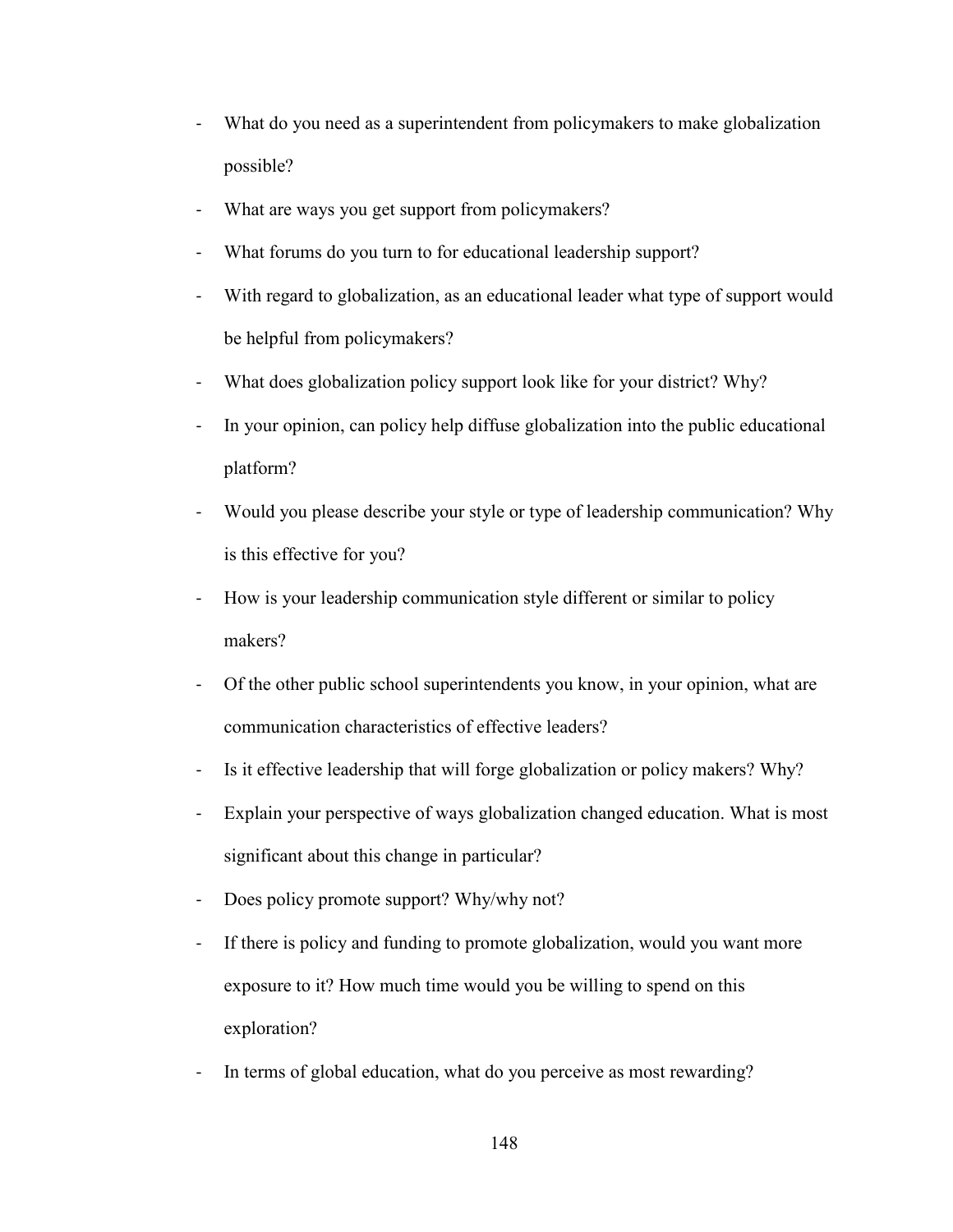- What do you need as a superintendent from policymakers to make globalization possible?
- What are ways you get support from policymakers?
- What forums do you turn to for educational leadership support?
- With regard to globalization, as an educational leader what type of support would be helpful from policymakers?
- What does globalization policy support look like for your district? Why?
- In your opinion, can policy help diffuse globalization into the public educational platform?
- Would you please describe your style or type of leadership communication? Why is this effective for you?
- How is your leadership communication style different or similar to policy makers?
- Of the other public school superintendents you know, in your opinion, what are communication characteristics of effective leaders?
- Is it effective leadership that will forge globalization or policy makers? Why?
- Explain your perspective of ways globalization changed education. What is most significant about this change in particular?
- Does policy promote support? Why/why not?
- If there is policy and funding to promote globalization, would you want more exposure to it? How much time would you be willing to spend on this exploration?
- In terms of global education, what do you perceive as most rewarding?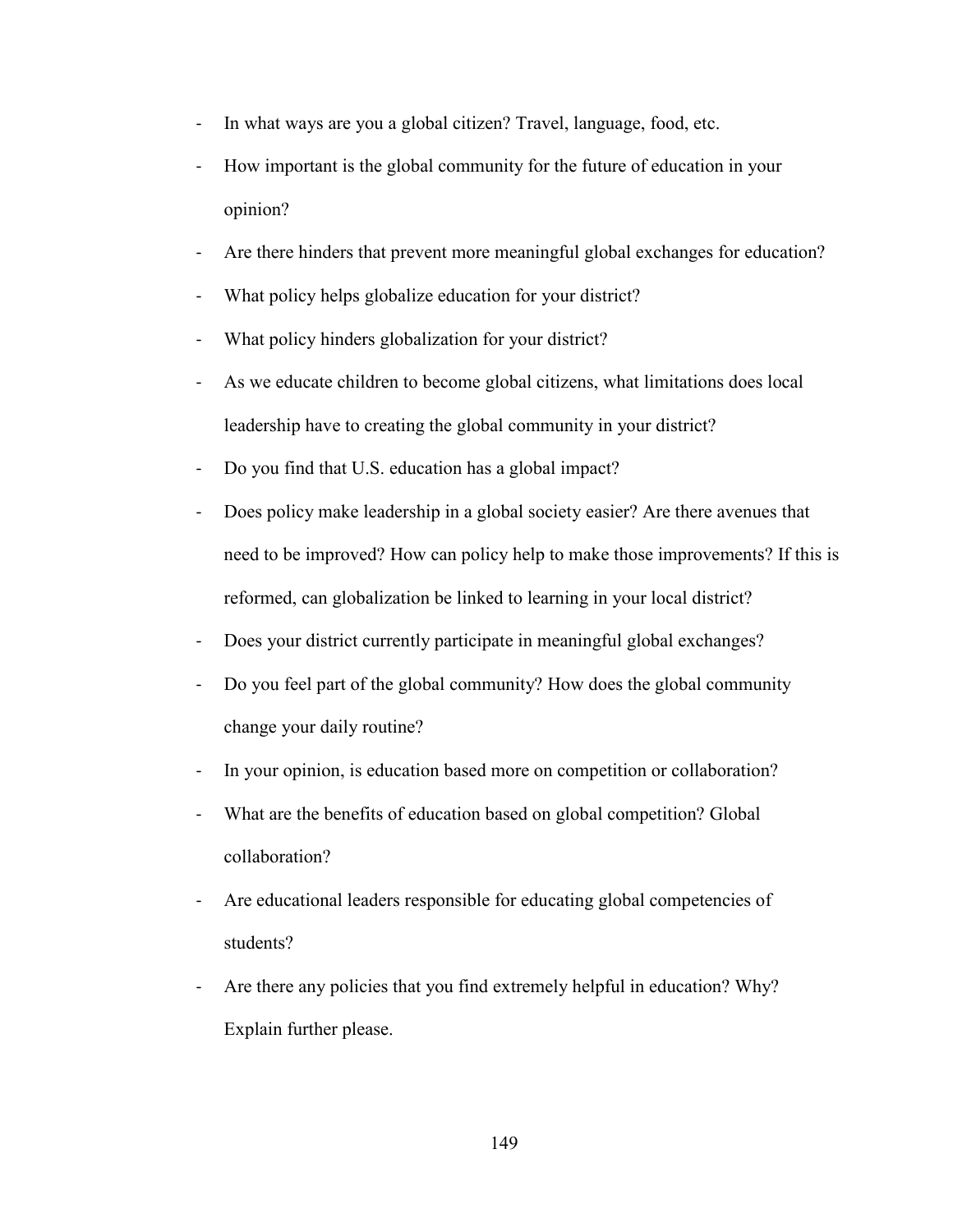- In what ways are you a global citizen? Travel, language, food, etc.
- How important is the global community for the future of education in your opinion?
- Are there hinders that prevent more meaningful global exchanges for education?
- What policy helps globalize education for your district?
- What policy hinders globalization for your district?
- As we educate children to become global citizens, what limitations does local leadership have to creating the global community in your district?
- Do you find that U.S. education has a global impact?
- Does policy make leadership in a global society easier? Are there avenues that need to be improved? How can policy help to make those improvements? If this is reformed, can globalization be linked to learning in your local district?
- Does your district currently participate in meaningful global exchanges?
- Do you feel part of the global community? How does the global community change your daily routine?
- In your opinion, is education based more on competition or collaboration?
- What are the benefits of education based on global competition? Global collaboration?
- Are educational leaders responsible for educating global competencies of students?
- Are there any policies that you find extremely helpful in education? Why? Explain further please.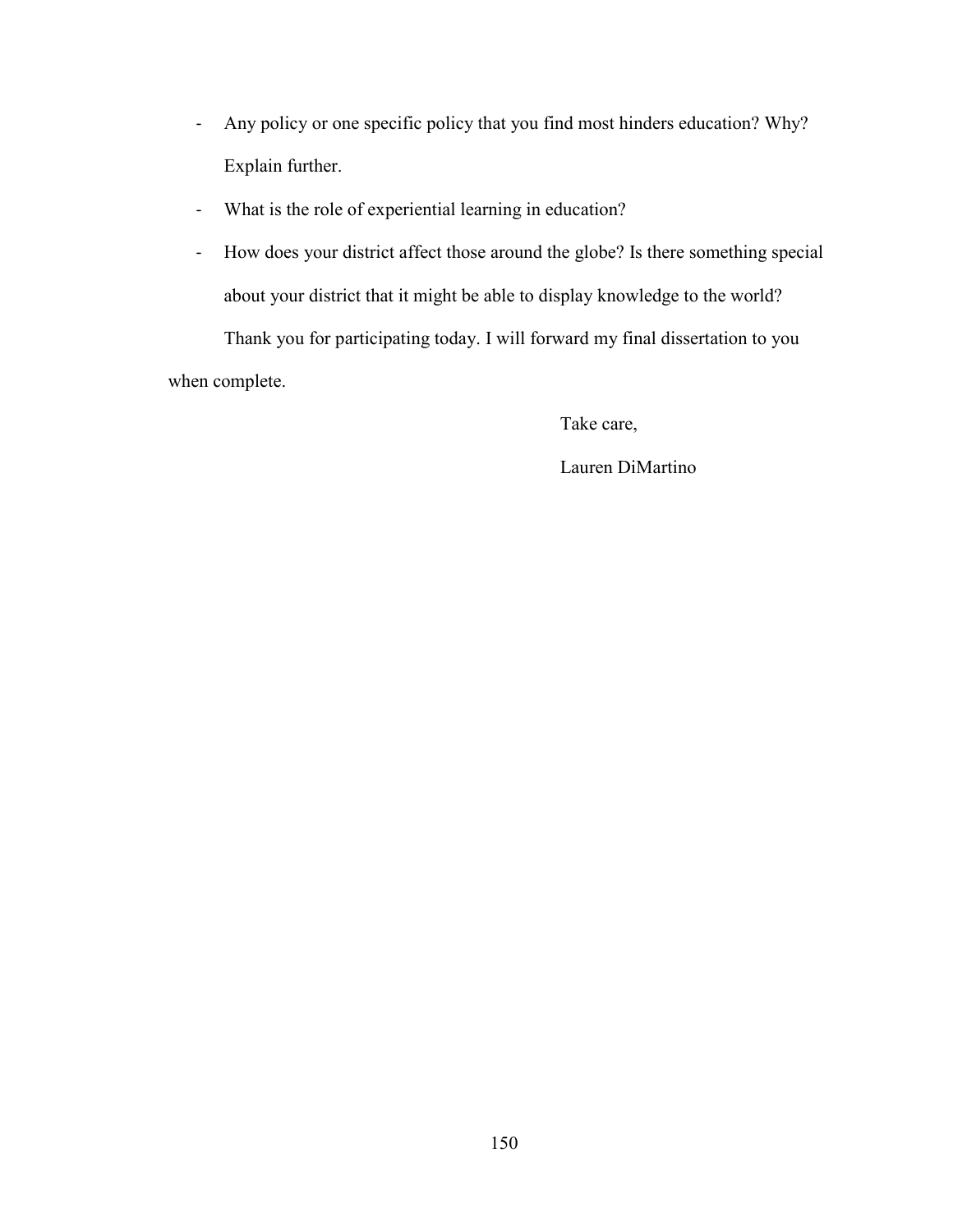- Any policy or one specific policy that you find most hinders education? Why? Explain further.
- What is the role of experiential learning in education?
- How does your district affect those around the globe? Is there something special about your district that it might be able to display knowledge to the world?

Thank you for participating today. I will forward my final dissertation to you when complete.

Take care,

Lauren DiMartino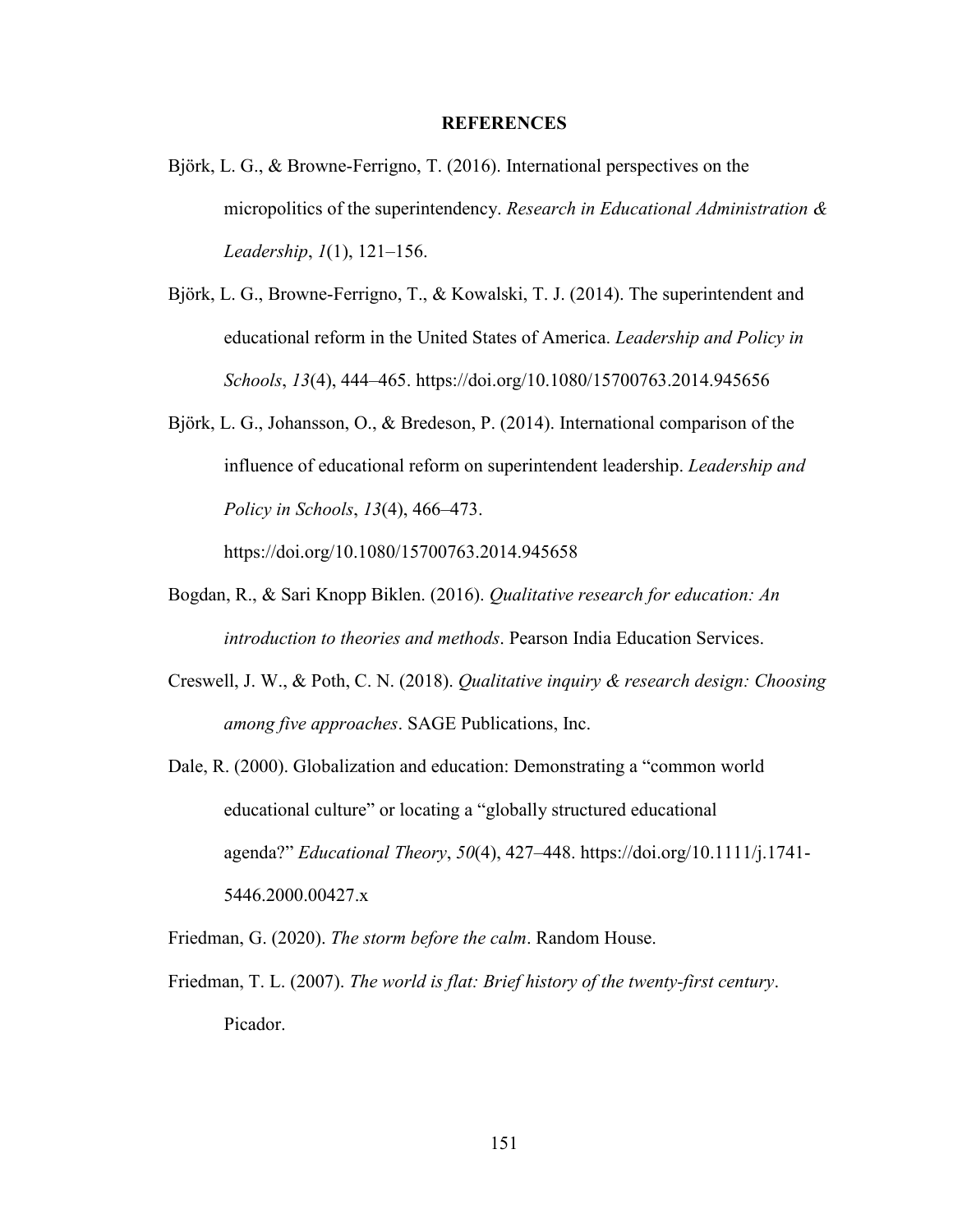#### **REFERENCES**

- Björk, L. G., & Browne-Ferrigno, T. (2016). International perspectives on the micropolitics of the superintendency. *Research in Educational Administration & Leadership*, *1*(1), 121–156.
- Björk, L. G., Browne-Ferrigno, T., & Kowalski, T. J. (2014). The superintendent and educational reform in the United States of America. *Leadership and Policy in Schools*, *13*(4), 444–465. https://doi.org/10.1080/15700763.2014.945656
- Björk, L. G., Johansson, O., & Bredeson, P. (2014). International comparison of the influence of educational reform on superintendent leadership. *Leadership and Policy in Schools*, *13*(4), 466–473.

https://doi.org/10.1080/15700763.2014.945658

- Bogdan, R., & Sari Knopp Biklen. (2016). *Qualitative research for education: An introduction to theories and methods*. Pearson India Education Services.
- Creswell, J. W., & Poth, C. N. (2018). *Qualitative inquiry & research design: Choosing among five approaches*. SAGE Publications, Inc.
- Dale, R. (2000). Globalization and education: Demonstrating a "common world educational culture" or locating a "globally structured educational agenda?" *Educational Theory*, *50*(4), 427–448. https://doi.org/10.1111/j.1741- 5446.2000.00427.x

Friedman, G. (2020). *The storm before the calm*. Random House.

Friedman, T. L. (2007). *The world is flat: Brief history of the twenty-first century*. Picador.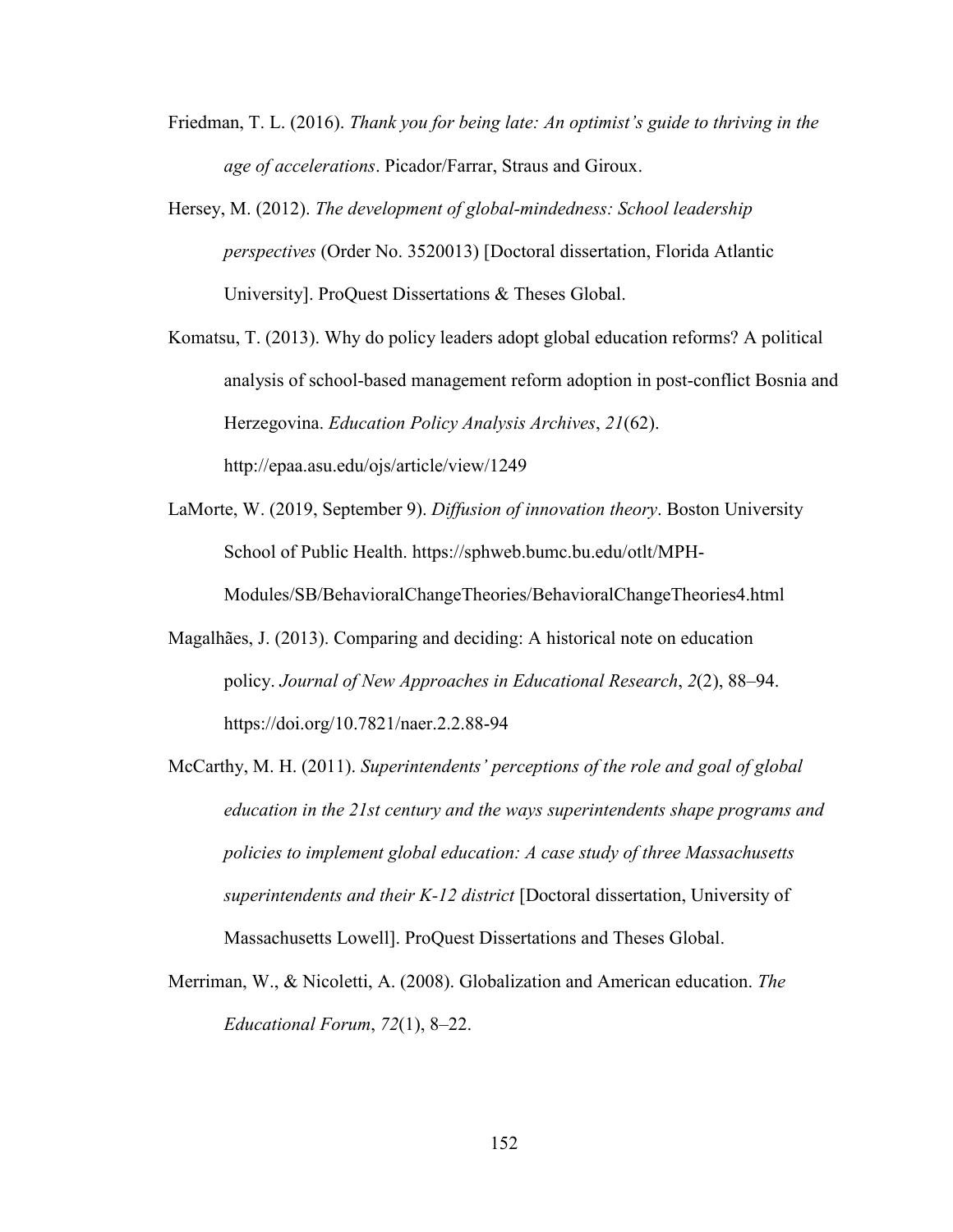- Friedman, T. L. (2016). *Thank you for being late: An optimist's guide to thriving in the age of accelerations*. Picador/Farrar, Straus and Giroux.
- Hersey, M. (2012). *The development of global-mindedness: School leadership perspectives* (Order No. 3520013) [Doctoral dissertation, Florida Atlantic University]. ProQuest Dissertations & Theses Global.
- Komatsu, T. (2013). Why do policy leaders adopt global education reforms? A political analysis of school-based management reform adoption in post-conflict Bosnia and Herzegovina. *Education Policy Analysis Archives*, *21*(62). http://epaa.asu.edu/ojs/article/view/1249
- LaMorte, W. (2019, September 9). *Diffusion of innovation theory*. Boston University School of Public Health. https://sphweb.bumc.bu.edu/otlt/MPH-Modules/SB/BehavioralChangeTheories/BehavioralChangeTheories4.html
- Magalhães, J. (2013). Comparing and deciding: A historical note on education policy. *Journal of New Approaches in Educational Research*, *2*(2), 88–94. https://doi.org/10.7821/naer.2.2.88-94
- McCarthy, M. H. (2011). *Superintendents' perceptions of the role and goal of global education in the 21st century and the ways superintendents shape programs and policies to implement global education: A case study of three Massachusetts superintendents and their K-12 district* [Doctoral dissertation, University of Massachusetts Lowell]. ProQuest Dissertations and Theses Global.
- Merriman, W., & Nicoletti, A. (2008). Globalization and American education. *The Educational Forum*, *72*(1), 8–22.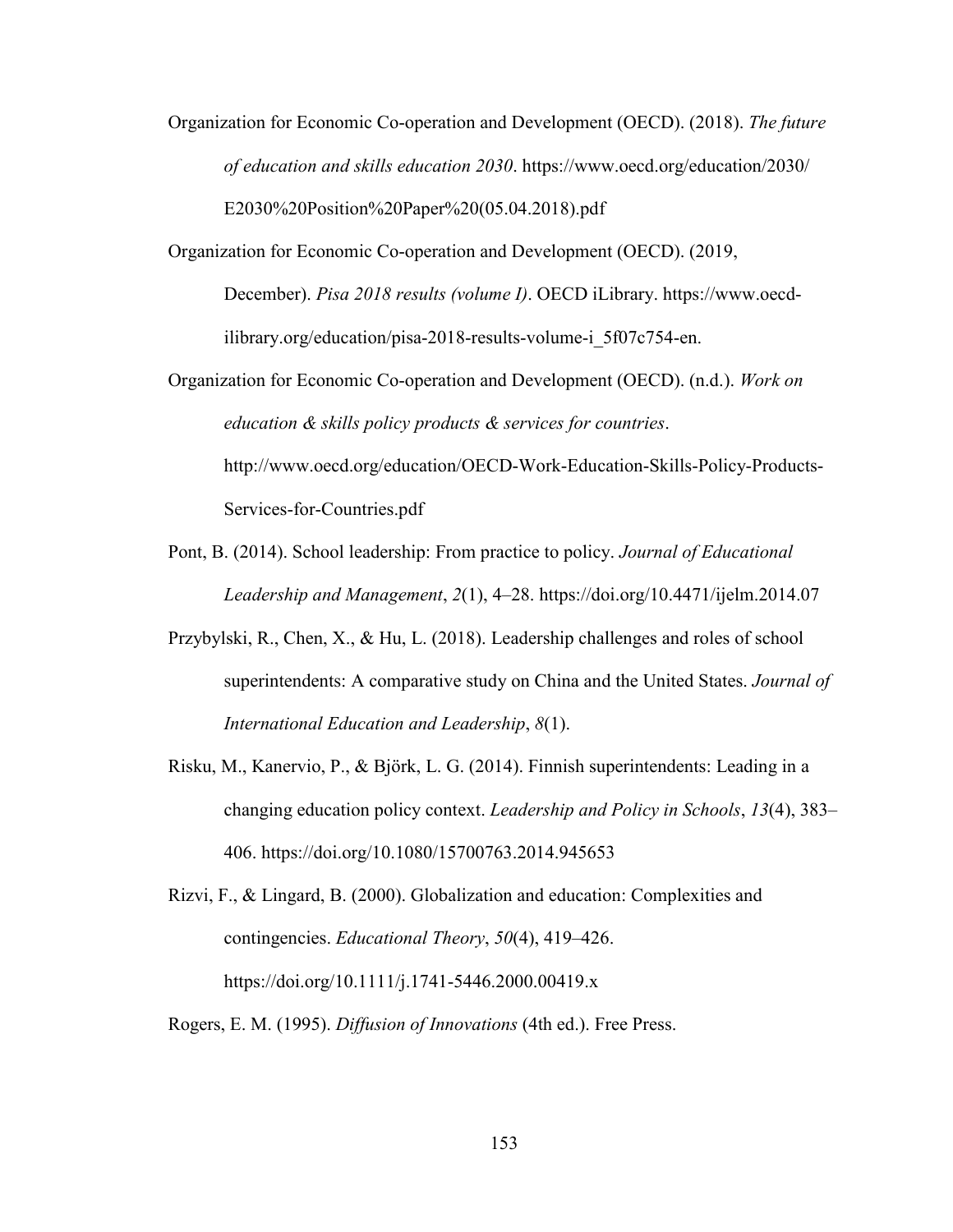- Organization for Economic Co-operation and Development (OECD). (2018). *The future of education and skills education 2030*. https://www.oecd.org/education/2030/ E2030%20Position%20Paper%20(05.04.2018).pdf
- Organization for Economic Co-operation and Development (OECD). (2019,

December). *Pisa 2018 results (volume I)*. OECD iLibrary. https://www.oecdilibrary.org/education/pisa-2018-results-volume-i\_5f07c754-en.

- Organization for Economic Co-operation and Development (OECD). (n.d.). *Work on education & skills policy products & services for countries*. http://www.oecd.org/education/OECD-Work-Education-Skills-Policy-Products-Services-for-Countries.pdf
- Pont, B. (2014). School leadership: From practice to policy. *Journal of Educational Leadership and Management*, *2*(1), 4–28. https://doi.org/10.4471/ijelm.2014.07
- Przybylski, R., Chen, X., & Hu, L. (2018). Leadership challenges and roles of school superintendents: A comparative study on China and the United States. *Journal of International Education and Leadership*, *8*(1).
- Risku, M., Kanervio, P., & Björk, L. G. (2014). Finnish superintendents: Leading in a changing education policy context. *Leadership and Policy in Schools*, *13*(4), 383– 406. https://doi.org/10.1080/15700763.2014.945653
- Rizvi, F., & Lingard, B. (2000). Globalization and education: Complexities and contingencies. *Educational Theory*, *50*(4), 419–426. https://doi.org/10.1111/j.1741-5446.2000.00419.x
- Rogers, E. M. (1995). *Diffusion of Innovations* (4th ed.). Free Press.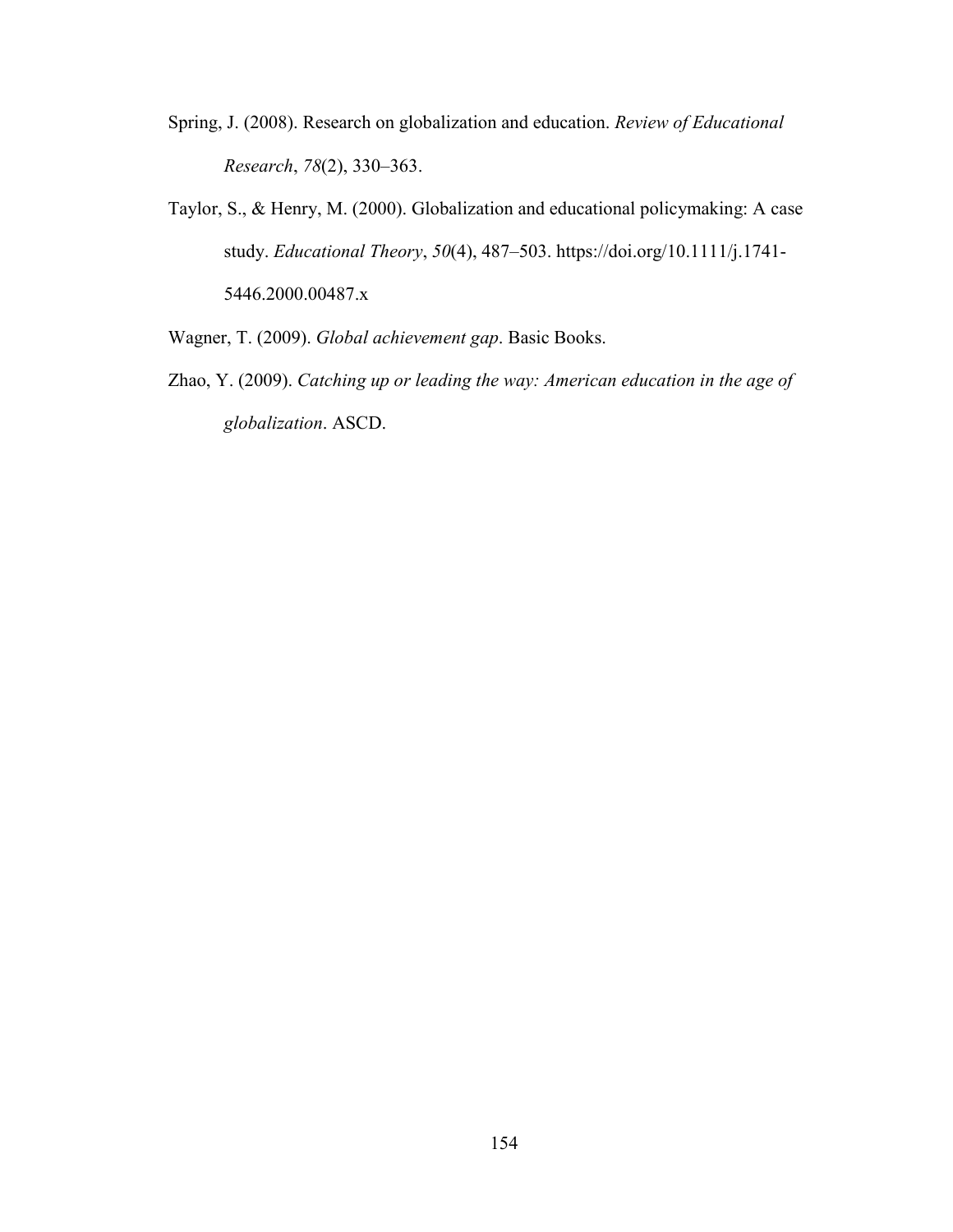- Spring, J. (2008). Research on globalization and education. *Review of Educational Research*, *78*(2), 330–363.
- Taylor, S., & Henry, M. (2000). Globalization and educational policymaking: A case study. *Educational Theory*, *50*(4), 487–503. https://doi.org/10.1111/j.1741- 5446.2000.00487.x
- Wagner, T. (2009). *Global achievement gap*. Basic Books.
- Zhao, Y. (2009). *Catching up or leading the way: American education in the age of globalization*. ASCD.